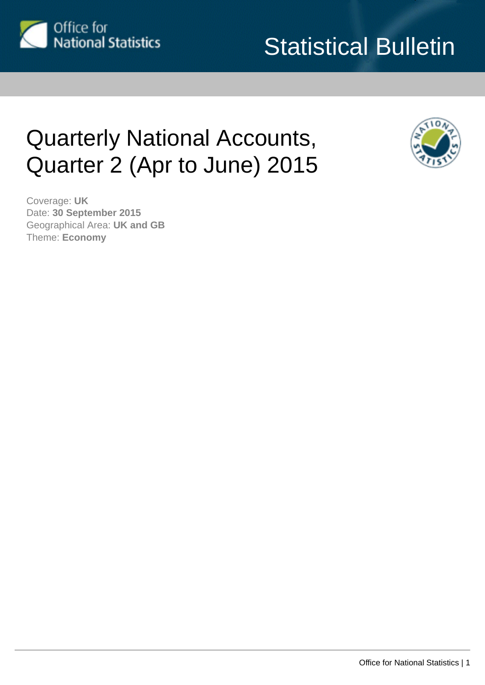

# Statistical Bulletin

# Quarterly National Accounts, Quarter 2 (Apr to June) 2015



Coverage: **UK** Date: **30 September 2015** Geographical Area: **UK and GB** Theme: **Economy**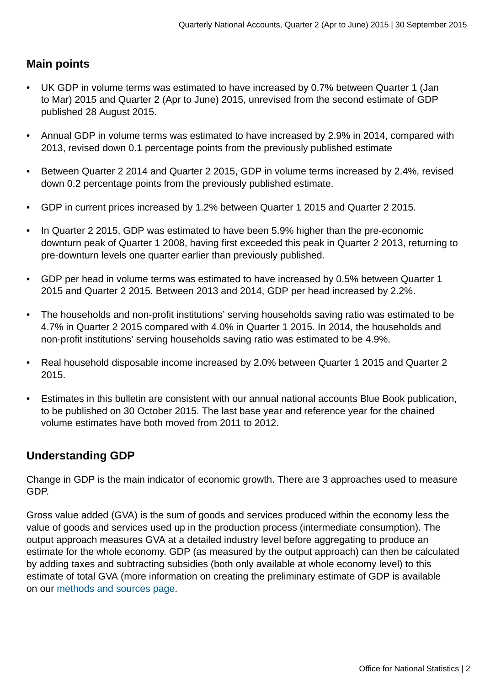# **Main points**

- UK GDP in volume terms was estimated to have increased by 0.7% between Quarter 1 (Jan to Mar) 2015 and Quarter 2 (Apr to June) 2015, unrevised from the second estimate of GDP published 28 August 2015.
- Annual GDP in volume terms was estimated to have increased by 2.9% in 2014, compared with 2013, revised down 0.1 percentage points from the previously published estimate
- Between Quarter 2 2014 and Quarter 2 2015, GDP in volume terms increased by 2.4%, revised down 0.2 percentage points from the previously published estimate.
- GDP in current prices increased by 1.2% between Quarter 1 2015 and Quarter 2 2015.
- In Quarter 2 2015, GDP was estimated to have been 5.9% higher than the pre-economic downturn peak of Quarter 1 2008, having first exceeded this peak in Quarter 2 2013, returning to pre-downturn levels one quarter earlier than previously published.
- GDP per head in volume terms was estimated to have increased by 0.5% between Quarter 1 2015 and Quarter 2 2015. Between 2013 and 2014, GDP per head increased by 2.2%.
- The households and non-profit institutions' serving households saving ratio was estimated to be 4.7% in Quarter 2 2015 compared with 4.0% in Quarter 1 2015. In 2014, the households and non-profit institutions' serving households saving ratio was estimated to be 4.9%.
- Real household disposable income increased by 2.0% between Quarter 1 2015 and Quarter 2 2015.
- Estimates in this bulletin are consistent with our annual national accounts Blue Book publication, to be published on 30 October 2015. The last base year and reference year for the chained volume estimates have both moved from 2011 to 2012.

# **Understanding GDP**

Change in GDP is the main indicator of economic growth. There are 3 approaches used to measure GDP.

Gross value added (GVA) is the sum of goods and services produced within the economy less the value of goods and services used up in the production process (intermediate consumption). The output approach measures GVA at a detailed industry level before aggregating to produce an estimate for the whole economy. GDP (as measured by the output approach) can then be calculated by adding taxes and subtracting subsidies (both only available at whole economy level) to this estimate of total GVA (more information on creating the preliminary estimate of GDP is available on our [methods and sources page](http://www.ons.gov.uk:80/ons/guide-method/method-quality/specific/economy/output-measure-of-gdp/methods-and-sources/index.html).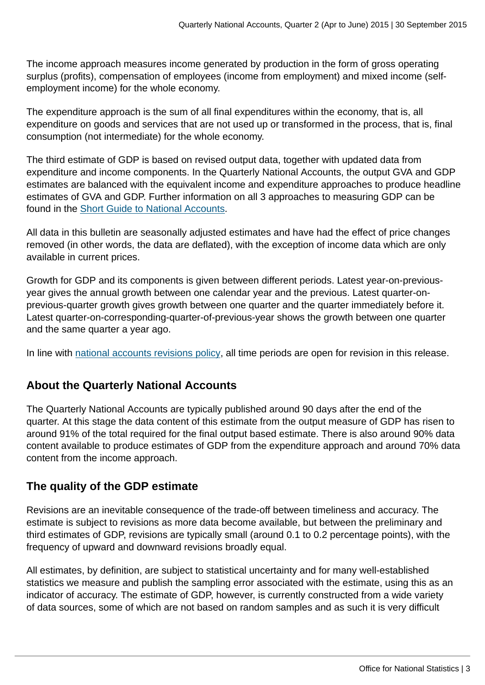The income approach measures income generated by production in the form of gross operating surplus (profits), compensation of employees (income from employment) and mixed income (selfemployment income) for the whole economy.

The expenditure approach is the sum of all final expenditures within the economy, that is, all expenditure on goods and services that are not used up or transformed in the process, that is, final consumption (not intermediate) for the whole economy.

The third estimate of GDP is based on revised output data, together with updated data from expenditure and income components. In the Quarterly National Accounts, the output GVA and GDP estimates are balanced with the equivalent income and expenditure approaches to produce headline estimates of GVA and GDP. Further information on all 3 approaches to measuring GDP can be found in the [Short Guide to National Accounts.](http://www.ons.gov.uk:80/ons/guide-method/method-quality/specific/economy/national-accounts/articles/index.html)

All data in this bulletin are seasonally adjusted estimates and have had the effect of price changes removed (in other words, the data are deflated), with the exception of income data which are only available in current prices.

Growth for GDP and its components is given between different periods. Latest year-on-previousyear gives the annual growth between one calendar year and the previous. Latest quarter-onprevious-quarter growth gives growth between one quarter and the quarter immediately before it. Latest quarter-on-corresponding-quarter-of-previous-year shows the growth between one quarter and the same quarter a year ago.

In line with [national accounts revisions policy](http://www.ons.gov.uk:80/ons/guide-method/revisions/revisions-policies-by-theme/economy/index.html), all time periods are open for revision in this release.

# **About the Quarterly National Accounts**

The Quarterly National Accounts are typically published around 90 days after the end of the quarter. At this stage the data content of this estimate from the output measure of GDP has risen to around 91% of the total required for the final output based estimate. There is also around 90% data content available to produce estimates of GDP from the expenditure approach and around 70% data content from the income approach.

# **The quality of the GDP estimate**

Revisions are an inevitable consequence of the trade-off between timeliness and accuracy. The estimate is subject to revisions as more data become available, but between the preliminary and third estimates of GDP, revisions are typically small (around 0.1 to 0.2 percentage points), with the frequency of upward and downward revisions broadly equal.

All estimates, by definition, are subject to statistical uncertainty and for many well-established statistics we measure and publish the sampling error associated with the estimate, using this as an indicator of accuracy. The estimate of GDP, however, is currently constructed from a wide variety of data sources, some of which are not based on random samples and as such it is very difficult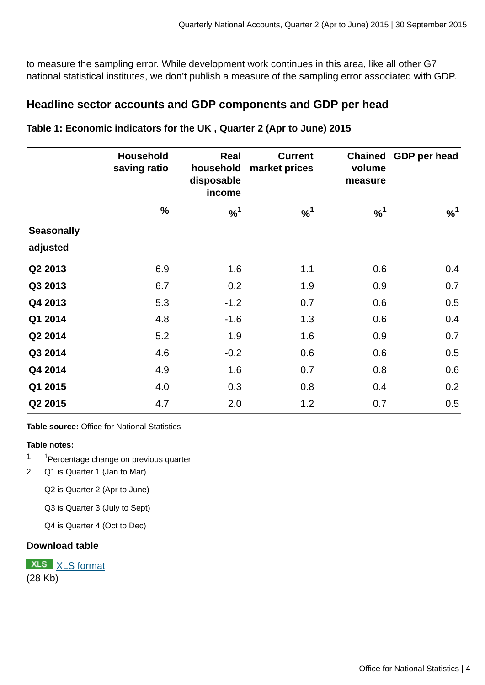to measure the sampling error. While development work continues in this area, like all other G7 national statistical institutes, we don't publish a measure of the sampling error associated with GDP.

# **Headline sector accounts and GDP components and GDP per head**

|                   | <b>Household</b><br>saving ratio | Real<br>household<br>market prices<br>disposable<br>income |          | <b>Chained</b><br>volume<br>measure | GDP per head |  |
|-------------------|----------------------------------|------------------------------------------------------------|----------|-------------------------------------|--------------|--|
|                   | %                                | $\%^{1}$                                                   | $\%^{1}$ | $\%^{1}$                            | $\%^{1}$     |  |
| <b>Seasonally</b> |                                  |                                                            |          |                                     |              |  |
| adjusted          |                                  |                                                            |          |                                     |              |  |
| Q2 2013           | 6.9                              | 1.6                                                        | 1.1      | 0.6                                 | 0.4          |  |
| Q3 2013           | 6.7                              | 0.2                                                        | 1.9      | 0.9                                 | 0.7          |  |
| Q4 2013           | 5.3                              | $-1.2$                                                     | 0.7      | 0.6                                 | 0.5          |  |
| Q1 2014           | 4.8                              | $-1.6$                                                     | 1.3      | 0.6                                 | 0.4          |  |
| Q2 2014           | 5.2                              | 1.9                                                        | 1.6      | 0.9                                 | 0.7          |  |
| Q3 2014           | 4.6                              | $-0.2$                                                     | 0.6      | 0.6                                 | 0.5          |  |
| Q4 2014           | 4.9                              | 1.6                                                        | 0.7      | 0.8                                 | 0.6          |  |
| Q1 2015           | 4.0                              | 0.3                                                        | 0.8      | 0.4                                 | 0.2          |  |
| Q2 2015           | 4.7                              | 2.0                                                        | 1.2      | 0.7                                 | 0.5          |  |

**Table 1: Economic indicators for the UK , Quarter 2 (Apr to June) 2015**

**Table source:** Office for National Statistics

## **Table notes:**

- 1. 1 <sup>1</sup>Percentage change on previous quarter
- 2. Q1 is Quarter 1 (Jan to Mar)

Q2 is Quarter 2 (Apr to June)

Q3 is Quarter 3 (July to Sept)

Q4 is Quarter 4 (Oct to Dec)

#### **Download table**

**XLS** [XLS format](http://www.ons.gov.uk:80/ons/rel/naa2/quarterly-national-accounts/q2-2015/prt-1.xls) (28 Kb)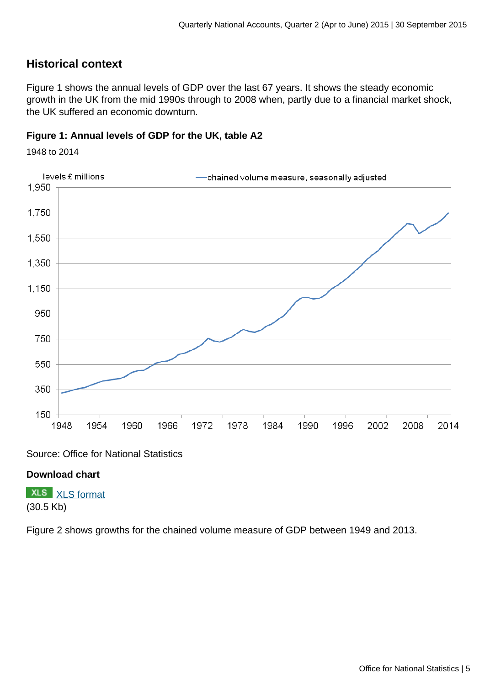# **Historical context**

Figure 1 shows the annual levels of GDP over the last 67 years. It shows the steady economic growth in the UK from the mid 1990s through to 2008 when, partly due to a financial market shock, the UK suffered an economic downturn.

## **Figure 1: Annual levels of GDP for the UK, table A2**

1948 to 2014



Source: Office for National Statistics

## **Download chart**

**XLS** [XLS format](http://www.ons.gov.uk:80/ons/rel/naa2/quarterly-national-accounts/q2-2015/chd-1.xls) (30.5 Kb)

Figure 2 shows growths for the chained volume measure of GDP between 1949 and 2013.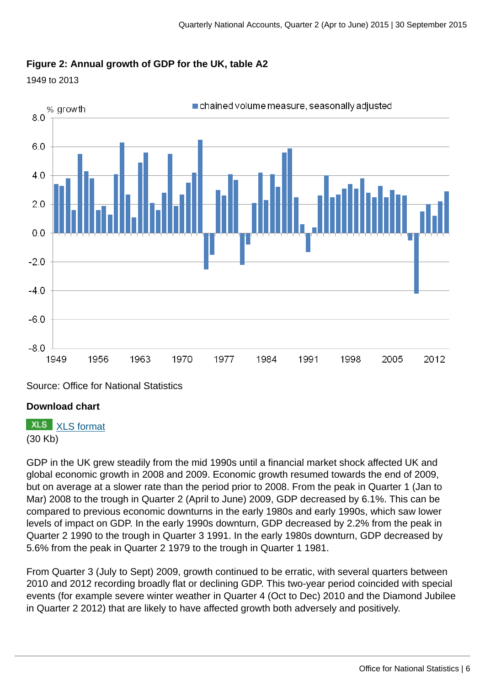## **Figure 2: Annual growth of GDP for the UK, table A2**





Source: Office for National Statistics

## **Download chart**

# **XLS** [XLS format](http://www.ons.gov.uk:80/ons/rel/naa2/quarterly-national-accounts/q2-2015/chd-2.xls)

(30 Kb)

GDP in the UK grew steadily from the mid 1990s until a financial market shock affected UK and global economic growth in 2008 and 2009. Economic growth resumed towards the end of 2009, but on average at a slower rate than the period prior to 2008. From the peak in Quarter 1 (Jan to Mar) 2008 to the trough in Quarter 2 (April to June) 2009, GDP decreased by 6.1%. This can be compared to previous economic downturns in the early 1980s and early 1990s, which saw lower levels of impact on GDP. In the early 1990s downturn, GDP decreased by 2.2% from the peak in Quarter 2 1990 to the trough in Quarter 3 1991. In the early 1980s downturn, GDP decreased by 5.6% from the peak in Quarter 2 1979 to the trough in Quarter 1 1981.

From Quarter 3 (July to Sept) 2009, growth continued to be erratic, with several quarters between 2010 and 2012 recording broadly flat or declining GDP. This two-year period coincided with special events (for example severe winter weather in Quarter 4 (Oct to Dec) 2010 and the Diamond Jubilee in Quarter 2 2012) that are likely to have affected growth both adversely and positively.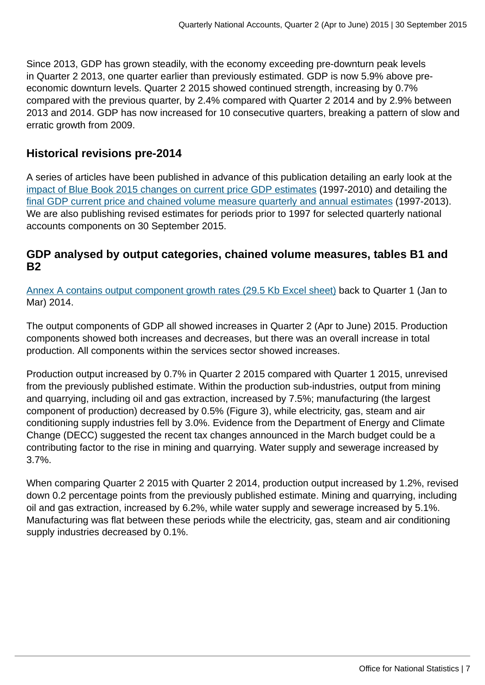Since 2013, GDP has grown steadily, with the economy exceeding pre-downturn peak levels in Quarter 2 2013, one quarter earlier than previously estimated. GDP is now 5.9% above preeconomic downturn levels. Quarter 2 2015 showed continued strength, increasing by 0.7% compared with the previous quarter, by 2.4% compared with Quarter 2 2014 and by 2.9% between 2013 and 2014. GDP has now increased for 10 consecutive quarters, breaking a pattern of slow and erratic growth from 2009.

# **Historical revisions pre-2014**

A series of articles have been published in advance of this publication detailing an early look at the [impact of Blue Book 2015 changes on current price GDP estimates](http://www.ons.gov.uk:80/ons/rel/naa1-rd/national-accounts-articles/impact-on-gdp-current-price-annual-estimates-1997-2010/index.html) (1997-2010) and detailing the [final GDP current price and chained volume measure quarterly and annual estimates](http://www.ons.gov.uk:80/ons/rel/naa1-rd/national-accounts-articles/final-gdp-cp-and-cvm-quarterly-and-annual-estimates-1997-2013/index.html) (1997-2013). We are also publishing revised estimates for periods prior to 1997 for selected quarterly national accounts components on 30 September 2015.

# **GDP analysed by output categories, chained volume measures, tables B1 and B2**

[Annex A contains output component growth rates \(29.5 Kb Excel sheet\)](http://www.ons.gov.uk:80/ons/rel/naa2/quarterly-national-accounts/q2-2015/rft-2-annex-a.xls) back to Quarter 1 (Jan to Mar) 2014.

The output components of GDP all showed increases in Quarter 2 (Apr to June) 2015. Production components showed both increases and decreases, but there was an overall increase in total production. All components within the services sector showed increases.

Production output increased by 0.7% in Quarter 2 2015 compared with Quarter 1 2015, unrevised from the previously published estimate. Within the production sub-industries, output from mining and quarrying, including oil and gas extraction, increased by 7.5%; manufacturing (the largest component of production) decreased by 0.5% (Figure 3), while electricity, gas, steam and air conditioning supply industries fell by 3.0%. Evidence from the Department of Energy and Climate Change (DECC) suggested the recent tax changes announced in the March budget could be a contributing factor to the rise in mining and quarrying. Water supply and sewerage increased by 3.7%.

When comparing Quarter 2 2015 with Quarter 2 2014, production output increased by 1.2%, revised down 0.2 percentage points from the previously published estimate. Mining and quarrying, including oil and gas extraction, increased by 6.2%, while water supply and sewerage increased by 5.1%. Manufacturing was flat between these periods while the electricity, gas, steam and air conditioning supply industries decreased by 0.1%.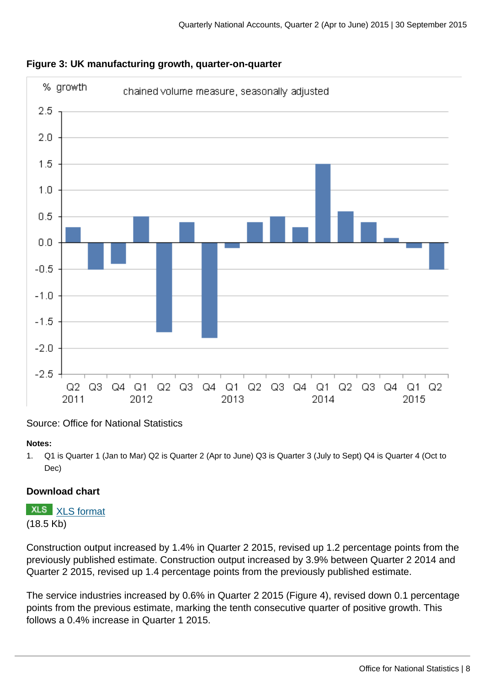

## **Figure 3: UK manufacturing growth, quarter-on-quarter**

## Source: Office for National Statistics

#### **Notes:**

1. Q1 is Quarter 1 (Jan to Mar) Q2 is Quarter 2 (Apr to June) Q3 is Quarter 3 (July to Sept) Q4 is Quarter 4 (Oct to Dec)

## **Download chart**

**XLS** [XLS format](http://www.ons.gov.uk:80/ons/rel/naa2/quarterly-national-accounts/q2-2015/chd-3.xls) (18.5 Kb)

Construction output increased by 1.4% in Quarter 2 2015, revised up 1.2 percentage points from the previously published estimate. Construction output increased by 3.9% between Quarter 2 2014 and Quarter 2 2015, revised up 1.4 percentage points from the previously published estimate.

The service industries increased by 0.6% in Quarter 2 2015 (Figure 4), revised down 0.1 percentage points from the previous estimate, marking the tenth consecutive quarter of positive growth. This follows a 0.4% increase in Quarter 1 2015.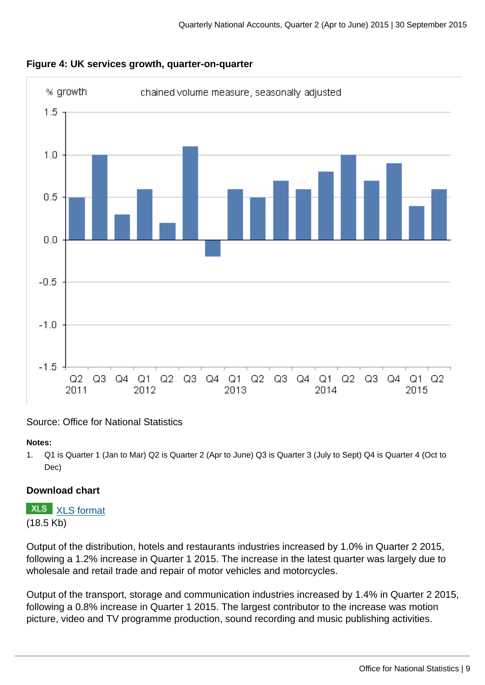



#### Source: Office for National Statistics

#### **Notes:**

1. Q1 is Quarter 1 (Jan to Mar) Q2 is Quarter 2 (Apr to June) Q3 is Quarter 3 (July to Sept) Q4 is Quarter 4 (Oct to Dec)

## **Download chart**

**XLS** [XLS format](http://www.ons.gov.uk:80/ons/rel/naa2/quarterly-national-accounts/q2-2015/chd-4.xls) (18.5 Kb)

Output of the distribution, hotels and restaurants industries increased by 1.0% in Quarter 2 2015, following a 1.2% increase in Quarter 1 2015. The increase in the latest quarter was largely due to wholesale and retail trade and repair of motor vehicles and motorcycles.

Output of the transport, storage and communication industries increased by 1.4% in Quarter 2 2015, following a 0.8% increase in Quarter 1 2015. The largest contributor to the increase was motion picture, video and TV programme production, sound recording and music publishing activities.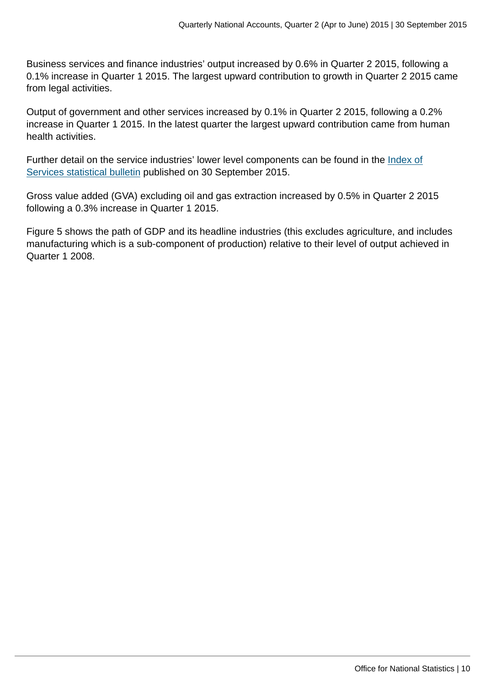Business services and finance industries' output increased by 0.6% in Quarter 2 2015, following a 0.1% increase in Quarter 1 2015. The largest upward contribution to growth in Quarter 2 2015 came from legal activities.

Output of government and other services increased by 0.1% in Quarter 2 2015, following a 0.2% increase in Quarter 1 2015. In the latest quarter the largest upward contribution came from human health activities.

Further detail on the service industries' lower level components can be found in the *[Index of](http://www.ons.gov.uk:80/ons/rel/ios/index-of-services/index.html)* [Services statistical bulletin](http://www.ons.gov.uk:80/ons/rel/ios/index-of-services/index.html) published on 30 September 2015.

Gross value added (GVA) excluding oil and gas extraction increased by 0.5% in Quarter 2 2015 following a 0.3% increase in Quarter 1 2015.

Figure 5 shows the path of GDP and its headline industries (this excludes agriculture, and includes manufacturing which is a sub-component of production) relative to their level of output achieved in Quarter 1 2008.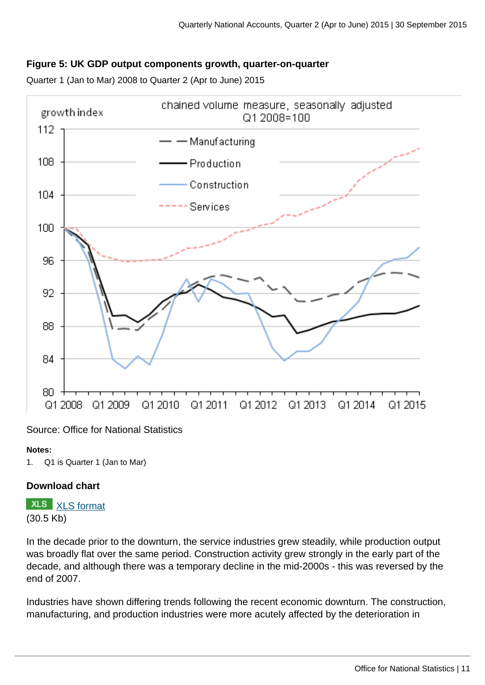## **Figure 5: UK GDP output components growth, quarter-on-quarter**

Quarter 1 (Jan to Mar) 2008 to Quarter 2 (Apr to June) 2015



#### Source: Office for National Statistics

#### **Notes:**

1. Q1 is Quarter 1 (Jan to Mar)

#### **Download chart**

**XLS** [XLS format](http://www.ons.gov.uk:80/ons/rel/naa2/quarterly-national-accounts/q2-2015/chd-5.xls) (30.5 Kb)

In the decade prior to the downturn, the service industries grew steadily, while production output was broadly flat over the same period. Construction activity grew strongly in the early part of the decade, and although there was a temporary decline in the mid-2000s - this was reversed by the end of 2007.

Industries have shown differing trends following the recent economic downturn. The construction, manufacturing, and production industries were more acutely affected by the deterioration in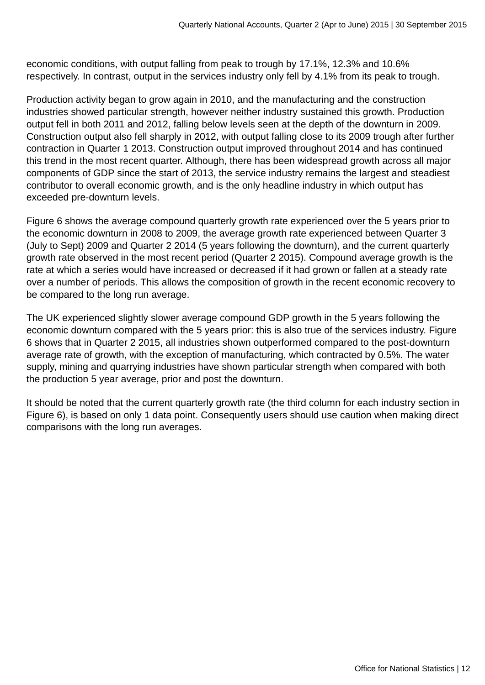economic conditions, with output falling from peak to trough by 17.1%, 12.3% and 10.6% respectively. In contrast, output in the services industry only fell by 4.1% from its peak to trough.

Production activity began to grow again in 2010, and the manufacturing and the construction industries showed particular strength, however neither industry sustained this growth. Production output fell in both 2011 and 2012, falling below levels seen at the depth of the downturn in 2009. Construction output also fell sharply in 2012, with output falling close to its 2009 trough after further contraction in Quarter 1 2013. Construction output improved throughout 2014 and has continued this trend in the most recent quarter. Although, there has been widespread growth across all major components of GDP since the start of 2013, the service industry remains the largest and steadiest contributor to overall economic growth, and is the only headline industry in which output has exceeded pre-downturn levels.

Figure 6 shows the average compound quarterly growth rate experienced over the 5 years prior to the economic downturn in 2008 to 2009, the average growth rate experienced between Quarter 3 (July to Sept) 2009 and Quarter 2 2014 (5 years following the downturn), and the current quarterly growth rate observed in the most recent period (Quarter 2 2015). Compound average growth is the rate at which a series would have increased or decreased if it had grown or fallen at a steady rate over a number of periods. This allows the composition of growth in the recent economic recovery to be compared to the long run average.

The UK experienced slightly slower average compound GDP growth in the 5 years following the economic downturn compared with the 5 years prior: this is also true of the services industry. Figure 6 shows that in Quarter 2 2015, all industries shown outperformed compared to the post-downturn average rate of growth, with the exception of manufacturing, which contracted by 0.5%. The water supply, mining and quarrying industries have shown particular strength when compared with both the production 5 year average, prior and post the downturn.

It should be noted that the current quarterly growth rate (the third column for each industry section in Figure 6), is based on only 1 data point. Consequently users should use caution when making direct comparisons with the long run averages.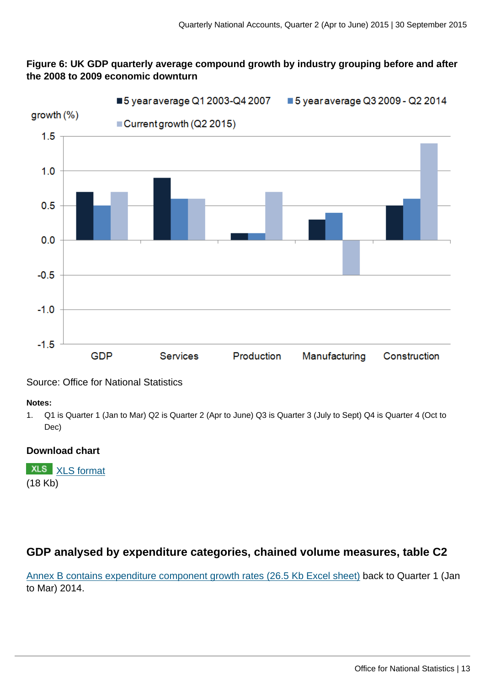## **Figure 6: UK GDP quarterly average compound growth by industry grouping before and after the 2008 to 2009 economic downturn**



## Source: Office for National Statistics

#### **Notes:**

1. Q1 is Quarter 1 (Jan to Mar) Q2 is Quarter 2 (Apr to June) Q3 is Quarter 3 (July to Sept) Q4 is Quarter 4 (Oct to Dec)

## **Download chart**

**XLS** [XLS format](http://www.ons.gov.uk:80/ons/rel/naa2/quarterly-national-accounts/q2-2015/chd-6.xls) (18 Kb)

# **GDP analysed by expenditure categories, chained volume measures, table C2**

[Annex B contains expenditure component growth rates \(26.5 Kb Excel sheet\)](http://www.ons.gov.uk:80/ons/rel/naa2/quarterly-national-accounts/q2-2015/rft-3-annex-b.xls) back to Quarter 1 (Jan to Mar) 2014.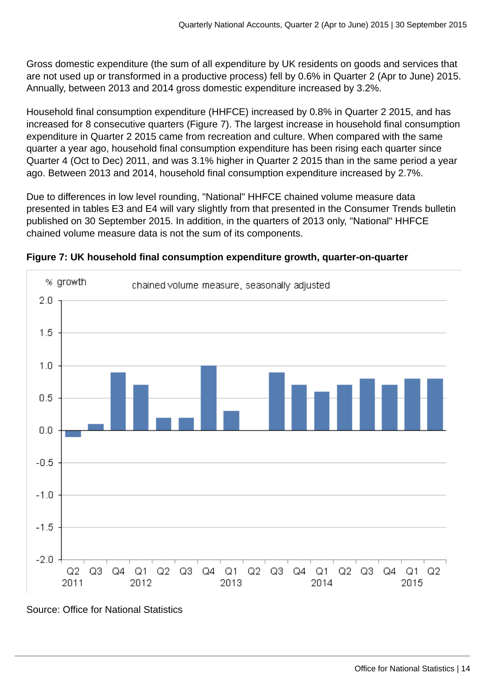Gross domestic expenditure (the sum of all expenditure by UK residents on goods and services that are not used up or transformed in a productive process) fell by 0.6% in Quarter 2 (Apr to June) 2015. Annually, between 2013 and 2014 gross domestic expenditure increased by 3.2%.

Household final consumption expenditure (HHFCE) increased by 0.8% in Quarter 2 2015, and has increased for 8 consecutive quarters (Figure 7). The largest increase in household final consumption expenditure in Quarter 2 2015 came from recreation and culture. When compared with the same quarter a year ago, household final consumption expenditure has been rising each quarter since Quarter 4 (Oct to Dec) 2011, and was 3.1% higher in Quarter 2 2015 than in the same period a year ago. Between 2013 and 2014, household final consumption expenditure increased by 2.7%.

Due to differences in low level rounding, "National" HHFCE chained volume measure data presented in tables E3 and E4 will vary slightly from that presented in the Consumer Trends bulletin published on 30 September 2015. In addition, in the quarters of 2013 only, "National" HHFCE chained volume measure data is not the sum of its components.



**Figure 7: UK household final consumption expenditure growth, quarter-on-quarter**

Source: Office for National Statistics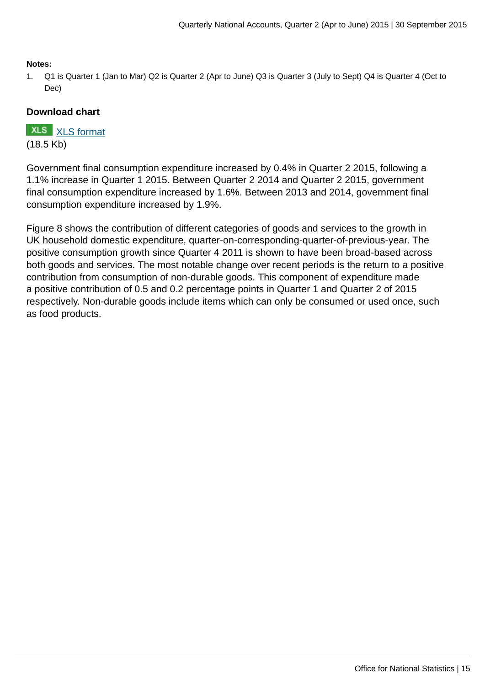#### **Notes:**

1. Q1 is Quarter 1 (Jan to Mar) Q2 is Quarter 2 (Apr to June) Q3 is Quarter 3 (July to Sept) Q4 is Quarter 4 (Oct to Dec)

#### **Download chart**

**XLS** [XLS format](http://www.ons.gov.uk:80/ons/rel/naa2/quarterly-national-accounts/q2-2015/chd-7.xls) (18.5 Kb)

Government final consumption expenditure increased by 0.4% in Quarter 2 2015, following a 1.1% increase in Quarter 1 2015. Between Quarter 2 2014 and Quarter 2 2015, government final consumption expenditure increased by 1.6%. Between 2013 and 2014, government final consumption expenditure increased by 1.9%.

Figure 8 shows the contribution of different categories of goods and services to the growth in UK household domestic expenditure, quarter-on-corresponding-quarter-of-previous-year. The positive consumption growth since Quarter 4 2011 is shown to have been broad-based across both goods and services. The most notable change over recent periods is the return to a positive contribution from consumption of non-durable goods. This component of expenditure made a positive contribution of 0.5 and 0.2 percentage points in Quarter 1 and Quarter 2 of 2015 respectively. Non-durable goods include items which can only be consumed or used once, such as food products.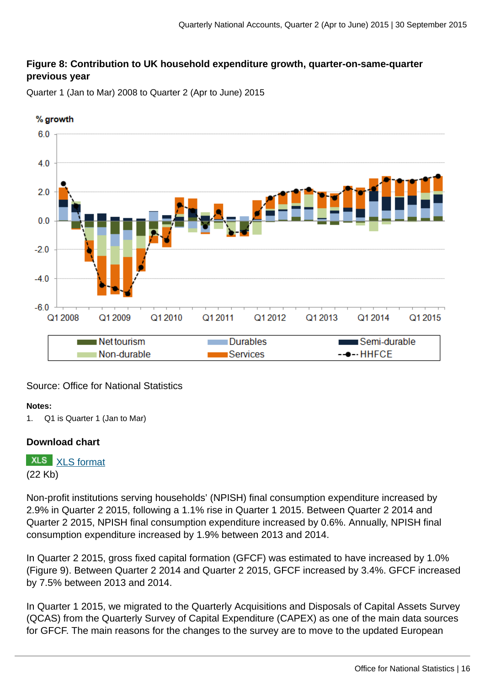## **Figure 8: Contribution to UK household expenditure growth, quarter-on-same-quarter previous year**

Quarter 1 (Jan to Mar) 2008 to Quarter 2 (Apr to June) 2015



## Source: Office for National Statistics

#### **Notes:**

1. Q1 is Quarter 1 (Jan to Mar)

#### **Download chart**

**XLS** [XLS format](http://www.ons.gov.uk:80/ons/rel/naa2/quarterly-national-accounts/q2-2015/chd-8.xls) (22 Kb)

Non-profit institutions serving households' (NPISH) final consumption expenditure increased by 2.9% in Quarter 2 2015, following a 1.1% rise in Quarter 1 2015. Between Quarter 2 2014 and Quarter 2 2015, NPISH final consumption expenditure increased by 0.6%. Annually, NPISH final consumption expenditure increased by 1.9% between 2013 and 2014.

In Quarter 2 2015, gross fixed capital formation (GFCF) was estimated to have increased by 1.0% (Figure 9). Between Quarter 2 2014 and Quarter 2 2015, GFCF increased by 3.4%. GFCF increased by 7.5% between 2013 and 2014.

In Quarter 1 2015, we migrated to the Quarterly Acquisitions and Disposals of Capital Assets Survey (QCAS) from the Quarterly Survey of Capital Expenditure (CAPEX) as one of the main data sources for GFCF. The main reasons for the changes to the survey are to move to the updated European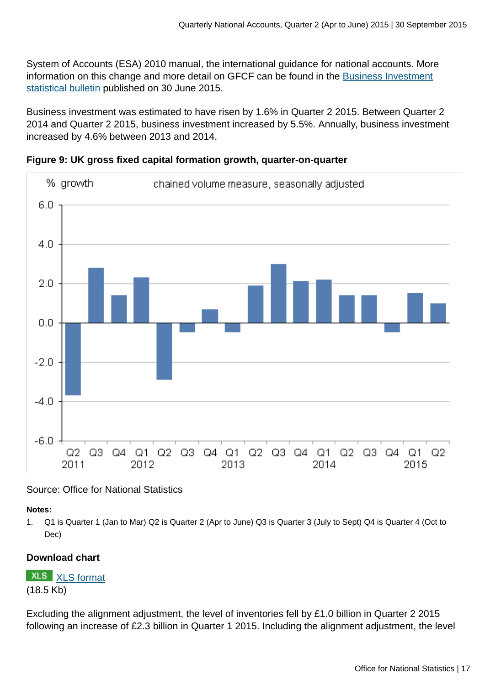System of Accounts (ESA) 2010 manual, the international guidance for national accounts. More information on this change and more detail on GFCF can be found in the [Business Investment](http://www.ons.gov.uk:80/ons/rel/bus-invest/business-investment/index.html) [statistical bulletin](http://www.ons.gov.uk:80/ons/rel/bus-invest/business-investment/index.html) published on 30 June 2015.

Business investment was estimated to have risen by 1.6% in Quarter 2 2015. Between Quarter 2 2014 and Quarter 2 2015, business investment increased by 5.5%. Annually, business investment increased by 4.6% between 2013 and 2014.





Source: Office for National Statistics

**Notes:**

1. Q1 is Quarter 1 (Jan to Mar) Q2 is Quarter 2 (Apr to June) Q3 is Quarter 3 (July to Sept) Q4 is Quarter 4 (Oct to Dec)

# **Download chart**

**XLS** [XLS format](http://www.ons.gov.uk:80/ons/rel/naa2/quarterly-national-accounts/q2-2015/chd-9.xls) (18.5 Kb)

Excluding the alignment adjustment, the level of inventories fell by £1.0 billion in Quarter 2 2015 following an increase of £2.3 billion in Quarter 1 2015. Including the alignment adjustment, the level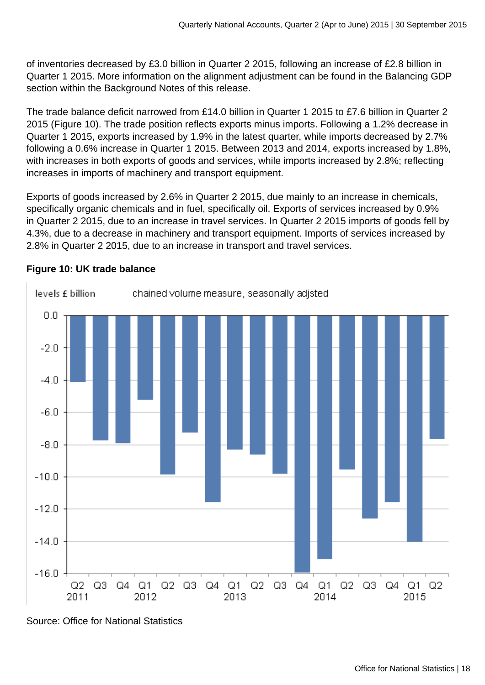of inventories decreased by £3.0 billion in Quarter 2 2015, following an increase of £2.8 billion in Quarter 1 2015. More information on the alignment adjustment can be found in the Balancing GDP section within the Background Notes of this release.

The trade balance deficit narrowed from £14.0 billion in Quarter 1 2015 to £7.6 billion in Quarter 2 2015 (Figure 10). The trade position reflects exports minus imports. Following a 1.2% decrease in Quarter 1 2015, exports increased by 1.9% in the latest quarter, while imports decreased by 2.7% following a 0.6% increase in Quarter 1 2015. Between 2013 and 2014, exports increased by 1.8%, with increases in both exports of goods and services, while imports increased by 2.8%; reflecting increases in imports of machinery and transport equipment.

Exports of goods increased by 2.6% in Quarter 2 2015, due mainly to an increase in chemicals, specifically organic chemicals and in fuel, specifically oil. Exports of services increased by 0.9% in Quarter 2 2015, due to an increase in travel services. In Quarter 2 2015 imports of goods fell by 4.3%, due to a decrease in machinery and transport equipment. Imports of services increased by 2.8% in Quarter 2 2015, due to an increase in transport and travel services.



## **Figure 10: UK trade balance**

Source: Office for National Statistics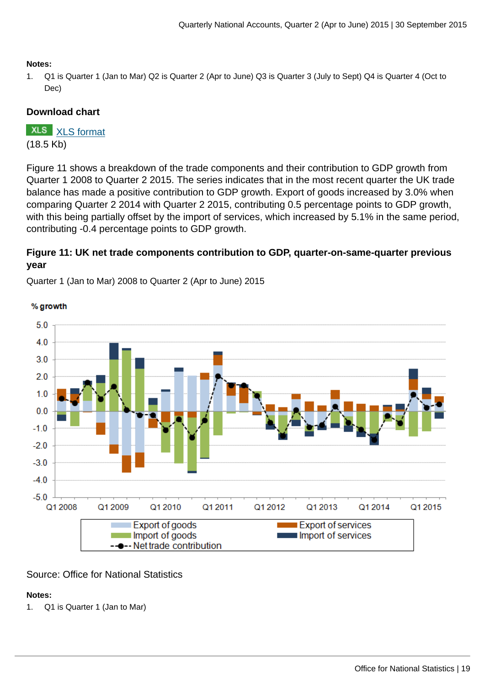#### **Notes:**

1. Q1 is Quarter 1 (Jan to Mar) Q2 is Quarter 2 (Apr to June) Q3 is Quarter 3 (July to Sept) Q4 is Quarter 4 (Oct to Dec)

#### **Download chart**

**XLS** [XLS format](http://www.ons.gov.uk:80/ons/rel/naa2/quarterly-national-accounts/q2-2015/chd-10.xls) (18.5 Kb)

% growth

Figure 11 shows a breakdown of the trade components and their contribution to GDP growth from Quarter 1 2008 to Quarter 2 2015. The series indicates that in the most recent quarter the UK trade balance has made a positive contribution to GDP growth. Export of goods increased by 3.0% when comparing Quarter 2 2014 with Quarter 2 2015, contributing 0.5 percentage points to GDP growth, with this being partially offset by the import of services, which increased by 5.1% in the same period, contributing -0.4 percentage points to GDP growth.

## **Figure 11: UK net trade components contribution to GDP, quarter-on-same-quarter previous year**

 $5.0$  $4.0$  $3.0$  $2.0$  $1.0$  $0.0$  $-1.0$  $-20$  $-3.0$  $-4.0$  $-5.0$ Q1 2008 Q1 2009 Q1 2010 Q1 2013 Q1 2011 Q1 2012 Q1 2014 Q1 2015 Export of goods **Export of services** Import of goods Import of services ---- Net trade contribution

Quarter 1 (Jan to Mar) 2008 to Quarter 2 (Apr to June) 2015

#### Source: Office for National Statistics

## **Notes:**

1. Q1 is Quarter 1 (Jan to Mar)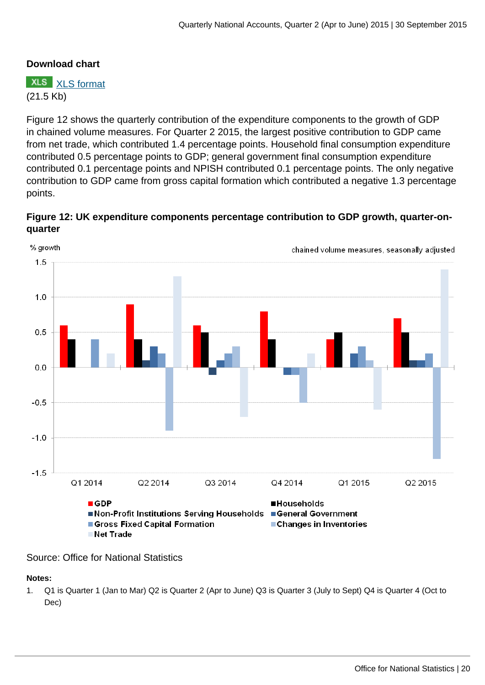## **Download chart**

**XLS** [XLS format](http://www.ons.gov.uk:80/ons/rel/naa2/quarterly-national-accounts/q2-2015/chd-11.xls) (21.5 Kb)

Figure 12 shows the quarterly contribution of the expenditure components to the growth of GDP in chained volume measures. For Quarter 2 2015, the largest positive contribution to GDP came from net trade, which contributed 1.4 percentage points. Household final consumption expenditure contributed 0.5 percentage points to GDP; general government final consumption expenditure contributed 0.1 percentage points and NPISH contributed 0.1 percentage points. The only negative contribution to GDP came from gross capital formation which contributed a negative 1.3 percentage points.





Source: Office for National Statistics

#### **Notes:**

1. Q1 is Quarter 1 (Jan to Mar) Q2 is Quarter 2 (Apr to June) Q3 is Quarter 3 (July to Sept) Q4 is Quarter 4 (Oct to Dec)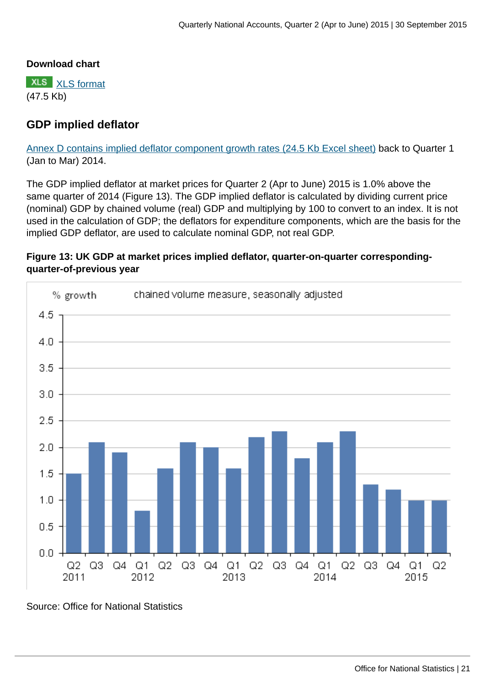## **Download chart**

**XLS** [XLS format](http://www.ons.gov.uk:80/ons/rel/naa2/quarterly-national-accounts/q2-2015/chd-12.xls) (47.5 Kb)

# **GDP implied deflator**

[Annex D contains implied deflator component growth rates \(24.5 Kb Excel sheet\)](http://www.ons.gov.uk:80/ons/rel/naa2/quarterly-national-accounts/q2-2015/rft-5-annex-d.xls) back to Quarter 1 (Jan to Mar) 2014.

The GDP implied deflator at market prices for Quarter 2 (Apr to June) 2015 is 1.0% above the same quarter of 2014 (Figure 13). The GDP implied deflator is calculated by dividing current price (nominal) GDP by chained volume (real) GDP and multiplying by 100 to convert to an index. It is not used in the calculation of GDP; the deflators for expenditure components, which are the basis for the implied GDP deflator, are used to calculate nominal GDP, not real GDP.

## **Figure 13: UK GDP at market prices implied deflator, quarter-on-quarter correspondingquarter-of-previous year**



Source: Office for National Statistics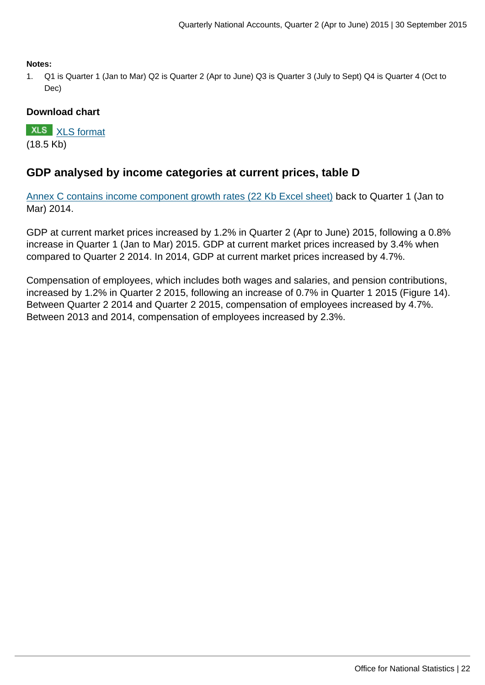**Notes:**

1. Q1 is Quarter 1 (Jan to Mar) Q2 is Quarter 2 (Apr to June) Q3 is Quarter 3 (July to Sept) Q4 is Quarter 4 (Oct to Dec)

## **Download chart**

**XLS** [XLS format](http://www.ons.gov.uk:80/ons/rel/naa2/quarterly-national-accounts/q2-2015/chd-13.xls) (18.5 Kb)

# **GDP analysed by income categories at current prices, table D**

[Annex C contains income component growth rates \(22 Kb Excel sheet\)](http://www.ons.gov.uk:80/ons/rel/naa2/quarterly-national-accounts/q2-2015/rft-4-annex-c.xls) back to Quarter 1 (Jan to Mar) 2014.

GDP at current market prices increased by 1.2% in Quarter 2 (Apr to June) 2015, following a 0.8% increase in Quarter 1 (Jan to Mar) 2015. GDP at current market prices increased by 3.4% when compared to Quarter 2 2014. In 2014, GDP at current market prices increased by 4.7%.

Compensation of employees, which includes both wages and salaries, and pension contributions, increased by 1.2% in Quarter 2 2015, following an increase of 0.7% in Quarter 1 2015 (Figure 14). Between Quarter 2 2014 and Quarter 2 2015, compensation of employees increased by 4.7%. Between 2013 and 2014, compensation of employees increased by 2.3%.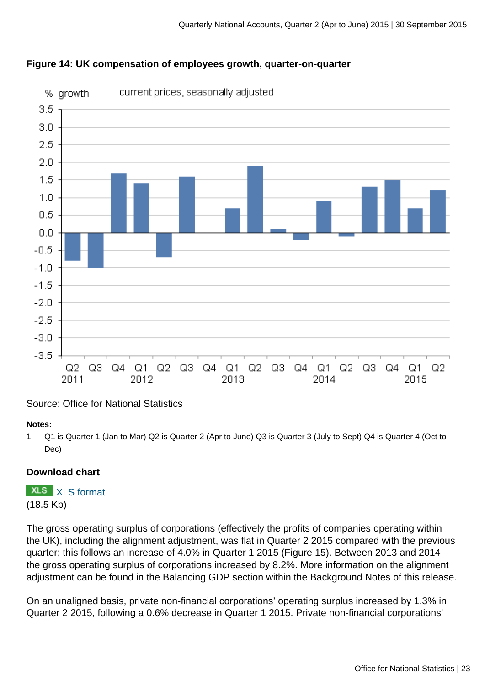



# Source: Office for National Statistics

#### **Notes:**

1. Q1 is Quarter 1 (Jan to Mar) Q2 is Quarter 2 (Apr to June) Q3 is Quarter 3 (July to Sept) Q4 is Quarter 4 (Oct to Dec)

## **Download chart**

**XLS** [XLS format](http://www.ons.gov.uk:80/ons/rel/naa2/quarterly-national-accounts/q2-2015/chd-14.xls) (18.5 Kb)

The gross operating surplus of corporations (effectively the profits of companies operating within the UK), including the alignment adjustment, was flat in Quarter 2 2015 compared with the previous quarter; this follows an increase of 4.0% in Quarter 1 2015 (Figure 15). Between 2013 and 2014 the gross operating surplus of corporations increased by 8.2%. More information on the alignment adjustment can be found in the Balancing GDP section within the Background Notes of this release.

On an unaligned basis, private non-financial corporations' operating surplus increased by 1.3% in Quarter 2 2015, following a 0.6% decrease in Quarter 1 2015. Private non-financial corporations'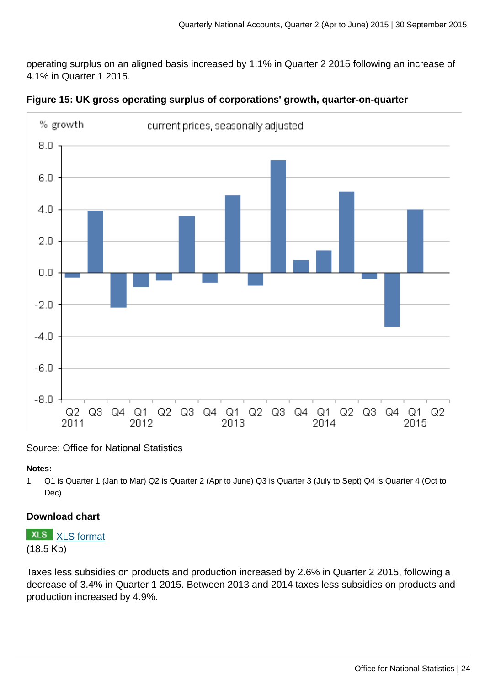operating surplus on an aligned basis increased by 1.1% in Quarter 2 2015 following an increase of 4.1% in Quarter 1 2015.



**Figure 15: UK gross operating surplus of corporations' growth, quarter-on-quarter**

Source: Office for National Statistics

#### **Notes:**

1. Q1 is Quarter 1 (Jan to Mar) Q2 is Quarter 2 (Apr to June) Q3 is Quarter 3 (July to Sept) Q4 is Quarter 4 (Oct to Dec)

## **Download chart**

**XLS** [XLS format](http://www.ons.gov.uk:80/ons/rel/naa2/quarterly-national-accounts/q2-2015/cht-15.xls)

(18.5 Kb)

Taxes less subsidies on products and production increased by 2.6% in Quarter 2 2015, following a decrease of 3.4% in Quarter 1 2015. Between 2013 and 2014 taxes less subsidies on products and production increased by 4.9%.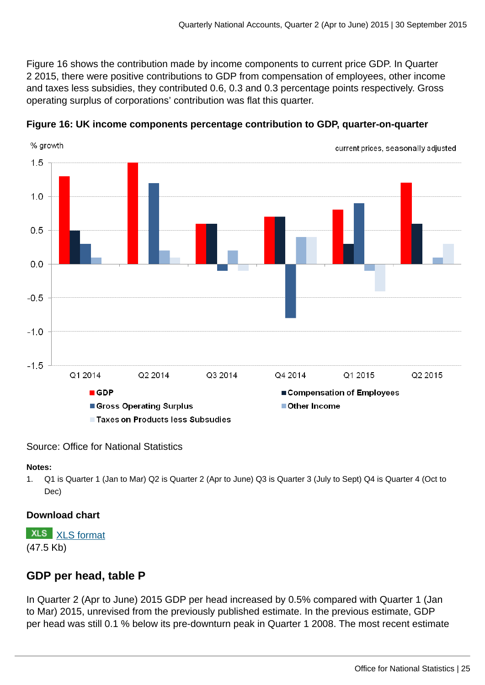Figure 16 shows the contribution made by income components to current price GDP. In Quarter 2 2015, there were positive contributions to GDP from compensation of employees, other income and taxes less subsidies, they contributed 0.6, 0.3 and 0.3 percentage points respectively. Gross operating surplus of corporations' contribution was flat this quarter.



**Figure 16: UK income components percentage contribution to GDP, quarter-on-quarter**

#### Source: Office for National Statistics

#### **Notes:**

1. Q1 is Quarter 1 (Jan to Mar) Q2 is Quarter 2 (Apr to June) Q3 is Quarter 3 (July to Sept) Q4 is Quarter 4 (Oct to Dec)

## **Download chart**

**XLS** [XLS format](http://www.ons.gov.uk:80/ons/rel/naa2/quarterly-national-accounts/q2-2015/chd-16.xls) (47.5 Kb)

# **GDP per head, table P**

In Quarter 2 (Apr to June) 2015 GDP per head increased by 0.5% compared with Quarter 1 (Jan to Mar) 2015, unrevised from the previously published estimate. In the previous estimate, GDP per head was still 0.1 % below its pre-downturn peak in Quarter 1 2008. The most recent estimate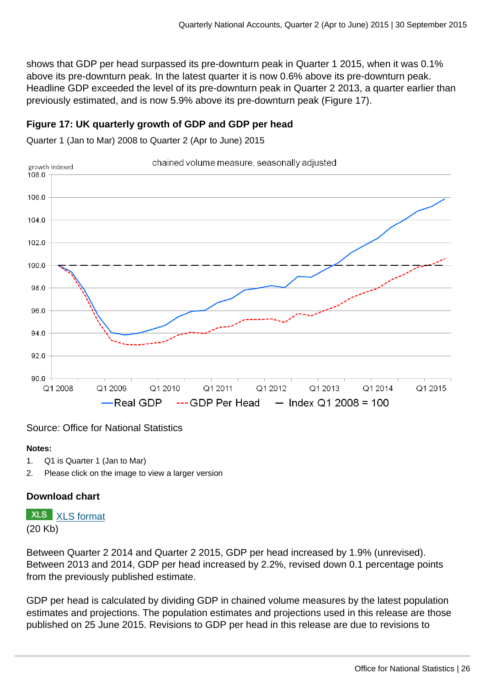shows that GDP per head surpassed its pre-downturn peak in Quarter 1 2015, when it was 0.1% above its pre-downturn peak. In the latest quarter it is now 0.6% above its pre-downturn peak. Headline GDP exceeded the level of its pre-downturn peak in Quarter 2 2013, a quarter earlier than previously estimated, and is now 5.9% above its pre-downturn peak (Figure 17).

## **Figure 17: UK quarterly growth of GDP and GDP per head**

Quarter 1 (Jan to Mar) 2008 to Quarter 2 (Apr to June) 2015



#### Source: Office for National Statistics

#### **Notes:**

- 1. Q1 is Quarter 1 (Jan to Mar)
- 2. Please click on the image to view a larger version

## **Download chart**

**XLS** [XLS format](http://www.ons.gov.uk:80/ons/rel/naa2/quarterly-national-accounts/q2-2015/chd-17.xls)

(20 Kb)

Between Quarter 2 2014 and Quarter 2 2015, GDP per head increased by 1.9% (unrevised). Between 2013 and 2014, GDP per head increased by 2.2%, revised down 0.1 percentage points from the previously published estimate.

GDP per head is calculated by dividing GDP in chained volume measures by the latest population estimates and projections. The population estimates and projections used in this release are those published on 25 June 2015. Revisions to GDP per head in this release are due to revisions to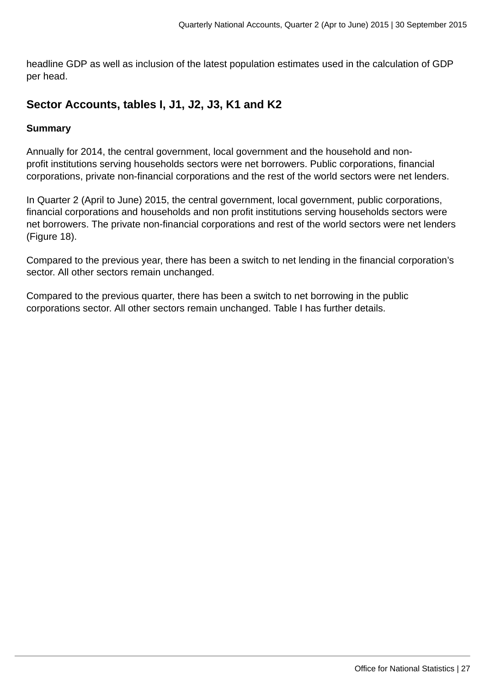headline GDP as well as inclusion of the latest population estimates used in the calculation of GDP per head.

# **Sector Accounts, tables I, J1, J2, J3, K1 and K2**

#### **Summary**

Annually for 2014, the central government, local government and the household and nonprofit institutions serving households sectors were net borrowers. Public corporations, financial corporations, private non-financial corporations and the rest of the world sectors were net lenders.

In Quarter 2 (April to June) 2015, the central government, local government, public corporations, financial corporations and households and non profit institutions serving households sectors were net borrowers. The private non-financial corporations and rest of the world sectors were net lenders (Figure 18).

Compared to the previous year, there has been a switch to net lending in the financial corporation's sector. All other sectors remain unchanged.

Compared to the previous quarter, there has been a switch to net borrowing in the public corporations sector. All other sectors remain unchanged. Table I has further details.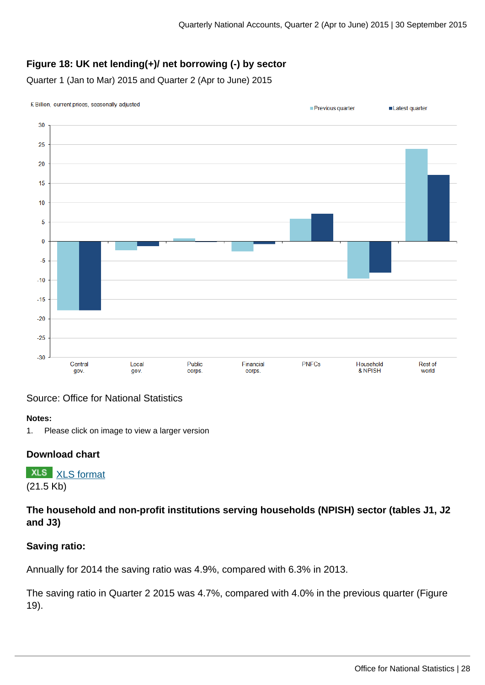# **Figure 18: UK net lending(+)/ net borrowing (-) by sector**

Quarter 1 (Jan to Mar) 2015 and Quarter 2 (Apr to June) 2015



## Source: Office for National Statistics

#### **Notes:**

1. Please click on image to view a larger version

#### **Download chart**

**XLS** [XLS format](http://www.ons.gov.uk:80/ons/rel/naa2/quarterly-national-accounts/q2-2015/chd-18.xls) (21.5 Kb)

**The household and non-profit institutions serving households (NPISH) sector (tables J1, J2 and J3)**

#### **Saving ratio:**

Annually for 2014 the saving ratio was 4.9%, compared with 6.3% in 2013.

The saving ratio in Quarter 2 2015 was 4.7%, compared with 4.0% in the previous quarter (Figure 19).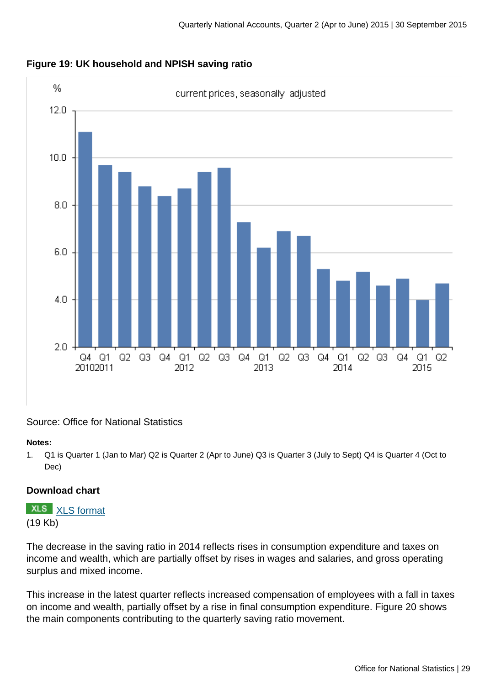

**Figure 19: UK household and NPISH saving ratio**

## Source: Office for National Statistics

#### **Notes:**

1. Q1 is Quarter 1 (Jan to Mar) Q2 is Quarter 2 (Apr to June) Q3 is Quarter 3 (July to Sept) Q4 is Quarter 4 (Oct to Dec)

## **Download chart**

**XLS** [XLS format](http://www.ons.gov.uk:80/ons/rel/naa2/quarterly-national-accounts/q2-2015/chd-19.xls) (19 Kb)

The decrease in the saving ratio in 2014 reflects rises in consumption expenditure and taxes on income and wealth, which are partially offset by rises in wages and salaries, and gross operating surplus and mixed income.

This increase in the latest quarter reflects increased compensation of employees with a fall in taxes on income and wealth, partially offset by a rise in final consumption expenditure. Figure 20 shows the main components contributing to the quarterly saving ratio movement.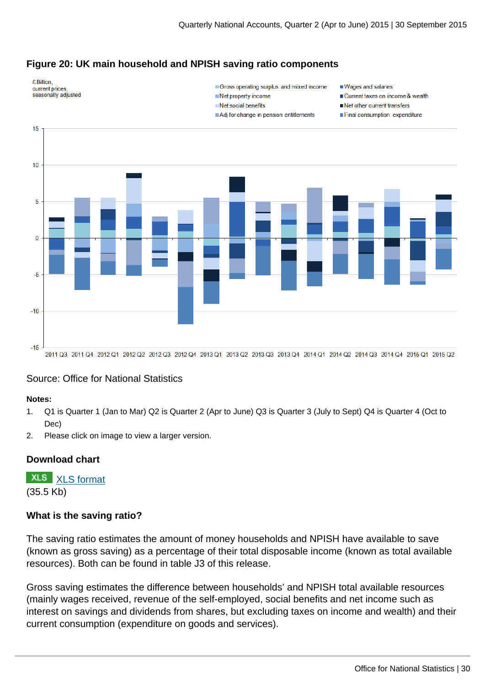## **Figure 20: UK main household and NPISH saving ratio components**



Gross operating surplus and mixed income Net property income

 $\blacksquare$  Net social benefits

Adj for change in pension entitlements

- Wages and salaries
- Current taxes on income & wealth
- Net other current transfers
- Final consumption expenditure



#### Source: Office for National Statistics

#### **Notes:**

- 1. Q1 is Quarter 1 (Jan to Mar) Q2 is Quarter 2 (Apr to June) Q3 is Quarter 3 (July to Sept) Q4 is Quarter 4 (Oct to Dec)
- 2. Please click on image to view a larger version.

#### **Download chart**

**XLS** [XLS format](http://www.ons.gov.uk:80/ons/rel/naa2/quarterly-national-accounts/q2-2015/chd-20.xls) (35.5 Kb)

#### **What is the saving ratio?**

The saving ratio estimates the amount of money households and NPISH have available to save (known as gross saving) as a percentage of their total disposable income (known as total available resources). Both can be found in table J3 of this release.

Gross saving estimates the difference between households' and NPISH total available resources (mainly wages received, revenue of the self-employed, social benefits and net income such as interest on savings and dividends from shares, but excluding taxes on income and wealth) and their current consumption (expenditure on goods and services).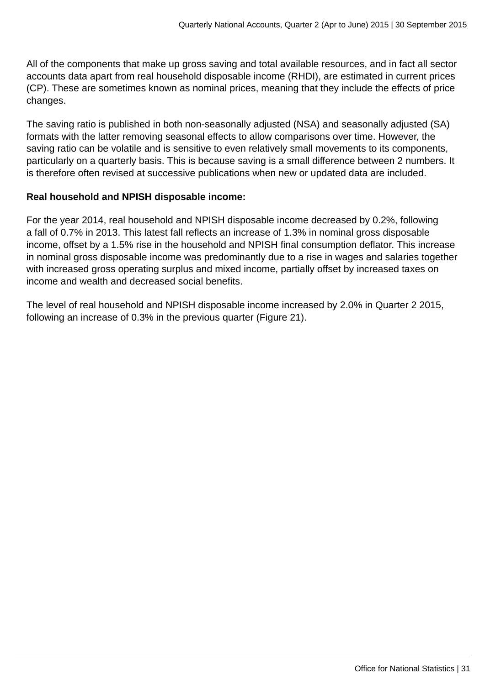All of the components that make up gross saving and total available resources, and in fact all sector accounts data apart from real household disposable income (RHDI), are estimated in current prices (CP). These are sometimes known as nominal prices, meaning that they include the effects of price changes.

The saving ratio is published in both non-seasonally adjusted (NSA) and seasonally adjusted (SA) formats with the latter removing seasonal effects to allow comparisons over time. However, the saving ratio can be volatile and is sensitive to even relatively small movements to its components, particularly on a quarterly basis. This is because saving is a small difference between 2 numbers. It is therefore often revised at successive publications when new or updated data are included.

## **Real household and NPISH disposable income:**

For the year 2014, real household and NPISH disposable income decreased by 0.2%, following a fall of 0.7% in 2013. This latest fall reflects an increase of 1.3% in nominal gross disposable income, offset by a 1.5% rise in the household and NPISH final consumption deflator. This increase in nominal gross disposable income was predominantly due to a rise in wages and salaries together with increased gross operating surplus and mixed income, partially offset by increased taxes on income and wealth and decreased social benefits.

The level of real household and NPISH disposable income increased by 2.0% in Quarter 2 2015, following an increase of 0.3% in the previous quarter (Figure 21).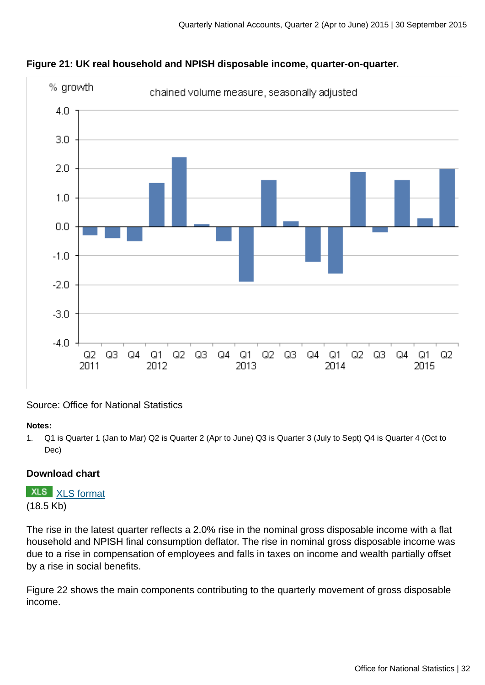

## **Figure 21: UK real household and NPISH disposable income, quarter-on-quarter.**

Source: Office for National Statistics

#### **Notes:**

1. Q1 is Quarter 1 (Jan to Mar) Q2 is Quarter 2 (Apr to June) Q3 is Quarter 3 (July to Sept) Q4 is Quarter 4 (Oct to Dec)

# **Download chart**

**XLS** [XLS format](http://www.ons.gov.uk:80/ons/rel/naa2/quarterly-national-accounts/q2-2015/chd-21.xls) (18.5 Kb)

The rise in the latest quarter reflects a 2.0% rise in the nominal gross disposable income with a flat household and NPISH final consumption deflator. The rise in nominal gross disposable income was due to a rise in compensation of employees and falls in taxes on income and wealth partially offset by a rise in social benefits.

Figure 22 shows the main components contributing to the quarterly movement of gross disposable income.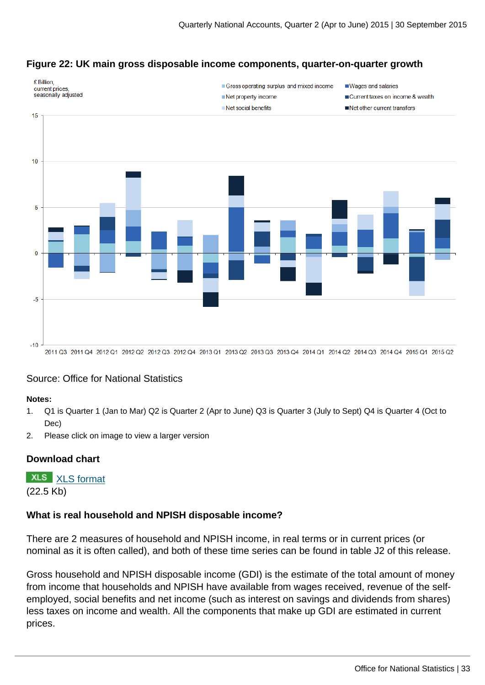

## **Figure 22: UK main gross disposable income components, quarter-on-quarter growth**

#### Source: Office for National Statistics

#### **Notes:**

- 1. Q1 is Quarter 1 (Jan to Mar) Q2 is Quarter 2 (Apr to June) Q3 is Quarter 3 (July to Sept) Q4 is Quarter 4 (Oct to Dec)
- 2. Please click on image to view a larger version

#### **Download chart**

**XLS** [XLS format](http://www.ons.gov.uk:80/ons/rel/naa2/quarterly-national-accounts/q2-2015/cht-22.xls) (22.5 Kb)

#### **What is real household and NPISH disposable income?**

There are 2 measures of household and NPISH income, in real terms or in current prices (or nominal as it is often called), and both of these time series can be found in table J2 of this release.

Gross household and NPISH disposable income (GDI) is the estimate of the total amount of money from income that households and NPISH have available from wages received, revenue of the selfemployed, social benefits and net income (such as interest on savings and dividends from shares) less taxes on income and wealth. All the components that make up GDI are estimated in current prices.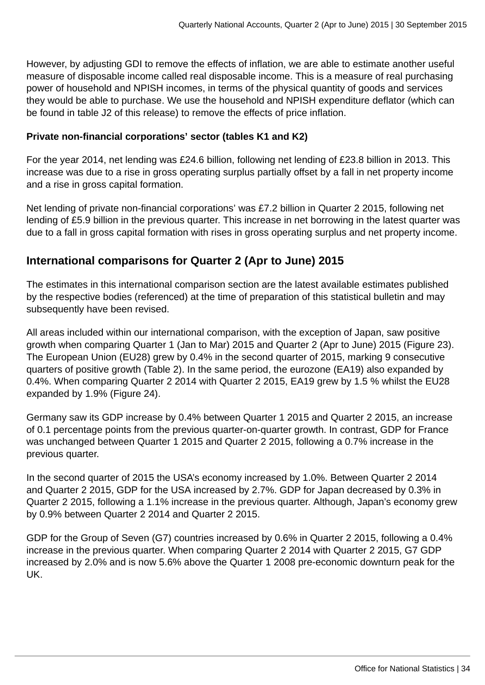However, by adjusting GDI to remove the effects of inflation, we are able to estimate another useful measure of disposable income called real disposable income. This is a measure of real purchasing power of household and NPISH incomes, in terms of the physical quantity of goods and services they would be able to purchase. We use the household and NPISH expenditure deflator (which can be found in table J2 of this release) to remove the effects of price inflation.

## **Private non-financial corporations' sector (tables K1 and K2)**

For the year 2014, net lending was £24.6 billion, following net lending of £23.8 billion in 2013. This increase was due to a rise in gross operating surplus partially offset by a fall in net property income and a rise in gross capital formation.

Net lending of private non-financial corporations' was £7.2 billion in Quarter 2 2015, following net lending of £5.9 billion in the previous quarter. This increase in net borrowing in the latest quarter was due to a fall in gross capital formation with rises in gross operating surplus and net property income.

# **International comparisons for Quarter 2 (Apr to June) 2015**

The estimates in this international comparison section are the latest available estimates published by the respective bodies (referenced) at the time of preparation of this statistical bulletin and may subsequently have been revised.

All areas included within our international comparison, with the exception of Japan, saw positive growth when comparing Quarter 1 (Jan to Mar) 2015 and Quarter 2 (Apr to June) 2015 (Figure 23). The European Union (EU28) grew by 0.4% in the second quarter of 2015, marking 9 consecutive quarters of positive growth (Table 2). In the same period, the eurozone (EA19) also expanded by 0.4%. When comparing Quarter 2 2014 with Quarter 2 2015, EA19 grew by 1.5 % whilst the EU28 expanded by 1.9% (Figure 24).

Germany saw its GDP increase by 0.4% between Quarter 1 2015 and Quarter 2 2015, an increase of 0.1 percentage points from the previous quarter-on-quarter growth. In contrast, GDP for France was unchanged between Quarter 1 2015 and Quarter 2 2015, following a 0.7% increase in the previous quarter.

In the second quarter of 2015 the USA's economy increased by 1.0%. Between Quarter 2 2014 and Quarter 2 2015, GDP for the USA increased by 2.7%. GDP for Japan decreased by 0.3% in Quarter 2 2015, following a 1.1% increase in the previous quarter. Although, Japan's economy grew by 0.9% between Quarter 2 2014 and Quarter 2 2015.

GDP for the Group of Seven (G7) countries increased by 0.6% in Quarter 2 2015, following a 0.4% increase in the previous quarter. When comparing Quarter 2 2014 with Quarter 2 2015, G7 GDP increased by 2.0% and is now 5.6% above the Quarter 1 2008 pre-economic downturn peak for the UK.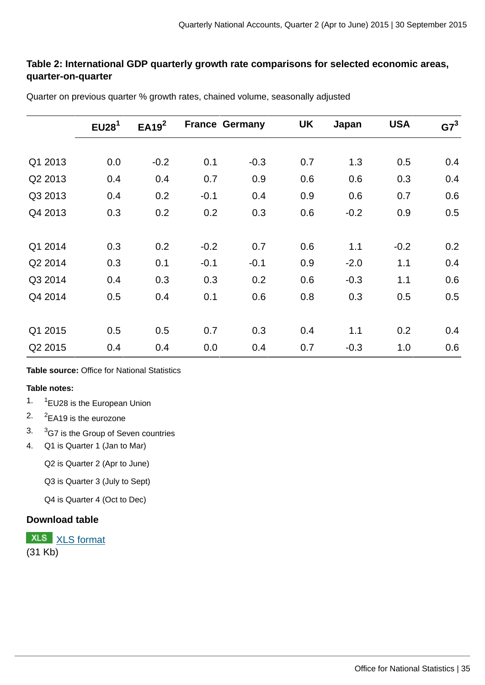## **Table 2: International GDP quarterly growth rate comparisons for selected economic areas, quarter-on-quarter**

|         | EU28 <sup>1</sup> | EA19 <sup>2</sup> | <b>France Germany</b> |        | UK  | Japan  | <b>USA</b> | $G7^3$ |
|---------|-------------------|-------------------|-----------------------|--------|-----|--------|------------|--------|
|         |                   |                   |                       |        |     |        |            |        |
| Q1 2013 | 0.0               | $-0.2$            | 0.1                   | $-0.3$ | 0.7 | 1.3    | 0.5        | 0.4    |
| Q2 2013 | 0.4               | 0.4               | 0.7                   | 0.9    | 0.6 | 0.6    | 0.3        | 0.4    |
| Q3 2013 | 0.4               | 0.2               | $-0.1$                | 0.4    | 0.9 | 0.6    | 0.7        | 0.6    |
| Q4 2013 | 0.3               | 0.2               | 0.2                   | 0.3    | 0.6 | $-0.2$ | 0.9        | 0.5    |
|         |                   |                   |                       |        |     |        |            |        |
| Q1 2014 | 0.3               | 0.2               | $-0.2$                | 0.7    | 0.6 | 1.1    | $-0.2$     | 0.2    |
| Q2 2014 | 0.3               | 0.1               | $-0.1$                | $-0.1$ | 0.9 | $-2.0$ | 1.1        | 0.4    |
| Q3 2014 | 0.4               | 0.3               | 0.3                   | 0.2    | 0.6 | $-0.3$ | 1.1        | 0.6    |
| Q4 2014 | 0.5               | 0.4               | 0.1                   | 0.6    | 0.8 | 0.3    | 0.5        | 0.5    |
|         |                   |                   |                       |        |     |        |            |        |
| Q1 2015 | 0.5               | 0.5               | 0.7                   | 0.3    | 0.4 | 1.1    | 0.2        | 0.4    |
| Q2 2015 | 0.4               | 0.4               | 0.0                   | 0.4    | 0.7 | $-0.3$ | 1.0        | 0.6    |
|         |                   |                   |                       |        |     |        |            |        |

Quarter on previous quarter % growth rates, chained volume, seasonally adjusted

#### **Table source:** Office for National Statistics

#### **Table notes:**

- 1. 1 <sup>1</sup>EU28 is the European Union
- $2.$  $2$ EA19 is the eurozone
- 3. <sup>3</sup>G7 is the Group of Seven countries
- 4. Q1 is Quarter 1 (Jan to Mar)

Q2 is Quarter 2 (Apr to June)

Q3 is Quarter 3 (July to Sept)

Q4 is Quarter 4 (Oct to Dec)

#### **Download table**

**XLS** [XLS format](http://www.ons.gov.uk:80/ons/rel/naa2/quarterly-national-accounts/q2-2015/prt-2.xls) (31 Kb)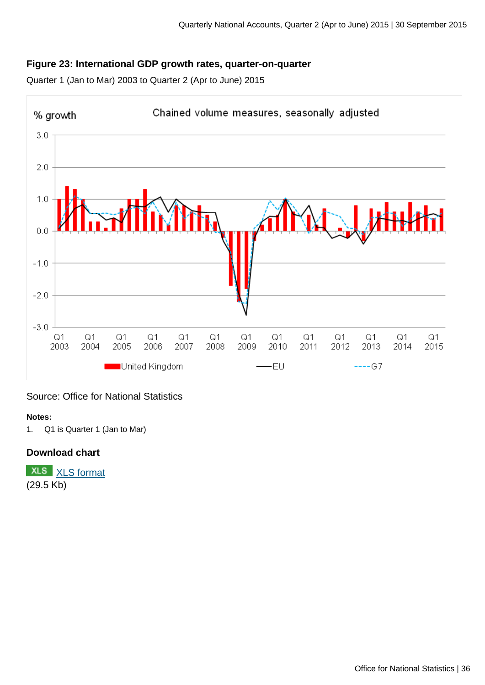## **Figure 23: International GDP growth rates, quarter-on-quarter**

Quarter 1 (Jan to Mar) 2003 to Quarter 2 (Apr to June) 2015



Source: Office for National Statistics

#### **Notes:**

1. Q1 is Quarter 1 (Jan to Mar)

#### **Download chart**

**XLS** [XLS format](http://www.ons.gov.uk:80/ons/rel/naa2/quarterly-national-accounts/q2-2015/chd-23.xls) (29.5 Kb)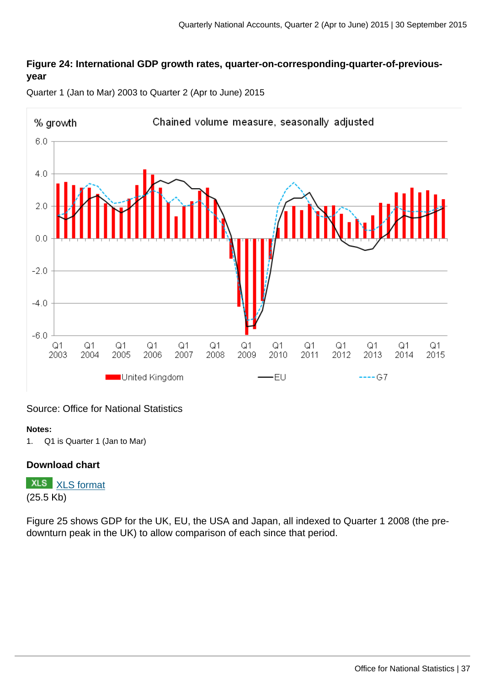#### **Figure 24: International GDP growth rates, quarter-on-corresponding-quarter-of-previousyear**



Quarter 1 (Jan to Mar) 2003 to Quarter 2 (Apr to June) 2015

#### Source: Office for National Statistics

#### **Notes:**

1. Q1 is Quarter 1 (Jan to Mar)

#### **Download chart**

**XLS** [XLS format](http://www.ons.gov.uk:80/ons/rel/naa2/quarterly-national-accounts/q2-2015/chd-24.xls) (25.5 Kb)

Figure 25 shows GDP for the UK, EU, the USA and Japan, all indexed to Quarter 1 2008 (the predownturn peak in the UK) to allow comparison of each since that period.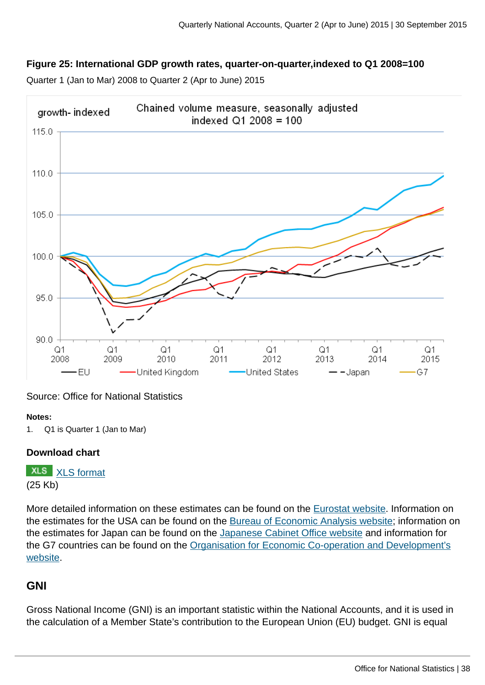#### **Figure 25: International GDP growth rates, quarter-on-quarter,indexed to Q1 2008=100**

Chained volume measure, seasonally adjusted arowth-indexed indexed  $Q1 2008 = 100$ 115.0 110.0 105.0 100.0  $95.0$  $90.0$  $Q<sub>1</sub>$  $Q1$  $Q1$  $Q1$  $Q1$  $Q1$  $Q1$  $Q1$ 2010 2011 2008 2009 2012 2013 2014 2015 -EU United Kingdom **United States** — — Japan G7

Quarter 1 (Jan to Mar) 2008 to Quarter 2 (Apr to June) 2015

Source: Office for National Statistics

#### **Notes:**

1. Q1 is Quarter 1 (Jan to Mar)

#### **Download chart**

**XLS** [XLS format](http://www.ons.gov.uk:80/ons/rel/naa2/quarterly-national-accounts/q2-2015/chd-25.xls) (25 Kb)

More detailed information on these estimates can be found on the [Eurostat website](http://ec.europa.eu/eurostat/news/news-releases). Information on the estimates for the USA can be found on the [Bureau of Economic Analysis website;](http://www.bea.gov/) information on the estimates for Japan can be found on the [Japanese Cabinet Office website](http://www.esri.cao.go.jp/en/sna/data/sokuhou/files/toukei_top.html) and information for the G7 countries can be found on the [Organisation for Economic Co-operation and Development's](http://stats.oecd.org/index.aspx?queryid=350) [website](http://stats.oecd.org/index.aspx?queryid=350).

#### **GNI**

Gross National Income (GNI) is an important statistic within the National Accounts, and it is used in the calculation of a Member State's contribution to the European Union (EU) budget. GNI is equal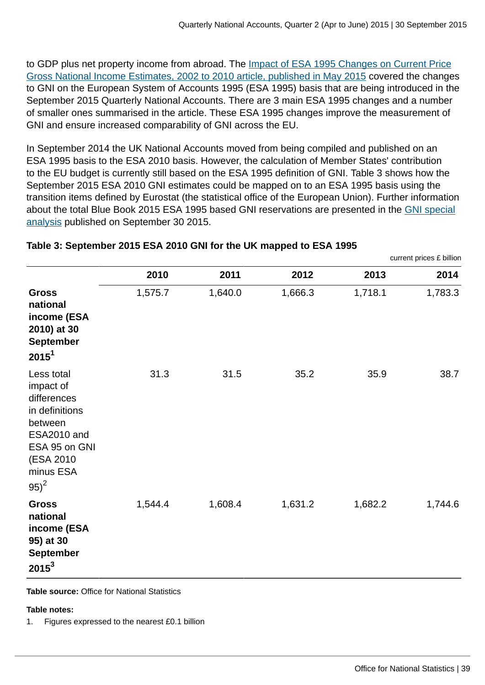to GDP plus net property income from abroad. The [Impact of ESA 1995 Changes on Current Price](http://www.ons.gov.uk:80/ons/rel/naa1-rd/national-accounts-articles/impact-of-esa-1995-changes-on-current-price-gross-national-income-estimates--2002-to-2010/index.html) [Gross National Income Estimates, 2002 to 2010 article, published in May 2015](http://www.ons.gov.uk:80/ons/rel/naa1-rd/national-accounts-articles/impact-of-esa-1995-changes-on-current-price-gross-national-income-estimates--2002-to-2010/index.html) covered the changes to GNI on the European System of Accounts 1995 (ESA 1995) basis that are being introduced in the September 2015 Quarterly National Accounts. There are 3 main ESA 1995 changes and a number of smaller ones summarised in the article. These ESA 1995 changes improve the measurement of GNI and ensure increased comparability of GNI across the EU.

In September 2014 the UK National Accounts moved from being compiled and published on an ESA 1995 basis to the ESA 2010 basis. However, the calculation of Member States' contribution to the EU budget is currently still based on the ESA 1995 definition of GNI. Table 3 shows how the September 2015 ESA 2010 GNI estimates could be mapped on to an ESA 1995 basis using the transition items defined by Eurostat (the statistical office of the European Union). Further information about the total Blue Book 2015 ESA 1995 based GNI reservations are presented in the [GNI special](http://www.ons.gov.uk:80/ons) [analysis](http://www.ons.gov.uk:80/ons) published on September 30 2015.

| current prices £ billion                                                                                                                  |         |         |         |         |         |  |  |
|-------------------------------------------------------------------------------------------------------------------------------------------|---------|---------|---------|---------|---------|--|--|
|                                                                                                                                           | 2010    | 2011    | 2012    | 2013    | 2014    |  |  |
| <b>Gross</b><br>national<br>income (ESA<br>2010) at 30<br><b>September</b><br>$2015^1$                                                    | 1,575.7 | 1,640.0 | 1,666.3 | 1,718.1 | 1,783.3 |  |  |
| Less total<br>impact of<br>differences<br>in definitions<br>between<br>ESA2010 and<br>ESA 95 on GNI<br>(ESA 2010)<br>minus ESA<br>$95)^2$ | 31.3    | 31.5    | 35.2    | 35.9    | 38.7    |  |  |
| <b>Gross</b><br>national<br>income (ESA<br>95) at 30<br><b>September</b><br>$2015^3$                                                      | 1,544.4 | 1,608.4 | 1,631.2 | 1,682.2 | 1,744.6 |  |  |

#### **Table 3: September 2015 ESA 2010 GNI for the UK mapped to ESA 1995**

**Table source:** Office for National Statistics

#### **Table notes:**

1. Figures expressed to the nearest £0.1 billion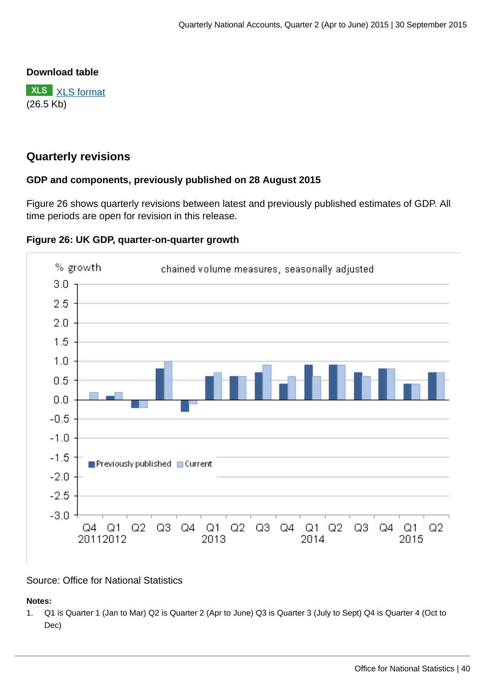#### **Download table**

**XLS** [XLS format](http://www.ons.gov.uk:80/ons/rel/naa2/quarterly-national-accounts/q2-2015/prt-3.xls) (26.5 Kb)

#### **Quarterly revisions**

#### **GDP and components, previously published on 28 August 2015**

Figure 26 shows quarterly revisions between latest and previously published estimates of GDP. All time periods are open for revision in this release.



#### **Figure 26: UK GDP, quarter-on-quarter growth**

#### Source: Office for National Statistics

**Notes:**

1. Q1 is Quarter 1 (Jan to Mar) Q2 is Quarter 2 (Apr to June) Q3 is Quarter 3 (July to Sept) Q4 is Quarter 4 (Oct to Dec)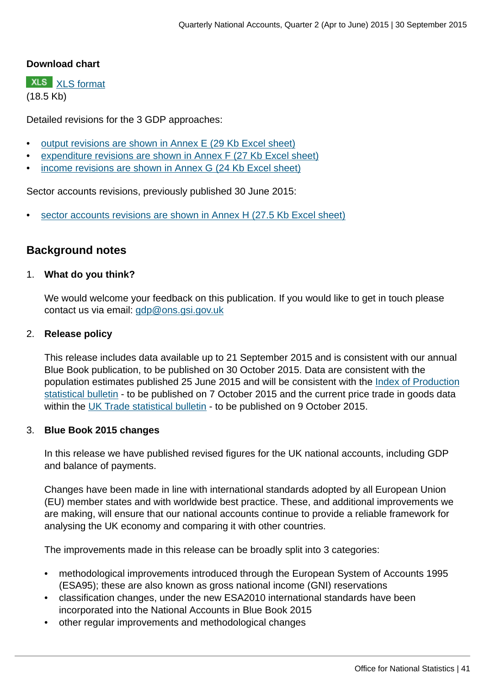#### **Download chart**

**XLS** [XLS format](http://www.ons.gov.uk:80/ons/rel/naa2/quarterly-national-accounts/q2-2015/chd-26.xls) (18.5 Kb)

Detailed revisions for the 3 GDP approaches:

- [output revisions are shown in Annex E \(29 Kb Excel sheet\)](http://www.ons.gov.uk:80/ons/rel/naa2/quarterly-national-accounts/q2-2015/rft-6.xls)
- [expenditure revisions are shown in Annex F \(27 Kb Excel sheet\)](http://www.ons.gov.uk:80/ons/rel/naa2/quarterly-national-accounts/q2-2015/rft-7-annex-f.xls)
- [income revisions are shown in Annex G \(24 Kb Excel sheet\)](http://www.ons.gov.uk:80/ons/rel/naa2/quarterly-national-accounts/q2-2015/rft-8-annex-g.xls)

Sector accounts revisions, previously published 30 June 2015:

[sector accounts revisions are shown in Annex H \(27.5 Kb Excel sheet\)](http://www.ons.gov.uk:80/ons/rel/naa2/quarterly-national-accounts/q2-2015/rft-9-annex-h.xls)

#### **Background notes**

#### 1. **What do you think?**

We would welcome your feedback on this publication. If you would like to get in touch please contact us via email: [gdp@ons.gsi.gov.uk](mailto:gdp@ons.gsi.gov.uk)

#### 2. **Release policy**

This release includes data available up to 21 September 2015 and is consistent with our annual Blue Book publication, to be published on 30 October 2015. Data are consistent with the population estimates published 25 June 2015 and will be consistent with the [Index of Production](http://www.ons.gov.uk:80/ons/rel/iop/index-of-production/index.html) [statistical bulletin](http://www.ons.gov.uk:80/ons/rel/iop/index-of-production/index.html) - to be published on 7 October 2015 and the current price trade in goods data within the [UK Trade statistical bulletin](http://www.ons.gov.uk:80/ons/rel/uktrade/uk-trade/index.html) - to be published on 9 October 2015.

#### 3. **Blue Book 2015 changes**

In this release we have published revised figures for the UK national accounts, including GDP and balance of payments.

Changes have been made in line with international standards adopted by all European Union (EU) member states and with worldwide best practice. These, and additional improvements we are making, will ensure that our national accounts continue to provide a reliable framework for analysing the UK economy and comparing it with other countries.

The improvements made in this release can be broadly split into 3 categories:

- methodological improvements introduced through the European System of Accounts 1995 (ESA95); these are also known as gross national income (GNI) reservations
- classification changes, under the new ESA2010 international standards have been incorporated into the National Accounts in Blue Book 2015
- other regular improvements and methodological changes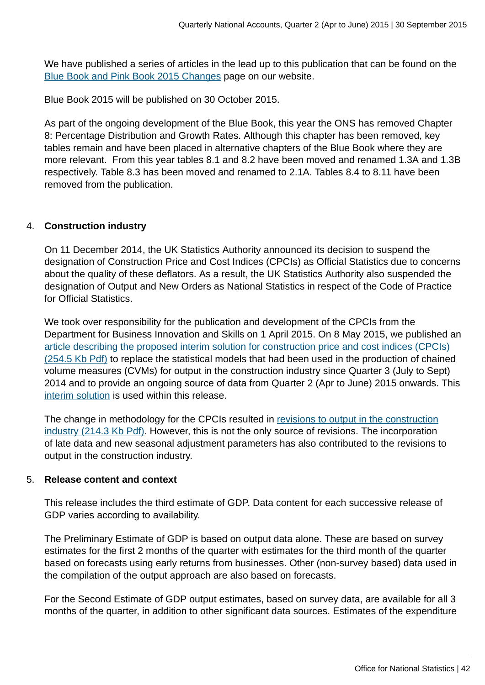We have published a series of articles in the lead up to this publication that can be found on the [Blue Book and Pink Book 2015 Changes](http://www.ons.gov.uk:80/ons/guide-method/method-quality/specific/economy/national-accounts/changes-to-national-accounts/blue-book-and-pink-book-2015-changes/index.html) page on our website.

Blue Book 2015 will be published on 30 October 2015.

As part of the ongoing development of the Blue Book, this year the ONS has removed Chapter 8: Percentage Distribution and Growth Rates. Although this chapter has been removed, key tables remain and have been placed in alternative chapters of the Blue Book where they are more relevant. From this year tables 8.1 and 8.2 have been moved and renamed 1.3A and 1.3B respectively. Table 8.3 has been moved and renamed to 2.1A. Tables 8.4 to 8.11 have been removed from the publication.

#### 4. **Construction industry**

On 11 December 2014, the UK Statistics Authority announced its decision to suspend the designation of Construction Price and Cost Indices (CPCIs) as Official Statistics due to concerns about the quality of these deflators. As a result, the UK Statistics Authority also suspended the designation of Output and New Orders as National Statistics in respect of the Code of Practice for Official Statistics.

We took over responsibility for the publication and development of the CPCIs from the Department for Business Innovation and Skills on 1 April 2015. On 8 May 2015, we published an [article describing the proposed interim solution for construction price and cost indices \(CPCIs\)](http://www.ons.gov.uk:80/ons/guide-method/method-quality/specific/business-and-energy/output-in-the-construction-industry/update-on-construction-price-statistics.pdf) [\(254.5 Kb Pdf\)](http://www.ons.gov.uk:80/ons/guide-method/method-quality/specific/business-and-energy/output-in-the-construction-industry/update-on-construction-price-statistics.pdf) to replace the statistical models that had been used in the production of chained volume measures (CVMs) for output in the construction industry since Quarter 3 (July to Sept) 2014 and to provide an ongoing source of data from Quarter 2 (Apr to June) 2015 onwards. This [interim solution](http://www.ons.gov.uk:80/ons/rel/ppi2/construction-output-price-indices--opis-/interim-solution--q1-2015/index.html) is used within this release.

The change in methodology for the CPCIs resulted in [revisions to output in the construction](http://www.ons.gov.uk:80/ons/guide-method/method-quality/specific/business-and-energy/output-in-the-construction-industry/impact-of-interim-solution-for-opis-on-ons-outputs.pdf) [industry \(214.3 Kb Pdf\)](http://www.ons.gov.uk:80/ons/guide-method/method-quality/specific/business-and-energy/output-in-the-construction-industry/impact-of-interim-solution-for-opis-on-ons-outputs.pdf). However, this is not the only source of revisions. The incorporation of late data and new seasonal adjustment parameters has also contributed to the revisions to output in the construction industry.

#### 5. **Release content and context**

This release includes the third estimate of GDP. Data content for each successive release of GDP varies according to availability.

The Preliminary Estimate of GDP is based on output data alone. These are based on survey estimates for the first 2 months of the quarter with estimates for the third month of the quarter based on forecasts using early returns from businesses. Other (non-survey based) data used in the compilation of the output approach are also based on forecasts.

For the Second Estimate of GDP output estimates, based on survey data, are available for all 3 months of the quarter, in addition to other significant data sources. Estimates of the expenditure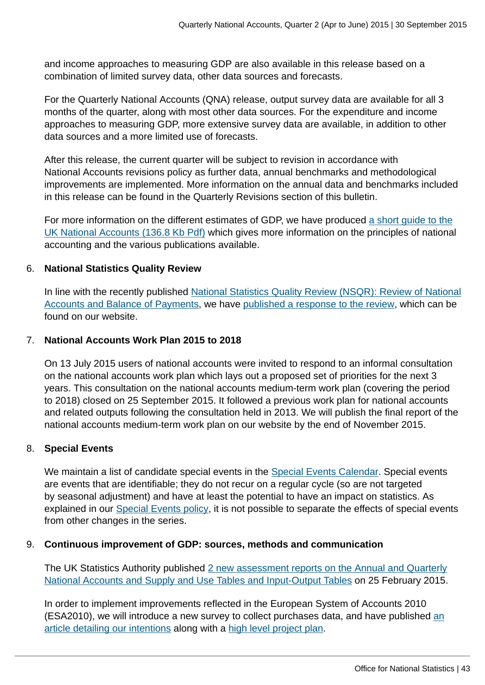and income approaches to measuring GDP are also available in this release based on a combination of limited survey data, other data sources and forecasts.

For the Quarterly National Accounts (QNA) release, output survey data are available for all 3 months of the quarter, along with most other data sources. For the expenditure and income approaches to measuring GDP, more extensive survey data are available, in addition to other data sources and a more limited use of forecasts.

After this release, the current quarter will be subject to revision in accordance with National Accounts revisions policy as further data, annual benchmarks and methodological improvements are implemented. More information on the annual data and benchmarks included in this release can be found in the Quarterly Revisions section of this bulletin.

For more information on the different estimates of GDP, we have produced [a short guide to the](http://www.ons.gov.uk:80/ons/guide-method/method-quality/specific/economy/national-accounts/articles/2011-present/uk-national-accounts---a-short-guide--2014.pdf) [UK National Accounts \(136.8 Kb Pdf\)](http://www.ons.gov.uk:80/ons/guide-method/method-quality/specific/economy/national-accounts/articles/2011-present/uk-national-accounts---a-short-guide--2014.pdf) which gives more information on the principles of national accounting and the various publications available.

#### 6. **National Statistics Quality Review**

In line with the recently published [National Statistics Quality Review \(NSQR\): Review of National](http://www.ons.gov.uk:80/ons/rel/naa1-rd/national-statistics-quality-review/-nsqr--series--2--report-no--2--review-of-national-accounts-and-balance-of-payments/index.html) [Accounts and Balance of Payments,](http://www.ons.gov.uk:80/ons/rel/naa1-rd/national-statistics-quality-review/-nsqr--series--2--report-no--2--review-of-national-accounts-and-balance-of-payments/index.html) we have [published a response to the review,](http://www.ons.gov.uk:80/ons/guide-method/method-quality/quality/quality-reviews/list-of-current-national-statistics-quality-reviews/nsqr-series--2--report-number-2/index.html) which can be found on our website.

#### 7. **National Accounts Work Plan 2015 to 2018**

On 13 July 2015 users of national accounts were invited to respond to an informal consultation on the national accounts work plan which lays out a proposed set of priorities for the next 3 years. This consultation on the national accounts medium-term work plan (covering the period to 2018) closed on 25 September 2015. It followed a previous work plan for national accounts and related outputs following the consultation held in 2013. We will publish the final report of the national accounts medium-term work plan on our website by the end of November 2015.

#### 8. **Special Events**

We maintain a list of candidate special events in the [Special Events Calendar](http://www.ons.gov.uk:80/ons/guide-method/method-quality/general-methodology/special-events-group/special-events-calendar/index.html). Special events are events that are identifiable; they do not recur on a regular cycle (so are not targeted by seasonal adjustment) and have at least the potential to have an impact on statistics. As explained in our [Special Events policy,](http://www.ons.gov.uk:80/ons/guide-method/method-quality/general-methodology/special-events-group/index.html) it is not possible to separate the effects of special events from other changes in the series.

#### 9. **Continuous improvement of GDP: sources, methods and communication**

The UK Statistics Authority published [2 new assessment reports on the Annual and Quarterly](http://www.statisticsauthority.gov.uk/assessment/assessment/assessment-reports/index.html) [National Accounts and Supply and Use Tables and Input-Output Tables](http://www.statisticsauthority.gov.uk/assessment/assessment/assessment-reports/index.html) on 25 February 2015.

In order to implement improvements reflected in the European System of Accounts 2010 (ESA2010), we will introduce a new survey to collect purchases data, [an](http://www.ons.gov.uk:80/ons/rel/naa1-rd/national-accounts-articles/a-new-business-survey-to-collect-purchases-for-intermediate-consumption/index.html)d have published an [article detailing our intentions](http://www.ons.gov.uk:80/ons/rel/naa1-rd/national-accounts-articles/a-new-business-survey-to-collect-purchases-for-intermediate-consumption/index.html) along with a [high level project plan](http://www.ons.gov.uk:80/ons/guide-method/method-quality/specific/business-and-energy/purchases-survey/project-progress-and-timetable/index.html).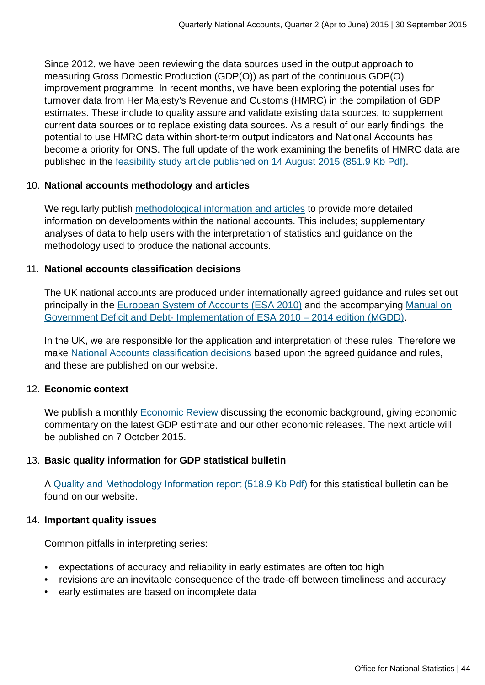Since 2012, we have been reviewing the data sources used in the output approach to measuring Gross Domestic Production (GDP(O)) as part of the continuous GDP(O) improvement programme. In recent months, we have been exploring the potential uses for turnover data from Her Majesty's Revenue and Customs (HMRC) in the compilation of GDP estimates. These include to quality assure and validate existing data sources, to supplement current data sources or to replace existing data sources. As a result of our early findings, the potential to use HMRC data within short-term output indicators and National Accounts has become a priority for ONS. The full update of the work examining the benefits of HMRC data are published in the [feasibility study article published on 14 August 2015 \(851.9 Kb Pdf\).](http://www.ons.gov.uk:80/ons/guide-method/method-quality/specific/economy/national-accounts/articles/2011-present/feasibility-study-into-the-use-of-hmrc-turnover-data-within-short-term-output-indicators-and-national-accounts.pdf)

#### 10. **National accounts methodology and articles**

We regularly publish [methodological information and articles](http://www.ons.gov.uk:80/ons/guide-method/method-quality/specific/economy/national-accounts/methodology-and-articles/2011-present/index.html) to provide more detailed information on developments within the national accounts. This includes; supplementary analyses of data to help users with the interpretation of statistics and guidance on the methodology used to produce the national accounts.

#### 11. **National accounts classification decisions**

The UK national accounts are produced under internationally agreed guidance and rules set out principally in the [European System of Accounts \(ESA 2010\)](http://ec.europa.eu/eurostat/web/products-manuals-and-guidelines/-/KS-02-13-269) and the accompanying [Manual on](http://ec.europa.eu/eurostat/web/products-manuals-and-guidelines/-/KS-GQ-14-010) [Government Deficit and Debt- Implementation of ESA 2010 – 2014 edition \(MGDD\).](http://ec.europa.eu/eurostat/web/products-manuals-and-guidelines/-/KS-GQ-14-010)

In the UK, we are responsible for the application and interpretation of these rules. Therefore we make [National Accounts classification decisions](http://www.ons.gov.uk:80/ons/guide-method/classifications/na-classifications/index.html) based upon the agreed guidance and rules, and these are published on our website.

#### 12. **Economic context**

We publish a monthly [Economic Review](http://www.ons.gov.uk:80/ons/rel/elmr/economic-review/index.html) discussing the economic background, giving economic commentary on the latest GDP estimate and our other economic releases. The next article will be published on 7 October 2015.

#### 13. **Basic quality information for GDP statistical bulletin**

A [Quality and Methodology Information report \(518.9 Kb Pdf\)](http://www.ons.gov.uk:80/ons/guide-method/method-quality/quality/quality-information/economic-statistics/gross-domestic-product--gdp-.pdf) for this statistical bulletin can be found on our website.

#### 14. **Important quality issues**

Common pitfalls in interpreting series:

- expectations of accuracy and reliability in early estimates are often too high
- revisions are an inevitable consequence of the trade-off between timeliness and accuracy
- early estimates are based on incomplete data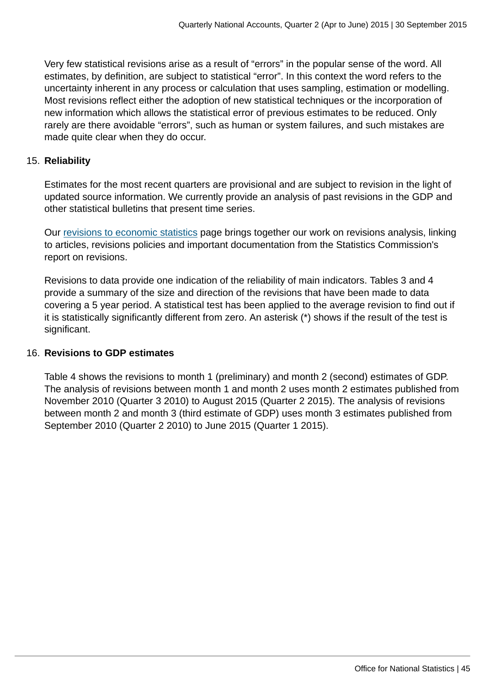Very few statistical revisions arise as a result of "errors" in the popular sense of the word. All estimates, by definition, are subject to statistical "error". In this context the word refers to the uncertainty inherent in any process or calculation that uses sampling, estimation or modelling. Most revisions reflect either the adoption of new statistical techniques or the incorporation of new information which allows the statistical error of previous estimates to be reduced. Only rarely are there avoidable "errors", such as human or system failures, and such mistakes are made quite clear when they do occur.

#### 15. **Reliability**

Estimates for the most recent quarters are provisional and are subject to revision in the light of updated source information. We currently provide an analysis of past revisions in the GDP and other statistical bulletins that present time series.

Our [revisions to economic statistics](http://www.ons.gov.uk:80/ons/guide-method/revisions/revisions-policies-by-theme/economy/index.html) page brings together our work on revisions analysis, linking to articles, revisions policies and important documentation from the Statistics Commission's report on revisions.

Revisions to data provide one indication of the reliability of main indicators. Tables 3 and 4 provide a summary of the size and direction of the revisions that have been made to data covering a 5 year period. A statistical test has been applied to the average revision to find out if it is statistically significantly different from zero. An asterisk (\*) shows if the result of the test is significant.

#### 16. **Revisions to GDP estimates**

Table 4 shows the revisions to month 1 (preliminary) and month 2 (second) estimates of GDP. The analysis of revisions between month 1 and month 2 uses month 2 estimates published from November 2010 (Quarter 3 2010) to August 2015 (Quarter 2 2015). The analysis of revisions between month 2 and month 3 (third estimate of GDP) uses month 3 estimates published from September 2010 (Quarter 2 2010) to June 2015 (Quarter 1 2015).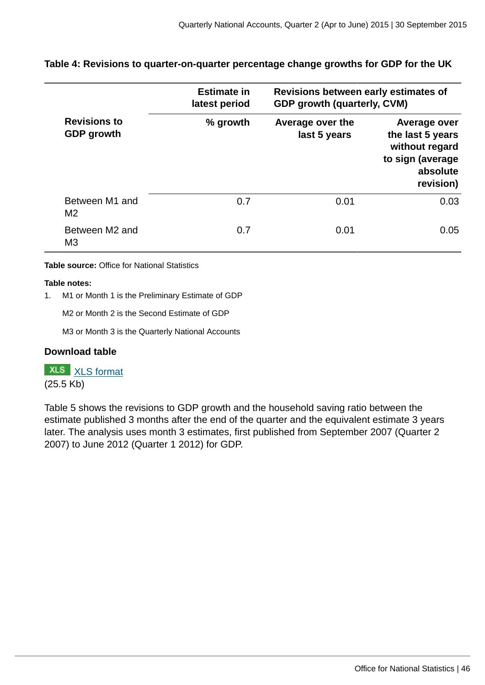#### **Table 4: Revisions to quarter-on-quarter percentage change growths for GDP for the UK**

|                                          | <b>Estimate in</b><br>latest period | Revisions between early estimates of<br><b>GDP growth (quarterly, CVM)</b> |                                                                                                 |  |  |
|------------------------------------------|-------------------------------------|----------------------------------------------------------------------------|-------------------------------------------------------------------------------------------------|--|--|
| <b>Revisions to</b><br><b>GDP</b> growth | % growth                            | Average over the<br>last 5 years                                           | Average over<br>the last 5 years<br>without regard<br>to sign (average<br>absolute<br>revision) |  |  |
| Between M1 and<br>M <sub>2</sub>         | 0.7                                 | 0.01                                                                       | 0.03                                                                                            |  |  |
| Between M2 and<br>M <sub>3</sub>         | 0.7                                 | 0.01                                                                       | 0.05                                                                                            |  |  |

**Table source:** Office for National Statistics

#### **Table notes:**

1. M1 or Month 1 is the Preliminary Estimate of GDP

M2 or Month 2 is the Second Estimate of GDP

M3 or Month 3 is the Quarterly National Accounts

#### **Download table**

**XLS** [XLS format](http://www.ons.gov.uk:80/ons/rel/naa2/quarterly-national-accounts/q2-2015/prt-4.xls)

(25.5 Kb)

Table 5 shows the revisions to GDP growth and the household saving ratio between the estimate published 3 months after the end of the quarter and the equivalent estimate 3 years later. The analysis uses month 3 estimates, first published from September 2007 (Quarter 2 2007) to June 2012 (Quarter 1 2012) for GDP.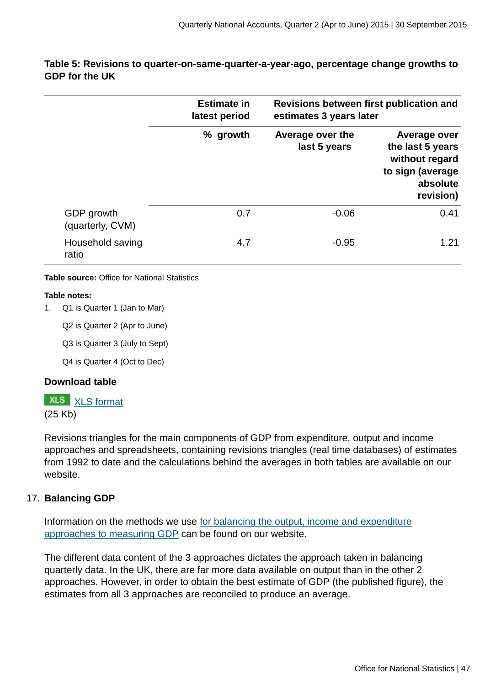|                                | <b>Estimate in</b> |                                  | Revisions between first publication and                                                         |
|--------------------------------|--------------------|----------------------------------|-------------------------------------------------------------------------------------------------|
|                                | latest period      | estimates 3 years later          |                                                                                                 |
|                                | % growth           | Average over the<br>last 5 years | Average over<br>the last 5 years<br>without regard<br>to sign (average<br>absolute<br>revision) |
| GDP growth<br>(quarterly, CVM) | 0.7                | $-0.06$                          | 0.41                                                                                            |
| Household saving<br>ratio      | 4.7                | $-0.95$                          | 1.21                                                                                            |

#### **Table 5: Revisions to quarter-on-same-quarter-a-year-ago, percentage change growths to GDP for the UK**

**Table source:** Office for National Statistics

#### **Table notes:**

1. Q1 is Quarter 1 (Jan to Mar)

Q2 is Quarter 2 (Apr to June)

Q3 is Quarter 3 (July to Sept)

Q4 is Quarter 4 (Oct to Dec)

#### **Download table**

#### **XLS** [XLS format](http://www.ons.gov.uk:80/ons/rel/naa2/quarterly-national-accounts/q2-2015/prt-5.xls)

(25 Kb)

Revisions triangles for the main components of GDP from expenditure, output and income approaches and spreadsheets, containing revisions triangles (real time databases) of estimates from 1992 to date and the calculations behind the averages in both tables are available on our website.

#### 17. **Balancing GDP**

Information on the methods we use [for balancing the output, income and expenditure](http://www.ons.gov.uk:80/ons/rel/naa1-rd/united-kingdom-national-accounts/the-blue-book--2012-edition/art---balancing-the-three-approaches-to-measuring-gdp.html) [approaches to measuring GDP](http://www.ons.gov.uk:80/ons/rel/naa1-rd/united-kingdom-national-accounts/the-blue-book--2012-edition/art---balancing-the-three-approaches-to-measuring-gdp.html) can be found on our website.

The different data content of the 3 approaches dictates the approach taken in balancing quarterly data. In the UK, there are far more data available on output than in the other 2 approaches. However, in order to obtain the best estimate of GDP (the published figure), the estimates from all 3 approaches are reconciled to produce an average.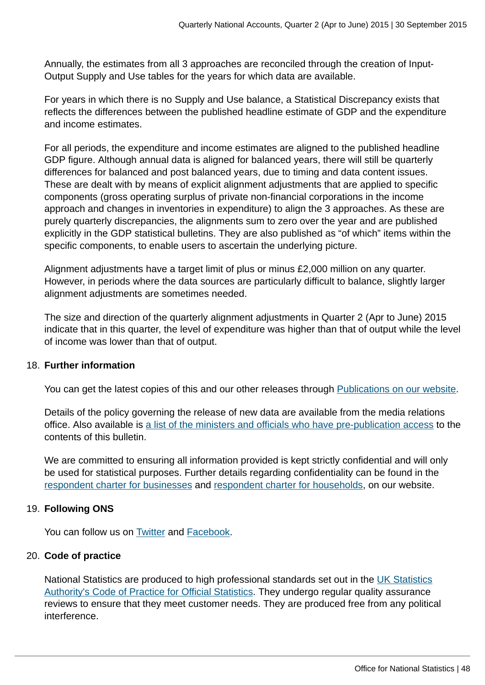Annually, the estimates from all 3 approaches are reconciled through the creation of Input-Output Supply and Use tables for the years for which data are available.

For years in which there is no Supply and Use balance, a Statistical Discrepancy exists that reflects the differences between the published headline estimate of GDP and the expenditure and income estimates.

For all periods, the expenditure and income estimates are aligned to the published headline GDP figure. Although annual data is aligned for balanced years, there will still be quarterly differences for balanced and post balanced years, due to timing and data content issues. These are dealt with by means of explicit alignment adjustments that are applied to specific components (gross operating surplus of private non-financial corporations in the income approach and changes in inventories in expenditure) to align the 3 approaches. As these are purely quarterly discrepancies, the alignments sum to zero over the year and are published explicitly in the GDP statistical bulletins. They are also published as "of which" items within the specific components, to enable users to ascertain the underlying picture.

Alignment adjustments have a target limit of plus or minus £2,000 million on any quarter. However, in periods where the data sources are particularly difficult to balance, slightly larger alignment adjustments are sometimes needed.

The size and direction of the quarterly alignment adjustments in Quarter 2 (Apr to June) 2015 indicate that in this quarter, the level of expenditure was higher than that of output while the level of income was lower than that of output.

#### 18. **Further information**

You can get the latest copies of this and our other releases through [Publications on our website](http://www.ons.gov.uk:80/ons/publications/index.html).

Details of the policy governing the release of new data are available from the media relations office. Also available is [a list of the ministers and officials who have pre-publication access](http://www.ons.gov.uk:80/ons/rel/naa2/quarterly-national-accounts/q2-2015/pra-qna.html) to the contents of this bulletin.

We are committed to ensuring all information provided is kept strictly confidential and will only be used for statistical purposes. Further details regarding confidentiality can be found in the [respondent charter for businesses](http://www.ons.gov.uk:80/ons/about-ons/get-involved/taking-part-in-a-survey/information-for-businesses/respondent-charter---business-surveys/index.html) and [respondent charter for households](http://www.ons.gov.uk:80/ons/about-ons/get-involved/taking-part-in-a-survey/information-for-households/respondent-charter---households-and-individuals/index.html), on our website.

#### 19. **Following ONS**

You can follow us on [Twitter](http://www.ons.gov.uk:80/ons/external-links/social-media/twitter.html) and [Facebook.](http://www.ons.gov.uk:80/ons/external-links/social-media/index.html)

#### 20. **Code of practice**

National Statistics are produced to high professional standards set out in the [UK Statistics](http://www.statisticsauthority.gov.uk/assessment/code-of-practice/index.html) [Authority's Code of Practice for Official Statistics](http://www.statisticsauthority.gov.uk/assessment/code-of-practice/index.html). They undergo regular quality assurance reviews to ensure that they meet customer needs. They are produced free from any political interference.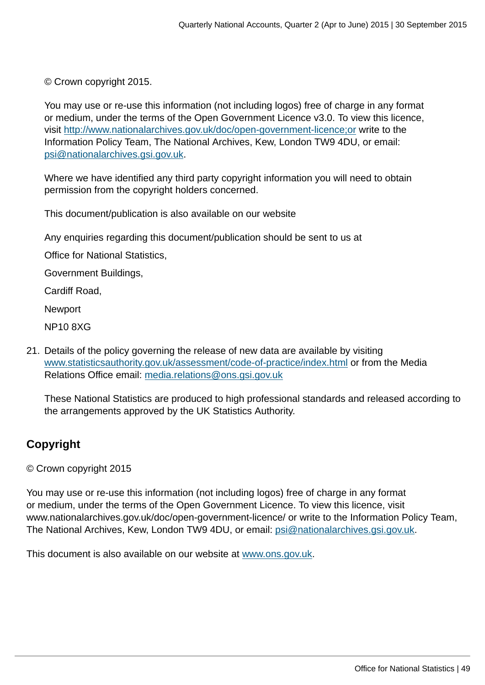© Crown copyright 2015.

You may use or re-use this information (not including logos) free of charge in any format or medium, under the terms of the Open Government Licence v3.0. To view this licence, visit<http://www.nationalarchives.gov.uk/doc/open-government-licence;or>write to the Information Policy Team, The National Archives, Kew, London TW9 4DU, or email: [psi@nationalarchives.gsi.gov.uk](mailto:psi@nationalarchives.gsi.gov.uk).

Where we have identified any third party copyright information you will need to obtain permission from the copyright holders concerned.

This document/publication is also available on our website

Any enquiries regarding this document/publication should be sent to us at

Office for National Statistics,

Government Buildings,

Cardiff Road,

Newport

NP10 8XG

21. Details of the policy governing the release of new data are available by visiting [www.statisticsauthority.gov.uk/assessment/code-of-practice/index.html](http://www.statisticsauthority.gov.uk/assessment/code-of-practice/index.html) or from the Media Relations Office email: [media.relations@ons.gsi.gov.uk](mailto:media.relations@ons.gsi.gov.uk)

These National Statistics are produced to high professional standards and released according to the arrangements approved by the UK Statistics Authority.

#### **Copyright**

© Crown copyright 2015

You may use or re-use this information (not including logos) free of charge in any format or medium, under the terms of the Open Government Licence. To view this licence, visit www.nationalarchives.gov.uk/doc/open-government-licence/ or write to the Information Policy Team, The National Archives, Kew, London TW9 4DU, or email: [psi@nationalarchives.gsi.gov.uk](mailto:psi@nationalarchives.gsi.gov.uk).

This document is also available on our website at [www.ons.gov.uk.](http://www.ons.gov.uk/)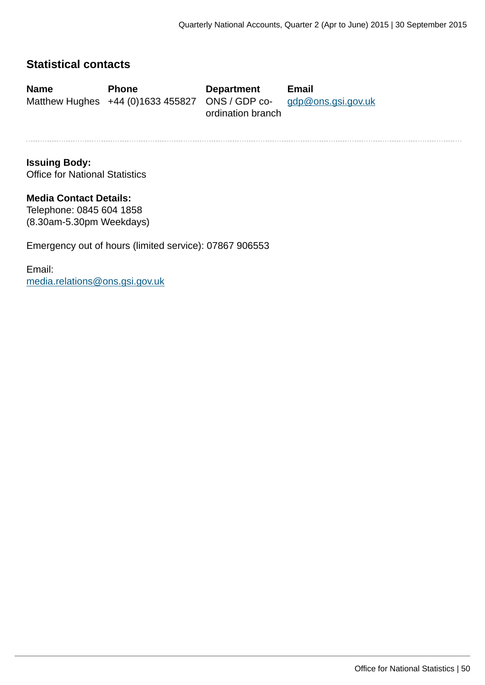#### **Statistical contacts**

**Name Phone Department Email** Matthew Hughes +44 (0)1633 455827 ONS / GDP coordination branch [gdp@ons.gsi.gov.uk](mailto:gdp@ons.gsi.gov.uk)

**Issuing Body:** Office for National Statistics

**Media Contact Details:** Telephone: 0845 604 1858 (8.30am-5.30pm Weekdays)

Emergency out of hours (limited service): 07867 906553

Email: [media.relations@ons.gsi.gov.uk](mailto:media.relations@ons.gsi.gov.uk)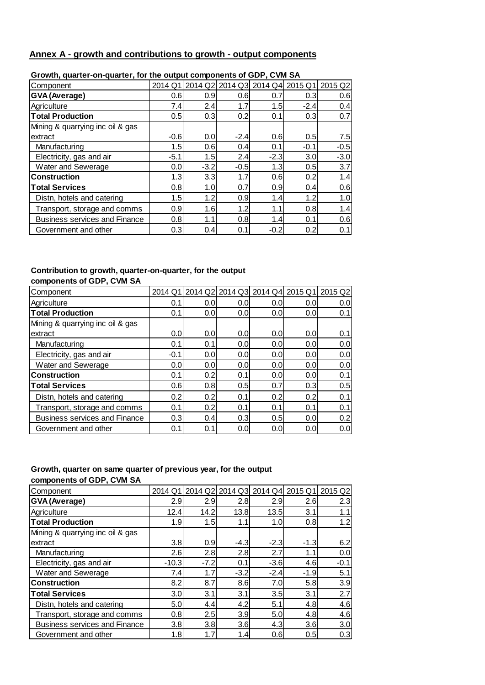#### **Annex A - growth and contributions to growth - output components**

| 0.000.000   0.000   0.000   0.000   0.000   0.000   0.000   0.000   0.000   0.000   0.000   0.000   0.000   0. |        |        |        |                                         |                  |         |  |  |
|----------------------------------------------------------------------------------------------------------------|--------|--------|--------|-----------------------------------------|------------------|---------|--|--|
| Component                                                                                                      |        |        |        | 2014 Q1 2014 Q2 2014 Q3 2014 Q4 2015 Q1 |                  | 2015 Q2 |  |  |
| GVA (Average)                                                                                                  | 0.6    | 0.9    | 0.6    | 0.7                                     | 0.3 <sub>l</sub> | 0.6     |  |  |
| Agriculture                                                                                                    | 7.4    | 2.4    | 1.7    | 1.5                                     | $-2.4$           | 0.4     |  |  |
| <b>Total Production</b>                                                                                        | 0.5    | 0.3    | 0.2    | 0.1                                     | 0.3              | 0.7     |  |  |
| Mining & quarrying inc oil & gas                                                                               |        |        |        |                                         |                  |         |  |  |
| extract                                                                                                        | $-0.6$ | 0.0    | $-2.4$ | 0.6                                     | 0.5              | 7.5     |  |  |
| Manufacturing                                                                                                  | 1.5    | 0.6    | 0.4    | 0.1                                     | $-0.1$           | $-0.5$  |  |  |
| Electricity, gas and air                                                                                       | $-5.1$ | 1.5    | 2.4    | $-2.3$                                  | 3.0              | $-3.0$  |  |  |
| Water and Sewerage                                                                                             | 0.0    | $-3.2$ | $-0.5$ | 1.3                                     | 0.5              | 3.7     |  |  |
| <b>Construction</b>                                                                                            | 1.3    | 3.3    | 1.7    | 0.6                                     | 0.2              | 1.4     |  |  |
| <b>Total Services</b>                                                                                          | 0.8    | 1.0    | 0.7    | 0.9                                     | 0.4              | 0.6     |  |  |
| Distn, hotels and catering                                                                                     | 1.5    | 1.2    | 0.9    | 1.4                                     | 1.2              | 1.0     |  |  |
| Transport, storage and comms                                                                                   | 0.9    | 1.6    | 1.2    | 1.1                                     | 0.8              | 1.4     |  |  |
| <b>Business services and Finance</b>                                                                           | 0.8    | 1.1    | 0.8    | 1.4                                     | 0.1              | 0.6     |  |  |
| Government and other                                                                                           | 0.3    | 0.4    | 0.1    | $-0.2$                                  | 0.2              | 0.1     |  |  |

#### **Growth, quarter-on-quarter, for the output components of GDP, CVM SA**

#### **Contribution to growth, quarter-on-quarter, for the output components of GDP, CVM SA**

| Component                            | 2014 Q1 |     |                  | 2014 Q2 2014 Q3 2014 Q4 |                  | 2015 Q1 2015 Q2  |
|--------------------------------------|---------|-----|------------------|-------------------------|------------------|------------------|
| Agriculture                          | 0.1     | 0.0 | 0.0 <sub>l</sub> | 0.0                     | 0.0 <sub>l</sub> | 0.0 <sub>l</sub> |
| <b>Total Production</b>              | 0.1     | 0.0 | 0.0 <sub>l</sub> | 0.0 <sub>l</sub>        | 0.0 <sub>l</sub> | 0.1              |
| Mining & quarrying inc oil & gas     |         |     |                  |                         |                  |                  |
| extract                              | 0.0     | 0.0 | 0.0 <sub>l</sub> | 0.0                     | 0.0 <sub>l</sub> | 0.1              |
| Manufacturing                        | 0.1     | 0.1 | 0.0 <sub>l</sub> | 0.0                     | 0.0              | 0.0              |
| Electricity, gas and air             | $-0.1$  | 0.0 | 0.0 <sub>l</sub> | 0.0                     | 0.0 <sub>l</sub> | 0.0              |
| Water and Sewerage                   | 0.0     | 0.0 | 0.0              | 0.0                     | 0.0              | 0.0              |
| <b>Construction</b>                  | 0.1     | 0.2 | 0.1              | 0.0                     | 0.0 <sub>l</sub> | 0.1              |
| <b>Total Services</b>                | 0.6     | 0.8 | 0.5              | 0.7                     | 0.3              | 0.5              |
| Distn, hotels and catering           | 0.2     | 0.2 | 0.1              | 0.2                     | 0.2              | 0.1              |
| Transport, storage and comms         | 0.1     | 0.2 | 0.1              | 0.1                     | 0.1              | 0.1              |
| <b>Business services and Finance</b> | 0.3     | 0.4 | 0.3              | 0.5                     | 0.0 <sub>l</sub> | 0.2              |
| Government and other                 | 0.1     | 0.1 | 0.0              | 0.0                     | 0.0              | 0.0              |

#### **Growth, quarter on same quarter of previous year, for the output components of GDP, CVM SA**

| Component                            | 2014 Q1 |        |        |                  | 2014 Q2 2014 Q3 2014 Q4 2015 Q1 | 2015 Q2 |
|--------------------------------------|---------|--------|--------|------------------|---------------------------------|---------|
| GVA (Average)                        | 2.9     | 2.9    | 2.8    | 2.9              | 2.6                             | 2.3     |
| Agriculture                          | 12.4    | 14.2   | 13.8   | 13.5             | 3.1                             | 1.1     |
| <b>Total Production</b>              | 1.9     | 1.5    | 1.1    | 1.0              | 0.8                             | 1.2     |
| Mining & quarrying inc oil & gas     |         |        |        |                  |                                 |         |
| extract                              | 3.8     | 0.9    | $-4.3$ | $-2.3$           | $-1.3$                          | 6.2     |
| Manufacturing                        | 2.6     | 2.8    | 2.8    | 2.7              | 1.1                             | 0.0     |
| Electricity, gas and air             | $-10.3$ | $-7.2$ | 0.1    | $-3.6$           | 4.6                             | $-0.1$  |
| Water and Sewerage                   | 7.4     | 1.7    | $-3.2$ | $-2.4$           | $-1.9$                          | 5.1     |
| <b>Construction</b>                  | 8.2     | 8.7    | 8.6    | 7.0 <sub>l</sub> | 5.8                             | 3.9     |
| <b>Total Services</b>                | 3.0     | 3.1    | 3.1    | 3.5              | 3.1                             | 2.7     |
| Distn, hotels and catering           | 5.0     | 4.4    | 4.2    | 5.1              | 4.8                             | 4.6     |
| Transport, storage and comms         | 0.8     | 2.5    | 3.9    | 5.0              | 4.8                             | 4.6     |
| <b>Business services and Finance</b> | 3.8     | 3.8    | 3.6    | 4.3              | 3.6                             | 3.0     |
| Government and other                 | 1.8     | 1.7    | 1.4    | 0.6              | 0.5                             | 0.3     |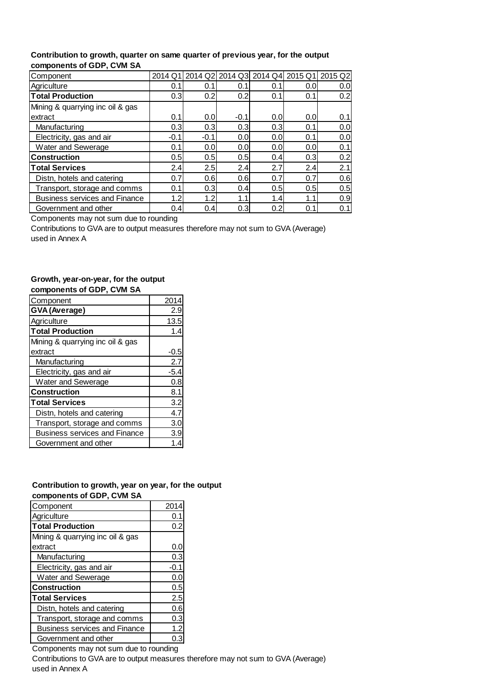#### **Contribution to growth, quarter on same quarter of previous year, for the output components of GDP, CVM SA**

| Component                            | 2014 Q1 |        |        | 2014 Q2 2014 Q3 2014 Q4 2015 Q1 2015 Q2 |                  |     |
|--------------------------------------|---------|--------|--------|-----------------------------------------|------------------|-----|
| Agriculture                          | 0.1     | 0.1    | 0.1    | 0.1                                     | 0.0              | 0.0 |
| <b>Total Production</b>              | 0.3     | 0.2    | 0.2    | 0.1                                     | 0.1              | 0.2 |
| Mining & quarrying inc oil & gas     |         |        |        |                                         |                  |     |
| extract                              | 0.1     | 0.0    | $-0.1$ | 0.0                                     | 0.0              | 0.1 |
| Manufacturing                        | 0.3     | 0.3    | 0.3    | 0.3                                     | 0.1              | 0.0 |
| Electricity, gas and air             | $-0.1$  | $-0.1$ | 0.0    | 0.0                                     | 0.1              | 0.0 |
| Water and Sewerage                   | 0.1     | 0.0    | 0.0    | 0.0                                     | 0.0              | 0.1 |
| <b>Construction</b>                  | 0.5     | 0.5    | 0.5    | 0.4                                     | 0.3 <sub>l</sub> | 0.2 |
| <b>Total Services</b>                | 2.4     | 2.5    | 2.4    | 2.7                                     | 2.4              | 2.1 |
| Distn, hotels and catering           | 0.7     | 0.6    | 0.6    | 0.7                                     | 0.7              | 0.6 |
| Transport, storage and comms         | 0.1     | 0.3    | 0.4    | 0.5                                     | 0.5              | 0.5 |
| <b>Business services and Finance</b> | 1.2     | 1.2    | 1.1    | 1.4                                     | 1.1              | 0.9 |
| Government and other                 | 0.4     | 0.4    | 0.3    | 0.2                                     | 0.1              | 0.1 |

Components may not sum due to rounding

Contributions to GVA are to output measures therefore may not sum to GVA (Average) used in Annex A

#### **Growth, year-on-year, for the output components of GDP, CVM SA**

| 2014 |
|------|
| 2.9  |
| 13.5 |
| 1.4  |
|      |
| -0.5 |
| 2.7  |
| -5.4 |
| 0.8  |
| 8.1  |
| 3.2  |
| 4.7  |
| 3.0  |
| 3.9  |
|      |
|      |

#### **Contribution to growth, year on year, for the output components of GDP, CVM SA**

| Component                            | 201  |
|--------------------------------------|------|
| Agriculture                          | 0.1  |
| <b>Total Production</b>              | 0.2  |
| Mining & quarrying inc oil & gas     |      |
| extract                              | 0.C  |
| Manufacturing                        | 0.3  |
| Electricity, gas and air             | -0.1 |
| Water and Sewerage                   | 0.0  |
| <b>Construction</b>                  | 0.5  |
| <b>Total Services</b>                | 2.5  |
| Distn, hotels and catering           | 0.6  |
| Transport, storage and comms         | 0.3  |
| <b>Business services and Finance</b> | 1.2  |
| Government and other                 |      |

Components may not sum due to rounding Contributions to GVA are to output measures therefore may not sum to GVA (Average) used in Annex A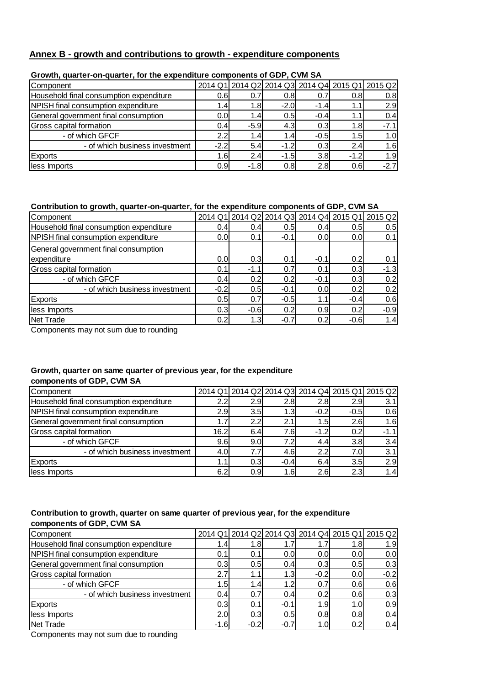#### **Annex B - growth and contributions to growth - expenditure components**

| Component                               |                  |                  |        |        |        | 2014 Q1 2014 Q2 2014 Q3 2014 Q4 2015 Q1 2015 Q2 |
|-----------------------------------------|------------------|------------------|--------|--------|--------|-------------------------------------------------|
| Household final consumption expenditure | 0.61             | 0.7              | 0.8    | 0.7    | 0.8    | 0.8                                             |
| NPISH final consumption expenditure     | $\mathbf{.4}$    | 1.8              | $-2.0$ | $-1.4$ |        | 2.9                                             |
| General government final consumption    | 0.0              | 1.4 <sub>l</sub> | 0.5    | $-0.4$ | 1.1    | 0.4                                             |
| Gross capital formation                 | 0.4              | $-5.9$           | 4.3    | 0.3    | 1.8    | $-7.1$                                          |
| - of which GFCF                         | 2.2 <sub>1</sub> | 1.4 <sub>l</sub> | 1.4    | $-0.5$ | 1.5    | 1.0                                             |
| - of which business investment          | $-2.2$           | 5.4              | $-1.2$ | 0.3    | 2.4    | 1.6                                             |
| <b>Exports</b>                          | 1.6I             | 2.4              | $-1.5$ | 3.8    | $-1.2$ | 1.9                                             |
| less Imports                            | 0.9              | $-1.8$           | 0.8    | 2.8    | 0.6    | $-2.7$                                          |

#### **Growth, quarter-on-quarter, for the expenditure components of GDP, CVM SA**

#### **Contribution to growth, quarter-on-quarter, for the expenditure components of GDP, CVM SA**

| Component                               |        |        |        |                  | 2014 Q1 2014 Q2 2014 Q3 2014 Q4 2015 Q1 | 2015 Q2 |
|-----------------------------------------|--------|--------|--------|------------------|-----------------------------------------|---------|
| Household final consumption expenditure | 0.4    | 0.4    | 0.5    | 0.4              | 0.5                                     | 0.5     |
| NPISH final consumption expenditure     | 0.0    | 0.1    | $-0.1$ | 0.0 <sub>l</sub> | 0.0                                     | 0.1     |
| General government final consumption    |        |        |        |                  |                                         |         |
| expenditure                             | 0.0    | 0.3    | 0.1    | $-0.1$           | 0.2                                     | 0.1     |
| Gross capital formation                 | 0.1    | $-1.1$ | 0.7    | 0.1              | 0.3                                     | $-1.3$  |
| - of which GFCF                         | 0.4    | 0.2    | 0.2    | $-0.1$           | 0.3                                     | 0.2     |
| - of which business investment          | $-0.2$ | 0.5    | $-0.1$ | 0.0              | 0.2                                     | 0.2     |
| <b>Exports</b>                          | 0.5    | 0.7    | $-0.5$ | 1.1              | $-0.4$                                  | 0.6     |
| less Imports                            | 0.3    | $-0.6$ | 0.2    | 0.9              | 0.2                                     | $-0.9$  |
| Net Trade                               | 0.2    | 1.3    | $-0.7$ | 0.2              | $-0.6$                                  | 1.4     |

Components may not sum due to rounding

#### **Growth, quarter on same quarter of previous year, for the expenditure components of GDP, CVM SA**

| Component                               |      |      |                  |                  |        | 2014 Q1 2014 Q2 2014 Q3 2014 Q4 2015 Q1 2015 Q2 |
|-----------------------------------------|------|------|------------------|------------------|--------|-------------------------------------------------|
| Household final consumption expenditure | 2.2  | 2.91 | 2.8              | 2.8 <sub>l</sub> | 2.9    | 3.1                                             |
| NPISH final consumption expenditure     | 2.91 | 3.5  | 1.3 <sub>l</sub> | $-0.2$           | $-0.5$ | 0.6                                             |
| General government final consumption    |      | 2.2  | 2.1              | 1.5I             | 2.6    | 1.6                                             |
| <b>Gross capital formation</b>          | 16.2 | 6.4  | 7.6              | $-1.2$           | 0.2    | $-1.1$                                          |
| - of which GFCF                         | 9.6  | 9.0  | 7.2              | 4.4              | 3.8    | 3.4                                             |
| - of which business investment          | 4.0  | 7.7  | 4.6              | 2.2              | 7.0    | 3.1                                             |
| <b>Exports</b>                          |      | 0.3  | $-0.4$           | 6.4              | 3.5    | 2.9                                             |
| less Imports                            | 6.2  | 0.9  | 1.6              | 2.6              | 2.3    | 1.4                                             |

#### **Contribution to growth, quarter on same quarter of previous year, for the expenditure components of GDP, CVM SA**

| Component                               |                  |                  |                  |                  | 2014 Q1 2014 Q2 2014 Q3 2014 Q4 2015 Q1 2015 Q2 |        |
|-----------------------------------------|------------------|------------------|------------------|------------------|-------------------------------------------------|--------|
| Household final consumption expenditure | 1.4 <sub>1</sub> | 1.8 <sub>l</sub> | 1.7              | 1.7 <sub>l</sub> | 1.8 <sub>l</sub>                                | 1.9    |
| NPISH final consumption expenditure     | 0.1              | 0.1              | 0.0              | 0.0 <sub>l</sub> | 0.0                                             | 0.0    |
| General government final consumption    | 0.3              | 0.5              | 0.4              | 0.3              | 0.5                                             | 0.3    |
| <b>Gross capital formation</b>          | 2.7              | 1.1              | 1.3 <sub>1</sub> | $-0.2$           | 0.0                                             | $-0.2$ |
| - of which GFCF                         | .5               | 1.4              | 1.2              | 0.7              | 0.6                                             | 0.6    |
| - of which business investment          | 0.4              | 0.7              | 0.4              | 0.2              | 0.6                                             | 0.3    |
| <b>Exports</b>                          | 0.3              | 0.1              | $-0.1$           | 1.9 <sub>l</sub> | 1.0                                             | 0.9    |
| less Imports                            | 2.0 <sub>l</sub> | 0.3              | 0.5              | 0.8              | 0.8                                             | 0.4    |
| Net Trade                               | -1.6             | $-0.2$           | $-0.7$           | 1.0 <sub>l</sub> | 0.2                                             | 0.4    |

Components may not sum due to rounding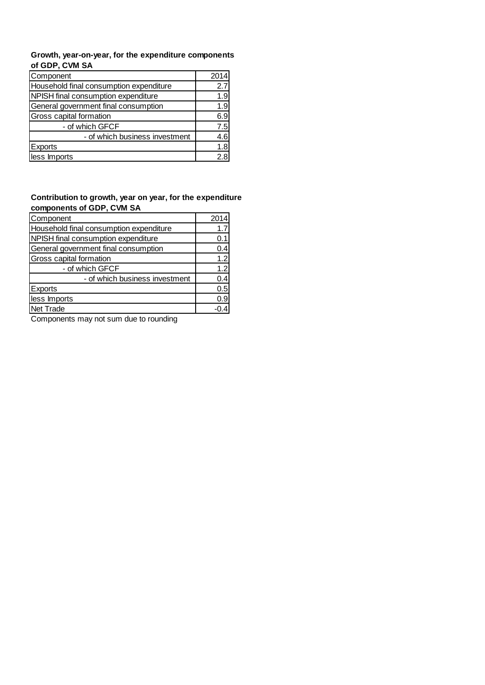#### **Growth, year-on-year, for the expenditure components of GDP, CVM SA**

| Component                               | 2014 |
|-----------------------------------------|------|
| Household final consumption expenditure | 2.7  |
| NPISH final consumption expenditure     | 1.9  |
| General government final consumption    | 1.9  |
| Gross capital formation                 | 6.9  |
| - of which GFCF                         | 7.5  |
| - of which business investment          | 4.6  |
| <b>Exports</b>                          | 1.8  |
| less Imports                            | 2.8  |

#### **Contribution to growth, year on year, for the expenditure components of GDP, CVM SA**

| Component                               | 2014 |
|-----------------------------------------|------|
| Household final consumption expenditure | 1.7  |
| NPISH final consumption expenditure     | 0.1  |
| General government final consumption    | 0.4  |
| Gross capital formation                 | 1.2  |
| - of which GFCF                         | 1.2  |
| - of which business investment          | 0.4  |
| <b>Exports</b>                          | 0.5  |
| less Imports                            | 0.9  |
| Net Trade                               |      |

Components may not sum due to rounding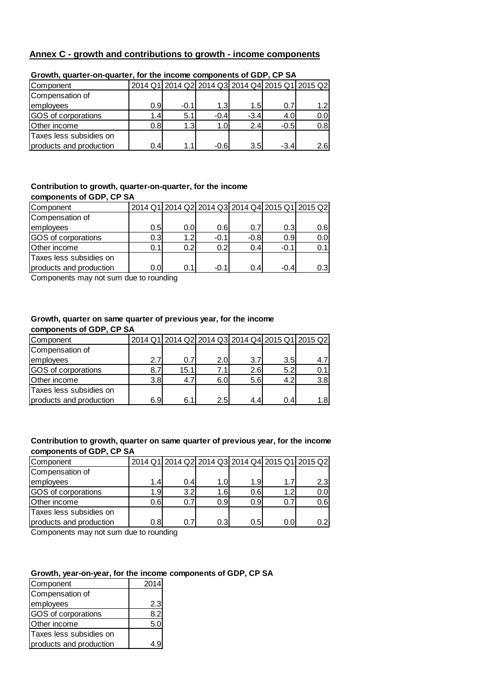#### **Annex C - growth and contributions to growth - income components**

| Component               |     |        |        |        |        | 2014 Q1 2014 Q2 2014 Q3 2014 Q4 2015 Q1 2015 Q2 |
|-------------------------|-----|--------|--------|--------|--------|-------------------------------------------------|
| Compensation of         |     |        |        |        |        |                                                 |
| employees               | 0.9 | $-0.1$ | 1.3    | 1.5    | 0.7    | 1.2 <sub>l</sub>                                |
| GOS of corporations     | 1.4 | 5.1    | $-0.4$ | $-3.4$ | 4.0    | 0.0                                             |
| Other income            | 0.8 | 1.3    | 1.0    | 2.4    | $-0.5$ | 0.8                                             |
| Taxes less subsidies on |     |        |        |        |        |                                                 |
| products and production | 0.4 | 1.1    | $-0.6$ | 3.5    | $-3.4$ | 2.6                                             |

#### **Growth, quarter-on-quarter, for the income components of GDP, CP SA**

#### **Contribution to growth, quarter-on-quarter, for the income components of GDP, CP SA**

| Component               |                  | 2014 Q1 2014 Q2 2014 Q3 2014 Q4 2015 Q1 2015 Q2 |        |        |                  |      |
|-------------------------|------------------|-------------------------------------------------|--------|--------|------------------|------|
| Compensation of         |                  |                                                 |        |        |                  |      |
| employees               | 0.5              | 0.0                                             | 0.6    | 0.7    | 0.3              | 0.6  |
| GOS of corporations     | 0.3 <sub>l</sub> | 1.2 <sub>l</sub>                                | $-0.1$ | $-0.8$ | 0.9 <sup>1</sup> | 0.0  |
| Other income            | 0.1              | 0.2                                             | 0.2    | 0.4    | $-0.1$           | 0.11 |
| Taxes less subsidies on |                  |                                                 |        |        |                  |      |
| products and production | 0.0              | 0.1                                             | $-0.1$ | 0.4    | $-0.4$           | 0.3  |

Components may not sum due to rounding

#### **Growth, quarter on same quarter of previous year, for the income components of GDP, CP SA**

| Component               |                  |      |      |               |     | 2014 Q1 2014 Q2 2014 Q3 2014 Q4 2015 Q1 2015 Q2 |
|-------------------------|------------------|------|------|---------------|-----|-------------------------------------------------|
| Compensation of         |                  |      |      |               |     |                                                 |
| employees               | 2.7 <sub>1</sub> | 0.7  | 2.0I | 3.7           | 3.5 |                                                 |
| GOS of corporations     | 8.7              | 15.1 | 7.1  | 2.6           | 5.2 |                                                 |
| Other income            | 3.8              | 4.7  | 6.0  | 5.6           | 4.2 | 3.8                                             |
| Taxes less subsidies on |                  |      |      |               |     |                                                 |
| products and production | 6.9 <sub>l</sub> | 6.1  | 2.5  | $4.4^{\circ}$ | 0.4 | 1.8l                                            |

#### **Contribution to growth, quarter on same quarter of previous year, for the income components of GDP, CP SA**

| Component               |                  |                  |      |     |     | 2014 Q1 2014 Q2 2014 Q3 2014 Q4 2015 Q1 2015 Q2 |
|-------------------------|------------------|------------------|------|-----|-----|-------------------------------------------------|
| Compensation of         |                  |                  |      |     |     |                                                 |
| employees               | 1.4              | 0.4              | 1.0  | 1.9 | 1.7 | 2.3 <sub>l</sub>                                |
| GOS of corporations     | 1.9 <sub>l</sub> | 3.2 <sub>l</sub> | 1.6I | 0.6 | 1.2 | 0.0                                             |
| Other income            | 0.6              | 0.7              | 0.9  | 0.9 | 0.7 | 0.6                                             |
| Taxes less subsidies on |                  |                  |      |     |     |                                                 |
| products and production | 0.8              | 0.7              | 0.3  | 0.5 | 0.0 | 0.2ı                                            |

Components may not sum due to rounding

#### **Growth, year-on-year, for the income components of GDP, CP SA**

| Component               | 2014 |
|-------------------------|------|
| Compensation of         |      |
| employees               | 2.3  |
| GOS of corporations     | 82   |
| Other income            | 5.0  |
| Taxes less subsidies on |      |
| products and production |      |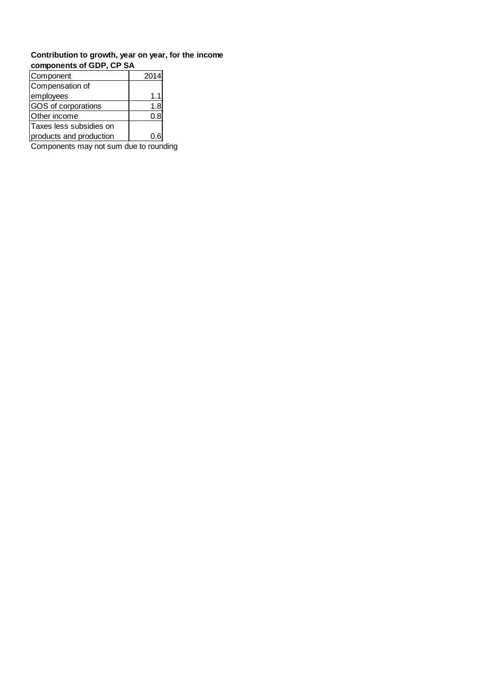#### **Contribution to growth, year on year, for the income components of GDP, CP SA**

| Component               | 2014 |
|-------------------------|------|
| Compensation of         |      |
| employees               | 1.1  |
| GOS of corporations     | 1.8  |
| Other income            | 0.8  |
| Taxes less subsidies on |      |
| products and production |      |

Components may not sum due to rounding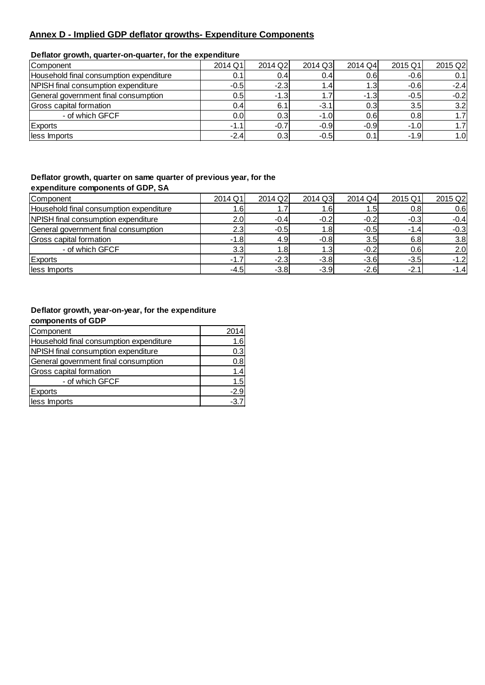#### **Annex D - Implied GDP deflator growths- Expenditure Components**

#### **Deflator growth, quarter-on-quarter, for the expenditure**

| Component                               | 2014 Q1          | 2014 Q2          | 2014 Q3 | 2014 Q4 | 2015 Q1          | 2015 Q2 |
|-----------------------------------------|------------------|------------------|---------|---------|------------------|---------|
| Household final consumption expenditure |                  | 0.4              | 0.4     | 0.6     | $-0.6$           | 0.1     |
| NPISH final consumption expenditure     | $-0.5$           | $-2.3$           | 1.4     | 1.3     | $-0.6$           | $-2.4$  |
| General government final consumption    | 0.5 <sub>l</sub> | $-1.3$           |         | $-1.3$  | $-0.5$           | $-0.2$  |
| Gross capital formation                 | 0.4              | 6.1              | $-3.1$  | 0.3     | 3.5 <sub>l</sub> | 3.2     |
| - of which GFCF                         | 0.0 <sub>l</sub> | 0.3'             | $-1.0$  | 0.6     | 0.8              | 1.7     |
| Exports                                 | $-1.1$           | $-0.7$           | $-0.9$  | $-0.9$  | $-1.0$           | 1.7     |
| less Imports                            | $-2.4$           | 0.3 <sub>l</sub> | $-0.5$  | 0.1     | $-1.9$           | 1.0     |

#### **Deflator growth, quarter on same quarter of previous year, for the expenditure components of GDP, SA**

| <b>Component</b>                        | 2014 Q1          | 2014 Q2          | 2014 Q3       | 2014 Q4 | 2015 Q1 | 2015 Q2 |
|-----------------------------------------|------------------|------------------|---------------|---------|---------|---------|
| Household final consumption expenditure | 1.6              | 1.7              | ا6،           | 1.5     | 0.8     | 0.6     |
| NPISH final consumption expenditure     | 2.0              | $-0.4$           | $-0.2$        | $-0.2$  | $-0.3$  | $-0.4$  |
| General government final consumption    | 2.3 <sub>l</sub> | $-0.5$           | $1.8^{\circ}$ | $-0.5$  | $-1.4$  | $-0.3$  |
| Gross capital formation                 | $-1.8$           | 4.9 <sub>l</sub> | $-0.8$        | 3.5     | 6.8     | 3.8     |
| - of which GFCF                         | 3.3 <sub>l</sub> | 1.8I             | 1.3           | $-0.2$  | 0.6     | 2.0     |
| Exports                                 | $-1.7$           | $-2.3$           | $-3.8$        | $-3.6$  | $-3.5$  | $-1.2$  |
| less Imports                            | $-4.5$           | $-3.8$           | $-3.9$        | $-2.6$  | $-2.1$  | $-1.4$  |

#### **Deflator growth, year-on-year, for the expenditure components of GDP**

| Component                               | 2014   |
|-----------------------------------------|--------|
| Household final consumption expenditure | 1.6    |
| NPISH final consumption expenditure     | 0.3    |
| General government final consumption    | 0.8    |
| <b>Gross capital formation</b>          | 1.4    |
| - of which GFCF                         | 1.5    |
| <b>Exports</b>                          | $-2.9$ |
| less Imports                            | $-3.7$ |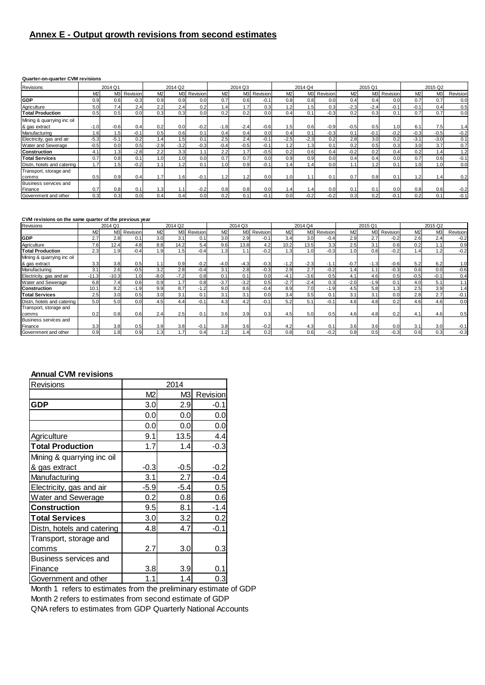#### **Annex E - Output growth revisions from second estimates**

#### **Quarter-on-quarter CVM revisions**

| Revisions                                   | 2014 Q1          |        |             | 2014 Q2 |        |                  | 2014 Q3 |                |          | 2014 Q4        |                  |             | 2015 Q1 |                  |                 | 2015 Q2          |        |          |
|---------------------------------------------|------------------|--------|-------------|---------|--------|------------------|---------|----------------|----------|----------------|------------------|-------------|---------|------------------|-----------------|------------------|--------|----------|
|                                             | M <sub>2</sub>   |        | M3 Revision | M2      |        | M3 Revision      | M2      | M <sub>3</sub> | Revision | M <sub>2</sub> |                  | M3 Revision | M2      |                  | M3 Revision     | M <sub>2</sub>   | M3     | Revision |
| <b>GDP</b>                                  | 0.9              | 0.6    | $-0.3$      | 0.9     | 0.9    | 0.0              | 0.7     | 0.6            | $-0.1$   | 0.8            | 0.8              | 0.0         | 0.4     | 0.4              | 0.0             | 0.7              | 0.7    | 0.0      |
| Agriculture                                 | 5.0              | 7.4    | 2.4         | 2.2     | 2.4    | 0.2              | 4.4     | 1.7            | 0.3      | 1.2            | 1.5              | 0.3         | $-2.3$  | $-2.4$           | $-0.1$          | $-0.1$           | 0.4    | 0.5      |
| <b>Total Production</b>                     | 0.5              | 0.5    | 0.0         | 0.3     | 0.3    | 0.0              | 0.2     | 0.2            | 0.0      | 0.4            | 0.1              | $-0.3$      | 0.2     | 0.3 <sup>1</sup> | 0.1             | 0.7              | 0.7    | 0.0      |
| Mining & quarrying inc oil<br>& gas extract | $-1.0$           | $-0.6$ | 0.4         | 0.2     | 0.0    | $-0.2$           | $-1.8$  | $-2.4$         | $-0.6$   | 1.5            | 0.6              | $-0.9$      | $-0.5$  | 0.5              |                 | 6.1              | 7.5    | 1.4      |
| Manufacturing                               | 1.6              | 1.5    | $-0.1$      | 0.5     | 0.6    | 0.1              | 0.4     | 0.4            | 0.0      | 0.4            | 0.1              | $-0.3$      | 0.1     | $-0.1$           | $-0.2$          | $-0.3$           | $-0.5$ | $-0.2$   |
| Electricity, gas and air                    | $-5.3$           | $-5.1$ | 0.2         | 1.4     | 1.5    | 0.1              | 2.5     | 2.4            | $-0.1$   | $-2.5$         | $-2.3$           | 0.2         | 2.8     | 3.0              | 0.2             | $-3.1$           | $-3.0$ | 0.1      |
| Water and Sewerage                          | $-0.5$           | 0.0    | 0.5         | $-2.9$  | $-3.2$ | $-0.3$           | $-0.4$  | $-0.5$         | $-0.1$   | 1.2            | 1.3              | 0.1         | 0.2     | 0.5              | 0.3             | 3.0 <sub>l</sub> | 3.7    | 0.7      |
| <b>Construction</b>                         | 4.1              | 1.3    | $-2.8$      | 2.2     | 3.3    | 1.1 <sub>1</sub> | 2.2     |                | $-0.5$   | 0.2            | 0.6              | 0.4         | $-0.2$  | 0.2              | 0.4             | 0.2              | 1.4    | 1.2      |
| <b>Total Services</b>                       | 0.7              | 0.8    | 0.1         | 1.0     | 1.0    | 0.0              | 0.7     | 0.7            | 0.0      | 0.9            | 0.9              | 0.0         | 0.4     | 0.4              | 0. <sub>C</sub> | 0.7              | 0.6    | $-0.1$   |
| Distn, hotels and catering                  | 1.7 <sub>1</sub> | 1.5    | $-0.2$      | 1.1     | 1.2    | 0.1              | 1.0     | 0.9            | $-0.1$   | .4             | 1.4              | 0.0         | 1.1     | 1.2              | 0.1             | 1.0              | 1.0    | 0.0      |
| Transport, storage and                      |                  |        |             |         |        |                  |         |                |          |                |                  |             |         |                  |                 |                  |        |          |
| comms                                       | 0.5              | 0.9    | 0.4         | 1.7     | 1.6    | $-0.1$           | 1.2     | $\cdot$ .2     | 0.0      | 1.0            | 1.1              | 0.1         | 0.7     | 0.8              | 0.1             | 1.2              | 1.4    | 0.2      |
| Business services and<br>Finance            | 0.7              | 0.8    | 0.1         | 1.3     | 1.1    | $-0.2$           | 0.8     | 0.8            | 0.0      | 41، ،          | 1.4 <sub>1</sub> | 0.0         | 0.1     | 0.1              | 0. <sub>C</sub> | 0.8              | 0.6    | $-0.2$   |
| Government and other                        | 0.3              | 0.3    | 0.0         | 0.4     | 0.4    | 0.0              | 0.2     | 0.1            | $-0.1$   | 0.0            | $-0.2$           | $-0.2$      | 0.3     | 0.2              | $-0.1$          | 0.2              | 0.1    | $-0.1$   |

#### **CVM revisions on the same quarter of the previous year**

| Revisions                  |                  | 2014 Q1 |             |                  | 2014 Q <sub>2</sub> |             |                  | 2014 Q3        |          |                | 2014 Q4 |                  |        | 2015 Q1 |             |        | 2015 Q2        |          |
|----------------------------|------------------|---------|-------------|------------------|---------------------|-------------|------------------|----------------|----------|----------------|---------|------------------|--------|---------|-------------|--------|----------------|----------|
|                            | M <sub>2</sub>   |         | M3 Revision | M2               |                     | M3 Revision | M2               | M <sub>3</sub> | Revision | M <sub>2</sub> |         | M3 Revision      | M2     |         | M3 Revision | M2     | M <sub>3</sub> | Revision |
| <b>GDP</b>                 | 2.7              | 2.8     | 0.1         | 3.0              | 3.1                 | 0.1         | 3.0              | 2.9            | $-0.1$   | 3.4            | 3.0     | $-0.4$           | 2.9    | 2.7     | $-0.2$      | 2.6    | 2.4            | $-0.2$   |
| Agriculture                | 7.6 <sub>1</sub> | 12.4    | 4.8         | 8.8              | 14.2                | 5.4         | 9.6              | 13.8           | 4.2      | 10.2           | 13.5    | 3.3 <sub>1</sub> | 2.5    | 3.1     | 0.6         | 0.2    | 1.1            | 0.9      |
| <b>Total Production</b>    | 2.3              | 1.9     | $-0.4$      | 1.9              | 1.5                 | $-0.4$      | 1.3 <sub>l</sub> |                | $-0.2$   | 1.31           | 1.0     | $-0.3$           | 1.0    | 0.8     | $-0.2$      | 1.4    | 1.2            | $-0.2$   |
| Mining & quarrying inc oil |                  |         |             |                  |                     |             |                  |                |          |                |         |                  |        |         |             |        |                |          |
| & gas extract              | 3.3              | 3.8     | 0.5         |                  | 0.9                 | $-0.2$      | $-4.0$           | $-4.3$         | $-0.3$   | $-1.2$         | $-2.3$  | $-1.1$           | $-0.7$ | $-1.3$  | $-0.6$      | 5.2    | 6.2            | 1.0      |
| Manufacturing              | 3.1              | 2.6     | $-0.5$      | 3.2 <sub>1</sub> | 2.8                 | $-0.4$      | 3.1              | 2.8            | $-0.3$   | 2.9            | 2.7     | $-0.2$           | 1.41   |         | $-0.3$      | 0.6    | 0.0            | $-0.6$   |
| Electricity, gas and air   | $-11.3$          | $-10.3$ | 1.0         | $-8.0$           | $-7.2$              | 0.8         | 0.1              | 0.1            | 0.0      | $-4.1$         | $-3.6$  | 0.5              | 4.1    | 4.6     | 0.5         | $-0.5$ | $-0.1$         | 0.4      |
| Water and Sewerage         | 6.8              | 7.4     | 0.6         | 0.9              | 1.7                 | 0.8         | $-3.7$           | $-3.2$         | 0.5      | $-2.7$         | $-2.4$  | 0.3              | $-2.0$ | $-1.9$  | 0.1         | 4.0    | 5.1            | 1.1      |
| Construction               | 10.1             | 8.2     | $-1.9$      | 9.9              | 8.7                 | $-1.2$      | 9.0              | 8.6            | $-0.4$   | 8.9            | 7.0     | $-1.9$           | 4.5    | 5.8     | 1.3         | 2.5    | 3.9            | 1.4      |
| <b>Total Services</b>      | 2.5              | 3.0     | 0.5         | 3.0              | 3.1                 | 0.1         | 3.1              | 3.1            | 0.0      | 3.4            | 3.5     | 0.1              | 3.1    | 3.1     | 0.0         | 2.8    | 2.7            | $-0.1$   |
| Distn, hotels and catering | 5.0              | 5.0     | 0.0         | 4.5              | 4.4                 | $-0.1$      | 4.3              | 4.2            | $-0.1$   | 5.2            | 5.1     | $-0.1$           | 4.6    | 4.8     | 0.2         | 4.6    | 4.6            | 0.0      |
| Transport, storage and     |                  |         |             |                  |                     |             |                  |                |          |                |         |                  |        |         |             |        |                |          |
| comms                      | 0.2              | 0.8     | 0.6         | 2.4              | 2.5                 | 0.1         | 3.6              | 3.9            | 0.3      | 4.5            | 5.0     | 0.5              | 4.6    | 4.8     | 0.2         | 4.1    | 4.6            | 0.5      |
| Business services and      |                  |         |             |                  |                     |             |                  |                |          |                |         |                  |        |         |             |        |                |          |
| Finance                    | 3.3              | 3.8     | 0.5         | 3.9              | 3.8                 | $-0.1$      | 3.8              | 3.6            | $-0.2$   | 4.2            | 4.3     | 0.1              | 3.6    | 3.6     | 0.0         | 3.1    | 3.0            | $-0.1$   |
| Government and other       | 0.9              | 1.8     | 0.9         | 1.3              | 1.7                 | 0.4         | 1.2              |                | 0.2      | 0.8            | 0.6     | $-0.2$           | 0.8    | 0.5     | $-0.3$      | 0.6    | 0.3            | $-0.3$   |

#### **Annual CVM revisions**

| Revisions                  |        | 2014   |          |
|----------------------------|--------|--------|----------|
|                            | M2     | M3l    | Revision |
| <b>GDP</b>                 | 3.0    | 2.9    | $-0.1$   |
|                            | 0.0    | 0.0    | 0.0      |
|                            | 0.0    | 0.0    | 0.0      |
| Agriculture                | 9.1    | 13.5   | 4.4      |
| <b>Total Production</b>    | 1.7    | 1.4    | $-0.3$   |
| Mining & quarrying inc oil |        |        |          |
| & gas extract              | $-0.3$ | $-0.5$ | $-0.2$   |
| Manufacturing              | 3.1    | 2.7    | $-0.4$   |
| Electricity, gas and air   | -5.9   | $-5.4$ | 0.5      |
| Water and Sewerage         | 0.2    | 0.8    | 0.6      |
| <b>Construction</b>        | 9.5    | 8.1    | $-1.4$   |
| <b>Total Services</b>      | 3.0    | 3.2    | 0.2      |
| Distn, hotels and catering | 4.8    | 4.7    | $-0.1$   |
| Transport, storage and     |        |        |          |
| comms                      | 2.7    | 3.0    | 0.3      |
| Business services and      |        |        |          |
| Finance                    | 3.8    | 3.9    | 0.1      |
| Government and other       | 1.1    | 1.4    | 0.3      |

Month 1 refers to estimates from the preliminary estimate of GDP Month 2 refers to estimates from second estimate of GDP QNA refers to estimates from GDP Quarterly National Accounts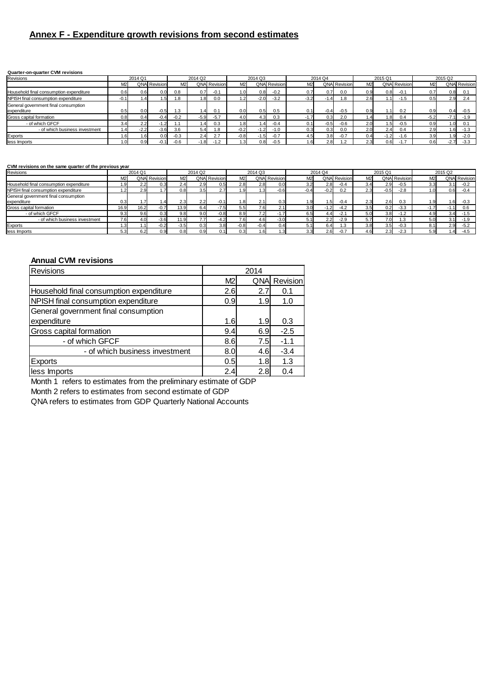#### **Annex F - Expenditure growth revisions from second estimates**

#### **Quarter-on-quarter CVM revisions**

| Revisions                               |                | 2014 Q1 |                     |                | 2014 Q2 |                     |                  | 2014 Q3 |                     |                | 2014 Q4 |                     |                  | 2015 Q1 |                     |                  | 2015 Q <sub>2</sub> |                     |
|-----------------------------------------|----------------|---------|---------------------|----------------|---------|---------------------|------------------|---------|---------------------|----------------|---------|---------------------|------------------|---------|---------------------|------------------|---------------------|---------------------|
|                                         | M <sub>2</sub> |         | <b>QNA Revision</b> | M <sub>2</sub> |         | <b>QNA</b> Revision | M <sub>2</sub>   |         | <b>QNA</b> Revision | M <sub>2</sub> |         | <b>QNA Revision</b> | M <sub>2</sub>   |         | <b>QNA</b> Revision | M <sub>2</sub>   |                     | <b>QNA</b> Revision |
| Household final consumption expenditure | 0.6            |         | 0.0                 | 0.8            | 0.71    | $-0.1$              |                  | 0.8     | $-0.2$              | 0.7            | 0.7     | 0.0                 | 0.9              | 0.8     | $-0.1$              | 0.7              | 0.8                 |                     |
| NPISH final consumption expenditure     | -0.1           |         | .5 <sub>1</sub>     | .8             | 1.8     | 0.0                 |                  | $-2.0$  | $-3.2$              | $-3.2$         | $-1.4$  | 1.8                 | 2.61             |         | 1.5                 | 0.5              | 2.9                 | <b>Z.4</b>          |
| General government final consumption    |                |         |                     |                |         |                     |                  |         |                     |                |         |                     |                  |         |                     |                  |                     |                     |
| expenditure                             | 0.5            |         | $-0.5$              | $\cdot$ 3      | 1.4     |                     | 0.0 <sub>l</sub> | 0.5     | 0.5                 |                | $-0.4$  | $-0.5$              | 0.9              |         | 0.2                 | 0.9 <sub>l</sub> | 0.4                 | $-0.5$              |
| Gross capital formation                 | 0.8            |         | 0.4                 | $-0.2$         | $-5.9$  | $-5.7$              |                  | 4.3     | 0.3                 |                | 0.3     | 2.0                 | 1.4              |         | 0.4                 | $-5.2$           |                     | $-1.9$              |
| - of which GFCF                         | 3.4            | ے.ے     | 1.2<br>÷            |                | ا4.،    | 0.3                 | .81              |         | $-0.4$              | 0.1I           | $-0.5$  | $-0.6$              | 2.0 <sub>1</sub> |         | $-0.5$              | 0.9 <sub>l</sub> |                     |                     |
| - of which business investment          | 4.4            | $-2.2$  | $-3.6$              | 3.6            | 5.4     | 1.8                 | $-0.2$           | $-1.2$  | $-1.0$              | 0.31           | 0.3     | 0.0                 | 2.0              | 2.4     | 0.4                 | 2.9              |                     | $-1.3$              |
| Exports                                 | .6             |         | 0.0                 | $-0.3$         | 2.4     | 2.7                 | $-0.8$           | $-1.5$  | $-0.7$              | 4.5            | 3.8     | $-0.7$              | 0.4              |         | $-1.6$              | 3.9              |                     | $-2.0$              |
| less Imports                            | l.OI           |         |                     | $-0.6$         | $-1.8$  |                     |                  | 0.8     | $-0.5$              | 1.6            | 2.8     |                     | 2.3              | 0.6     |                     | 0.6              | $-2.7$              | $-3.3$              |

#### **CVM revisions on the same quarter of the previous year**

| Revisions                               |                | 2014 Q1 |                     |                  | 2014 Q2 |                     |                | 2014 Q3 |                     |                  | 2014 Q4 |                     |                  | 2015 Q1  |                     |                | 2015 Q2 |                     |
|-----------------------------------------|----------------|---------|---------------------|------------------|---------|---------------------|----------------|---------|---------------------|------------------|---------|---------------------|------------------|----------|---------------------|----------------|---------|---------------------|
|                                         | M <sub>2</sub> |         | <b>QNA</b> Revision | M <sub>2</sub>   |         | <b>QNA</b> Revision | M <sub>2</sub> |         | <b>QNA</b> Revision | M <sub>2</sub>   |         | <b>QNA Revision</b> | M <sub>2</sub>   |          | <b>QNA</b> Revision | M <sub>2</sub> |         | <b>QNA</b> Revision |
| Household final consumption expenditure | 1.9            | 2.2     | 0.3                 | 2.4              | 2.9     | 0.5                 | 2.8            | 2.8     | O.C                 | 3.2              | 2.8     | $-0.4$              | 3.4              | 2.9      | $-0.5$              | 3.3            |         | $-0.2$              |
| NPISH final consumption expenditure     |                | 2.9     |                     | 0.8 <sub>l</sub> | 3.5     | 2.7 <sub>1</sub>    | 1.9            |         | $-0.6$              | $-0.4$           | $-0.2$  | 0.2                 | 2.3              | $-0.5$   | $-2.8$              |                | J.61    | $-0.4$              |
| General government final consumption    |                |         |                     |                  |         |                     |                |         |                     |                  |         |                     |                  |          |                     |                |         |                     |
| expenditure                             | 0.3            |         | $.4^{\circ}$        | 2.3 <sub>l</sub> | 2.2     | $-0.1$              | 1.8            | 2.1     | 0.3                 | ا 9. ا           | 1.5     | $-0.4$              | 2.3              | 2.6      | 0.3                 |                | . 6۱    | $-0.3$              |
| Gross capital formation                 | 16.9           | 16.2    | $-0.7$              | 13.9             | 6.41    | $-7.5$              | 5.5            | 7.6     | <u></u>             | 3.0 <sub>l</sub> | $-1.2$  | $-4.2$              | 3.5 <sub>l</sub> | 0.2      | $-3.3$              |                |         | 0.6                 |
| - of which GFCF                         | 9.3            | 9.6     | U.J                 | 9.8              | 9.0     | $-0.8$              | 8.9            | 7.2     |                     | 6.5              | 4.4I    | $-2.1$              | 5.0              | 3.8      | $-1.2$              |                |         |                     |
| - of which business investment          | 7.61           | 4.0     | $-3.6$              | 11.9             |         | $-4.2$              | 7.6            | 4.6     | $-3.0$              | 5.1              | 2.2     | $-2.9$              | 5.7              |          | 1.3                 |                |         | $-1.9$              |
| Exports                                 | 1.3            |         | $-0.2$              | $-3.5$           | 2.3     | 3.8                 | $-0.8$         | $-0.4$  | 0.4                 | 5.1              | 6.4     | 1.3                 | 3.8              | 3.5      | $-0.3$              |                | 2.9     | $-5.2$              |
| less Imports                            | 5.3            |         |                     | 0.8              | 0.9     | 0.1                 | 0.3            | 1.6     |                     | 3.3              | 2.6     | $-0.7$              | 4.6              | ົ<br>2.3 | $-2.3$              |                | . 41    | $-4.5$              |

#### **Annual CVM revisions**

| Revisions                               |                | 2014 |          |
|-----------------------------------------|----------------|------|----------|
|                                         | M <sub>2</sub> | QNAI | Revision |
| Household final consumption expenditure | 2.6            | 2.7  | 0.1      |
| NPISH final consumption expenditure     | 0.9            | 1.9  | 1.0      |
| General government final consumption    |                |      |          |
| expenditure                             | 1.6            | 1.9  | 0.3      |
| Gross capital formation                 | 9.4            | 6.9  | $-2.5$   |
| - of which GFCF                         | 8.6            | 7.5  | $-1.1$   |
| - of which business investment          | 8.0            | 4.6  | $-3.4$   |
| <b>Exports</b>                          | 0.5            | 1.8  | 1.3      |
| less Imports                            | 2.4            | 2.8  | 0.4      |

Month 1 refers to estimates from the preliminary estimate of GDP

Month 2 refers to estimates from second estimate of GDP

QNA refers to estimates from GDP Quarterly National Accounts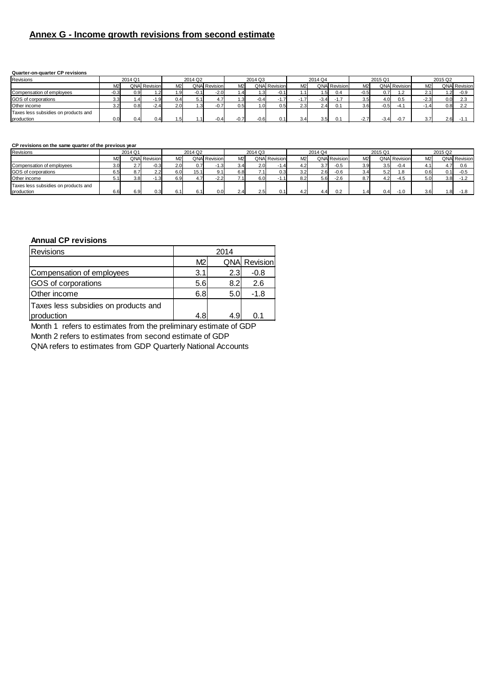#### **Annex G - Income growth revisions from second estimate**

#### **Quarter-on-quarter CP revisions**

| Revisions                            |     | 2014 Q1 |                     |                | 2014 Q2 |                     |      | 2014 Q3 |                     |                | 2014 Q4          |                     |                  | 2015 Q1        |                     |        | 2015 Q2 |                     |
|--------------------------------------|-----|---------|---------------------|----------------|---------|---------------------|------|---------|---------------------|----------------|------------------|---------------------|------------------|----------------|---------------------|--------|---------|---------------------|
|                                      |     |         | <b>QNA Revision</b> | M <sub>2</sub> |         | <b>QNA Revision</b> | M2   |         | <b>QNA</b> Revision | M <sub>2</sub> |                  | <b>QNA Revision</b> | M <sub>2</sub>   |                | <b>QNA Revision</b> | M2     |         | <b>QNA</b> Revision |
| Compensation of employees            | U.J | 0.9     | 1.2 <sub>l</sub>    |                | $-0.1$  | $-2.0$              |      |         |                     | l.1            |                  | 0.4                 | $-0.5$           | 0.7            | 1.2                 | 2.1    | l.2l    | $-0.9$              |
| GOS of corporations                  |     | 1.4     | 1.9                 | 0.4            | 5.1     |                     | 1.31 | -0.4    | $\mathbf{L}$        |                | -3.4             |                     | 3.5 <sub>1</sub> | 4.0            | 0.5                 | $-2.3$ | 0.0     |                     |
| Other income                         |     | 0.8     | $-2.4$              |                |         |                     | 0.5I |         | 0.5                 | 2.3            | 2.4 <sub>1</sub> |                     | 3.6              | $-0.5$         | $-4.$               |        | 0.8     | $\sim$ $\sim$       |
| Taxes less subsidies on products and |     |         |                     |                |         |                     |      |         |                     |                |                  |                     |                  |                |                     |        |         |                     |
| production                           | 0.0 | 0.4     | 0.4                 |                |         |                     |      | $-0.6$  | 0.1                 | 3.4            | 35.              |                     |                  | $\sim$<br>-3.4 |                     | 3.7    | 2.6     |                     |

#### **CP revisions on the same quarter of the previous year**

| Revisions                                          |                  | 2014 Q1 |                     |                | 2014 Q2 |                     |                  | 2014 Q3          |                     |                | 2014 Q4 |                     |                  | 2015 Q1          |                     |                  | 2015 Q2 |                     |
|----------------------------------------------------|------------------|---------|---------------------|----------------|---------|---------------------|------------------|------------------|---------------------|----------------|---------|---------------------|------------------|------------------|---------------------|------------------|---------|---------------------|
|                                                    | M2               |         | <b>QNA</b> Revision | M <sub>2</sub> |         | <b>QNA Revision</b> | M <sub>2</sub>   |                  | <b>QNA</b> Revision | M <sub>2</sub> |         | <b>QNA</b> Revision | M <sub>2</sub>   |                  | <b>QNA Revision</b> | M <sub>2</sub>   |         | <b>QNA</b> Revision |
| Compensation of employees                          | 3.0 <sub>1</sub> | 2.7     | $-0.3$              | 2.0            | 0.7     | 1.3 <sup>1</sup>    | 3.4              | 2.0              | $-1.4$              |                | 3.7     | $-0.5$              | 3.9 <sub>l</sub> | 3.5 <sub>1</sub> | $-0.4$              |                  |         | 0.6                 |
| GOS of corporations                                | 6.5              | 8.7     | 2.2                 | 6.0            | 15.1    | Q <sub>1</sub>      | 6.8              | 7.1 <sub>1</sub> | 0.3                 | 3.2            | 2.6     | $-0.6$              | 3.4              | らっ               | 1.8                 | 0.6              |         | $-0.5$              |
| Other income                                       | 5.1              | 3.8     |                     | 6.91           | 4.7     | $-2.2$              |                  | 6.0              |                     | 8.2            | 5.6     | $-2.6$              |                  | $\sim$           | $-4.5$              | 5.0 <sub>l</sub> | 3.8     | $-1.2$              |
| Taxes less subsidies on products and<br>production |                  | 6.9     | 0.3                 |                |         | 0.0                 | 2.4 <sub>1</sub> | 2.5 <sub>1</sub> |                     | 4.2            |         |                     |                  |                  |                     | 3.6              |         |                     |
|                                                    | 6.6              |         |                     |                | 6.1     |                     |                  |                  | 0.1                 |                | 4.4     | 0.2                 |                  |                  |                     |                  | .81     | $-1.8$              |

#### **Annual CP revisions**

| <b>Revisions</b>                     |                | 2014             |                     |
|--------------------------------------|----------------|------------------|---------------------|
|                                      | M <sub>2</sub> |                  | <b>QNA</b> Revision |
| Compensation of employees            | 3.1            | 2.3 <sub>l</sub> | $-0.8$              |
| <b>GOS</b> of corporations           | 5.6            | 8.2              | 2.6                 |
| Other income                         | 6.8            | 5.0              | $-1.8$              |
| Taxes less subsidies on products and |                |                  |                     |
| production                           | 4.8            | 4.9              | 0.1                 |

Month 1 refers to estimates from the preliminary estimate of GDP

Month 2 refers to estimates from second estimate of GDP

QNA refers to estimates from GDP Quarterly National Accounts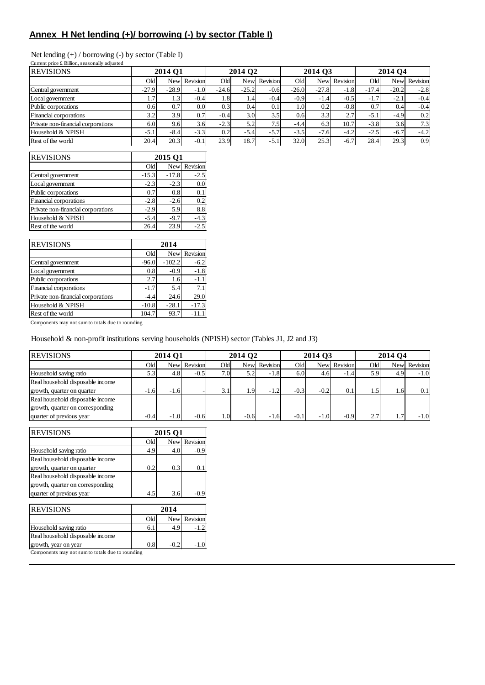#### **Annex H Net lending (+)/ borrowing (-) by sector (Table I)**

| Net lending $(+)$ / borrowing $(-)$ by sector (Table I) |  |  |  |  |  |  |  |
|---------------------------------------------------------|--|--|--|--|--|--|--|
|---------------------------------------------------------|--|--|--|--|--|--|--|

| Current price £ Billion, seasonally adjusted |         |            |                  |         |                  |          |         |         |          |         |                     |          |
|----------------------------------------------|---------|------------|------------------|---------|------------------|----------|---------|---------|----------|---------|---------------------|----------|
| <b>REVISIONS</b>                             |         | 2014 Q1    |                  |         | 2014 Q2          |          |         | 2014 03 |          |         | 2014 O <sub>4</sub> |          |
|                                              | Old     | <b>New</b> | Revision         | Old     | <b>New</b>       | Revision | Old     | New     | Revision | Old     | <b>New</b>          | Revision |
| Central government                           | $-27.9$ | $-28.9$    | $-1.0$           | $-24.6$ | $-25.2$          | $-0.6$   | $-26.0$ | $-27.8$ | $-1.8$   | $-17.4$ | $-20.2$             | $-2.8$   |
| Local government                             | 1.1     | 1.3'       | $-0.4$           | 1.8     | $1.4^{\circ}$    | $-0.4$   | $-0.9$  | $-1.4$  | $-0.5$   | $-1.7$  | $-2.1$              | $-0.4$   |
| Public corporations                          | 0.6     | 0.7        | 0.0 <sub>l</sub> | 0.3     | 0.4              | 0.1      | 1.0     | 0.2     | $-0.8$   | 0.7     | 0.4                 | $-0.4$   |
| Financial corporations                       | 3.2     | 3.9        | 0.7 <sup>1</sup> | $-0.4$  | 3.0 <sub>l</sub> | 3.5      | 0.6     | 3.3     | 2.7      | $-5.1$  | $-4.9$              | 0.2      |
| Private non-financial corporations           | 6.0     | 9.6        | 3.6              | $-2.3$  | 5.2              | 7.5      | $-4.4$  | 6.3     | 10.7     | $-3.8$  | 3.6 <sub>l</sub>    | 7.3      |
| Household & NPISH                            | $-5.1$  | $-8.4$     | $-3.3$           | 0.2     | $-5.4$           | $-5.7$   | $-3.5$  | $-7.6$  | $-4.2$   | $-2.5$  | $-6.7$              | $-4.2$   |
| Rest of the world                            | 20.4    | 20.3       | $-0.1$           | 23.9    | 18.7             | $-5.1$   | 32.0    | 25.3    | $-6.7$   | 28.4    | 29.3                | 0.9      |

| <b>REVISIONS</b>                   |         | 2015 O1    |          |
|------------------------------------|---------|------------|----------|
|                                    | Old     | <b>New</b> | Revision |
| Central government                 | $-15.3$ | $-17.8$    | $-2.5$   |
| Local government                   | $-2.3$  | $-2.3$     | 0.0      |
| Public corporations                | 0.7     | 0.8        | 0.1      |
| Financial corporations             | $-2.8$  | $-2.6$     | 0.2      |
| Private non-financial corporations | $-2.9$  | 5.9        | 8.8      |
| Household & NPISH                  | $-5.4$  | $-9.7$     | $-4.3$   |
| Rest of the world                  | 26.4    | 23.9       | $-2.5$   |

| <b>REVISIONS</b>                   |                 | 2014     |              |
|------------------------------------|-----------------|----------|--------------|
|                                    | Q <sub>ld</sub> |          | New Revision |
| Central government                 | $-96.0$         | $-102.2$ | $-6.2$       |
| Local government                   | 0.8             | $-0.9$   | $-1.8$       |
| Public corporations                | 2.7             | 1.6      | $-1.1$       |
| Financial corporations             | $-1.7$          | 5.4      | 7.1          |
| Private non-financial corporations | $-4.4$          | 24.6     | 29.0         |
| Household & NPISH                  | $-10.8$         | $-28.1$  | $-17.3$      |
| Rest of the world                  | 104.7           | 93.7     | $-11.1$      |

Components may not sum to totals due to rounding

Household & non-profit institutions serving households (NPISH) sector (Tables J1, J2 and J3)

| <b>REVISIONS</b>                 | 2014 Q1 |        | 2014 Q <sub>2</sub> |                  |        | 2014 Q3      |        |        | 2014 Q4      |     |      |               |
|----------------------------------|---------|--------|---------------------|------------------|--------|--------------|--------|--------|--------------|-----|------|---------------|
|                                  | Old     |        | New Revision        | Old              |        | New Revision | Old    |        | New Revision | Old |      | Newl Revision |
| Household saving ratio           |         | 4.8    | $-0.5$              | 7.0 <sub>l</sub> | 5.21   | $-1.8$       | 6.0    | 4.61   | $-1.4$       | 5.9 | 4.9  | $-1.0$        |
| Real household disposable income |         |        |                     |                  |        |              |        |        |              |     |      |               |
| growth, quarter on quarter       | $-1.6$  | $-1.6$ |                     | 3.1              | 1.9    | $-1.2$       | $-0.3$ | $-0.2$ | 0.1          | 1.5 | . 61 | 0.1           |
| Real household disposable income |         |        |                     |                  |        |              |        |        |              |     |      |               |
| growth, quarter on corresponding |         |        |                     |                  |        |              |        |        |              |     |      |               |
| quarter of previous year         | $-0.4$  | $-1.0$ | $-0.6$              |                  | $-0.6$ | $-1.6$       | $-0.1$ | $-1.0$ | $-0.9$       | 2.7 |      | $-1.0$        |

| <b>REVISIONS</b>                 |     | 2015 O1    |          |  |  |  |  |
|----------------------------------|-----|------------|----------|--|--|--|--|
|                                  | Old | <b>New</b> | Revision |  |  |  |  |
| Household saving ratio           | 4.9 | 4.C        | $-0.9$   |  |  |  |  |
| Real household disposable income |     |            |          |  |  |  |  |
| growth, quarter on quarter       | 0.2 | 0.3        | 0.1      |  |  |  |  |
| Real household disposable income |     |            |          |  |  |  |  |
| growth, quarter on corresponding |     |            |          |  |  |  |  |
| quarter of previous year         | 4.5 | 3.6        |          |  |  |  |  |
|                                  |     |            |          |  |  |  |  |

| <b>REVISIONS</b>                                 |     | 2014   |              |  |  |  |  |  |  |
|--------------------------------------------------|-----|--------|--------------|--|--|--|--|--|--|
|                                                  | Old |        | New Revision |  |  |  |  |  |  |
| Household saving ratio                           | b   | 4.9    | $-1.2$       |  |  |  |  |  |  |
| Real household disposable income                 |     |        |              |  |  |  |  |  |  |
| growth, year on year                             | 0.8 | $-0.2$ | -1.0         |  |  |  |  |  |  |
| Components may not sum to totals due to rounding |     |        |              |  |  |  |  |  |  |

Components may not sum to totals due to rounding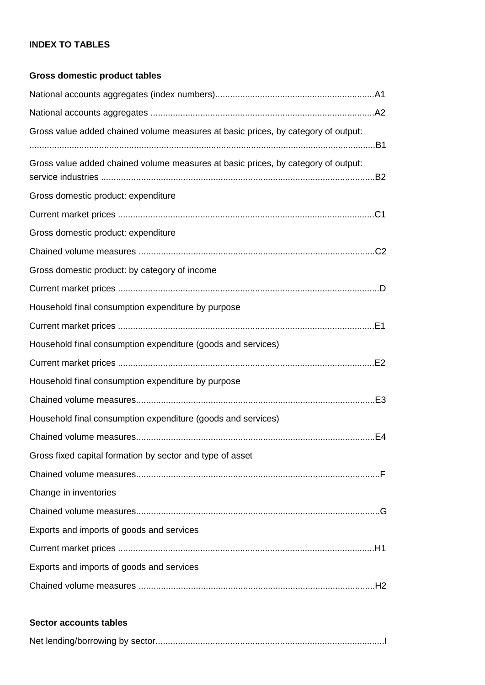#### **INDEX TO TABLES**

#### **Gross domestic product tables**

| Gross value added chained volume measures at basic prices, by category of output: |  |
|-----------------------------------------------------------------------------------|--|
| Gross value added chained volume measures at basic prices, by category of output: |  |
| Gross domestic product: expenditure                                               |  |
|                                                                                   |  |
| Gross domestic product: expenditure                                               |  |
|                                                                                   |  |
| Gross domestic product: by category of income                                     |  |
|                                                                                   |  |
| Household final consumption expenditure by purpose                                |  |
|                                                                                   |  |
| Household final consumption expenditure (goods and services)                      |  |
|                                                                                   |  |
| Household final consumption expenditure by purpose                                |  |
|                                                                                   |  |
| Household final consumption expenditure (goods and services)                      |  |
|                                                                                   |  |
| Gross fixed capital formation by sector and type of asset                         |  |
|                                                                                   |  |
| Change in inventories                                                             |  |
|                                                                                   |  |
| Exports and imports of goods and services                                         |  |
|                                                                                   |  |
| Exports and imports of goods and services                                         |  |
|                                                                                   |  |

#### **Sector accounts tables**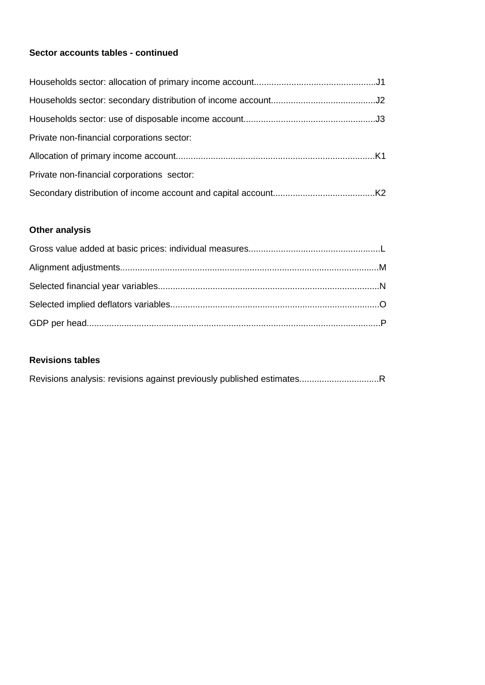#### **Sector accounts tables - continued**

| Private non-financial corporations sector: |  |
|--------------------------------------------|--|
|                                            |  |
| Private non-financial corporations sector: |  |
|                                            |  |

#### **Other analysis**

#### **Revisions tables**

|--|--|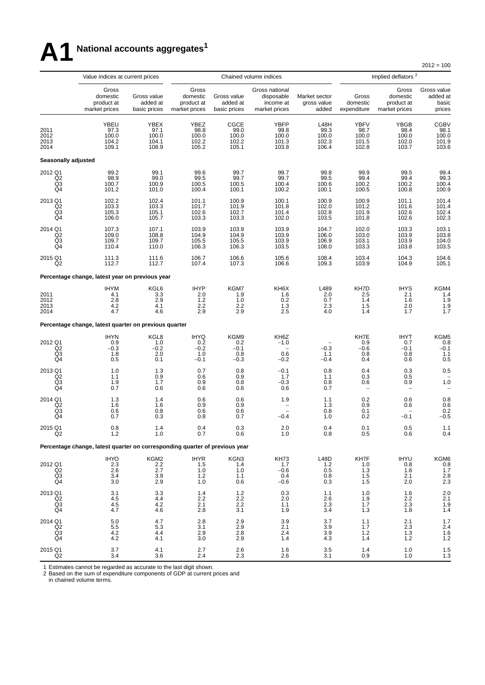## **A1 National accounts aggregates<sup>1</sup>**

 $2012 = 100$ 

|                                                                            | Value indices at current prices                                             |                                         |                                                  |                                         | Chained volume indices                                     |                                         |                                                | Implied deflators <sup>2</sup>                   |                                                 |
|----------------------------------------------------------------------------|-----------------------------------------------------------------------------|-----------------------------------------|--------------------------------------------------|-----------------------------------------|------------------------------------------------------------|-----------------------------------------|------------------------------------------------|--------------------------------------------------|-------------------------------------------------|
|                                                                            | Gross<br>domestic<br>product at<br>market prices                            | Gross value<br>added at<br>basic prices | Gross<br>domestic<br>product at<br>market prices | Gross value<br>added at<br>basic prices | Gross national<br>disposable<br>income at<br>market prices | Market sector<br>gross value<br>added   | Gross<br>domestic<br>expenditure               | Gross<br>domestic<br>product at<br>market prices | Gross value<br>added at<br>basic<br>prices      |
| 2011<br>2012<br>2013<br>2014                                               | YBEU<br>97.3<br>100.0<br>104.2<br>109.1                                     | YBEX<br>97.1<br>100.0<br>104.1<br>108.9 | YBEZ<br>98.8<br>100.0<br>102.2<br>105.2          | CGCE<br>99.0<br>100.0<br>102.2<br>105.1 | YBFP<br>99.8<br>100.0<br>101.3<br>103.8                    | L48H<br>99.3<br>100.0<br>102.3<br>106.4 | <b>YBFV</b><br>98.7<br>100.0<br>101.5<br>102.8 | YBGB<br>98.4<br>100.0<br>102.0<br>103.7          | CGBV<br>98.1<br>100.0<br>101.9<br>103.6         |
| Seasonally adjusted                                                        |                                                                             |                                         |                                                  |                                         |                                                            |                                         |                                                |                                                  |                                                 |
| 2012 Q1<br>Q2<br>$^{Q3}_{Q4}$                                              | 99.2<br>98.9<br>100.7<br>101.2                                              | 99.1<br>99.0<br>100.9<br>101.0          | 99.6<br>99.5<br>100.5<br>100.4                   | 99.7<br>99.7<br>100.5<br>100.1          | 99.7<br>99.7<br>100.4<br>100.2                             | 99.8<br>99.5<br>100.6<br>100.1          | 99.9<br>99.4<br>100.2<br>100.5                 | 99.5<br>99.4<br>100.2<br>100.8                   | 99.4<br>99.3<br>100.4<br>100.9                  |
| 2013 Q1<br>Q <sub>2</sub><br>Q3<br>Q4                                      | 102.2<br>103.3<br>105.3<br>106.0                                            | 102.4<br>103.3<br>105.1<br>105.7        | 101.1<br>101.7<br>102.6<br>103.3                 | 100.9<br>101.9<br>102.7<br>103.3        | 100.1<br>101.8<br>101.4<br>102.0                           | 100.9<br>102.0<br>102.8<br>103.5        | 100.9<br>101.2<br>101.9<br>101.8               | 101.1<br>101.6<br>102.6<br>102.6                 | 101.4<br>101.4<br>102.4<br>102.3                |
| 2014 Q1<br>Q2<br>Q3<br>Q <sub>4</sub>                                      | 107.3<br>109.0<br>109.7<br>110.4                                            | 107.1<br>108.8<br>109.7<br>110.0        | 103.9<br>104.9<br>105.5<br>106.3                 | 103.9<br>104.9<br>105.5<br>106.3        | 103.9<br>103.9<br>103.9<br>103.5                           | 104.7<br>106.0<br>106.9<br>108.0        | 102.0<br>103.0<br>103.1<br>103.3               | 103.3<br>103.9<br>103.9<br>103.8                 | 103.1<br>103.8<br>104.0<br>103.5                |
| 2015 Q1<br>Q2                                                              | 111.3<br>112.7                                                              | 111.6<br>112.7                          | 106.7<br>107.4                                   | 106.6<br>107.3                          | 105.6<br>106.6                                             | 108.4<br>109.3                          | 103.4<br>103.9                                 | 104.3<br>104.9                                   | 104.6<br>105.1                                  |
|                                                                            | Percentage change, latest year on previous year                             |                                         |                                                  |                                         |                                                            |                                         |                                                |                                                  |                                                 |
| 2011<br>2012<br>2013<br>2014                                               | <b>IHYM</b><br>4.1<br>2.8<br>4.2<br>4.7                                     | KGL6<br>3.3<br>2.9<br>4.1<br>4.6        | <b>IHYP</b><br>2.0<br>1.2<br>2.2<br>2.9          | KGM7<br>1.9<br>1.0<br>2.2<br>2.9        | KH6X<br>1.6<br>0.2<br>1.3<br>2.5                           | L489<br>2.0<br>0.7<br>2.3<br>4.0        | KH7D<br>2.5<br>1.4<br>1.5<br>1.4               | <b>IHYS</b><br>2.1<br>1.6<br>2.0<br>1.7          | KGM4<br>1.4<br>1.9<br>1.9<br>1.7                |
|                                                                            | Percentage change, latest quarter on previous quarter                       |                                         |                                                  |                                         |                                                            |                                         |                                                |                                                  |                                                 |
| 2012 Q1<br>Q2<br>Q3<br>Q4                                                  | <b>IHYN</b><br>0.9<br>$-0.3$<br>1.8<br>0.5                                  | KGL8<br>1.0<br>$-0.2$<br>2.0<br>0.1     | <b>IHYQ</b><br>0.2<br>$-0.2$<br>1.0<br>$-0.1$    | KGM9<br>0.2<br>$-0.1$<br>0.8<br>$-0.3$  | KH6Z<br>$-1.0$<br>0.6<br>$-0.2$                            | $-0.3$<br>1.1<br>$-0.4$                 | KH7E<br>0.9<br>$-0.6$<br>0.8<br>0.4            | <b>IHYT</b><br>0.7<br>$-0.1$<br>0.8<br>0.6       | KGM5<br>0.8<br>$-0.1$<br>1.1<br>0.5             |
| 2013 Q1<br>Q2<br>$^{Q3}_{Q4}$                                              | 1.0<br>1.1<br>1.9<br>0.7                                                    | 1.3<br>0.9<br>1.7<br>0.6                | 0.7<br>0.6<br>0.9<br>0.6                         | 0.8<br>0.9<br>0.8<br>0.6                | $-0.1$<br>1.7<br>$-0.3$<br>0.6                             | 0.8<br>1.1<br>0.8<br>0.7                | 0.4<br>0.3<br>0.6<br>$\overline{\phantom{0}}$  | 0.3<br>0.5<br>0.9                                | 0.5<br>1.0                                      |
| 2014 Q1<br>$\overline{Q}2$<br>Q <sub>3</sub><br>Q4                         | 1.3<br>1.6<br>0.6<br>0.7                                                    | 1.4<br>1.6<br>0.8<br>0.3                | 0.6<br>0.9<br>0.6<br>0.8                         | 0.6<br>0.9<br>0.6<br>0.7                | 1.9<br>$-0.4$                                              | 1.1<br>1.3<br>0.8<br>1.0                | $\substack{0.2\\0.9}$<br>0.1<br>0.2            | 0.6<br>0.6<br>$-0.1$                             | $0.8$<br>$0.6$<br>0.2<br>$-0.5$                 |
| 2015 Q1<br>Q2                                                              | 0.8<br>1.2                                                                  | 1.4<br>1.0                              | 0.4<br>0.7                                       | 0.3<br>0.6                              | 2.0<br>1.0                                                 | 0.4<br>0.8                              | 0.1<br>0.5                                     | 0.5<br>0.6                                       | 1.1<br>0.4                                      |
|                                                                            | Percentage change, latest quarter on corresponding quarter of previous year |                                         |                                                  |                                         |                                                            |                                         |                                                |                                                  |                                                 |
| 2012 Q1<br>$\begin{array}{c} \bar{Q}2 \\ \bar{Q}3 \\ \bar{Q}4 \end{array}$ | <b>IHYO</b><br>2.3<br>$\frac{2.6}{3.4}$<br>3.0                              | KGM2<br>2.2<br>$\frac{2.7}{3.9}$<br>2.9 | <b>IHYR</b><br>1.5<br>$1.0$<br>$1.2$<br>1.0      | KGN3<br>1.4<br>1.0<br>1.1<br>0.6        | KH73<br>1.7<br>$-0.6$<br>0.4<br>$-0.6$                     | L48D<br>1.2<br>0.5<br>0.8<br>0.3        | KH7F<br>1.0<br>$\frac{1.3}{1.5}$<br>1.5        | <b>IHYU</b><br>0.8<br>$\frac{1.6}{2.1}$<br>2.0   | KGM6<br>$0.\overline{8}$<br>$1.7$<br>2.8<br>2.3 |
| 2013 Q1<br>Q2<br>$^{Q3}_{Q4}$                                              | 3.1<br>4.5<br>$\frac{4.5}{4.7}$                                             | 3.3<br>4.4<br>$^{4.2}_{4.6}$            | 1.4<br>2.2<br>2.1<br>2.8                         | 1.2<br>2.2<br>2.2<br>3.1                | 0.3<br>2.0<br>1.1<br>1.9                                   | 1.1<br>2.6<br>$\frac{2.3}{3.4}$         | 1.0<br>1.9<br>$\frac{1.7}{1.3}$                | 1.6<br>2.2<br>$\frac{2.3}{1.8}$                  | 2.0<br>2.1<br>1.9<br>1.4                        |
| 2014 Q1<br>Q2<br>Q <sub>3</sub><br>Q4                                      | $\begin{array}{c} 5.0 \\ 5.5 \end{array}$<br>4.2<br>4.2                     | $\frac{4.7}{5.3}$<br>4.4<br>4.1         | $\frac{2.8}{3.1}$<br>2.9<br>3.0                  | $^{2.9}_{2.9}$<br>2.8<br>2.9            | $\frac{3.9}{2.1}$<br>2.4<br>1.4                            | $\frac{3.7}{3.9}$<br>3.9<br>4.3         | $1.1$<br>$1.7$<br>1.2<br>1.4                   | $^{2.1}_{2.3}$<br>1.3<br>1.2                     | $\frac{1.7}{2.4}$<br>1.6<br>1.2                 |
| 2015 Q1<br>Q2                                                              | 3.7<br>3.4                                                                  | 4.1<br>3.6                              | 2.7<br>2.4                                       | 2.6<br>2.3                              | 1.6<br>2.6                                                 | 3.5<br>3.1                              | 1.4<br>0.9                                     | $1.0$<br>1.0                                     | 1.5<br>1.3                                      |

1 Estimates cannot be regarded as accurate to the last digit shown.

2 Based on the sum of expenditure components of GDP at current prices and

in chained volume terms.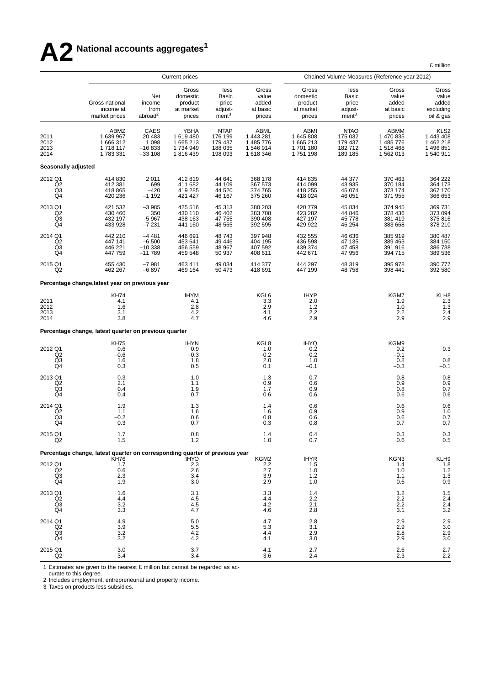# **A2 National accounts aggregates<sup>1</sup>**

£ million

|                                       |                                                                             |                                                   | <b>Current prices</b>                               |                                                               | Chained Volume Measures (Reference year 2012)          |                                                     |                                                        |                                                          |                                                                    |  |
|---------------------------------------|-----------------------------------------------------------------------------|---------------------------------------------------|-----------------------------------------------------|---------------------------------------------------------------|--------------------------------------------------------|-----------------------------------------------------|--------------------------------------------------------|----------------------------------------------------------|--------------------------------------------------------------------|--|
|                                       | Gross national<br>income at<br>market prices                                | Net<br>income<br>from<br>abroad <sup>2</sup>      | Gross<br>domestic<br>product<br>at market<br>prices | less<br><b>Basic</b><br>price<br>adjust-<br>ment <sup>3</sup> | Gross<br>value<br>added<br>at basic<br>prices          | Gross<br>domestic<br>product<br>at market<br>prices | less<br>Basic<br>price<br>adjust-<br>ment <sup>3</sup> | Gross<br>value<br>added<br>at basic<br>prices            | Gross<br>value<br>added<br>excluding<br>oil & gas                  |  |
| 2011<br>2012<br>2013<br>2014          | ABMZ<br>1 639 967<br>1 666 312<br>1718117<br>1783331                        | CAES<br>20 483<br>1 0 9 8<br>$-16833$<br>$-33108$ | YBHA<br>1619480<br>1 665 213<br>1734949<br>1816439  | <b>NTAP</b><br>176 199<br>179 437<br>188 035<br>198 093       | ABML<br>1 443 281<br>1 485 776<br>1546914<br>1 618 346 | ABMI<br>1645808<br>1665213<br>1701180<br>1751198    | <b>NTAO</b><br>175 032<br>179 437<br>182712<br>189 185 | ABMM<br>1 470 835<br>1 485 776<br>1 518 468<br>1 562 013 | KLS <sub>2</sub><br>1 443 408<br>1 462 218<br>1496851<br>1 540 911 |  |
| <b>Seasonally adjusted</b>            |                                                                             |                                                   |                                                     |                                                               |                                                        |                                                     |                                                        |                                                          |                                                                    |  |
| 2012 Q1<br>Q2<br>Q3<br>Q4             | 414 830<br>412 381<br>418 865<br>420 236                                    | 2011<br>699<br>$-420$<br>$-1192$                  | 412819<br>411 682<br>419 285<br>421 427             | 44 641<br>44 109<br>44 520<br>46 167                          | 368 178<br>367 573<br>374 765<br>375 260               | 414 835<br>414 099<br>418 255<br>418 024            | 44 377<br>43 935<br>45 074<br>46 051                   | 370 463<br>370 184<br>373 174<br>371 955                 | 364 222<br>364 173<br>367 170<br>366 653                           |  |
| 2013 Q1<br>Q <sub>2</sub><br>Q3<br>Q4 | 421 532<br>430 460<br>432 197<br>433 928                                    | $-3985$<br>350<br>$-5967$<br>$-7231$              | 425 516<br>430 110<br>438 163<br>441 160            | 45 313<br>46 402<br>47 755<br>48 5 65                         | 380 203<br>383 708<br>390 408<br>392 595               | 420 779<br>423 282<br>427 197<br>429 922            | 45 834<br>44 846<br>45 778<br>46 254                   | 374 945<br>378 436<br>381 419<br>383 668                 | 369 731<br>373 094<br>375 816<br>378 210                           |  |
| 2014 Q1<br>Q2<br>Q3<br>Q4             | 442 210<br>447 141<br>446 221<br>447 759                                    | $-4481$<br>$-6500$<br>$-10338$<br>$-11789$        | 446 691<br>453 641<br>456 559<br>459 548            | 48743<br>49 44 6<br>48 967<br>50 937                          | 397 948<br>404 195<br>407 592<br>408 611               | 432 555<br>436 598<br>439 374<br>442 671            | 46 636<br>47 135<br>47 458<br>47 956                   | 385 919<br>389 463<br>391 916<br>394 715                 | 380 487<br>384 150<br>386 738<br>389 536                           |  |
| 2015 Q1<br>Q2                         | 455 430<br>462 267                                                          | $-7981$<br>$-6897$                                | 463 411<br>469 164                                  | 49 0 34<br>50 473                                             | 414 377<br>418 691                                     | 444 297<br>447 199                                  | 48 319<br>48758                                        | 395 978<br>398 441                                       | 390 777<br>392 580                                                 |  |
|                                       | Percentage change, latest year on previous year                             |                                                   |                                                     |                                                               |                                                        |                                                     |                                                        |                                                          |                                                                    |  |
| 2011<br>2012<br>2013<br>2014          | <b>KH74</b><br>4.1<br>1.6<br>3.1<br>3.8                                     |                                                   | <b>IHYM</b><br>4.1<br>2.8<br>4.2<br>4.7             |                                                               | KGL6<br>3.3<br>2.9<br>4.1<br>4.6                       | <b>IHYP</b><br>2.0<br>$1.2$<br>2.2<br>2.9           |                                                        | KGM7<br>1.9<br>1.0<br>2.2<br>2.9                         | KLH8<br>$^{2.3}_{1.3}$<br>2.4<br>2.9                               |  |
|                                       | Percentage change, latest quarter on previous quarter                       |                                                   |                                                     |                                                               |                                                        |                                                     |                                                        |                                                          |                                                                    |  |
| 2012 Q1<br>$^{Q2}_{Q3}$<br>Q4         | <b>KH75</b><br>0.6<br>$-0.6$<br>1.6<br>0.3                                  |                                                   | <b>IHYN</b><br>0.9<br>$-0.3$<br>1.8<br>0.5          |                                                               | KGL8<br>1.0<br>$-0.2$<br>2.0<br>0.1                    | <b>IHYQ</b><br>0.2<br>$-0.2$<br>1.0<br>$-0.1$       |                                                        | KGM9<br>0.2<br>$-0.1$<br>0.8<br>$-0.3$                   | 0.3<br>0.8<br>$-0.1$                                               |  |
| 2013 Q1<br>Q <sub>2</sub><br>Q3<br>Q4 | 0.3<br>2.1<br>0.4<br>0.4                                                    |                                                   | 1.0<br>1.1<br>1.9<br>0.7                            |                                                               | 1.3<br>0.9<br>1.7<br>0.6                               | 0.7<br>0.6<br>0.9<br>0.6                            |                                                        | 0.8<br>0.9<br>0.8<br>0.6                                 | $\begin{array}{c} 0.8 \\ 0.9 \end{array}$<br>0.7<br>0.6            |  |
| 2014 Q1<br>Q <sub>2</sub><br>Q3<br>Q4 | 1.9<br>1.1<br>$-0.2$<br>0.3                                                 |                                                   | 1.3<br>1.6<br>0.6<br>0.7                            |                                                               | 1.4<br>1.6<br>0.8<br>0.3                               | 0.6<br>0.9<br>0.6<br>0.8                            |                                                        | 0.6<br>0.9<br>0.6<br>0.7                                 | 0.6<br>$\begin{array}{c} 1.0 \\ 0.7 \end{array}$<br>0.7            |  |
| 2015 Q1<br>Q <sub>2</sub>             | 1.7<br>1.5                                                                  |                                                   | $0.8\,$<br>$1.2$                                    |                                                               | 1.4<br>1.0                                             | 0.4<br>0.7                                          |                                                        | 0.3<br>0.6                                               | 0.3<br>0.5                                                         |  |
|                                       | Percentage change, latest quarter on corresponding quarter of previous year |                                                   |                                                     |                                                               |                                                        |                                                     |                                                        | KGN3                                                     |                                                                    |  |
| 2012 Q1<br>$_{\rm Q3}^{\rm Q2}$<br>Q4 | KH76<br>1.7<br>0.6<br>2.3<br>1.9                                            |                                                   | <b>IHYO</b><br>$^{2.3}_{2.6}$<br>3.4<br>3.0         |                                                               | KGM2<br>2.2<br>2.7<br>3.9<br>2.9                       | <b>IHYR</b><br>1.5<br>1.0<br>1.2<br>1.0             |                                                        | 1.4<br>1.0<br>1.1<br>0.6                                 | KLH9<br>$\frac{1.8}{1.2}$<br>1.3<br>0.9                            |  |
| 2013 Q1<br>Q <sub>2</sub><br>Q3<br>Q4 | 1.6<br>4.4<br>3.2<br>3.3                                                    |                                                   | 3.1<br>4.5<br>4.5<br>4.7                            |                                                               | 3.3<br>4.4<br>4.2<br>4.6                               | 1.4<br>2.2<br>2.1<br>2.8                            |                                                        | 1.2<br>2.2<br>2.2<br>3.1                                 | 1.5<br>$2.4$<br>$2.4$<br>$3.2$                                     |  |
| 2014 Q1<br>Q2<br>Q3<br>Q4             | 4.9<br>3.9<br>3.2<br>3.2                                                    |                                                   | 5.0<br>5.5<br>4.2<br>4.2                            |                                                               | 4.7<br>5.3<br>4.4<br>4.1                               | 2.8<br>3.1<br>2.9<br>3.0                            |                                                        | 2.9<br>2.9<br>2.8<br>2.9                                 | $\frac{2.9}{3.0}$<br>2.9<br>3.0                                    |  |
| 2015 Q1<br>Q <sub>2</sub>             | 3.0<br>3.4                                                                  |                                                   | 3.7<br>3.4                                          |                                                               | 4.1<br>3.6                                             | 2.7<br>2.4                                          |                                                        | 2.6<br>2.3                                               | $^{2.7}_{2.2}$                                                     |  |

1 Estimates are given to the nearest £ million but cannot be regarded as ac-

curate to this degree.

2 Includes employment, entrepreneurial and property income.

3 Taxes on products less subsidies.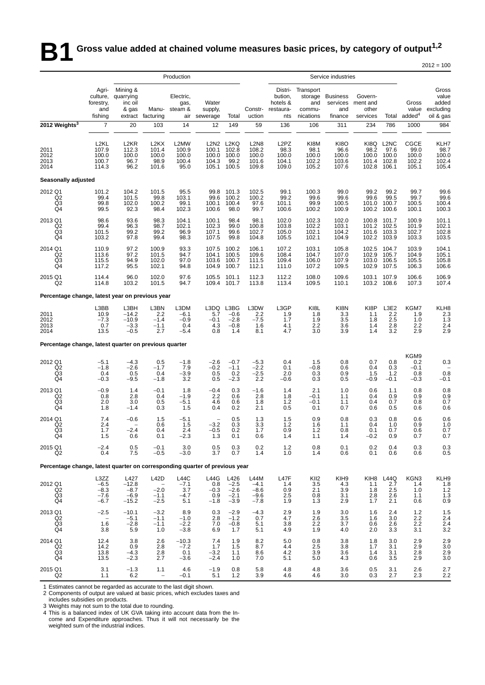### **B1** Gross value added at chained volume measures basic prices, by category of output<sup>1,2</sup>

| Production<br>Service industries<br>Agri-<br>Mining &<br>Distri-<br>Transport<br>Gross<br>value<br>culture,<br>quarrying<br>Electric,<br>bution,<br><b>Business</b><br>Govern-<br>storage<br>Water<br>added<br>forestry,<br>inc oil<br>hotels &<br>services<br>ment and<br>Gross<br>gas,<br>and<br>excluding<br>other<br>value<br>and<br>& gas<br>Manu-<br>steam &<br>supply,<br>Constr-<br>restaura-<br>and<br>commu-<br>added <sup>4</sup><br>uction<br>oil & gas<br>fishing<br>facturing<br>Total<br>nications<br>finance<br>services<br>Total<br>extract<br>air sewerage<br>nts<br>2012 Weights <sup>3</sup><br>$\overline{7}$<br>20<br>14<br>59<br>136<br>311<br>786<br>103<br>12<br>149<br>106<br>234<br>1000<br>984<br>L2KL<br>L2MW<br>L2N2 L2KQ<br>L <sub>2</sub> N <sub>8</sub><br>L <sub>2</sub> PZ<br>KI8M<br>KI8O<br>KI8Q<br>L <sub>2</sub> N <sub>C</sub><br><b>CGCE</b><br>KLH7<br>L <sub>2</sub> KR<br>L <sub>2</sub> KX<br>107.9<br>98.2<br>99.0<br>98.7<br>100.0<br>2011<br>112.3<br>101.4<br>100.9<br>100.1<br>102.8<br>108.2<br>98.3<br>98.1<br>96.6<br>97.6<br>2012<br>100.0<br>100.0<br>100.0<br>100.0<br>100.0<br>100.0<br>100.0<br>100.0<br>100.0<br>100.0<br>100.0<br>100.0<br>100.0<br>102.4<br>100.7<br>98.9<br>104.3<br>101.6<br>102.2<br>2013<br>96.7<br>100.4<br>99.2<br>104.1<br>103.6<br>101.4<br>102.8<br>102.2<br>105.4<br>114.3<br>96.2<br>95.0<br>109.8<br>105.2<br>2014<br>101.6<br>105.1<br>100.5<br>109.0<br>107.6<br>102.8<br>106.1<br>105.1<br><b>Seasonally adjusted</b><br>2012 Q1<br>101.5<br>95.5<br>101.3<br>102.5<br>99.1<br>99.0<br>99.2<br>99.2<br>99.7<br>99.6<br>101.2<br>104.2<br>99.8<br>100.3<br>99.4<br>101.5<br>103.1<br>100.2<br>99.2<br>99.6<br>99.6<br>99.6<br>99.5<br>99.7<br>99.6<br>Q2<br>99.8<br>99.6<br>100.2<br>Q <sub>3</sub><br>97.6<br>100.5<br>100.4<br>99.8<br>102.0<br>100.2<br>99.1<br>100.4<br>99.9<br>100.7<br>100.5<br>100.1<br>101.1<br>101.0<br>Q4<br>92.3<br>102.3<br>100.6<br>100.2<br>100.3<br>99.5<br>98.4<br>100.6<br>98.0<br>99.7<br>100.9<br>100.2<br>100.6<br>100.1<br>2013 Q1<br>98.6<br>93.6<br>98.4<br>101.1<br>98.3<br>104.1<br>100.1<br>98.1<br>102.0<br>102.3<br>102.0<br>100.8<br>101.7<br>100.9<br>99.4<br>96.3<br>98.7<br>102.1<br>99.0<br>102.2<br>103.1<br>101.2<br>102.1<br>Q2<br>102.3<br>100.8<br>103.8<br>102.5<br>101.9<br>Q3<br>102.1<br>102.8<br>101.5<br>99.2<br>99.2<br>96.9<br>107.1<br>99.6<br>102.7<br>105.0<br>104.2<br>101.6<br>103.3<br>102.7<br>103.5<br>97.8<br>104.9<br>Q4<br>103.2<br>99.4<br>98.3<br>107.5<br>99.8<br>104.8<br>105.5<br>102.1<br>102.2<br>103.9<br>103.3<br>97.2<br>104.1<br>2014 Q1<br>110.9<br>100.9<br>93.3<br>107.5<br>100.2<br>106.1<br>107.2<br>103.1<br>105.8<br>102.5<br>104.7<br>103.9<br>97.2<br>104.7<br>107.0<br>102.9<br>105.7<br>105.1<br>Q2<br>113.6<br>101.5<br>94.7<br>100.5<br>109.6<br>108.4<br>104.9<br>104.1<br>105.8<br>Q3<br>115.5<br>94.9<br>102.0<br>97.0<br>111.5<br>106.0<br>107.9<br>105.5<br>103.6<br>100.7<br>109.4<br>103.0<br>106.5<br>Q4<br>100.7<br>112.1<br>106.6<br>117.2<br>95.5<br>102.1<br>94.8<br>104.9<br>111.0<br>107.2<br>109.5<br>102.9<br>107.5<br>106.3<br>2015 Q1<br>114.4<br>96.0<br>102.0<br>97.6<br>105.5<br>112.2<br>108.0<br>109.6<br>103.1<br>106.6<br>106.9<br>101.1<br>112.3<br>107.9<br>107.4<br>Q2<br>114.8<br>103.2<br>101.5<br>94.7<br>109.4<br>101.7<br>113.8<br>113.4<br>109.5<br>110.1<br>103.2<br>108.6<br>107.3<br>Percentage change, latest year on previous year<br>L3BG<br>L3DW<br>L3GP<br>KI8P<br>L3E2<br>KGM7<br>L3BB<br>L3BH<br>L3BN<br>L3DM<br>L3DQ<br>KI8L<br>KI8N<br>KLH8<br>2.2<br>1.9<br>1.8<br>3.3<br>2.2<br>2.3<br>2011<br>10.9<br>$-14.2$<br>2.2<br>$-6.1$<br>5.7<br>$-0.6$<br>1.1<br>1.9<br>$\overline{1.3}$<br>2.5<br>$-10.9$<br>$-7.5$<br>3.5<br>2012<br>$-7.3$<br>$-1.4$<br>$-0.9$<br>$-0.1$<br>$-2.8$<br>1.7<br>1.9<br>1.8<br>1.0<br>2.4<br>2.8<br>0.7<br>$-3.3$<br>$-1.1$<br>1.6<br>2.2<br>3.6<br>2.2<br>2013<br>0.4<br>4.3<br>$-0.8$<br>4.1<br>1.4<br>2.9<br>2014<br>$-0.5$<br>2.7<br>3.0<br>3.9<br>3.2<br>13.5<br>$-5.4$<br>0.8<br>1.4<br>8.1<br>4.7<br>1.4<br>2.9<br>Percentage change, latest quarter on previous quarter<br>KGM9<br>0.8<br>0.2<br>2012 Q1<br>$-4.3$<br>0.5<br>$-5.3$<br>1.5<br>0.8<br>0.7<br>0.3<br>$-5.1$<br>$-1.8$<br>$-2.6$<br>$-0.7$<br>0.4<br>$-2.6$<br>Q <sub>2</sub><br>$-1.8$<br>$-1.7$<br>7.9<br>$-0.2$<br>$-2.2$<br>0.1<br>0.6<br>0.4<br>$-1.1$<br>$-0.8$<br>0.3<br>$-0.1$<br>0.8<br>Q3<br>0.4<br>0.5<br>0.4<br>$-3.9$<br>0.5<br>0.2<br>$-2.5$<br>2.0<br>0.3<br>0.9<br>1.5<br>1.2<br>0.8<br>3.2<br>2.2<br>0.5<br>$-0.1$<br>Q4<br>$-9.5$<br>0.5<br>$-2.3$<br>0.3<br>$-0.9$<br>$-0.1$<br>$-0.3$<br>$-1.8$<br>$-0.6$<br>$-0.3$<br>2013 Q1<br>1.4<br>1.8<br>$-0.4$<br>0.8<br>0.8<br>$-0.9$<br>$-0.1$<br>0.3<br>$-1.6$<br>1.4<br>2.1<br>1.0<br>0.6<br>1.1<br>0.9<br>Q2<br>0.8<br>2.8<br>$-1.9$<br>2.2<br>2.8<br>1.8<br>1.1<br>0.9<br>0.9<br>0.4<br>0.6<br>$-0.1$<br>0.4<br>2.0<br>1.2<br>Q3<br>3.0<br>0.5<br>$-5.1$<br>0.6<br>1.8<br>$-0.1$<br>1.1<br>0.4<br>0.7<br>0.8<br>0.7<br>4.6<br>Q4<br>0.4<br>0.2<br>0.7<br>0.6<br>1.8<br>$-1.4$<br>0.3<br>1.5<br>2.1<br>0.5<br>0.1<br>0.6<br>0.5<br>0.6<br>2014 Q1<br>7.4<br>$-0.6$<br>$-5.1$<br>0.5<br>1.5<br>0.9<br>0.8<br>0.3<br>0.8<br>0.6<br>0.6<br>1.5<br>1.3<br>-3.2<br>1.5<br>0.3<br>3.3<br>1.2<br>1.0<br>0.9<br>Q2<br>2.4<br>0.6<br>1.6<br>1.1<br>0.4<br>1.0<br>$1.7\,$<br>$-2.4$<br>Q3<br>0.4<br>2.4<br>1.7<br>0.9<br>1.2<br>0.8<br>0.1<br>0.7<br>0.6<br>$-0.5$<br>0.2<br>Q4<br>0.6<br>1.5<br>0.1<br>$-2.3$<br>0.6<br>1.4<br>1.1<br>1.4<br>$-0.2$<br>0.9<br>0.7<br>1.3<br>0.1<br>2015 Q1<br>$-2.4$<br>0.5<br>0.5<br>0.3<br>0.2<br>1.2<br>0.8<br>0.2<br>0.4<br>0.3<br>0.3<br>$-0.1$<br>3.0<br>0.1<br>7.5<br>Q <sub>2</sub><br>0.4<br>$-0.5$<br>$-3.0$<br>3.7<br>0.7<br>1.4<br>1.0<br>1.4<br>0.6<br>0.1<br>0.6<br>0.6<br>0.5<br>Percentage change, latest quarter on corresponding quarter of previous year<br>L47F<br>KIH9<br>L44Q<br>KGN3<br>KLH9<br>L3ZZ<br>L427<br>L42D<br>L44C<br>L44G<br>L426<br>L44M<br>KII <sub>2</sub><br>KIH8<br>$1.\overline{8}$<br>2012 Q1<br>$-6.5$<br>$-7.1$<br>$-2.5$<br>1.4<br>3.5<br>4.3<br>2.7<br>$-12.8$<br>0.8<br>$-4.1$<br>1.1<br>1.4<br>$^{Q2}_{Q3}$<br>$-8.3$<br>$-8.7$<br>$-2.0$<br>3.7<br>$-0.3$<br>$-2.6$<br>$-8.6$<br>0.9<br>2.1<br>3.9<br>2.5<br>1.8<br>1.0<br>$-7.6$<br>0.9<br>2.5<br>3.1<br>2.6<br>$-6.9$<br>$-1.1$<br>$-4.7$<br>$-2.1$<br>$-9.6$<br>0.8<br>2.8<br>1.1<br>0.9<br>Q4<br>1.9<br>1.3<br>2.9<br>2.1<br>$-6.7$<br>$-15.2$<br>$-2.5$<br>$-1.8$<br>$-3.9$<br>$-7.8$<br>1.7<br>5.1<br>0.6<br>2013 Q1<br>1.2<br>$-2.5$<br>$-10.1$<br>$-3.2$<br>8.9<br>$-2.9$<br>$-4.3$<br>2.9<br>1.9<br>3.0<br>2.4<br>1.5<br>0.3<br>1.6<br>4.7<br>3.5<br>2.4<br>Q2<br>$-1.0$<br>2.8<br>$-1.2$<br>2.6<br>3.0<br>2.2<br>$-5.1$<br>$-1.1$<br>0.7<br>1.6<br>$\qquad \qquad -$<br>$^{Q3}_{Q4}$<br>1.6<br>$-2.8$<br>$-2.2$<br>3.8<br>2.2<br>3.7<br>2.2<br>$-1.1$<br>7.0<br>$-0.8$<br>5.1<br>0.6<br>2.6<br>$-3.8$<br>6.9<br>4.9<br>1.9<br>4.0<br>3.3<br>3.8<br>5.9<br>1.0<br>1.7<br>5.1<br>2.0<br>3.1<br>2014 Q1<br>3.8<br>5.0<br>$^{2.9}_{2.9}$<br>$\frac{2.9}{3.0}$<br>12.4<br>2.6<br>$-10.3$<br>1.9<br>8.2<br>0.8<br>3.8<br>1.8<br>3.0<br>7.4<br>3.8<br>2.5<br>3.1<br>Q <sub>2</sub><br>0.9<br>2.8<br>$-7.2$<br>1.7<br>1.5<br>8.7<br>4.4<br>1.7<br>14.2<br>$-4.3$<br>2.9<br>2.8<br>$-3.2$<br>4.2<br>3.6<br>2.8<br>Q3<br>13.8<br>8.6<br>3.9<br>3.1<br>0.1<br>1.1<br>1.4<br>Q4<br>3.0<br>13.5<br>$-2.3$<br>$-2.4$<br>5.0<br>4.3<br>2.7<br>$-3.6$<br>1.0<br>5.1<br>0.6<br>3.5<br>2.9<br>7.0<br>2015 Q1<br>3.1<br>$-1.3$<br>4.6<br>4.8<br>3.6<br>0.5<br>2.6<br>1.1<br>$-1.9$<br>0.8<br>5.8<br>4.8<br>3.1<br>2.7<br>Q2<br>1.1<br>6.2<br>5.1<br>$1.2$<br>3.9<br>4.6<br>4.6<br>3.0<br>0.3<br>2.7<br>2.3<br>$-0.1$<br>$\overline{\phantom{a}}$ |  |  |  |  |  |  |  | $2012 = 100$      |
|---------------------------------------------------------------------------------------------------------------------------------------------------------------------------------------------------------------------------------------------------------------------------------------------------------------------------------------------------------------------------------------------------------------------------------------------------------------------------------------------------------------------------------------------------------------------------------------------------------------------------------------------------------------------------------------------------------------------------------------------------------------------------------------------------------------------------------------------------------------------------------------------------------------------------------------------------------------------------------------------------------------------------------------------------------------------------------------------------------------------------------------------------------------------------------------------------------------------------------------------------------------------------------------------------------------------------------------------------------------------------------------------------------------------------------------------------------------------------------------------------------------------------------------------------------------------------------------------------------------------------------------------------------------------------------------------------------------------------------------------------------------------------------------------------------------------------------------------------------------------------------------------------------------------------------------------------------------------------------------------------------------------------------------------------------------------------------------------------------------------------------------------------------------------------------------------------------------------------------------------------------------------------------------------------------------------------------------------------------------------------------------------------------------------------------------------------------------------------------------------------------------------------------------------------------------------------------------------------------------------------------------------------------------------------------------------------------------------------------------------------------------------------------------------------------------------------------------------------------------------------------------------------------------------------------------------------------------------------------------------------------------------------------------------------------------------------------------------------------------------------------------------------------------------------------------------------------------------------------------------------------------------------------------------------------------------------------------------------------------------------------------------------------------------------------------------------------------------------------------------------------------------------------------------------------------------------------------------------------------------------------------------------------------------------------------------------------------------------------------------------------------------------------------------------------------------------------------------------------------------------------------------------------------------------------------------------------------------------------------------------------------------------------------------------------------------------------------------------------------------------------------------------------------------------------------------------------------------------------------------------------------------------------------------------------------------------------------------------------------------------------------------------------------------------------------------------------------------------------------------------------------------------------------------------------------------------------------------------------------------------------------------------------------------------------------------------------------------------------------------------------------------------------------------------------------------------------------------------------------------------------------------------------------------------------------------------------------------------------------------------------------------------------------------------------------------------------------------------------------------------------------------------------------------------------------------------------------------------------------------------------------------------------------------------------------------------------------------------------------------------------------------------------------------------------------------------------------------------------------------------------------------------------------------------------------------------------------------------------------------------------------------------------------------------------------------------------------------------------------------------------------------------------------------------------------------------------------------------------------------------------------------------------------------------------------------------------------------------------------------------------------------------------------------------------------------------------------------------------------------------------------------------------------------------------------------------------------------------------------------------------------------------------------------------------------------------------------------------------------------------------------------------------------------------------------------------------------------------------------------------------------------------------------------------------------------------------------------------------------------------------------------------------------------------------------------------------------------------------------------------------------------------------------------------------------------------------------------------------------------------------------------------------------------------------------------------------------------------------------------------------------------------------------------------------------------------------------------------------------------------------------------------------------------------------------------------------------------------------------------------------------------------------------------------------------------------------------------------------------------------------------------------------------------------------------------------------------------------------------------------------------------------------------------------------------------------------------------------------------------------------------------------------------------------------------------------------------------------------------------------------------------------|--|--|--|--|--|--|--|-------------------|
|                                                                                                                                                                                                                                                                                                                                                                                                                                                                                                                                                                                                                                                                                                                                                                                                                                                                                                                                                                                                                                                                                                                                                                                                                                                                                                                                                                                                                                                                                                                                                                                                                                                                                                                                                                                                                                                                                                                                                                                                                                                                                                                                                                                                                                                                                                                                                                                                                                                                                                                                                                                                                                                                                                                                                                                                                                                                                                                                                                                                                                                                                                                                                                                                                                                                                                                                                                                                                                                                                                                                                                                                                                                                                                                                                                                                                                                                                                                                                                                                                                                                                                                                                                                                                                                                                                                                                                                                                                                                                                                                                                                                                                                                                                                                                                                                                                                                                                                                                                                                                                                                                                                                                                                                                                                                                                                                                                                                                                                                                                                                                                                                                                                                                                                                                                                                                                                                                                                                                                                                                                                                                                                                                                                                                                                                                                                                                                                                                                                                                                                                                                                                                                                                                                                                                                                                                                                                                                                                                                                                                                                                                                                                                                                                                                                                                                                                                                                                                                                                                                                                                                                                                                                                                                                                                                           |  |  |  |  |  |  |  |                   |
|                                                                                                                                                                                                                                                                                                                                                                                                                                                                                                                                                                                                                                                                                                                                                                                                                                                                                                                                                                                                                                                                                                                                                                                                                                                                                                                                                                                                                                                                                                                                                                                                                                                                                                                                                                                                                                                                                                                                                                                                                                                                                                                                                                                                                                                                                                                                                                                                                                                                                                                                                                                                                                                                                                                                                                                                                                                                                                                                                                                                                                                                                                                                                                                                                                                                                                                                                                                                                                                                                                                                                                                                                                                                                                                                                                                                                                                                                                                                                                                                                                                                                                                                                                                                                                                                                                                                                                                                                                                                                                                                                                                                                                                                                                                                                                                                                                                                                                                                                                                                                                                                                                                                                                                                                                                                                                                                                                                                                                                                                                                                                                                                                                                                                                                                                                                                                                                                                                                                                                                                                                                                                                                                                                                                                                                                                                                                                                                                                                                                                                                                                                                                                                                                                                                                                                                                                                                                                                                                                                                                                                                                                                                                                                                                                                                                                                                                                                                                                                                                                                                                                                                                                                                                                                                                                                           |  |  |  |  |  |  |  |                   |
|                                                                                                                                                                                                                                                                                                                                                                                                                                                                                                                                                                                                                                                                                                                                                                                                                                                                                                                                                                                                                                                                                                                                                                                                                                                                                                                                                                                                                                                                                                                                                                                                                                                                                                                                                                                                                                                                                                                                                                                                                                                                                                                                                                                                                                                                                                                                                                                                                                                                                                                                                                                                                                                                                                                                                                                                                                                                                                                                                                                                                                                                                                                                                                                                                                                                                                                                                                                                                                                                                                                                                                                                                                                                                                                                                                                                                                                                                                                                                                                                                                                                                                                                                                                                                                                                                                                                                                                                                                                                                                                                                                                                                                                                                                                                                                                                                                                                                                                                                                                                                                                                                                                                                                                                                                                                                                                                                                                                                                                                                                                                                                                                                                                                                                                                                                                                                                                                                                                                                                                                                                                                                                                                                                                                                                                                                                                                                                                                                                                                                                                                                                                                                                                                                                                                                                                                                                                                                                                                                                                                                                                                                                                                                                                                                                                                                                                                                                                                                                                                                                                                                                                                                                                                                                                                                                           |  |  |  |  |  |  |  |                   |
|                                                                                                                                                                                                                                                                                                                                                                                                                                                                                                                                                                                                                                                                                                                                                                                                                                                                                                                                                                                                                                                                                                                                                                                                                                                                                                                                                                                                                                                                                                                                                                                                                                                                                                                                                                                                                                                                                                                                                                                                                                                                                                                                                                                                                                                                                                                                                                                                                                                                                                                                                                                                                                                                                                                                                                                                                                                                                                                                                                                                                                                                                                                                                                                                                                                                                                                                                                                                                                                                                                                                                                                                                                                                                                                                                                                                                                                                                                                                                                                                                                                                                                                                                                                                                                                                                                                                                                                                                                                                                                                                                                                                                                                                                                                                                                                                                                                                                                                                                                                                                                                                                                                                                                                                                                                                                                                                                                                                                                                                                                                                                                                                                                                                                                                                                                                                                                                                                                                                                                                                                                                                                                                                                                                                                                                                                                                                                                                                                                                                                                                                                                                                                                                                                                                                                                                                                                                                                                                                                                                                                                                                                                                                                                                                                                                                                                                                                                                                                                                                                                                                                                                                                                                                                                                                                                           |  |  |  |  |  |  |  |                   |
|                                                                                                                                                                                                                                                                                                                                                                                                                                                                                                                                                                                                                                                                                                                                                                                                                                                                                                                                                                                                                                                                                                                                                                                                                                                                                                                                                                                                                                                                                                                                                                                                                                                                                                                                                                                                                                                                                                                                                                                                                                                                                                                                                                                                                                                                                                                                                                                                                                                                                                                                                                                                                                                                                                                                                                                                                                                                                                                                                                                                                                                                                                                                                                                                                                                                                                                                                                                                                                                                                                                                                                                                                                                                                                                                                                                                                                                                                                                                                                                                                                                                                                                                                                                                                                                                                                                                                                                                                                                                                                                                                                                                                                                                                                                                                                                                                                                                                                                                                                                                                                                                                                                                                                                                                                                                                                                                                                                                                                                                                                                                                                                                                                                                                                                                                                                                                                                                                                                                                                                                                                                                                                                                                                                                                                                                                                                                                                                                                                                                                                                                                                                                                                                                                                                                                                                                                                                                                                                                                                                                                                                                                                                                                                                                                                                                                                                                                                                                                                                                                                                                                                                                                                                                                                                                                                           |  |  |  |  |  |  |  |                   |
|                                                                                                                                                                                                                                                                                                                                                                                                                                                                                                                                                                                                                                                                                                                                                                                                                                                                                                                                                                                                                                                                                                                                                                                                                                                                                                                                                                                                                                                                                                                                                                                                                                                                                                                                                                                                                                                                                                                                                                                                                                                                                                                                                                                                                                                                                                                                                                                                                                                                                                                                                                                                                                                                                                                                                                                                                                                                                                                                                                                                                                                                                                                                                                                                                                                                                                                                                                                                                                                                                                                                                                                                                                                                                                                                                                                                                                                                                                                                                                                                                                                                                                                                                                                                                                                                                                                                                                                                                                                                                                                                                                                                                                                                                                                                                                                                                                                                                                                                                                                                                                                                                                                                                                                                                                                                                                                                                                                                                                                                                                                                                                                                                                                                                                                                                                                                                                                                                                                                                                                                                                                                                                                                                                                                                                                                                                                                                                                                                                                                                                                                                                                                                                                                                                                                                                                                                                                                                                                                                                                                                                                                                                                                                                                                                                                                                                                                                                                                                                                                                                                                                                                                                                                                                                                                                                           |  |  |  |  |  |  |  |                   |
|                                                                                                                                                                                                                                                                                                                                                                                                                                                                                                                                                                                                                                                                                                                                                                                                                                                                                                                                                                                                                                                                                                                                                                                                                                                                                                                                                                                                                                                                                                                                                                                                                                                                                                                                                                                                                                                                                                                                                                                                                                                                                                                                                                                                                                                                                                                                                                                                                                                                                                                                                                                                                                                                                                                                                                                                                                                                                                                                                                                                                                                                                                                                                                                                                                                                                                                                                                                                                                                                                                                                                                                                                                                                                                                                                                                                                                                                                                                                                                                                                                                                                                                                                                                                                                                                                                                                                                                                                                                                                                                                                                                                                                                                                                                                                                                                                                                                                                                                                                                                                                                                                                                                                                                                                                                                                                                                                                                                                                                                                                                                                                                                                                                                                                                                                                                                                                                                                                                                                                                                                                                                                                                                                                                                                                                                                                                                                                                                                                                                                                                                                                                                                                                                                                                                                                                                                                                                                                                                                                                                                                                                                                                                                                                                                                                                                                                                                                                                                                                                                                                                                                                                                                                                                                                                                                           |  |  |  |  |  |  |  |                   |
|                                                                                                                                                                                                                                                                                                                                                                                                                                                                                                                                                                                                                                                                                                                                                                                                                                                                                                                                                                                                                                                                                                                                                                                                                                                                                                                                                                                                                                                                                                                                                                                                                                                                                                                                                                                                                                                                                                                                                                                                                                                                                                                                                                                                                                                                                                                                                                                                                                                                                                                                                                                                                                                                                                                                                                                                                                                                                                                                                                                                                                                                                                                                                                                                                                                                                                                                                                                                                                                                                                                                                                                                                                                                                                                                                                                                                                                                                                                                                                                                                                                                                                                                                                                                                                                                                                                                                                                                                                                                                                                                                                                                                                                                                                                                                                                                                                                                                                                                                                                                                                                                                                                                                                                                                                                                                                                                                                                                                                                                                                                                                                                                                                                                                                                                                                                                                                                                                                                                                                                                                                                                                                                                                                                                                                                                                                                                                                                                                                                                                                                                                                                                                                                                                                                                                                                                                                                                                                                                                                                                                                                                                                                                                                                                                                                                                                                                                                                                                                                                                                                                                                                                                                                                                                                                                                           |  |  |  |  |  |  |  |                   |
|                                                                                                                                                                                                                                                                                                                                                                                                                                                                                                                                                                                                                                                                                                                                                                                                                                                                                                                                                                                                                                                                                                                                                                                                                                                                                                                                                                                                                                                                                                                                                                                                                                                                                                                                                                                                                                                                                                                                                                                                                                                                                                                                                                                                                                                                                                                                                                                                                                                                                                                                                                                                                                                                                                                                                                                                                                                                                                                                                                                                                                                                                                                                                                                                                                                                                                                                                                                                                                                                                                                                                                                                                                                                                                                                                                                                                                                                                                                                                                                                                                                                                                                                                                                                                                                                                                                                                                                                                                                                                                                                                                                                                                                                                                                                                                                                                                                                                                                                                                                                                                                                                                                                                                                                                                                                                                                                                                                                                                                                                                                                                                                                                                                                                                                                                                                                                                                                                                                                                                                                                                                                                                                                                                                                                                                                                                                                                                                                                                                                                                                                                                                                                                                                                                                                                                                                                                                                                                                                                                                                                                                                                                                                                                                                                                                                                                                                                                                                                                                                                                                                                                                                                                                                                                                                                                           |  |  |  |  |  |  |  |                   |
|                                                                                                                                                                                                                                                                                                                                                                                                                                                                                                                                                                                                                                                                                                                                                                                                                                                                                                                                                                                                                                                                                                                                                                                                                                                                                                                                                                                                                                                                                                                                                                                                                                                                                                                                                                                                                                                                                                                                                                                                                                                                                                                                                                                                                                                                                                                                                                                                                                                                                                                                                                                                                                                                                                                                                                                                                                                                                                                                                                                                                                                                                                                                                                                                                                                                                                                                                                                                                                                                                                                                                                                                                                                                                                                                                                                                                                                                                                                                                                                                                                                                                                                                                                                                                                                                                                                                                                                                                                                                                                                                                                                                                                                                                                                                                                                                                                                                                                                                                                                                                                                                                                                                                                                                                                                                                                                                                                                                                                                                                                                                                                                                                                                                                                                                                                                                                                                                                                                                                                                                                                                                                                                                                                                                                                                                                                                                                                                                                                                                                                                                                                                                                                                                                                                                                                                                                                                                                                                                                                                                                                                                                                                                                                                                                                                                                                                                                                                                                                                                                                                                                                                                                                                                                                                                                                           |  |  |  |  |  |  |  |                   |
|                                                                                                                                                                                                                                                                                                                                                                                                                                                                                                                                                                                                                                                                                                                                                                                                                                                                                                                                                                                                                                                                                                                                                                                                                                                                                                                                                                                                                                                                                                                                                                                                                                                                                                                                                                                                                                                                                                                                                                                                                                                                                                                                                                                                                                                                                                                                                                                                                                                                                                                                                                                                                                                                                                                                                                                                                                                                                                                                                                                                                                                                                                                                                                                                                                                                                                                                                                                                                                                                                                                                                                                                                                                                                                                                                                                                                                                                                                                                                                                                                                                                                                                                                                                                                                                                                                                                                                                                                                                                                                                                                                                                                                                                                                                                                                                                                                                                                                                                                                                                                                                                                                                                                                                                                                                                                                                                                                                                                                                                                                                                                                                                                                                                                                                                                                                                                                                                                                                                                                                                                                                                                                                                                                                                                                                                                                                                                                                                                                                                                                                                                                                                                                                                                                                                                                                                                                                                                                                                                                                                                                                                                                                                                                                                                                                                                                                                                                                                                                                                                                                                                                                                                                                                                                                                                                           |  |  |  |  |  |  |  |                   |
|                                                                                                                                                                                                                                                                                                                                                                                                                                                                                                                                                                                                                                                                                                                                                                                                                                                                                                                                                                                                                                                                                                                                                                                                                                                                                                                                                                                                                                                                                                                                                                                                                                                                                                                                                                                                                                                                                                                                                                                                                                                                                                                                                                                                                                                                                                                                                                                                                                                                                                                                                                                                                                                                                                                                                                                                                                                                                                                                                                                                                                                                                                                                                                                                                                                                                                                                                                                                                                                                                                                                                                                                                                                                                                                                                                                                                                                                                                                                                                                                                                                                                                                                                                                                                                                                                                                                                                                                                                                                                                                                                                                                                                                                                                                                                                                                                                                                                                                                                                                                                                                                                                                                                                                                                                                                                                                                                                                                                                                                                                                                                                                                                                                                                                                                                                                                                                                                                                                                                                                                                                                                                                                                                                                                                                                                                                                                                                                                                                                                                                                                                                                                                                                                                                                                                                                                                                                                                                                                                                                                                                                                                                                                                                                                                                                                                                                                                                                                                                                                                                                                                                                                                                                                                                                                                                           |  |  |  |  |  |  |  |                   |
|                                                                                                                                                                                                                                                                                                                                                                                                                                                                                                                                                                                                                                                                                                                                                                                                                                                                                                                                                                                                                                                                                                                                                                                                                                                                                                                                                                                                                                                                                                                                                                                                                                                                                                                                                                                                                                                                                                                                                                                                                                                                                                                                                                                                                                                                                                                                                                                                                                                                                                                                                                                                                                                                                                                                                                                                                                                                                                                                                                                                                                                                                                                                                                                                                                                                                                                                                                                                                                                                                                                                                                                                                                                                                                                                                                                                                                                                                                                                                                                                                                                                                                                                                                                                                                                                                                                                                                                                                                                                                                                                                                                                                                                                                                                                                                                                                                                                                                                                                                                                                                                                                                                                                                                                                                                                                                                                                                                                                                                                                                                                                                                                                                                                                                                                                                                                                                                                                                                                                                                                                                                                                                                                                                                                                                                                                                                                                                                                                                                                                                                                                                                                                                                                                                                                                                                                                                                                                                                                                                                                                                                                                                                                                                                                                                                                                                                                                                                                                                                                                                                                                                                                                                                                                                                                                                           |  |  |  |  |  |  |  |                   |
|                                                                                                                                                                                                                                                                                                                                                                                                                                                                                                                                                                                                                                                                                                                                                                                                                                                                                                                                                                                                                                                                                                                                                                                                                                                                                                                                                                                                                                                                                                                                                                                                                                                                                                                                                                                                                                                                                                                                                                                                                                                                                                                                                                                                                                                                                                                                                                                                                                                                                                                                                                                                                                                                                                                                                                                                                                                                                                                                                                                                                                                                                                                                                                                                                                                                                                                                                                                                                                                                                                                                                                                                                                                                                                                                                                                                                                                                                                                                                                                                                                                                                                                                                                                                                                                                                                                                                                                                                                                                                                                                                                                                                                                                                                                                                                                                                                                                                                                                                                                                                                                                                                                                                                                                                                                                                                                                                                                                                                                                                                                                                                                                                                                                                                                                                                                                                                                                                                                                                                                                                                                                                                                                                                                                                                                                                                                                                                                                                                                                                                                                                                                                                                                                                                                                                                                                                                                                                                                                                                                                                                                                                                                                                                                                                                                                                                                                                                                                                                                                                                                                                                                                                                                                                                                                                                           |  |  |  |  |  |  |  |                   |
|                                                                                                                                                                                                                                                                                                                                                                                                                                                                                                                                                                                                                                                                                                                                                                                                                                                                                                                                                                                                                                                                                                                                                                                                                                                                                                                                                                                                                                                                                                                                                                                                                                                                                                                                                                                                                                                                                                                                                                                                                                                                                                                                                                                                                                                                                                                                                                                                                                                                                                                                                                                                                                                                                                                                                                                                                                                                                                                                                                                                                                                                                                                                                                                                                                                                                                                                                                                                                                                                                                                                                                                                                                                                                                                                                                                                                                                                                                                                                                                                                                                                                                                                                                                                                                                                                                                                                                                                                                                                                                                                                                                                                                                                                                                                                                                                                                                                                                                                                                                                                                                                                                                                                                                                                                                                                                                                                                                                                                                                                                                                                                                                                                                                                                                                                                                                                                                                                                                                                                                                                                                                                                                                                                                                                                                                                                                                                                                                                                                                                                                                                                                                                                                                                                                                                                                                                                                                                                                                                                                                                                                                                                                                                                                                                                                                                                                                                                                                                                                                                                                                                                                                                                                                                                                                                                           |  |  |  |  |  |  |  | 0.7<br>0.7        |
|                                                                                                                                                                                                                                                                                                                                                                                                                                                                                                                                                                                                                                                                                                                                                                                                                                                                                                                                                                                                                                                                                                                                                                                                                                                                                                                                                                                                                                                                                                                                                                                                                                                                                                                                                                                                                                                                                                                                                                                                                                                                                                                                                                                                                                                                                                                                                                                                                                                                                                                                                                                                                                                                                                                                                                                                                                                                                                                                                                                                                                                                                                                                                                                                                                                                                                                                                                                                                                                                                                                                                                                                                                                                                                                                                                                                                                                                                                                                                                                                                                                                                                                                                                                                                                                                                                                                                                                                                                                                                                                                                                                                                                                                                                                                                                                                                                                                                                                                                                                                                                                                                                                                                                                                                                                                                                                                                                                                                                                                                                                                                                                                                                                                                                                                                                                                                                                                                                                                                                                                                                                                                                                                                                                                                                                                                                                                                                                                                                                                                                                                                                                                                                                                                                                                                                                                                                                                                                                                                                                                                                                                                                                                                                                                                                                                                                                                                                                                                                                                                                                                                                                                                                                                                                                                                                           |  |  |  |  |  |  |  |                   |
|                                                                                                                                                                                                                                                                                                                                                                                                                                                                                                                                                                                                                                                                                                                                                                                                                                                                                                                                                                                                                                                                                                                                                                                                                                                                                                                                                                                                                                                                                                                                                                                                                                                                                                                                                                                                                                                                                                                                                                                                                                                                                                                                                                                                                                                                                                                                                                                                                                                                                                                                                                                                                                                                                                                                                                                                                                                                                                                                                                                                                                                                                                                                                                                                                                                                                                                                                                                                                                                                                                                                                                                                                                                                                                                                                                                                                                                                                                                                                                                                                                                                                                                                                                                                                                                                                                                                                                                                                                                                                                                                                                                                                                                                                                                                                                                                                                                                                                                                                                                                                                                                                                                                                                                                                                                                                                                                                                                                                                                                                                                                                                                                                                                                                                                                                                                                                                                                                                                                                                                                                                                                                                                                                                                                                                                                                                                                                                                                                                                                                                                                                                                                                                                                                                                                                                                                                                                                                                                                                                                                                                                                                                                                                                                                                                                                                                                                                                                                                                                                                                                                                                                                                                                                                                                                                                           |  |  |  |  |  |  |  |                   |
|                                                                                                                                                                                                                                                                                                                                                                                                                                                                                                                                                                                                                                                                                                                                                                                                                                                                                                                                                                                                                                                                                                                                                                                                                                                                                                                                                                                                                                                                                                                                                                                                                                                                                                                                                                                                                                                                                                                                                                                                                                                                                                                                                                                                                                                                                                                                                                                                                                                                                                                                                                                                                                                                                                                                                                                                                                                                                                                                                                                                                                                                                                                                                                                                                                                                                                                                                                                                                                                                                                                                                                                                                                                                                                                                                                                                                                                                                                                                                                                                                                                                                                                                                                                                                                                                                                                                                                                                                                                                                                                                                                                                                                                                                                                                                                                                                                                                                                                                                                                                                                                                                                                                                                                                                                                                                                                                                                                                                                                                                                                                                                                                                                                                                                                                                                                                                                                                                                                                                                                                                                                                                                                                                                                                                                                                                                                                                                                                                                                                                                                                                                                                                                                                                                                                                                                                                                                                                                                                                                                                                                                                                                                                                                                                                                                                                                                                                                                                                                                                                                                                                                                                                                                                                                                                                                           |  |  |  |  |  |  |  | $\frac{1.2}{1.3}$ |
|                                                                                                                                                                                                                                                                                                                                                                                                                                                                                                                                                                                                                                                                                                                                                                                                                                                                                                                                                                                                                                                                                                                                                                                                                                                                                                                                                                                                                                                                                                                                                                                                                                                                                                                                                                                                                                                                                                                                                                                                                                                                                                                                                                                                                                                                                                                                                                                                                                                                                                                                                                                                                                                                                                                                                                                                                                                                                                                                                                                                                                                                                                                                                                                                                                                                                                                                                                                                                                                                                                                                                                                                                                                                                                                                                                                                                                                                                                                                                                                                                                                                                                                                                                                                                                                                                                                                                                                                                                                                                                                                                                                                                                                                                                                                                                                                                                                                                                                                                                                                                                                                                                                                                                                                                                                                                                                                                                                                                                                                                                                                                                                                                                                                                                                                                                                                                                                                                                                                                                                                                                                                                                                                                                                                                                                                                                                                                                                                                                                                                                                                                                                                                                                                                                                                                                                                                                                                                                                                                                                                                                                                                                                                                                                                                                                                                                                                                                                                                                                                                                                                                                                                                                                                                                                                                                           |  |  |  |  |  |  |  | $\frac{2.4}{3.2}$ |
|                                                                                                                                                                                                                                                                                                                                                                                                                                                                                                                                                                                                                                                                                                                                                                                                                                                                                                                                                                                                                                                                                                                                                                                                                                                                                                                                                                                                                                                                                                                                                                                                                                                                                                                                                                                                                                                                                                                                                                                                                                                                                                                                                                                                                                                                                                                                                                                                                                                                                                                                                                                                                                                                                                                                                                                                                                                                                                                                                                                                                                                                                                                                                                                                                                                                                                                                                                                                                                                                                                                                                                                                                                                                                                                                                                                                                                                                                                                                                                                                                                                                                                                                                                                                                                                                                                                                                                                                                                                                                                                                                                                                                                                                                                                                                                                                                                                                                                                                                                                                                                                                                                                                                                                                                                                                                                                                                                                                                                                                                                                                                                                                                                                                                                                                                                                                                                                                                                                                                                                                                                                                                                                                                                                                                                                                                                                                                                                                                                                                                                                                                                                                                                                                                                                                                                                                                                                                                                                                                                                                                                                                                                                                                                                                                                                                                                                                                                                                                                                                                                                                                                                                                                                                                                                                                                           |  |  |  |  |  |  |  |                   |
|                                                                                                                                                                                                                                                                                                                                                                                                                                                                                                                                                                                                                                                                                                                                                                                                                                                                                                                                                                                                                                                                                                                                                                                                                                                                                                                                                                                                                                                                                                                                                                                                                                                                                                                                                                                                                                                                                                                                                                                                                                                                                                                                                                                                                                                                                                                                                                                                                                                                                                                                                                                                                                                                                                                                                                                                                                                                                                                                                                                                                                                                                                                                                                                                                                                                                                                                                                                                                                                                                                                                                                                                                                                                                                                                                                                                                                                                                                                                                                                                                                                                                                                                                                                                                                                                                                                                                                                                                                                                                                                                                                                                                                                                                                                                                                                                                                                                                                                                                                                                                                                                                                                                                                                                                                                                                                                                                                                                                                                                                                                                                                                                                                                                                                                                                                                                                                                                                                                                                                                                                                                                                                                                                                                                                                                                                                                                                                                                                                                                                                                                                                                                                                                                                                                                                                                                                                                                                                                                                                                                                                                                                                                                                                                                                                                                                                                                                                                                                                                                                                                                                                                                                                                                                                                                                                           |  |  |  |  |  |  |  | 2.2               |

1 Estimates cannot be regarded as accurate to the last digit shown.

2 Components of output are valued at basic prices, which excludes taxes and

includes subsidies on products.

3 Weights may not sum to the total due to rounding. 4 This is a balanced index of UK GVA taking into account data from the In-

come and Expenditure approaches. Thus it will not necessarily be the weighted sum of the industrial indices.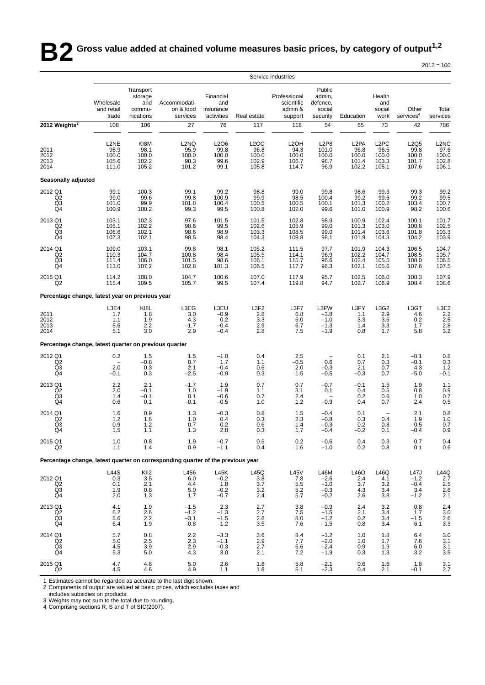**B2** Gross value added at chained volume measures basic prices, by category of output<sup>1,2</sup>

| $2012 =$ | = 100 |
|----------|-------|
|----------|-------|

|                                                                                 |                                                                        |                                                         |                                                     |                                                                      |                                                                                     | Service industries                                   |                                                                 |                                                      |                                                      |                                           |                                                                                                    |
|---------------------------------------------------------------------------------|------------------------------------------------------------------------|---------------------------------------------------------|-----------------------------------------------------|----------------------------------------------------------------------|-------------------------------------------------------------------------------------|------------------------------------------------------|-----------------------------------------------------------------|------------------------------------------------------|------------------------------------------------------|-------------------------------------------|----------------------------------------------------------------------------------------------------|
|                                                                                 | Wholesale<br>and retail<br>trade                                       | Transport<br>storage<br>and<br>commu-<br>nications      | Accommodati-<br>on & food<br>services               | Financial<br>and<br>insurance<br>activities                          | Real estate                                                                         | Professional<br>scientific<br>admin &<br>support     | Public<br>admin,<br>defence.<br>social<br>security              | Education                                            | Health<br>and<br>social<br>work                      | Other<br>services <sup>4</sup>            | Total<br>services                                                                                  |
| 2012 Weights <sup>3</sup>                                                       | 108                                                                    | 106                                                     | 27                                                  | 76                                                                   | 117                                                                                 | 118                                                  | 54                                                              | 65                                                   | 73                                                   | 42                                        | 786                                                                                                |
| 2011<br>2012<br>2013<br>2014                                                    | L2NE<br>$\begin{array}{c} 98.9 \\ 100.0 \end{array}$<br>105.6<br>111.0 | KI8M<br>98.1<br>100.0<br>102.2<br>105.2                 | L <sub>2</sub> NQ<br>95.9<br>100.0<br>98.3<br>101.2 | L2O6<br>$\begin{array}{c} 99.8 \\ 100.0 \end{array}$<br>99.6<br>99.1 | L <sub>2</sub> OC<br>$\begin{array}{c} 96.8 \\ 100.0 \end{array}$<br>102.9<br>105.8 | L <sub>2</sub> OH<br>94.3<br>100.0<br>106.7<br>114.7 | L <sub>2</sub> P <sub>8</sub><br>101.0<br>100.0<br>98.7<br>96.9 | L <sub>2</sub> PA<br>96.8<br>100.0<br>101.4<br>102.2 | L <sub>2</sub> PC<br>96.5<br>100.0<br>103.3<br>105.1 | L2Q5<br>99.8<br>100.0<br>101.7<br>107.6   | L2NC<br>97.6<br>100.0<br>102.8<br>106.1                                                            |
| Seasonally adjusted                                                             |                                                                        |                                                         |                                                     |                                                                      |                                                                                     |                                                      |                                                                 |                                                      |                                                      |                                           |                                                                                                    |
| 2012 Q1<br>$\begin{array}{c} \bar{Q}2 \\ \bar{Q}3 \\ \bar{Q}4 \end{array}$      | 99.1<br>99.0<br>101.0<br>100.9                                         | 100.3<br>99.6<br>99.9<br>100.2                          | 99.1<br>99.8<br>101.8<br>99.3                       | 99.2<br>100.9<br>100.4<br>99.5                                       | 98.8<br>99.9<br>100.5<br>100.8                                                      | 99.0<br>98.5<br>100.5<br>102.0                       | 99.8<br>100.4<br>100.1<br>99.6                                  | 98.6<br>99.2<br>101.3<br>101.0                       | 99.3<br>99.6<br>100.2<br>100.9                       | 99.3<br>99.2<br>103.4<br>98.2             | 99.2<br>99.5<br>100.7<br>100.6                                                                     |
| 2013 Q1<br>Q2<br>Q3<br>Q4                                                       | 103.1<br>105.1<br>106.6<br>107.3                                       | 102.3<br>102.2<br>102.1<br>102.1                        | 97.6<br>98.6<br>98.6<br>98.5                        | 101.5<br>99.5<br>98.9<br>98.4                                        | 101.5<br>102.6<br>103.3<br>104.3                                                    | 102.8<br>105.9<br>108.5<br>109.8                     | 98.9<br>99.0<br>99.0<br>98.1                                    | 100.9<br>101.3<br>101.4<br>101.9                     | 102.4<br>103.0<br>103.6<br>104.3                     | 100.1<br>100.8<br>101.8<br>104.2          | 101.7<br>102.5<br>103.3<br>103.9                                                                   |
| 2014 Q1<br>Q <sub>2</sub><br>$\overline{Q3}$<br>Q4                              | 109.0<br>110.3<br>111.4<br>113.0                                       | 103.1<br>104.7<br>106.0<br>107.2                        | 99.8<br>100.8<br>101.5<br>102.8                     | 98.1<br>98.4<br>98.6<br>101.3                                        | 105.2<br>105.5<br>106.1<br>106.5                                                    | 111.5<br>114.1<br>115.7<br>117.7                     | 97.7<br>96.9<br>96.6<br>96.3                                    | 101.9<br>102.2<br>102.4<br>102.1                     | 104.3<br>104.7<br>105.5<br>105.6                     | 106.5<br>108.5<br>108.0<br>107.6          | 104.7<br>105.7<br>106.5<br>107.5                                                                   |
| 2015 Q1<br>Q <sub>2</sub>                                                       | 114.2<br>115.4                                                         | 108.0<br>109.5                                          | 104.7<br>105.7                                      | 100.6<br>99.5                                                        | 107.0<br>107.4                                                                      | 117.9<br>119.8                                       | 95.7<br>94.7                                                    | 102.5<br>102.7                                       | 106.0<br>106.9                                       | 108.3<br>108.4                            | 107.9<br>108.6                                                                                     |
| Percentage change, latest year on previous year                                 |                                                                        |                                                         |                                                     |                                                                      |                                                                                     |                                                      |                                                                 |                                                      |                                                      |                                           |                                                                                                    |
| 2011<br>2012<br>2013<br>2014                                                    | L3E4<br>1.7<br>1.1<br>5.6<br>5.1                                       | KI8L<br>1.8<br>1.9<br>2.2<br>3.0                        | L3EG<br>3.0<br>4.3<br>$-1.7$<br>2.9                 | L3EU<br>$-0.9$<br>0.2<br>$-0.4$<br>$-0.4$                            | L3F2<br>2.8<br>3.3<br>$^{2.9}_{2.8}$                                                | L3F7<br>6.8<br>6.0<br>6.7<br>7.5                     | L3FW<br>$-3.8$<br>$-1.0$<br>$-1.3$<br>$-1.9$                    | L3FY<br>1.1<br>3.3<br>1.4<br>0.8                     | L3G2<br>2.9<br>3.6<br>3.3<br>1.7                     | L3GT<br>4.6<br>0.2<br>1.7<br>5.8          | L3E2<br>2.2<br>2.5<br>2.8<br>3.2                                                                   |
| Percentage change, latest quarter on previous quarter                           |                                                                        |                                                         |                                                     |                                                                      |                                                                                     |                                                      |                                                                 |                                                      |                                                      |                                           |                                                                                                    |
| 2012 Q1<br>$\begin{array}{c} \bar{Q}2 \\ \bar{Q}3 \\ \bar{Q}4 \end{array}$      | 0.2<br>2.0<br>$-0.1$                                                   | 1.5<br>$-0.8$<br>0.3<br>0.3                             | 1.5<br>0.7<br>2.1<br>$-2.5$                         | $-1.0$<br>1.7<br>$-0.4$<br>$-0.9$                                    | 0.4<br>1.1<br>0.6<br>0.3                                                            | 2.5<br>$-0.5$<br>2.0<br>1.5                          | $\overline{\phantom{m}}$<br>0.6<br>$-0.3$<br>$-0.5$             | 0.1<br>0.7<br>2.1<br>$-0.3$                          | 2.1<br>0.3<br>0.7<br>0.7                             | $-0.1$<br>$-0.1$<br>4.3<br>-5.0           | $\begin{array}{c} 0.8 \\ 0.3 \\ 1.2 \end{array}$<br>$-0.1$                                         |
| 2013 Q1<br>Q <sub>2</sub><br>Q3<br>Q <sub>4</sub>                               | 2.2<br>2.0<br>1.4<br>0.6                                               | 2.1<br>$-0.1$<br>$-0.1$<br>0.1                          | $-1.7$<br>1.0<br>0.1<br>$-0.1$                      | 1.9<br>$-1.9$<br>$-0.6$<br>$-0.5$                                    | 0.7<br>1.1<br>0.7<br>1.0                                                            | 0.7<br>3.1<br>2.4<br>1.2                             | $-0.7$<br>0.1<br>$-0.9$                                         | $-0.1$<br>0.4<br>0.2<br>0.4                          | 1.5<br>0.5<br>0.6<br>0.7                             | 1.9<br>0.8<br>1.0<br>2.4                  | 1.1<br>0.9<br>0.7<br>0.5                                                                           |
| 2014 Q1<br>Q2<br>Q3<br>Q4                                                       | 1.6<br>1.2<br>0.9<br>1.5                                               | 0.9<br>1.6<br>1.2<br>1.1                                | 1.3<br>1.0<br>0.7<br>1.3                            | $-0.3$<br>0.4<br>0.2<br>2.8                                          | 0.8<br>$0.\overline{3}$<br>0.6<br>0.3                                               | 1.5<br>2.3<br>1.4<br>1.7                             | $-0.4$<br>$-0.8$<br>$-0.3$<br>$-0.4$                            | 0.1<br>0.3<br>0.2<br>$-0.2$                          | $\overline{\phantom{a}}$<br>0.4<br>0.8<br>0.1        | 2.1<br>1.9<br>$-0.5$<br>$-0.4$            | $\begin{array}{c} 0.8 \\ 1.0 \\ 0.7 \end{array}$<br>0.9                                            |
| 2015 Q1<br>Q2                                                                   | 1.0<br>1.1                                                             | $0.8\,$<br>1.4                                          | $\begin{array}{c} 1.9 \\ 0.9 \end{array}$           | $-0.7$<br>$-1.1$                                                     | $0.5\,$<br>0.4                                                                      | 0.2<br>1.6                                           | $-0.6$<br>$-1.0$                                                | $0.4 \\ 0.2$                                         | $0.3\,$<br>$0.8\,$                                   | 0.7<br>0.1                                | $0.4 \\ 0.6$                                                                                       |
| Percentage change, latest quarter on corresponding quarter of the previous year |                                                                        |                                                         |                                                     |                                                                      |                                                                                     |                                                      |                                                                 |                                                      |                                                      |                                           |                                                                                                    |
| 2012 Q1<br>Q2<br>$\frac{Q3}{Q4}$                                                | L44S<br>0.3<br>0.1<br>1.9<br>2.0                                       | KII2<br>$\frac{3.5}{2.1}$<br>0.8<br>1.3                 | L456<br>$6.0\,$<br>4.4<br>5.0<br>1.7                | L45K<br>$-0.2$<br>1.8<br>$-0.2$<br>$-0.7$                            | L45Q<br>$\frac{3.8}{3.7}$<br>$3.2\,$<br>2.4                                         | L45V<br>7.8<br>5.5<br>5.2<br>5.7                     | L46M<br>$-2.6$<br>$-1.0$<br>$-0.3$<br>$-0.2$                    | L46O<br>2.4<br>3.7<br>4.3<br>2.6                     | L46Q<br>4.1<br>3.2<br>3.4<br>3.8                     | L47J<br>$-1.2$<br>$-0.4$<br>3.4<br>$-1.2$ | $\begin{array}{r} \text{L44Q} \\ \text{2.7} \\ \text{2.5} \\ \text{2.6} \\ \text{2.1} \end{array}$ |
| 2013 Q1<br>Q2<br>Q3<br>Q4                                                       | 4.1<br>6.2<br>5.6<br>6.4                                               | 1.9<br>$^{2.6}_{2.2}$<br>1.9                            | $-1.5$<br>$-1.2$<br>$-3.1$<br>$-0.8$                | 2.3<br>$-1.3$<br>$-1.5$<br>$-1.2$                                    | 2.7<br>2.7<br>$\frac{2.8}{3.5}$                                                     | 3.8<br>7.5<br>8.0<br>7.6                             | $-0.9$<br>$-1.5$<br>$-1.2$<br>$-1.5$                            | 2.4<br>2.1<br>0.2<br>0.8                             | 3.2<br>3.4<br>3.4<br>3.4                             | 0.8<br>1.7<br>$-1.5$<br>6.1               | 2.4<br>3.0<br>2.6<br>3.3                                                                           |
| 2014 Q1<br>Q2<br>Q3<br>Q4                                                       | 5.7<br>5.0<br>4.5<br>5.3                                               | $\begin{array}{c} 0.8 \\ 2.5 \end{array}$<br>3.9<br>5.0 | $^{2.2}_{2.3}$<br>2.9<br>4.3                        | $-3.3$<br>$-1.1$<br>$-0.3$<br>3.0                                    | $\frac{3.6}{2.9}$<br>2.7<br>2.1                                                     | 8.4<br>7.7<br>6.6<br>7.2                             | $-1.2$<br>$-2.0$<br>$-2.4$<br>$-1.9$                            | 1.0<br>1.0<br>0.9<br>0.3                             | 1.8<br>1.7<br>1.9<br>1.3                             | 6.4<br>7.6<br>6.0<br>3.2                  | $\frac{3.0}{3.1}$<br>$\frac{3.1}{3.5}$                                                             |
| 2015 Q1<br>Q2                                                                   | 4.7<br>4.5                                                             | 4.8<br>4.6                                              | $5.0\,$<br>4.9                                      | 2.6<br>1.1                                                           | 1.8<br>1.8                                                                          | 5.8<br>5.1                                           | $-2.1$<br>$-2.3$                                                | 0.6<br>0.4                                           | 1.6<br>2.1                                           | 1.8<br>$-0.1$                             | 3.1<br>2.7                                                                                         |

1 Estimates cannot be regarded as accurate to the last digit shown.

2 Components of output are valued at basic prices, which excludes taxes and includes subsidies on products.

3 Weights may not sum to the total due to rounding. 4 Comprising sections R, S and T of SIC(2007).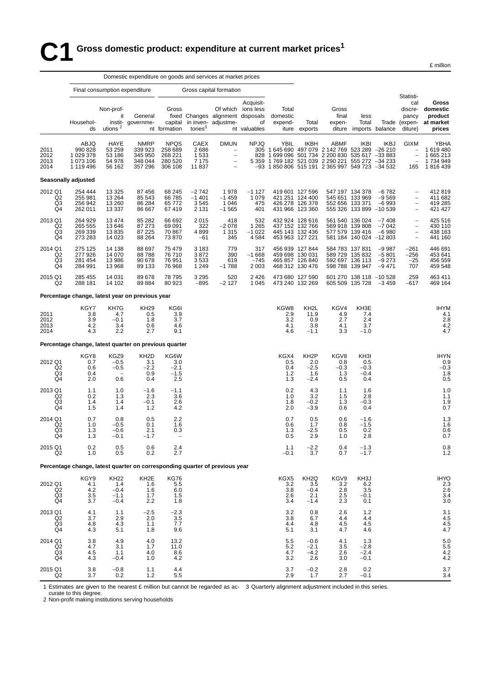### **C1 Gross domestic product: expenditure at current market prices<sup>1</sup>**

|                                                   | Domestic expenditure on goods and services at market prices                 |                                                  |                                                         |                                                         |                                          |                                                                                          |                                                       |                                                                                                                                                                                                                    |                                                     |                                     |                                                                                  |                                          |                                                                                                 |                                                                   |
|---------------------------------------------------|-----------------------------------------------------------------------------|--------------------------------------------------|---------------------------------------------------------|---------------------------------------------------------|------------------------------------------|------------------------------------------------------------------------------------------|-------------------------------------------------------|--------------------------------------------------------------------------------------------------------------------------------------------------------------------------------------------------------------------|-----------------------------------------------------|-------------------------------------|----------------------------------------------------------------------------------|------------------------------------------|-------------------------------------------------------------------------------------------------|-------------------------------------------------------------------|
|                                                   |                                                                             | Final consumption expenditure                    |                                                         |                                                         |                                          | Gross capital formation                                                                  |                                                       |                                                                                                                                                                                                                    |                                                     |                                     |                                                                                  |                                          |                                                                                                 |                                                                   |
|                                                   | Househol-<br>ds                                                             | Non-prof-<br>it<br>utions $2$                    | General<br>instit- governme-                            | Gross<br>capital<br>nt formation                        | tories <sup>3</sup>                      | fixed Changes alignment disposals<br>in inven- adjustme-                                 | Acquisit-<br>Of which ions less<br>of<br>nt valuables | Total<br>domestic<br>expend-                                                                                                                                                                                       | Total<br>iture exports                              | Gross<br>final<br>expen-            | less<br>Total<br>diture imports balance                                          |                                          | Statisti-<br>cal<br>discre-<br>pancy<br>diture)                                                 | Gross<br>domestic<br>product<br>Trade (expen- at market<br>prices |
| 2011<br>2012<br>2013<br>2014                      | ABJQ<br>990 828<br>1 029 378<br>1 073 106<br>1 119 496                      | HAYE<br>53 259<br>53 186<br>54 978<br>56 162     | <b>NMRP</b><br>339 923<br>345 950<br>348 044<br>357 296 | <b>NPQS</b><br>258 689<br>268 221<br>280 520<br>306 108 | CAEX<br>2686<br>1533<br>7 1 7 5<br>11837 | <b>DMUN</b><br>$\overline{\phantom{a}}$<br>$\qquad \qquad -$<br>$\overline{\phantom{a}}$ | <b>NPJQ</b>                                           | YBIL<br>305 1 645 690 497 079 2 142 769 523 289 -26 210<br>828 1 699 096 501 734 2 200 830 535 617 -33 883<br>5 359 1 769 182 521 039 2 290 221 555 272 -34 233<br>-93 1 850 806 515 191 2 365 997 549 723 -34 532 | <b>IKBH</b>                                         | ABMF                                | <b>IKBI</b>                                                                      | <b>IKBJ</b>                              | GIXM<br>$\overline{\phantom{a}}$<br>$\overline{\phantom{a}}$<br>$\overline{\phantom{a}}$<br>165 | YBHA<br>1 619 480<br>1 665 213<br>1734949<br>1 816 439            |
|                                                   | Seasonally adjusted                                                         |                                                  |                                                         |                                                         |                                          |                                                                                          |                                                       |                                                                                                                                                                                                                    |                                                     |                                     |                                                                                  |                                          |                                                                                                 |                                                                   |
| 2012 Q1<br>Q2<br>Q <sub>3</sub><br>Q4             | 254 444<br>255 981<br>256 942<br>262 011                                    | 13 3 25<br>13 2 64<br>13 260<br>13 3 3 7         | 87 456<br>85 543<br>86 284<br>86 667                    | 68 245<br>66 785<br>65 772<br>67 419                    | $-2742$<br>$-1401$<br>3545<br>2 1 3 1    | 1978<br>$-1459$<br>1 0 4 6<br>$-1565$                                                    | $-1127$<br>1 0 7 9<br>475<br>401                      | 419 601 127 596<br>421 251 124 400<br>426 278 126 378<br>431 966 123 360                                                                                                                                           |                                                     | 552 656 133 371                     | 547 197 134 378<br>545 651 133 969<br>555 326 133 899 -10 539                    | $-6782$<br>$-9569$<br>$-6993$            | $\qquad \qquad -$<br>$\overline{\phantom{a}}$<br>$\overline{\phantom{a}}$                       | 412819<br>411682<br>419 285<br>421 427                            |
| 2013 Q1<br>Q <sub>2</sub><br>Q3<br>Q <sub>4</sub> | 264 929<br>265 555<br>269 339<br>273 283                                    | 13 474<br>13 646<br>13835<br>14 0 23             | 85 282<br>87 273<br>87 225<br>88 264                    | 66 692<br>69 091<br>70 867<br>73 870                    | 2015<br>322<br>4899<br>-61               | 418<br>$-2078$<br>1 3 1 5<br>345                                                         | 532<br>1 2 6 5<br>$-1022$<br>4 5 8 4                  | 432 924 128 616<br>437 152 132 766<br>445 143 132 436<br>453 963 127 221                                                                                                                                           |                                                     |                                     | 561 540 136 024<br>569 918 139 808<br>577 579 139 416<br>581 184 140 024 -12 803 | -7 408<br>$-7042$<br>-6 980              | $\qquad \qquad -$<br>$\overline{\phantom{a}}$<br>$\qquad \qquad -$                              | 425 516<br>430 110<br>438 163<br>441 160                          |
| 2014 Q1<br>Q <sub>2</sub><br>Q3<br>Q4             | 275 125<br>277 926<br>281 454<br>284 991                                    | 14 138<br>14 070<br>13 986<br>13 968             | 88 697<br>88788<br>90 678<br>89 133                     | 75 479<br>76 710<br>76 951<br>76 968                    | 3 1 8 3<br>3872<br>3533<br>1 2 4 9       | 779<br>390<br>619<br>$-1788$                                                             | 317<br>$-1668$<br>$-745$<br>2 0 0 3                   | 456 939 127 844<br>459 698 130 031<br>465 857 126 840<br>468 312 130 476                                                                                                                                           |                                                     |                                     | 584 783 137 831<br>589 729 135 832<br>592 697 136 113<br>598 788 139 947         | $-9987$<br>$-5801$<br>$-9273$<br>$-9471$ | $-261$<br>-256<br>$-25$<br>707                                                                  | 446 691<br>453 641<br>456 559<br>459 548                          |
| 2015 Q1<br>Q2                                     | 285 455<br>288 181                                                          | 14 031<br>14 102                                 | 89 678<br>89884                                         | 78 795<br>80 923                                        | 3 2 9 5<br>$-895$                        | 520<br>$-2127$                                                                           | 2 4 2 6<br>1 0 4 5                                    | 473 680 127 590<br>473 240 132 269                                                                                                                                                                                 |                                                     |                                     | 601 270 138 118 -10 528<br>605 509 135 728                                       | $-3.459$                                 | 259<br>$-617$                                                                                   | 463 411<br>469 164                                                |
|                                                   | Percentage change, latest year on previous year                             |                                                  |                                                         |                                                         |                                          |                                                                                          |                                                       |                                                                                                                                                                                                                    |                                                     |                                     |                                                                                  |                                          |                                                                                                 |                                                                   |
| 2011<br>2012<br>2013<br>2014                      | KGY7<br>3.8<br>3.9<br>4.2<br>4.3                                            | KH7G<br>4.7<br>$-0.1$<br>3.4<br>2.2              | <b>KH29</b><br>0.5<br>1.8<br>0.6<br>2.7                 | KG6I<br>3.9<br>3.7<br>4.6<br>9.1                        |                                          |                                                                                          |                                                       | KGW8<br>2.9<br>3.2<br>4.1<br>4.6                                                                                                                                                                                   | KH2L<br>11.9<br>0.9<br>3.8<br>$-1.1$                | KGV4<br>4.9<br>2.7<br>4.1<br>3.3    | KH3E<br>7.4<br>2.4<br>3.7<br>$-1.0$                                              |                                          |                                                                                                 | <b>IHYM</b><br>4.1<br>2.8<br>$\frac{4.2}{4.7}$                    |
|                                                   | Percentage change, latest quarter on previous quarter                       |                                                  |                                                         |                                                         |                                          |                                                                                          |                                                       |                                                                                                                                                                                                                    |                                                     |                                     |                                                                                  |                                          |                                                                                                 |                                                                   |
| 2012 Q1<br>Q2<br>Q3<br>Q4                         | KGY8<br>0.7<br>0.6<br>0.4<br>2.0                                            | KGZ9<br>$-0.5$<br>$-0.5$<br>0.6                  | KH <sub>2</sub> D<br>3.1<br>$-2.2$<br>0.9<br>0.4        | KG6W<br>3.0<br>$-2.1$<br>$-1.5$<br>2.5                  |                                          |                                                                                          |                                                       | KGX4<br>0.5<br>0.4<br>1.2<br>$1.3$                                                                                                                                                                                 | KH <sub>2</sub> P<br>2.0<br>$-2.5$<br>1.6<br>$-2.4$ | KGV8<br>0.8<br>$-0.3$<br>1.3<br>0.5 | KH3I<br>0.5<br>$-0.3$<br>$-0.4$<br>0.4                                           |                                          |                                                                                                 | <b>IHYN</b><br>0.9<br>$-0.3$<br>1.8<br>0.5                        |
| 2013 Q1<br>Q <sub>2</sub><br>Q3<br>Q4             | 1.1<br>0.2<br>1.4<br>1.5                                                    | 1.0<br>1.3<br>1.4<br>1.4                         | $-1.6$<br>2.3<br>$-0.1$<br>1.2                          | $-1.1$<br>3.6<br>2.6<br>4.2                             |                                          |                                                                                          |                                                       | 0.2<br>1.0<br>1.8<br>2.0                                                                                                                                                                                           | 4.3<br>3.2<br>$-0.2$<br>$-3.9$                      | 1.1<br>1.5<br>1.3<br>0.6            | 1.6<br>2.8<br>$-0.3$<br>0.4                                                      |                                          |                                                                                                 | 1. <sub>C</sub><br>1.1<br>$^{1.9}_{0.7}$                          |
| 2014 Q1<br>Q2<br>Q3<br>Q4                         | 0.7<br>1.0<br>1.3<br>1.3                                                    | 0.8<br>$-0.5$<br>$-0.6$<br>$-0.1$                | 0.5<br>0.1<br>2.1<br>$-1.7$                             | 2.2<br>1.6<br>0.3<br>$\overline{\phantom{a}}$           |                                          |                                                                                          |                                                       | 0.7<br>0.6<br>1.3<br>0.5                                                                                                                                                                                           | 0.5<br>1.7<br>$-2.5$<br>2.9                         | 0.6<br>0.8<br>0.5<br>1.0            | $-1.6$<br>$-1.5$<br>0.2<br>2.8                                                   |                                          |                                                                                                 | $\frac{1.3}{1.6}$<br>0.6<br>0.7                                   |
| 2015 Q1<br>Q2                                     | 0.2<br>1.0                                                                  | 0.5<br>0.5                                       | 0.6<br>0.2                                              | 2.4<br>2.7                                              |                                          |                                                                                          |                                                       | 1.1<br>$-0.1$                                                                                                                                                                                                      | $-2.2$<br>3.7                                       | 0.4<br>0.7                          | $-1.3$<br>$-1.7$                                                                 |                                          |                                                                                                 | $0.8$<br>1.2                                                      |
|                                                   | Percentage change, latest quarter on corresponding quarter of previous year |                                                  |                                                         |                                                         |                                          |                                                                                          |                                                       |                                                                                                                                                                                                                    |                                                     |                                     |                                                                                  |                                          |                                                                                                 |                                                                   |
| 2012 Q1<br>Q2<br>Q3<br>Q4                         | KGY9<br>4.1<br>4.2<br>3.5<br>3.7                                            | <b>KH22</b><br>1.4<br>$-0.4$<br>$-1.1$<br>$-0.4$ | KH <sub>2</sub> E<br>1.6<br>1.6<br>1.7<br>2.2           | KG76<br>5.5<br>6.0<br>1.5<br>1.8                        |                                          |                                                                                          |                                                       | KGX5<br>3.2<br>3.8<br>2.6<br>3.4                                                                                                                                                                                   | KH2Q<br>3.5<br>$-0.4$<br>2.1<br>$-1.4$              | KGV9<br>3.2<br>2.8<br>2.5<br>2.3    | KH3J<br>6.2<br>3.5<br>$-0.1$<br>0.1                                              |                                          |                                                                                                 | <b>IHYO</b><br>2.3<br>2.6<br>3.4<br>3 <sub>c</sub>                |
| 2013 Q1<br>Q2<br>Q3<br>Q4                         | 4.1<br>3.7<br>4.8<br>4.3                                                    | 1.1<br>2.9<br>4.3<br>5.1                         | $-2.5$<br>2.0<br>1.1<br>1.8                             | $-2.3$<br>3.5<br>7.7<br>9.6                             |                                          |                                                                                          |                                                       | 3.2<br>3.8<br>4.4<br>5.1                                                                                                                                                                                           | 0.8<br>6.7<br>4.8<br>3.1                            | 2.6<br>4.4<br>4.5<br>4.7            | $1.2$<br>4.4<br>4.5<br>4.6                                                       |                                          |                                                                                                 | 3.1<br>4.5<br>$\frac{4.5}{4.7}$                                   |
| 2014 Q1<br>Q2<br>Q3<br>Q4                         | 3.8<br>4.7<br>4.5<br>4.3                                                    | 4.9<br>3.1<br>1.1<br>$-0.4$                      | 4.0<br>1.7<br>4.0<br>1.0                                | 13.2<br>11.0<br>8.6<br>4.2                              |                                          |                                                                                          |                                                       | 5.5<br>5.2<br>4.7<br>3.2                                                                                                                                                                                           | $-0.6$<br>$-2.1$<br>$-4.2$<br>2.6                   | 4.1<br>3.5<br>2.6<br>3.0            | 1.3<br>$-2.8$<br>$-2.4$<br>$-0.1$                                                |                                          |                                                                                                 | 5.0<br>5.5<br>4.2<br>4.2                                          |
| 2015 Q1<br>Q2                                     | 3.8<br>3.7                                                                  | $-0.8$<br>0.2                                    | 1.1<br>1.2                                              | 4.4<br>5.5                                              |                                          |                                                                                          |                                                       | 3.7<br>2.9                                                                                                                                                                                                         | $-0.2$<br>1.7                                       | 2.8<br>2.7                          | 0.2<br>$-0.1$                                                                    |                                          |                                                                                                 | 3.7<br>3.4                                                        |

1 Estimates are given to the nearest £ million but cannot be regarded as ac-3 Quarterly alignment adjustment included in this series.

curate to this degree.

2 Non-profit making institutions serving households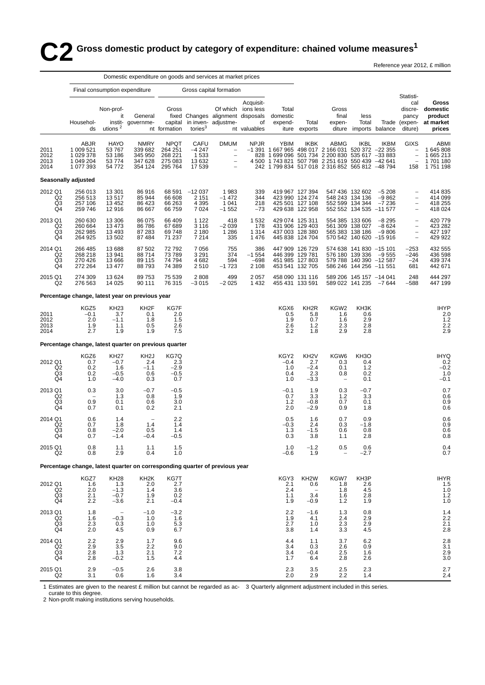# $\bullet$  2 Gross domestic product by category of expenditure: chained volume measures<sup>1</sup>

Reference year 2012, £ million

|                                                               |                                                                              |                                                     | Domestic expenditure on goods and services at market prices |                                                                          |                                            |                                                                           |                                                       |                                                 |                                                                          |                                                                                                                                                                                                                       |                                                                                                  |                               |                                                                                         |                                                     |
|---------------------------------------------------------------|------------------------------------------------------------------------------|-----------------------------------------------------|-------------------------------------------------------------|--------------------------------------------------------------------------|--------------------------------------------|---------------------------------------------------------------------------|-------------------------------------------------------|-------------------------------------------------|--------------------------------------------------------------------------|-----------------------------------------------------------------------------------------------------------------------------------------------------------------------------------------------------------------------|--------------------------------------------------------------------------------------------------|-------------------------------|-----------------------------------------------------------------------------------------|-----------------------------------------------------|
|                                                               |                                                                              |                                                     | Final consumption expenditure                               |                                                                          |                                            | Gross capital formation                                                   |                                                       |                                                 |                                                                          |                                                                                                                                                                                                                       |                                                                                                  |                               |                                                                                         |                                                     |
|                                                               | Househol-<br>ds                                                              | Non-prof-<br>it<br>utions $2$                       | General<br>instit- governme-                                | Gross<br>capital<br>nt formation                                         | tories $3$                                 | fixed Changes alignment disposals<br>in inven- adjustme-                  | Acquisit-<br>Of which ions less<br>of<br>nt valuables | Total<br>domestic<br>expend-                    | Total<br>iture exports                                                   | Gross<br>final<br>expen-<br>diture                                                                                                                                                                                    | less<br>Total                                                                                    | imports balance               | Statisti-<br>cal<br>discre-<br>pancy<br>Trade (expen-<br>diture)                        | Gross<br>domestic<br>product<br>at market<br>prices |
| 2011<br>2012<br>2013<br>2014                                  | ABJR<br>1 009 521<br>1 029 378<br>1 049 204<br>1 077 393                     | <b>HAYO</b><br>53 767<br>53 186<br>53 774<br>54 772 | <b>NMRY</b><br>339 682<br>345 950<br>347 628<br>354 124     | <b>NPQT</b><br>264 251<br>268 221<br>275 083<br>295 764                  | CAFU<br>$-4247$<br>1533<br>13632<br>17 539 | <b>DMUM</b><br>$\qquad \qquad -$<br>$\bar{a}$<br>$\overline{\phantom{a}}$ | <b>NPJR</b>                                           | <b>YBIM</b>                                     | IKBK                                                                     | ABMG<br>-1 391 1 667 965 498 017 2 166 031 520 372 -22 355<br>828 1 699 096 501 734 2 200 830 535 617 -33 883<br>4 500 1 743 821 507 798 2 251 619 550 439 -42 641<br>242 1 799 834 517 018 2 316 852 565 812 -48 794 | <b>IKBL</b>                                                                                      | <b>IKBM</b>                   | <b>GIXS</b><br>$\qquad \qquad -$<br>$\bar{a}$<br>158                                    | ABMI<br>1645808<br>1 665 213<br>1701180<br>1751198  |
|                                                               | Seasonally adjusted                                                          |                                                     |                                                             |                                                                          |                                            |                                                                           |                                                       |                                                 |                                                                          |                                                                                                                                                                                                                       |                                                                                                  |                               |                                                                                         |                                                     |
| 2012 Q1<br>Q2<br>Q3<br>Q4                                     | 256 013<br>256 513<br>257 106<br>259 746                                     | 13 301<br>13517<br>13 4 52<br>12916                 | 86916<br>85 944<br>86 423<br>86 667                         | 68 591<br>66 608<br>66 263<br>66 759                                     | $-12037$<br>2 1 5 1<br>4 3 9 5<br>7024     | 1983<br>$-1472$<br>1 0 4 1<br>$-1552$                                     | 339<br>344<br>218<br>$-73$                            |                                                 | 419 967 127 394<br>423 990 124 274<br>425 501 127 108<br>429 638 122 958 |                                                                                                                                                                                                                       | 547 436 132 602<br>548 243 134 136<br>552 599 134 344<br>552 552 134 535 -11 577                 | $-5208$<br>$-9862$<br>$-7236$ | $\overline{\phantom{a}}$<br>$\qquad \qquad -$<br>$\qquad \qquad -$                      | 414 835<br>414 099<br>418 255<br>418 024            |
| 2013 Q1<br>Q <sub>2</sub><br>Q <sub>3</sub><br>Q <sub>4</sub> | 260 630<br>260 664<br>262 985<br>264 925                                     | 13 306<br>13 4 73<br>13 4 93<br>13 502              | 86 075<br>86786<br>87 283<br>87 484                         | 66 409<br>67 689<br>69 748<br>71 237                                     | 1 1 2 2<br>3 1 1 6<br>2 1 8 0<br>7 2 1 4   | 418<br>$-2039$<br>1 2 8 6<br>335                                          | 1 5 3 2<br>178<br>1 3 1 4<br>1476                     | 429 074 125 311                                 | 431 906 129 403<br>437 003 128 380<br>445 838 124 704                    |                                                                                                                                                                                                                       | 554 385 133 606<br>561 309 138 027<br>565 383 138 186<br>570 542 140 620 -15 916                 | $-8295$<br>$-8624$<br>$-9806$ | $\qquad \qquad -$<br>$\qquad \qquad -$<br>$\qquad \qquad -$<br>$\overline{\phantom{a}}$ | 420 779<br>423 282<br>427 197<br>429 922            |
| 2014 Q1<br>Q <sub>2</sub><br>Q3<br>Q4                         | 266 485<br>268 218<br>270 426<br>272 264                                     | 13 688<br>13 941<br>13 6 66<br>13 477               | 87 502<br>88714<br>89 115<br>88793                          | 72792<br>73 789<br>74 794<br>74 389                                      | 7056<br>3 2 9 1<br>4682<br>2510            | 755<br>374<br>594<br>$-1723$                                              | 386<br>$-1554$<br>$-698$<br>2 1 0 8                   | 446 399 129 781                                 | 447 909 126 729<br>451 985 127 803<br>453 541 132 705                    |                                                                                                                                                                                                                       | 574 638 141 830 -15 101<br>576 180 139 336<br>579 788 140 390 -12 587<br>586 246 144 256 -11 551 | $-9555$                       | $-253$<br>$-246$<br>$-24$<br>681                                                        | 432 555<br>436 598<br>439 374<br>442 671            |
| 2015 Q1<br>Q2                                                 | 274 309<br>276 563                                                           | 13 624<br>14 0 25                                   | 89753<br>90 111                                             | 75 539<br>76 315                                                         | 2808<br>$-3015$                            | 499<br>$-2025$                                                            | 2 0 5 7<br>1432                                       |                                                 | 458 090 131 116<br>455 431 133 591                                       |                                                                                                                                                                                                                       | 589 206 145 157 -14 041<br>589 022 141 235                                                       | -7 644                        | 248<br>$-588$                                                                           | 444 297<br>447 199                                  |
|                                                               | Percentage change, latest year on previous year                              |                                                     |                                                             |                                                                          |                                            |                                                                           |                                                       |                                                 |                                                                          |                                                                                                                                                                                                                       |                                                                                                  |                               |                                                                                         |                                                     |
| 2011<br>2012<br>2013<br>2014                                  | KGZ5<br>$-0.1$<br>2.0<br>1.9<br>2.7                                          | <b>KH23</b><br>3.7<br>$-1.1$<br>1.1<br>1.9          | KH <sub>2</sub> F<br>0.1<br>1.8<br>0.5<br>1.9               | KG7F<br>2.0<br>1.5<br>2.6<br>7.5                                         |                                            |                                                                           |                                                       | KGX6<br>0.5<br>1.9<br>2.6<br>3.2                | KH <sub>2</sub> R<br>5.8<br>0.7<br>1.2<br>1.8                            | KGW <sub>2</sub><br>1.6<br>1.6<br>2.3<br>2.9                                                                                                                                                                          | KH3K<br>0.6<br>2.9<br>2.8<br>2.8                                                                 |                               |                                                                                         | <b>IHYP</b><br>2.0<br>1.2<br>2.2<br>2.9             |
|                                                               | Percentage change, latest quarter on previous quarter                        |                                                     |                                                             |                                                                          |                                            |                                                                           |                                                       |                                                 |                                                                          |                                                                                                                                                                                                                       |                                                                                                  |                               |                                                                                         |                                                     |
| 2012 Q1<br>Q2<br>Q <sub>3</sub><br>Q <sub>4</sub>             | KGZ6<br>0.7<br>0.2<br>0.2<br>1.0                                             | <b>KH27</b><br>$-0.7$<br>1.6<br>$-0.5$<br>$-4.0$    | KH <sub>2</sub> J<br>2.4<br>$-1.1$<br>0.6<br>0.3            | KG7Q<br>2.3<br>$-2.9$<br>$-0.5$<br>0.7                                   |                                            |                                                                           |                                                       | KGY <sub>2</sub><br>$-0.4$<br>1.0<br>0.4<br>1.0 | KH <sub>2</sub> V<br>2.7<br>$-2.4$<br>2.3<br>$-3.3$                      | KGW6<br>0.3<br>0.1<br>0.8<br>$\overline{\phantom{a}}$                                                                                                                                                                 | KH <sub>3</sub> O<br>0.4<br>1.2<br>0.2<br>0.1                                                    |                               |                                                                                         | <b>IHYQ</b><br>0.2<br>$-0.2$<br>1.0<br>$-0.1$       |
| 2013 Q1<br>Q <sub>2</sub><br>$_{\mathsf{Q4}}^{\mathsf{Q3}}$   | 0.3<br>$\overline{\phantom{a}}$<br>$\begin{array}{c} 0.9 \\ 0.7 \end{array}$ | 3.0<br>1.3<br>0.1<br>0.1                            | $-0.7$<br>0.8<br>0.6<br>0.2                                 | $-0.5$<br>1.9<br>3.0<br>2.1                                              |                                            |                                                                           |                                                       | $-0.1$<br>0.7<br>1.2<br>2.0                     | 1.9<br>3.3<br>$-0.8$<br>$-2.9$                                           | 0.3<br>1.2<br>0.7<br>0.9                                                                                                                                                                                              | $-0.7$<br>3.3<br>0.1<br>1.8                                                                      |                               |                                                                                         | 0.7<br>0.6<br>$0.9$<br>$0.6$                        |
| 2014 Q1<br>$\overline{Q}2$<br>Q3<br>Q4                        | $0.6 \ 0.7$<br>0.8<br>0.7                                                    | 1.4<br>1.8<br>$-2.0$<br>$-1.4$                      | 1.4<br>0.5<br>-0.4                                          | $^{2.2}_{1.4}$<br>1.4<br>-0.5                                            |                                            |                                                                           |                                                       | 0.5<br>$-0.3$<br>1.3<br>0.3                     | 1.6<br>2.4<br>$-1.5$<br>3.8                                              | $\begin{array}{c} 0.7 \\ 0.3 \end{array}$<br>0.6<br>1.1                                                                                                                                                               | 0.9<br>$-1.8$<br>0.8<br>2.8                                                                      |                               |                                                                                         | $0.6 \\ 0.9$<br>0.6<br>0.8                          |
| 2015 Q1<br>Q2                                                 | 0.8<br>0.8                                                                   | 1.1<br>2.9                                          | 1.1<br>0.4                                                  | $1.5$<br>1.0                                                             |                                            |                                                                           |                                                       | 1.0<br>$-0.6$                                   | $-1.2$<br>1.9                                                            | 0.5                                                                                                                                                                                                                   | 0.6<br>$-2.7$                                                                                    |                               |                                                                                         | $0.4$<br>$0.7$                                      |
|                                                               | Percentage change, latest quarter on corresponding quarter of previous year  |                                                     |                                                             |                                                                          |                                            |                                                                           |                                                       |                                                 |                                                                          |                                                                                                                                                                                                                       |                                                                                                  |                               |                                                                                         |                                                     |
| 2012 Q1<br>Q2<br>Q3<br>Q4                                     | KGZ7<br>1.6<br>2.0<br>2.1<br>2.2                                             | <b>KH28</b><br>1.3<br>$-1.3$<br>$-0.7$<br>$-3.6$    | KH <sub>2</sub> K<br>2.0<br>1.4<br>1.9<br>2.1               | KG7T<br>2.7<br>$\!\!\!\begin{array}{c} 3.6 \\ 0.2 \end{array}$<br>$-0.4$ |                                            |                                                                           |                                                       | KGY3<br>2.1<br>2.4<br>1.1<br>1.9                | KH <sub>2</sub> W<br>0.6<br>3.4<br>$-0.9$                                | KGW7<br>1.8<br>1.8<br>1.6<br>1.2                                                                                                                                                                                      | KH3P<br>2.6<br>$\frac{4.5}{2.8}$<br>1.9                                                          |                               |                                                                                         | <b>IHYR</b><br>1.5<br>$1.0$<br>$1.2$<br>1.0         |
| 2013 Q1<br>Q2<br>$_{\mathsf{Q4}}^{\mathsf{Q3}}$               | 1.8<br>1.6<br>$^{2.3}_{2.0}$                                                 | $-0.3$<br>0.3<br>4.5                                | $-1.0$<br>1.0<br>1.0<br>0.9                                 | $-3.2$<br>1.6<br>$\begin{array}{c} 5.3 \\ 6.7 \end{array}$               |                                            |                                                                           |                                                       | 2.2<br>1.9<br>2.7<br>3.8                        | $-1.6$<br>4.1<br>1.0<br>1.4                                              | 1.3<br>2.4<br>$\frac{2.3}{3.3}$                                                                                                                                                                                       | 0.8<br>2.9<br>$^{2.9}_{4.5}$                                                                     |                               |                                                                                         | 1.4<br>2.2<br>$^{2.1}_{2.8}$                        |
| 2014 Q1<br>Q2<br>Q <sub>3</sub><br>Q4                         | $^{2.2}_{2.9}$<br>2.8<br>2.8                                                 | $\frac{2.9}{3.5}$<br>1.3<br>$-0.2$                  | 1.7<br>2.2<br>2.1<br>1.5                                    | $\frac{9.6}{9.0}$<br>7.2<br>4.4                                          |                                            |                                                                           |                                                       | $\frac{4.4}{3.4}$<br>3.4<br>1.7                 | 1.1<br>0.3<br>$-0.4$<br>6.4                                              | $\frac{3.7}{2.6}$<br>2.5<br>2.8                                                                                                                                                                                       | $^{6.2}_{0.9}$<br>1.6<br>2.6                                                                     |                               |                                                                                         | $\frac{2.8}{3.1}$<br>2.9<br>3.0                     |
| 2015 Q1<br>Q2                                                 | 2.9<br>3.1                                                                   | $-0.5$<br>0.6                                       | 2.6<br>1.6                                                  | 3.8<br>3.4                                                               |                                            |                                                                           |                                                       | 2.3<br>2.0                                      | 3.5<br>2.9                                                               | 2.5<br>2.2                                                                                                                                                                                                            | 2.3<br>1.4                                                                                       |                               |                                                                                         | 2.7<br>2.4                                          |

1 Estimates are given to the nearest £ million but cannot be regarded as ac-3 Quarterly alignment adjustment included in this series.

curate to this degree.

2 Non-profit making institutions serving households.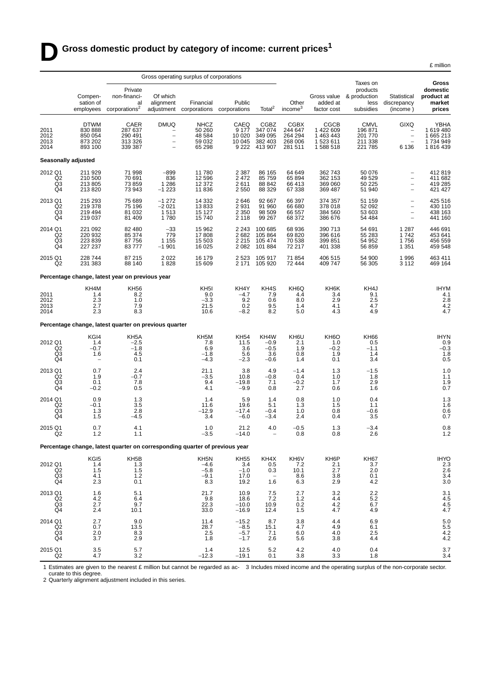|                                                                                                                                                                                                                                                                                                                                                                                                                                                                                                                                                                                    |                                                         |                                                                             |                                                                                                 |                                                     |                                             |                                                                |                                                         |                                                               |                                                           |                                                                                                       | £ million                                          |
|------------------------------------------------------------------------------------------------------------------------------------------------------------------------------------------------------------------------------------------------------------------------------------------------------------------------------------------------------------------------------------------------------------------------------------------------------------------------------------------------------------------------------------------------------------------------------------|---------------------------------------------------------|-----------------------------------------------------------------------------|-------------------------------------------------------------------------------------------------|-----------------------------------------------------|---------------------------------------------|----------------------------------------------------------------|---------------------------------------------------------|---------------------------------------------------------------|-----------------------------------------------------------|-------------------------------------------------------------------------------------------------------|----------------------------------------------------|
|                                                                                                                                                                                                                                                                                                                                                                                                                                                                                                                                                                                    |                                                         |                                                                             |                                                                                                 | Gross operating surplus of corporations             |                                             |                                                                |                                                         | Taxes on                                                      |                                                           | Gross                                                                                                 |                                                    |
|                                                                                                                                                                                                                                                                                                                                                                                                                                                                                                                                                                                    | Compen-<br>sation of<br>employees                       | Private<br>non-financi-<br>al<br>corporations <sup>2</sup>                  | Of which<br>alignment<br>adjustment                                                             | Financial<br>corporations                           | Public<br>corporations                      | Total <sup>2</sup>                                             | Other<br>income <sup>3</sup>                            | added at<br>factor cost                                       | products<br>Gross value & production<br>less<br>subsidies | Statistical<br>discrepancy<br>(income)                                                                | domestic<br>product at<br>market<br>prices         |
| 2011<br>2012<br>2013<br>2014                                                                                                                                                                                                                                                                                                                                                                                                                                                                                                                                                       | <b>DTWM</b><br>830 888<br>850 054<br>873 202<br>893 100 | CAER<br>287 637<br>290 491<br>313 326<br>339 387                            | <b>DMUQ</b><br>$\overline{\phantom{m}}$<br>$\overline{\phantom{0}}$<br>$\overline{\phantom{0}}$ | <b>NHCZ</b><br>50 260<br>48 584<br>59 032<br>65 298 | CAEQ<br>9 1 7 7<br>10 0 20<br>10 045        | <b>CGBZ</b><br>347 074<br>349 095<br>382 403<br>9 2 22 413 907 | <b>CGBX</b><br>244 647<br>264 294<br>268 006<br>281 511 | <b>CGCB</b><br>1 422 609<br>1 463 443<br>1 523 611<br>1588518 | <b>CMVL</b><br>196 871<br>201 770<br>211 338<br>221 785   | <b>GIXQ</b><br>$\qquad \qquad -$<br>$\overline{\phantom{0}}$<br>6 1 3 6                               | YBHA<br>1619480<br>1 665 213<br>1734949<br>1816439 |
| Seasonally adjusted                                                                                                                                                                                                                                                                                                                                                                                                                                                                                                                                                                |                                                         |                                                                             |                                                                                                 |                                                     |                                             |                                                                |                                                         |                                                               |                                                           |                                                                                                       |                                                    |
| 2012 Q1<br>Q <sub>2</sub><br>Q3<br>Q4                                                                                                                                                                                                                                                                                                                                                                                                                                                                                                                                              | 211 929<br>210 500<br>213 805<br>213820                 | 71 998<br>70 691<br>73 859<br>73 943                                        | $-899$<br>836<br>1 2 8 6<br>$-1223$                                                             | 11780<br>12 5 9 6<br>12 372<br>11836                | 2 3 8 7<br>2472<br>2611<br>2550             | 86 165<br>85 759<br>88 842<br>88 329                           | 64 649<br>65 894<br>66413<br>67 338                     | 362 743<br>362 153<br>369 060<br>369 487                      | 50 076<br>49 529<br>50 225<br>51 940                      | $\qquad \qquad -$<br>$\overline{\phantom{0}}$<br>$\overline{\phantom{a}}$                             | 412 819<br>411 682<br>419 285<br>421 427           |
| 2013 Q1<br>Q <sub>2</sub><br>Q3<br>Q4                                                                                                                                                                                                                                                                                                                                                                                                                                                                                                                                              | 215 293<br>219 378<br>219 494<br>219 037                | 75 689<br>75 196<br>81 032<br>81 409                                        | $-1272$<br>$-2021$<br>1513<br>1780                                                              | 14 3 32<br>13833<br>15 127<br>15740                 | 2646<br>2931<br>2 3 5 0<br>2 1 1 8          | 92 667<br>91 960<br>98 509<br>99 267                           | 66 397<br>66 680<br>66 557<br>68 372                    | 374 357<br>378 018<br>384 560<br>386 676                      | 51 159<br>52 092<br>53 603<br>54 484                      | $\qquad \qquad -$<br>$\overline{\phantom{m}}$<br>$\overline{\phantom{a}}$<br>$\overline{\phantom{0}}$ | 425 516<br>430 110<br>438 163<br>441 160           |
| 2014 Q1<br>Q <sub>2</sub><br>Q3<br>Q4                                                                                                                                                                                                                                                                                                                                                                                                                                                                                                                                              | 221 092<br>220 932<br>223 839<br>227 237                | 82 480<br>85 374<br>87 756<br>83777                                         | -33<br>779<br>1 1 5 5<br>$-1901$                                                                | 15 962<br>17808<br>15 503<br>16 0 25                | 2 2 4 3<br>2682<br>2 2 1 5<br>2082          | 100 685<br>105 864<br>105 474<br>101 884                       | 68 936<br>69820<br>70 538<br>72 217                     | 390 713<br>396 616<br>399 851<br>401 338                      | 54 691<br>55 283<br>54 952<br>56 859                      | 1 2 8 7<br>1742<br>1756<br>1 3 5 1                                                                    | 446 691<br>453 641<br>456 559<br>459 548           |
| 2015 Q1<br>Q <sub>2</sub>                                                                                                                                                                                                                                                                                                                                                                                                                                                                                                                                                          | 228 744<br>231 383                                      | 87 215<br>88 140                                                            | 2 0 2 2<br>1828                                                                                 | 16 179<br>15 609                                    | 2523                                        | 105 917<br>2 171 105 920                                       | 71854<br>72 444                                         | 406 515<br>409 747                                            | 54 900<br>56 30 5                                         | 1996<br>3 1 1 2                                                                                       | 463 411<br>469 164                                 |
|                                                                                                                                                                                                                                                                                                                                                                                                                                                                                                                                                                                    |                                                         | Percentage change, latest year on previous year                             |                                                                                                 |                                                     |                                             |                                                                |                                                         |                                                               |                                                           |                                                                                                       |                                                    |
| 2011<br>2012<br>2013<br>2014                                                                                                                                                                                                                                                                                                                                                                                                                                                                                                                                                       | KH4M<br>1.4<br>2.3<br>2.7<br>2.3                        | KH56<br>8.2<br>1.0<br>7.9<br>8.3                                            |                                                                                                 | KH <sub>5</sub> I<br>9.0<br>$-3.3$<br>21.5<br>10.6  | KH4Y<br>$-4.7$<br>9.2<br>0.2<br>$-8.2$      | KH4S<br>7.9<br>0.6<br>9.5<br>8.2                               | KH6Q<br>4.4<br>8.0<br>1.4<br>5.0                        | KH6K<br>3.4<br>2.9<br>4.1<br>4.3                              | KH4J<br>9.1<br>2.5<br>4.7<br>4.9                          |                                                                                                       | <b>IHYM</b><br>4.1<br>2.8<br>$^{4.2}_{4.7}$        |
|                                                                                                                                                                                                                                                                                                                                                                                                                                                                                                                                                                                    |                                                         | Percentage change, latest quarter on previous quarter                       |                                                                                                 |                                                     |                                             |                                                                |                                                         |                                                               |                                                           |                                                                                                       |                                                    |
| 2012 Q1<br>Q2<br>Q3<br>Q4                                                                                                                                                                                                                                                                                                                                                                                                                                                                                                                                                          | KGI4<br>1.4<br>$-0.7$<br>1.6                            | KH5A<br>$-2.5$<br>$-1.8$<br>4.5<br>0.1                                      |                                                                                                 | KH5M<br>7.8<br>6.9<br>$-1.8$<br>$-4.3$              | <b>KH54</b><br>11.5<br>3.6<br>5.6<br>$-2.3$ | KH4W<br>$-0.9$<br>$-0.5$<br>3.6<br>$-0.6$                      | KH6U<br>2.1<br>1.9<br>0.8<br>1.4                        | KH <sub>6</sub> O<br>1.0<br>$-0.2$<br>1.9<br>0.1              | <b>KH66</b><br>0.5<br>$-1.1$<br>1.4<br>3.4                |                                                                                                       | <b>IHYN</b><br>0.9<br>$-0.3$<br>1.8<br>0.5         |
| 2013 Q1<br>Q2<br>Q <sub>3</sub><br>Q4                                                                                                                                                                                                                                                                                                                                                                                                                                                                                                                                              | 0.7<br>1.9<br>0.1<br>$-0.2$                             | 2.4<br>$-0.7$<br>7.8<br>0.5                                                 |                                                                                                 | 21.1<br>$-3.5$<br>9.4<br>4.1                        | 3.8<br>10.8<br>$-19.8$<br>$-9.9$            | 4.9<br>$-0.8$<br>7.1<br>0.8                                    | $-1.4$<br>0.4<br>$-0.2$<br>2.7                          | 1.3<br>1.0<br>1.7<br>0.6                                      | $-1.5$<br>1.8<br>2.9<br>1.6                               |                                                                                                       | 1.0<br>1.1<br>1.9<br>0.7                           |
| 2014 Q1<br>Q <sub>2</sub><br>Q3<br>Q4                                                                                                                                                                                                                                                                                                                                                                                                                                                                                                                                              | 0.9<br>$-0.1$<br>1.3<br>1.5                             | 1.3<br>3.5<br>2.8<br>$-4.5$                                                 |                                                                                                 | 1.4<br>11.6<br>$-12.9$<br>3.4                       | 5.9<br>19.6<br>$-17.4$<br>$-6.0$            | 1.4<br>5.1<br>$-0.4$<br>$-3.4$                                 | 0.8<br>1.3<br>1.0<br>2.4                                | 1.0<br>1.5<br>0.8<br>0.4                                      | 0.4<br>1.1<br>$-0.6$<br>3.5                               |                                                                                                       | $\frac{1.3}{1.6}$<br>0.6<br>0.7                    |
| 2015 Q1<br>Q <sub>2</sub>                                                                                                                                                                                                                                                                                                                                                                                                                                                                                                                                                          | 0.7<br>1.2                                              | 4.1<br>1.1                                                                  |                                                                                                 | 1.0<br>$-3.5$                                       | 21.2<br>$-14.0$                             | $4.0\,$                                                        | $-0.5$<br>0.8                                           | $1.3$<br>0.8                                                  | $-3.4$<br>2.6                                             |                                                                                                       | $0.8$<br>1.2                                       |
|                                                                                                                                                                                                                                                                                                                                                                                                                                                                                                                                                                                    |                                                         | Percentage change, latest quarter on corresponding quarter of previous year |                                                                                                 |                                                     |                                             |                                                                |                                                         |                                                               |                                                           |                                                                                                       |                                                    |
| 2012 Q1<br>$\begin{array}{c} \stackrel{\frown}{\phantom{}_{\check{}}}\stackrel{\frown}{\phantom{}_{\check{}}}\stackrel{\frown}{\phantom{}_{\check{}}}\stackrel{\frown}{\phantom{}_{\check{}}}\stackrel{\frown}{\phantom{}_{\check{}}}\stackrel{\frown}{\phantom{}_{\check{}}}\stackrel{\frown}{\phantom{}_{\check{}}}\stackrel{\frown}{\phantom{}_{\check{}}}\stackrel{\frown}{\phantom{}_{\check{}}}\stackrel{\frown}{\phantom{}_{\check{}}}\stackrel{\frown}{\phantom{}_{\check{}}}\stackrel{\frown}{\phantom{}_{\check{}}}\stackrel{\frown}{\phantom{}_{\check{}}}\stackrel{\f$ | KG <sub>I5</sub><br>1.4<br>1.5<br>4.1<br>2.3            | KH <sub>5</sub> B<br>1.3<br>1.5<br>1.2<br>0.1                               |                                                                                                 | KH5N<br>$-4.6$<br>$-5.8$<br>$-9.1$<br>8.3           | KH55<br>3.4<br>$-1.0$<br>17.0<br>19.2       | KH4X<br>0.5<br>0.3<br>1.6                                      | KH6V<br>7.2<br>10.1<br>8.6<br>6.3                       | KH6P<br>2.1<br>2.7<br>$3.8\,$<br>2.9                          | KH67<br>3.7<br>2.0<br>0.1<br>4.2                          |                                                                                                       | IHYO<br>2.3<br>2.6<br>$\frac{3.4}{3.0}$            |
| 2013 Q1<br>Q2<br>Q3<br>Q4                                                                                                                                                                                                                                                                                                                                                                                                                                                                                                                                                          | 1.6<br>4.2<br>2.7<br>2.4                                | 5.1<br>6.4<br>9.7<br>10.1                                                   |                                                                                                 | 21.7<br>9.8<br>22.3<br>33.0                         | 10.9<br>18.6<br>$-10.0$<br>$-16.9$          | $7.5$<br>$7.2$<br>10.9<br>12.4                                 | 2.7<br>1.2<br>0.2<br>1.5                                | $\frac{3.2}{4.4}$<br>4.2<br>4.7                               | $^{2.2}_{5.2}$<br>6.7<br>4.9                              |                                                                                                       | $3.1$<br>$4.5$<br>$4.5$<br>$4.7$                   |
| 2014 Q1<br>Q <sub>2</sub><br>Q3<br>Q4                                                                                                                                                                                                                                                                                                                                                                                                                                                                                                                                              | 2.7<br>0.7<br>2.0<br>3.7                                | 9.0<br>13.5<br>8.3<br>2.9                                                   |                                                                                                 | 11.4<br>28.7<br>2.5<br>1.8                          | $-15.2$<br>-8.5<br>$-5.7$<br>$-1.7$         | 8.7<br>15.1<br>7.1<br>2.6                                      | 3.8<br>4.7<br>6.0<br>5.6                                | $^{4.4}_{4.9}$<br>4.0<br>3.8                                  | $6.9$<br>$6.1$<br>2.5<br>4.4                              |                                                                                                       | 5.0<br>$5.5$<br>4.2<br>4.2                         |
| 2015 Q1<br>Q <sub>2</sub>                                                                                                                                                                                                                                                                                                                                                                                                                                                                                                                                                          | 3.5<br>4.7                                              | 5.7<br>3.2                                                                  |                                                                                                 | 1.4<br>$-12.3$                                      | 12.5<br>$-19.1$                             | 5.2<br>0.1                                                     | 4.2<br>3.8                                              | 4.0<br>3.3                                                    | 0.4<br>1.8                                                |                                                                                                       | 3.7<br>3.4                                         |

1 Estimates are given to the nearest £ million but cannot be regarded as accurate to this degree. 3 Includes mixed income and the operating surplus of the non-corporate sector.

2 Quarterly alignment adjustment included in this series.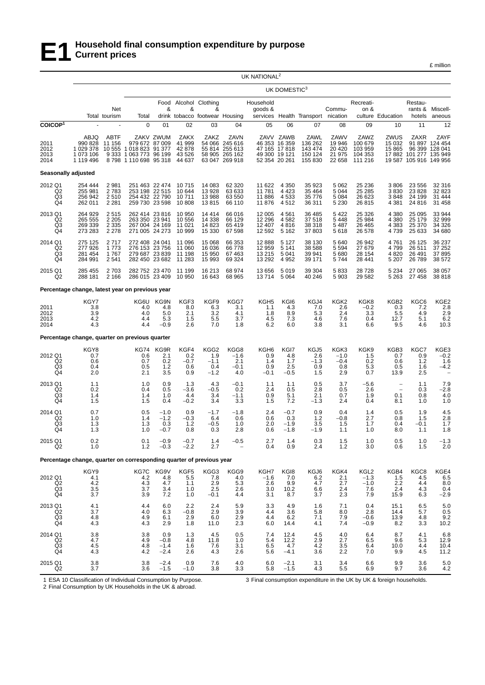

£ million

|                                                   |                                                                      |                                       |                                                                                             |                                         |                                              |                                           |                                                                              | UK NATIONAL <sup>2</sup>                        |                                                                               |                                                  |                                               |                                                    |                                           |                                                          |                                           |
|---------------------------------------------------|----------------------------------------------------------------------|---------------------------------------|---------------------------------------------------------------------------------------------|-----------------------------------------|----------------------------------------------|-------------------------------------------|------------------------------------------------------------------------------|-------------------------------------------------|-------------------------------------------------------------------------------|--------------------------------------------------|-----------------------------------------------|----------------------------------------------------|-------------------------------------------|----------------------------------------------------------|-------------------------------------------|
|                                                   |                                                                      |                                       |                                                                                             |                                         |                                              |                                           |                                                                              |                                                 | UK DOMESTIC <sup>3</sup>                                                      |                                                  |                                               |                                                    |                                           |                                                          |                                           |
|                                                   |                                                                      | Net                                   |                                                                                             | &                                       | &                                            | Food Alcohol Clothing<br>&                |                                                                              | Household<br>goods &                            |                                                                               |                                                  | Commu-                                        | Recreati-<br>on &                                  |                                           | Restau-                                                  | rants & Miscell-                          |
| COICOP <sup>1</sup>                               |                                                                      | Total tourism                         | Total<br>0                                                                                  | 01                                      | 02                                           | drink tobacco footwear Housing<br>03      | 04                                                                           | 05                                              | 06                                                                            | services Health Transport nication<br>07         | 08                                            | 09                                                 | culture Education<br>10                   | hotels<br>11                                             | aneous<br>12                              |
| 2011<br>2012<br>2013<br>2014                      | ABJQ<br>990 828<br>1 029 378<br>1 073 106<br>1 119 496               | <b>ABTF</b><br>11 156                 | 979 672 87 009<br>10 555 1 018 823 91 377<br>9 333 1 063 773 96 199<br>8798 1110 698 95 318 | ZAKV ZWUM                               | ZAKX<br>41 999<br>42 878<br>43 526<br>44 637 | ZAKZ                                      | ZAVN<br>54 066 245 616<br>55 814 255 613<br>58 905 265 162<br>63 047 269 918 |                                                 | ZAVV ZAWB<br>46 353 16 359<br>47 165 17 818<br>49 300 19 121<br>52 354 20 261 | ZAWL<br>136 262<br>143 474<br>150 124<br>155 830 | ZAWV<br>19 946<br>20 4 20<br>21 975<br>22 658 | ZAWZ<br>100 679<br>103 959<br>104 353<br>111 216   | ZWUS<br>15 0 32<br>15 8 65                | ZAXR<br>17 882 101 277 135 949<br>19 587 105 916 149 956 | ZAYF<br>91 897 124 454<br>96 399 128 041  |
| Seasonally adjusted                               |                                                                      |                                       |                                                                                             |                                         |                                              |                                           |                                                                              |                                                 |                                                                               |                                                  |                                               |                                                    |                                           |                                                          |                                           |
| 2012 Q1<br>Q2<br>Q3<br>Q4                         | 254 444<br>255 981<br>256 942<br>262 011                             | 2981<br>2783<br>2510<br>2 2 8 1       | 251 463 22 474<br>253 198 22 515<br>254 432 22 790<br>259 730 23 598                        |                                         | 10 715<br>10 644<br>10711<br>10 808          | 14 083<br>13 928<br>13 988<br>13815       | 62 320<br>63 633<br>63 550<br>66 110                                         | 11 622<br>11 781<br>11 886<br>11876             | 4 3 5 0<br>4 4 2 3<br>4 5 3 3<br>4512                                         | 35 923<br>35 4 64<br>35 776<br>36 311            | 5 0 6 2<br>5 0 4 4<br>5 0 8 4<br>5 2 3 0      | 25 236<br>25 28 5<br>26 623<br>26 815              | 3806<br>3830<br>3848<br>4 3 8 1           | 23 556<br>23 8 28<br>24 199<br>24 8 16                   | 32 316<br>32 823<br>31 444<br>31 458      |
| 2013 Q1<br>Q2<br>Q3<br>Q4                         | 264 929<br>265 555<br>269 339<br>273 283                             | 2515<br>2 2 0 5<br>2 3 3 5<br>2 2 7 8 | 262 414 23 816<br>263 350 23 941<br>267 004 24 169<br>271 005 24 273                        |                                         | 10 950<br>10 556<br>11 021<br>10 999         | 14 4 14<br>14 338<br>14 823<br>15 330     | 66 016<br>66 129<br>65 419<br>67 598                                         | 12 005<br>12 29 6<br>12 407<br>12 592           | 4561<br>4582<br>4816<br>5 1 6 2                                               | 36 485<br>37 518<br>38 318<br>37 803             | 5422<br>5448<br>5487<br>5618                  | 25 3 26<br>25 984<br>26 4 65<br>26 578             | 4 3 8 0<br>4 3 8 0<br>4 3 8 3<br>4739     | 25 095<br>25 179<br>25 370<br>25 633                     | 33 944<br>32 999<br>34 326<br>34 680      |
| 2014 Q1<br>Q <sub>2</sub><br>Q3<br>Q <sub>4</sub> | 275 125<br>277 926<br>281 454<br>284 991                             | 2717<br>1773<br>1767<br>2541          | 272 408 24 041<br>276 153 23 756<br>279 687 23 839<br>282 450 23 682                        |                                         | 11 096<br>11 060<br>11 198<br>11 283         | 15 068<br>16 036<br>15 950<br>15 993      | 66 353<br>66778<br>67 463<br>69 324                                          | 12 888<br>12 959<br>13 215<br>13 29 2           | 5 1 2 7<br>5 1 4 1<br>5 0 4 1<br>4 9 5 2                                      | 38 130<br>38 588<br>39 941<br>39 171             | 5640<br>5 5 9 4<br>5680<br>5744               | 26 942<br>27 679<br>28 154<br>28 441               | 4761<br>4799<br>4820<br>5 2 0 7           | 26 125<br>26 511<br>26 491<br>26 789                     | 36 237<br>37 25 2<br>37 895<br>38 572     |
| 2015 Q1<br>Q2                                     | 285 455<br>288 181                                                   | 2703<br>2 1 6 6                       | 282 752 23 470<br>286 015 23 409                                                            |                                         | 11 199<br>10 950                             | 16 213<br>16 643                          | 68 974<br>68 965                                                             | 13 656<br>13714                                 | 5 0 1 9<br>5 0 6 4                                                            | 39 304<br>40 246                                 | 5833<br>5903                                  | 28 728<br>29 5 82                                  | 5 2 3 4<br>5 2 6 3                        | 27 065<br>27 458                                         | 38 057<br>38 818                          |
|                                                   | Percentage change, latest year on previous year                      |                                       |                                                                                             |                                         |                                              |                                           |                                                                              |                                                 |                                                                               |                                                  |                                               |                                                    |                                           |                                                          |                                           |
| 2011<br>2012<br>2013<br>2014                      | KGY7<br>3.8<br>3.9<br>4.2<br>4.3                                     |                                       | KG6U<br>4.0<br>4.0<br>4.4<br>4.4                                                            | KG9N<br>4.8<br>5.0<br>5.3<br>$-0.9$     | KGF3<br>8.0<br>2.1<br>1.5<br>2.6             | KGF9<br>6.3<br>3.2<br>5.5<br>7.0          | KGG7<br>3.1<br>4.1<br>3.7<br>1.8                                             | KGH <sub>5</sub><br>1.1<br>1.8<br>4.5<br>6.2    | KGI6<br>4.3<br>8.9<br>7.3<br>6.0                                              | KGJ4<br>7.0<br>5.3<br>4.6<br>3.8                 | KGK <sub>2</sub><br>2.6<br>2.4<br>7.6<br>3.1  | KGK8<br>$-0.2$<br>3.3<br>0.4<br>6.6                | KGB2<br>0.3<br>5.5<br>12.7<br>9.5         | KGC6<br>7.2<br>4.9<br>5.1<br>4.6                         | KGE2<br>2.8<br>2.9<br>6.2<br>10.3         |
|                                                   | Percentage change, quarter on previous quarter                       |                                       |                                                                                             |                                         |                                              |                                           |                                                                              |                                                 |                                                                               |                                                  |                                               |                                                    |                                           |                                                          |                                           |
| 2012 Q1<br>Q2<br>Q <sub>3</sub><br>Q4             | KGY8<br>0.7<br>0.6<br>0.4<br>2.0                                     |                                       | <b>KG74</b><br>0.6<br>0.7<br>0.5<br>2.1                                                     | KG9R<br>2.1<br>0.2<br>1.2<br>3.5        | KGF4<br>0.2<br>$-0.7$<br>0.6<br>0.9          | KGG2<br>1.9<br>$-1.1$<br>0.4<br>$-1.2$    | KGG8<br>$-1.6$<br>2.1<br>$-0.1$<br>4.0                                       | KGH <sub>6</sub><br>0.9<br>1.4<br>0.9<br>$-0.1$ | KGI7<br>4.8<br>1.7<br>2.5<br>$-0.5$                                           | KGJ5<br>2.6<br>$-1.3$<br>0.9<br>1.5              | KGK3<br>$-1.0$<br>$-0.4$<br>0.8<br>2.9        | KGK9<br>1.5<br>0.2<br>5.3<br>0.7                   | KGB3<br>0.7<br>0.6<br>0.5<br>13.9         | KGC7<br>0.9<br>1.2<br>1.6<br>2.5                         | KGE3<br>$-0.2$<br>1.6<br>$-4.2$           |
| 2013 Q1<br>$_{\rm Q3}^{\rm Q2}$<br>Q4             | 1.1<br>0.2<br>1.4<br>1.5                                             |                                       | 1.0<br>0.4<br>1.4<br>1.5                                                                    | 0.9<br>0.5<br>1.0<br>0.4                | 1.3<br>$-3.6$<br>4.4<br>$-0.2$               | 4.3<br>$-0.5$<br>3.4<br>3.4               | $-0.1$<br>0.2<br>$-1.1$<br>3.3                                               | 1.1<br>2.4<br>0.9<br>1.5                        | 1.1<br>0.5<br>5.1<br>7.2                                                      | 0.5<br>2.8<br>2.1<br>-1.3                        | 3.7<br>0.5<br>0.7<br>2.4                      | $-5.6$<br>2.6<br>1.9<br>0.4                        | $\overline{a}$<br>0.1<br>8.1              | 1.1<br>0.3<br>0.8<br>1.0                                 | 7.9<br>$-2.8$<br>4.0<br>1.0               |
| 2014 Q1<br>Q <sub>2</sub><br>Q3<br>Q <sub>4</sub> | 0.7<br>1.0<br>1.3<br>1.3                                             |                                       | 0.5<br>1.4<br>1.3<br>1.0                                                                    | $-1.0$<br>$-1.2$<br>0.3<br>$-0.7$       | 0.9<br>$-0.3$<br>1.2<br>0.8                  | $-1.7$<br>6.4<br>$-0.5$<br>0.3            | $-1.8$<br>0.6<br>1.0<br>2.8                                                  | 2.4<br>0.6<br>2.0<br>0.6                        | $-0.7$<br>0.3<br>$-1.9$<br>$-1.8$                                             | 0.9<br>1.2<br>3.5<br>-1.9                        | 0.4<br>$-0.8$<br>1.5<br>1.1                   | 1.4<br>2.7<br>1.7<br>1.0                           | 0.5<br>0.8<br>0.4<br>8.0                  | 1.9<br>1.5<br>$-0.1$<br>1.1                              | 4.5<br>2.8<br>1.7<br>1.8                  |
| 2015 Q1<br>Q2                                     | 0.2<br>1.0                                                           |                                       | 0.1<br>1.2                                                                                  | $-0.9$<br>$-0.3$                        | $-0.7$<br>$-2.2$                             | $1.4$<br>2.7                              | $-0.5$                                                                       | $^{2.7}_{0.4}$                                  | $\begin{array}{c} 1.4 \\ 0.9 \end{array}$                                     | 0.3<br>2.4                                       | $1.5$<br>$1.2$                                | 1.0<br>3.0                                         | $\begin{array}{c} 0.5 \\ 0.6 \end{array}$ | 1.0<br>1.5                                               | $^{-1.3}_{2.0}$                           |
|                                                   | Percentage change, quarter on corresponding quarter of previous year |                                       |                                                                                             |                                         |                                              |                                           |                                                                              |                                                 |                                                                               |                                                  |                                               |                                                    |                                           |                                                          |                                           |
| 2012 Q1<br>Q2<br>Q3<br>Q4                         | KGY9<br>$^{4.1}_{4.2}$<br>3.5<br>3.7                                 |                                       | KG7C<br>$^{4.2}_{4.3}$<br>3.7<br>3.9                                                        | KG9V<br>$\frac{4.8}{4.7}$<br>3.4<br>7.2 | KGF5<br>$\frac{5.5}{1.1}$<br>1.0<br>1.0      | KGG3<br>$^{7.8}_{2.9}$<br>2.5<br>$-0.1$   | KGG9<br>4.0<br>5.3<br>2.6<br>4.4                                             | KGH7<br>$-1.6$<br>2.6<br>3.0<br>3.1             | KGI8<br>7.0<br>9.9<br>10.2<br>8.7                                             | KGJ6<br>$6.2$<br>4.7<br>6.6<br>3.7               | KGK4<br>$2.1$<br>$2.7$<br>2.4<br>2.3          | KGL <sub>2</sub><br>$-1.3$<br>$-1.0$<br>7.6<br>7.9 | KGB4<br>$1.5$<br>$2.2$<br>2.4<br>15.9     | KGC8<br>$^{4.5}_{4.4}$<br>4.3<br>6.3                     | KGE4<br>$6.5 \\ 8.0$<br>0.4<br>$-2.9$     |
| 2013 Q1<br>$_{\rm Q3}^{\rm Q2}$<br>Q4             | 4.1<br>3.7<br>4.8<br>4.3                                             |                                       | 4.4<br>4.0<br>4.9<br>4.3                                                                    | 6.0<br>6.3<br>6.1<br>2.9                | 2.2<br>$-0.8$<br>2.9<br>1.8                  | 2.4<br>2.9<br>6.0<br>11.0                 | 5.9<br>3.9<br>2.9<br>2.3                                                     | 3.3<br>4.4<br>4.4<br>6.0                        | 4.9<br>$\begin{array}{c} 3.6 \\ 6.2 \end{array}$<br>14.4                      | 1.6<br>5.8<br>7.1<br>4.1                         | 7.1<br>8.0<br>7.9<br>7.4                      | 0.4<br>2.8<br>$-0.6$<br>$-0.9$                     | 15.1<br>14.4<br>13.9<br>8.2               | 6.5<br>5.7<br>4.8<br>3.3                                 | 5.0<br>$0.5$<br>$9.2$<br>10.2             |
| 2014 Q1<br>Q <sub>2</sub><br>$^{Q3}_{Q4}$         | 3.8<br>4.7<br>$\frac{4.5}{4.3}$                                      |                                       | 3.8<br>4.9<br>4.8<br>4.2                                                                    | 0.9<br>$-0.8$<br>$-1.4$<br>$-2.4$       | 1.3<br>4.8<br>1.6<br>2.6                     | 4.5<br>11.8<br>7.6<br>4.3                 | 0.5<br>1.0<br>3.1<br>2.6                                                     | 7.4<br>5.4<br>6.5<br>5.6                        | 12.4<br>12.2<br>4.7<br>$-4.1$                                                 | 4.5<br>2.9<br>4.2<br>3.6                         | 4.0<br>2.7<br>$\frac{3.5}{2.2}$               | 6.4<br>6.5<br>6.4<br>7.0                           | 8.7<br>9.6<br>10.0<br>9.9                 | 4.1<br>5.3<br>4.4<br>4.5                                 | $6.8$<br>12.9<br>$10.4$<br>11.2           |
| 2015 Q1<br>Q2                                     | $\frac{3.8}{3.7}$                                                    |                                       | $\begin{array}{c} 3.8 \\ 3.6 \end{array}$                                                   | $-2.4$<br>$-1.5$                        | $0.9 - 1.0$                                  | $\begin{array}{c} 7.6 \\ 3.8 \end{array}$ | $\frac{4.0}{3.3}$                                                            | 6.0 5.8                                         | $-2.1$<br>$-1.5$                                                              | $\frac{3.1}{4.3}$                                | $\frac{3.4}{5.5}$                             | $6.6$<br>$6.9$                                     | $\frac{9.9}{9.7}$                         | $\frac{3.6}{3.6}$                                        | $\begin{array}{c} 5.0 \\ 4.2 \end{array}$ |

1 ESA 10 Classification of Individual Consumption by Purpose.

3 Final consumption expenditure in the UK by UK & foreign households.

2 Final Consumption by UK Households in the UK & abroad.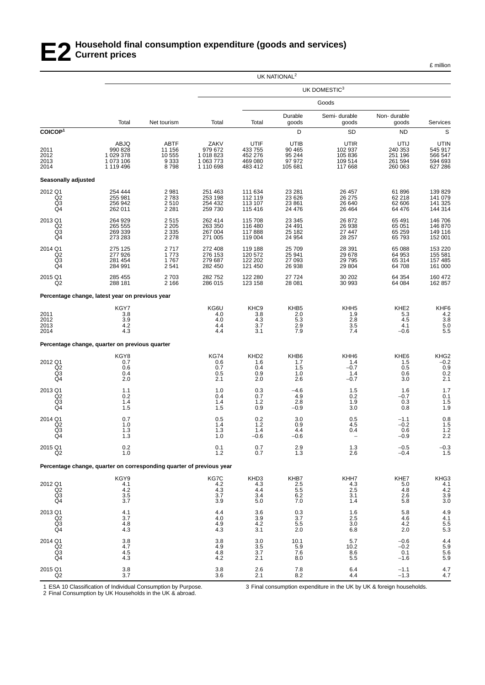### **E2 Household final consumption expenditure (goods and services) Current prices**

£ million

|                                                   |                                                                      |                                             |                                                        |                                                  | UK NATIONAL <sup>2</sup>                                        |                                                    |                                                                     |                                                             |
|---------------------------------------------------|----------------------------------------------------------------------|---------------------------------------------|--------------------------------------------------------|--------------------------------------------------|-----------------------------------------------------------------|----------------------------------------------------|---------------------------------------------------------------------|-------------------------------------------------------------|
|                                                   |                                                                      |                                             |                                                        |                                                  |                                                                 | UK DOMESTIC3                                       |                                                                     |                                                             |
|                                                   |                                                                      |                                             |                                                        |                                                  |                                                                 | Goods                                              |                                                                     |                                                             |
|                                                   | Total                                                                | Net tourism                                 | Total                                                  | Total                                            | Durable<br>goods                                                | Semi-durable<br>goods                              | Non-durable<br>goods                                                | Services                                                    |
| COICOP <sup>1</sup>                               |                                                                      |                                             |                                                        |                                                  | D                                                               | SD                                                 | <b>ND</b>                                                           | $\mathbb S$                                                 |
| 2011<br>2012<br>2013<br>2014                      | ABJQ<br>990 828<br>1 029 378<br>1 073 106<br>1 119 496               | ABTF<br>11 156<br>10 555<br>9 3 3 3<br>8798 | ZAKV<br>979 672<br>1 018 823<br>1 063 773<br>1 110 698 | UTIF<br>433 755<br>452 276<br>469 080<br>483 412 | UTIB<br>90 465<br>95 244<br>97972<br>105 681                    | UTIR<br>102 937<br>105 836<br>109 514<br>117 668   | UTIJ<br>240 353<br>251 196<br>261 594<br>260 063                    | UTIN<br>545 917<br>566 547<br>594 693<br>627 286            |
| Seasonally adjusted                               |                                                                      |                                             |                                                        |                                                  |                                                                 |                                                    |                                                                     |                                                             |
| 2012 Q1<br>Q2<br>$^{Q3}_{Q4}$                     | 254 444<br>255 981<br>256 942<br>262 011                             | 2981<br>2783<br>2510<br>2 2 8 1             | 251 463<br>253 198<br>254 432<br>259 730               | 111 634<br>112 119<br>113 107<br>115 416         | 23 281<br>23 6 26<br>23 861<br>24 4 76                          | 26 457<br>26 275<br>26 640<br>26 4 64              | 61896<br>62 218<br>62 606<br>64 476                                 | 139 829<br>141 079<br>141 325<br>144 314                    |
| 2013 Q1<br>Q <sub>2</sub><br>Q3<br>Q4             | 264 929<br>265 555<br>269 339<br>273 283                             | 2515<br>2 2 0 5<br>2 3 3 5<br>2 2 7 8       | 262 414<br>263 350<br>267 004<br>271 005               | 115 708<br>116 480<br>117888<br>119 004          | 23 345<br>24 491<br>25 182<br>24 954                            | 26 872<br>26 938<br>27 447<br>28 257               | 65 491<br>65 051<br>65 259<br>65 793                                | 146 706<br>146 870<br>149 116<br>152 001                    |
| 2014 Q1<br>Q2<br>Q3<br>Q4                         | 275 125<br>277 926<br>281 454<br>284 991                             | 2717<br>1773<br>1767<br>2 5 4 1             | 272 408<br>276 153<br>279 687<br>282 450               | 119 188<br>120 572<br>122 202<br>121 450         | 25 709<br>25 941<br>27 093<br>26 938                            | 28 391<br>29 678<br>29 7 95<br>29 804              | 65 088<br>64 953<br>65 314<br>64 708                                | 153 220<br>155 581<br>157 485<br>161 000                    |
| 2015 Q1<br>Q <sub>2</sub>                         | 285 455<br>288 181                                                   | 2 7 0 3<br>2 1 6 6                          | 282752<br>286 015                                      | 122 280<br>123 158                               | 27 7 24<br>28 081                                               | 30 20 2<br>30 993                                  | 64 354<br>64 084                                                    | 160 472<br>162 857                                          |
|                                                   | Percentage change, latest year on previous year                      |                                             |                                                        |                                                  |                                                                 |                                                    |                                                                     |                                                             |
| 2011<br>2012<br>2013<br>2014                      | KGY7<br>3.8<br>3.9<br>4.2<br>4.3                                     |                                             | KG6U<br>4.0<br>4.0<br>4.4<br>4.4                       | KHC9<br>3.8<br>$4.3\,$<br>3.7<br>3.1             | KHB <sub>5</sub><br>2.0<br>5.3<br>2.9<br>7.9                    | KHH <sub>5</sub><br>1.9<br>2.8<br>3.5<br>7.4       | KHE <sub>2</sub><br>5.3<br>4.5<br>4.1<br>$-0.6$                     | KHF6<br>$\frac{4.2}{3.8}$<br>$\frac{5.0}{5.5}$              |
|                                                   | Percentage change, quarter on previous quarter                       |                                             |                                                        |                                                  |                                                                 |                                                    |                                                                     |                                                             |
| 2012 Q1<br>Q2<br>Q3<br>Q4                         | KGY8<br>0.7<br>0.6<br>0.4<br>2.0                                     |                                             | <b>KG74</b><br>0.6<br>0.7<br>0.5<br>2.1                | KHD <sub>2</sub><br>1.6<br>0.4<br>0.9<br>2.0     | KHB6<br>1.7<br>1.5<br>1.0<br>2.6                                | KHH <sub>6</sub><br>1.4<br>$-0.7$<br>1.4<br>$-0.7$ | KHE6<br>1.5<br>0.5<br>0.6<br>3.0                                    | KHG2<br>$-0.2$<br>$0.9$<br>$0.2$<br>2.1                     |
| 2013 Q1<br>Q2<br>$^{Q3}_{Q4}$                     | 1.1<br>0.2<br>1.4<br>1.5                                             |                                             | 1.0<br>0.4<br>1.4<br>1.5                               | 0.3<br>0.7<br>$^{1.2}_{0.9}$                     | $-4.6$<br>4.9<br>2.8<br>$-0.9$                                  | 1.5<br>0.2<br>1.9<br>3.0                           | 1.6<br>$-0.7$<br>$\begin{smallmatrix} 0.3 \\ 0.8 \end{smallmatrix}$ | 1.7<br>0.1<br>$\frac{1.5}{1.9}$                             |
| 2014 Q1<br>Q2<br>Q3<br>Q4                         | 0.7<br>1.0<br>1.3<br>1.3                                             |                                             | 0.5<br>1.4<br>1.3<br>1.0                               | $0.2$<br>1.2<br>1.4<br>0.6                       | $\begin{array}{c} 3.0 \\ 0.9 \end{array}$<br>4.4<br>$-0.6$      | $\begin{array}{c} 0.5 \\ 4.5 \end{array}$<br>0.4   | $-1.1$<br>$-0.2$<br>0.6<br>-0.9                                     | $0.8$<br>1.5<br>$1.2$<br>2.2                                |
| 2015 Q1<br>Q <sub>2</sub>                         | 0.2<br>1.0                                                           |                                             | 0.1<br>1.2                                             | 0.7<br>0.7                                       | 2.9<br>1.3                                                      | 1.3<br>2.6                                         | $-0.5$<br>$-0.4$                                                    | $-0.3$<br>1.5                                               |
|                                                   | Percentage change, quarter on corresponding quarter of previous year |                                             |                                                        |                                                  |                                                                 |                                                    |                                                                     |                                                             |
| 2012 Q1<br>$_{\rm Q3}^{\rm Q2}$<br>Q <sub>4</sub> | KGY9<br>4.1<br>$\frac{4.2}{3.5}$<br>3.7                              |                                             | KG7C<br>4.2<br>$\frac{4.3}{3.7}$<br>3.9                | KHD3<br>4.3<br>4.4<br>3.4<br>5.0                 | KHB7<br>2.5<br>$\begin{array}{c} 5.5 \\ 6.2 \end{array}$<br>7.0 | KHH7<br>4.3<br>$\frac{2.5}{3.1}$<br>1.4            | KHE7<br>5.0<br>4.8<br>2.6<br>5.8                                    | KHG3<br>4.1<br>4.2<br>3.9<br>3.0                            |
| 2013 Q1<br>Q2<br>$^{Q3}_{Q4}$                     | 4.1<br>3.7<br>$^{4.8}_{4.3}$                                         |                                             | 4.4<br>4.0<br>4.9<br>4.3                               | 3.6<br>3.9<br>$\frac{4.2}{3.1}$                  | 0.3<br>3.7<br>$\begin{array}{c} 5.5 \\ 2.0 \end{array}$         | 1.6<br>2.5<br>3.0<br>6.8                           | 5.8<br>4.6<br>4.2<br>2.0                                            | $4.9$<br>$4.1$<br>$\begin{array}{c} 5.5 \\ 5.3 \end{array}$ |
| 2014 Q1<br>Q2<br>Q <sub>3</sub><br>Q4             | $\frac{3.8}{4.7}$<br>4.5<br>4.3                                      |                                             | $\frac{3.8}{4.9}$<br>4.8<br>4.2                        | $\frac{3.0}{3.5}$<br>3.7<br>2.1                  | $^{10.1}_{5.9}$<br>7.6<br>8.0                                   | $\frac{5.7}{10.2}$<br>8.6<br>5.5                   | $-0.6$<br>$-0.2$<br>0.1<br>$-1.6$                                   | 4.4<br>5.9<br>5.6<br>5.9                                    |
| 2015 Q1<br>Q2                                     | $3.8\,$<br>3.7                                                       |                                             | 3.8<br>3.6                                             | $2.6\,$<br>2.1                                   | 7.8<br>8.2                                                      | 6.4<br>4.4                                         | $-1.1$<br>$-1.3$                                                    | 4.7<br>4.7                                                  |

1 ESA 10 Classification of Individual Consumption by Purpose.

3 Final consumption expenditure in the UK by UK & foreign households.

2 Final Consumption by UK Households in the UK & abroad.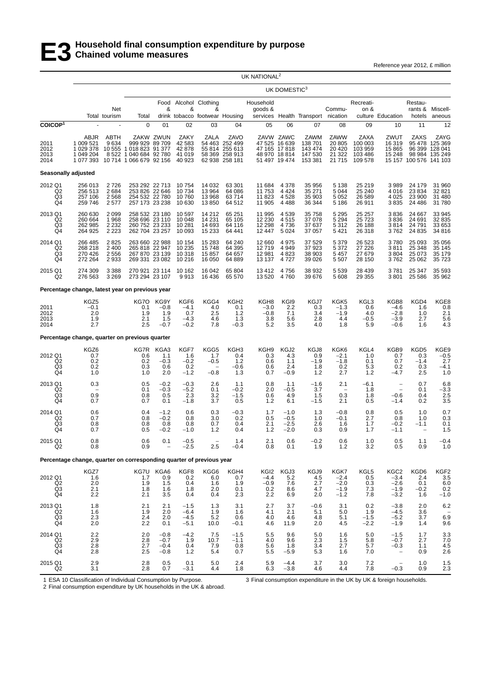Reference year 2012, £ million

|                                                    |                                                                      |                                       |                                                                                   |                                        |                                              |                                                              |                                                                              | UK NATIONAL <sup>2</sup>                     |                                                                               |                                                  |                                                 |                                                                 |                                                          |                                           |                                                                    |
|----------------------------------------------------|----------------------------------------------------------------------|---------------------------------------|-----------------------------------------------------------------------------------|----------------------------------------|----------------------------------------------|--------------------------------------------------------------|------------------------------------------------------------------------------|----------------------------------------------|-------------------------------------------------------------------------------|--------------------------------------------------|-------------------------------------------------|-----------------------------------------------------------------|----------------------------------------------------------|-------------------------------------------|--------------------------------------------------------------------|
|                                                    |                                                                      |                                       |                                                                                   |                                        |                                              |                                                              |                                                                              |                                              | UK DOMESTIC <sup>3</sup>                                                      |                                                  |                                                 |                                                                 |                                                          |                                           |                                                                    |
|                                                    |                                                                      | Net<br>Total tourism                  | Total                                                                             | &                                      | &                                            | Food Alcohol Clothing<br>&<br>drink tobacco footwear Housing |                                                                              | Household<br>goods &                         |                                                                               | services Health Transport nication               | Commu-                                          | Recreati-<br>on &                                               | culture Education                                        | Restau-<br>hotels                         | rants & Miscell-<br>aneous                                         |
| COICOP <sup>1</sup>                                |                                                                      |                                       | 0                                                                                 | 01                                     | 02                                           | 03                                                           | 04                                                                           | 05                                           | 06                                                                            | 07                                               | 08                                              | 09                                                              | 10                                                       | 11                                        | 12                                                                 |
| 2011<br>2012<br>2013<br>2014                       | ABJR<br>1 009 521<br>1 029 378<br>1 049 204<br>1 077 393             | <b>ABTH</b><br>9634<br>8 5 22         | 999 929<br>10 555 1 018 823 91 377<br>1 040 684 92 780<br>10 714 1 066 679 92 156 | ZAKW ZWUN<br>89 709                    | ZAKY<br>42 583<br>42 878<br>41 019<br>40 923 | <b>ZALA</b>                                                  | ZAVO<br>54 463 252 499<br>55 814 255 613<br>58 369 258 913<br>62 938 258 181 |                                              | ZAVW ZAWC<br>47 525 16 639<br>47 165 17 818<br>48 970 18 814<br>51 497 19 474 | ZAWM<br>138 701<br>143 474<br>147 530<br>153 381 | ZAWW<br>20 805<br>20 4 20<br>21 3 22<br>21 7 15 | ZAXA<br>100 003<br>103 959<br>103 486<br>109 578                | ZWUT<br>16 319<br>15 865<br>15 248                       | ZAXS<br>15 157 100 576 141 103            | ZAYG<br>95 478 125 369<br>96 399 128 041<br>98 984 135 249         |
|                                                    | Seasonally adjusted                                                  |                                       |                                                                                   |                                        |                                              |                                                              |                                                                              |                                              |                                                                               |                                                  |                                                 |                                                                 |                                                          |                                           |                                                                    |
| 2012 Q1<br>Q2<br>Q <sub>3</sub><br>Q <sub>4</sub>  | 256 013<br>256 513<br>257 106<br>259 746                             | 2726<br>2684<br>2 5 6 8<br>2577       | 253 292 22 713<br>253 826 22 646<br>254 532 22 780<br>257 173 23 238              |                                        | 10754<br>10734<br>10760<br>10 630            | 14 0 32<br>13 964<br>13 968<br>13850                         | 63 301<br>64 086<br>63714<br>64 512                                          | 11 684<br>11 753<br>11 823<br>11 905         | 4 3 7 8<br>4 4 2 4<br>4528<br>4 4 8 8                                         | 35 956<br>35 271<br>35 903<br>36 344             | 5 1 3 8<br>5 0 4 4<br>5 0 5 2<br>5 1 8 6        | 25 219<br>25 240<br>26 589<br>26 911                            | 3989<br>4016<br>4 0 25<br>3835                           | 24 179<br>23 8 34<br>23 900<br>24 48 6    | 31 960<br>32 821<br>31 480<br>31780                                |
| 2013 Q1<br>Q2<br>Q3<br>Q4                          | 260 630<br>260 664<br>262 985<br>264 925                             | 2 0 9 9<br>1968<br>2 2 3 2<br>2 2 2 3 | 258 532 23 180<br>258 696 23 110<br>260 752 23 233<br>262 704 23 257              |                                        | 10 597<br>10 048<br>10 281<br>10 093         | 14 212<br>14 2 31<br>14 693<br>15 2 33                       | 65 251<br>65 105<br>64 116<br>64 441                                         | 11 995<br>12 2 30<br>12 298<br>12 447        | 4 5 3 9<br>4515<br>4736<br>5 0 2 4                                            | 35 758<br>37 078<br>37 637<br>37 057             | 5 2 9 5<br>5 2 9 4<br>5 3 1 2<br>5 4 21         | 25 25 7<br>25 7 23<br>26 188<br>26 318                          | 3836<br>3836<br>3814<br>3762                             | 24 667<br>24 691<br>24 791<br>24 8 35     | 33 945<br>32 835<br>33 653<br>34 816                               |
| 2014 Q1<br>Q <sub>2</sub><br>Q3<br>Q <sub>4</sub>  | 266 485<br>268 218<br>270 426<br>272 264                             | 2825<br>2 4 0 0<br>2 5 5 6<br>2933    | 263 660 22 988<br>265 818 22 947<br>267 870 23 139<br>269 331 23 082              |                                        | 10 154<br>10 235<br>10 318<br>10 216         | 15 2 8 3<br>15748<br>15857<br>16 050                         | 64 240<br>64 395<br>64 657<br>64 889                                         | 12 660<br>12719<br>12 981<br>13 137          | 4975<br>4 9 4 9<br>4 8 2 3<br>4727                                            | 37 529<br>37923<br>38 903<br>39 0 26             | 5 3 7 9<br>5 3 7 2<br>5 4 5 7<br>5 5 0 7        | 26 5 23<br>27 226<br>27 679<br>28 150                           | 3780<br>3811<br>3 8 0 4<br>3762                          | 25 093<br>25 348<br>25 073<br>25 062      | 35 056<br>35 145<br>35 179<br>35 7 23                              |
| 2015 Q1<br>Q2                                      | 274 309<br>276 563                                                   | 3 3 8 8<br>3 2 6 9                    | 270 921 23 114<br>273 294 23 107                                                  |                                        | 10 162<br>9913                               | 16 042<br>16 436                                             | 65 804<br>65 570                                                             | 13412<br>13 520                              | 4756<br>4760                                                                  | 38 932<br>39 676                                 | 5 5 3 9<br>5 608                                | 28 4 39<br>29 355                                               | 3781<br>3801                                             | 25 347<br>25 5 86                         | 35 593<br>35 962                                                   |
|                                                    | Percentage change, latest year on previous year                      |                                       |                                                                                   |                                        |                                              |                                                              |                                                                              |                                              |                                                                               |                                                  |                                                 |                                                                 |                                                          |                                           |                                                                    |
| 2011<br>2012<br>2013<br>2014                       | KGZ5<br>$-0.1$<br>2.0<br>1.9<br>2.7                                  |                                       | KG7O<br>0.1<br>1.9<br>2.1<br>2.5                                                  | KG9Y<br>$-0.8$<br>1.9<br>1.5<br>$-0.7$ | KGF6<br>$-4.1$<br>0.7<br>$-4.3$<br>$-0.2$    | KGG4<br>4.0<br>2.5<br>4.6<br>7.8                             | KGH <sub>2</sub><br>0.1<br>1.2<br>1.3<br>$-0.3$                              | KGH8<br>$-3.0$<br>$-0.8$<br>3.8<br>5.2       | KGI9<br>2.2<br>7.1<br>5.6<br>3.5                                              | KGJ7<br>0.3<br>3.4<br>2.8<br>4.0                 | KGK5<br>$-1.3$<br>$-1.9$<br>4.4<br>1.8          | KGL3<br>0.6<br>4.0<br>$-0.5$<br>5.9                             | KGB8<br>$-4.6$<br>$-2.8$<br>$-3.9$<br>$-0.6$             | KGD4<br>1.6<br>1.0<br>2.7<br>1.6          | KGE8<br>0.8<br>2.1<br>5.6<br>4.3                                   |
|                                                    | Percentage change, quarter on previous quarter                       |                                       |                                                                                   |                                        |                                              |                                                              |                                                                              |                                              |                                                                               |                                                  |                                                 |                                                                 |                                                          |                                           |                                                                    |
| 2012 Q1<br>Q <sub>2</sub><br>Q <sub>3</sub><br>Q4  | KGZ6<br>0.7<br>0.2<br>0.2<br>1.0                                     |                                       | KG7R<br>0.6<br>0.2<br>0.3<br>1.0                                                  | KGA3<br>1.1<br>$-0.3$<br>0.6<br>2.0    | KGF7<br>1.6<br>$-0.2$<br>0.2<br>$-1.2$       | KGG5<br>1.7<br>$-0.5$<br>$-0.8$                              | KGH3<br>0.4<br>1.2<br>$-0.6$<br>1.3                                          | KGH <sub>9</sub><br>0.3<br>0.6<br>0.6<br>0.7 | KGJ2<br>4.3<br>1.1<br>2.4<br>$-0.9$                                           | KGJ8<br>0.9<br>$-1.9$<br>1.8<br>1.2              | KGK6<br>$-2.1$<br>$-1.8$<br>0.2<br>2.7          | KGL4<br>1.0<br>0.1<br>5.3<br>1.2                                | KGB9<br>0.7<br>0.7<br>0.2<br>$-4.7$                      | KGD5<br>0.3<br>$-1.4$<br>0.3<br>2.5       | KGE9<br>$-0.5$<br>2.7<br>$-4.1$<br>1.0                             |
| 2013 Q1<br>Q <sub>2</sub><br>$\overline{Q3}$<br>Q4 | 0.3<br>0.9<br>0.7                                                    |                                       | 0.5<br>0.1<br>0.8<br>0.7                                                          | $-0.2$<br>$-0.3$<br>0.5<br>0.1         | $-0.3$<br>$-5.2$<br>2.3<br>$-1.8$            | 2.6<br>0.1<br>3.2<br>3.7                                     | 1.1<br>$-0.2$<br>$-1.5$<br>0.5                                               | 0.8<br>2.0<br>0.6<br>1.2                     | 1.1<br>$-0.5$<br>4.9<br>6.1                                                   | $-1.6$<br>3.7<br>1.5<br>$-1.5$                   | 2.1<br>0.3<br>2.1                               | $-6.1$<br>1.8<br>1.8<br>0.5                                     | $\qquad \qquad -$<br>$\overline{a}$<br>$-0.6$<br>$-1.4$  | 0.7<br>0.1<br>0.4<br>0.2                  | 6.8<br>$^{-3.3}_{2.5}$<br>3.5                                      |
| 2014 Q1<br>Q2<br>Q3<br>$\overline{Q4}$             | 0.6<br>0.7<br>0.8<br>0.7                                             |                                       | 0.4<br>0.8<br>0.8<br>0.5                                                          | $-1.2$<br>$-0.2$<br>0.8<br>$-0.2$      | 0.6<br>0.8<br>0.8<br>$-1.0$                  | 0.3<br>3.0<br>0.7<br>1.2                                     | $-0.3$<br>0.2<br>0.4<br>0.4                                                  | 1.7<br>0.5<br>2.1<br>1.2                     | $-1.0$<br>$-0.5$<br>$-2.5$<br>$-2.0$                                          | 1.3<br>1.0<br>2.6<br>0.3                         | $-0.8$<br>$-0.1$<br>1.6<br>0.9                  | 0.8<br>2.7<br>1.7<br>1.7                                        | 0.5<br>0.8<br>$-0.2$<br>$-1.1$                           | 1.0<br>1.0<br>$-1.1$                      | 0.7<br>0.3<br>0.1<br>1.5                                           |
| 2015 Q1<br>Q <sub>2</sub>                          | 0.8<br>0.8                                                           |                                       | $\begin{array}{c} 0.6 \\ 0.9 \end{array}$                                         | 0.1                                    | $-0.5$<br>$-2.5$                             | 2.5                                                          | 1.4<br>$-0.4$                                                                | 2.1<br>0.8                                   | 0.6<br>0.1                                                                    | $-0.2$<br>1.9                                    | $0.6$<br>1.2                                    | $\frac{1.0}{3.2}$                                               | $\begin{array}{c} 0.5 \\ 0.5 \end{array}$                | $\begin{array}{c} 1.1 \\ 0.9 \end{array}$ | $-0.4$<br>1.0                                                      |
|                                                    | Percentage change, quarter on corresponding quarter of previous year |                                       |                                                                                   |                                        |                                              |                                                              |                                                                              |                                              |                                                                               |                                                  |                                                 |                                                                 |                                                          |                                           |                                                                    |
| 2012 Q1<br>Q2<br>Q3<br>Q <sub>4</sub>              | KGZ7<br>1.6<br>2.0<br>2.1<br>2.2                                     |                                       | KG7U<br>1.7<br>1.9<br>1.8<br>2.1                                                  | KGA6<br>$0.9$<br>1.5<br>1.6<br>3.5     | KGF8<br>${}^{0.2}_{0.4}$<br>1.8<br>0.4       | KGG6<br>6.0<br>1.6<br>2.0<br>0.4                             | KGH4<br>0.7<br>1.9<br>0.1<br>2.3                                             | KGI2<br>$-4.4$<br>$-0.9$<br>0.2<br>2.2       | KGJ3<br>5.2<br>7.6<br>8.6<br>6.9                                              | KGJ9<br>$\frac{4.5}{2.7}$<br>4.7<br>2.0          | KGK7<br>$^{-2.4}_{-2.0}$<br>$-1.9$<br>$-1.2$    | KGL5<br>$\begin{array}{c} 0.5 \\ 0.3 \end{array}$<br>7.3<br>7.8 | KGC <sub>2</sub><br>$-3.4$<br>$-2.6$<br>$-1.9$<br>$-3.2$ | KGD6<br>2.4<br>0.1<br>$-0.2$<br>1.6       | KGF2<br>$\begin{array}{c} 3.5 \\ 6.0 \end{array}$<br>0.2<br>$-1.0$ |
| 2013 Q1<br>$_{\rm Q3}^{\rm Q2}$<br>Q4              | 1.8<br>$\frac{1.6}{2.3}$<br>2.0                                      |                                       | 2.1<br>$\frac{1.9}{2.4}$<br>2.2                                                   | 2.1<br>2.0<br>2.0<br>0.1               | $-1.5$<br>$-6.4$<br>$-4.5$<br>$-5.1$         | 1.3<br>$\frac{1.9}{5.2}$<br>10.0                             | 3.1<br>1.6<br>0.6<br>$-0.1$                                                  | 2.7<br>4.1<br>4.0<br>4.6                     | 3.7<br>2.1<br>4.6<br>11.9                                                     | $-0.6$<br>5.1<br>4.8<br>2.0                      | 3.1<br>5.0<br>5.1<br>4.5                        | 0.2<br>$1.9 - 1.5$<br>$-2.2$                                    | $-3.8$<br>$-4.5$<br>$-5.2$<br>$-1.9$                     | 2.0<br>3.6<br>3.7<br>1.4                  | 6.2<br>6.9<br>9.6                                                  |
| 2014 Q1<br>Q2<br>$^{Q3}_{Q4}$                      | 2.2<br>2.9<br>$^{2.8}_{2.8}$                                         |                                       | 2.0<br>2.8<br>$^{2.7}_{2.5}$                                                      | $-0.8$<br>$-0.7$<br>$-0.4$<br>$-0.8$   | $-4.2$<br>1.9<br>0.4<br>1.2                  | 7.5<br>10.7<br>7.9<br>5.4                                    | $-1.5$<br>$-1.1$<br>0.8<br>0.7                                               | 5.5<br>4.0<br>5.6<br>5.5                     | 9.6<br>9.6<br>1.8<br>$-5.9$                                                   | 5.0<br>2.3<br>3.4<br>5.3                         | 1.6<br>1.5<br>2.7<br>1.6                        | 5.0<br>5.8<br>5.7<br>7.0                                        | $-1.5$<br>$-0.7$<br>$-0.3$                               | 1.7<br>2.7<br>1.1<br>0.9                  | $\frac{3.3}{7.0}$<br>$\frac{4.5}{2.6}$                             |
| 2015 Q1<br>$\overline{Q}2$                         | $\frac{2.9}{3.1}$                                                    |                                       | $^{2.8}_{2.8}$                                                                    | $\substack{0.5 \\ 0.7}$                | $\frac{0.1}{-3.1}$                           | $\begin{array}{c} 5.0 \\ 4.4 \end{array}$                    | $^{2.4}_{1.8}$                                                               | $\begin{array}{c} 5.9 \\ 6.3 \end{array}$    | $-4.4$<br>$-3.8$                                                              | 3.7<br>4.6                                       | $3.0$<br>$4.4$                                  | $7.2$<br>$7.8$                                                  | $-0.3$                                                   | $\begin{array}{c} 1.0 \\ 0.9 \end{array}$ | $\frac{1.5}{2.3}$                                                  |

1 ESA 10 Classification of Individual Consumption by Purpose.

3 Final consumption expenditure in the UK by UK & foreign households.

2 Final consumption expenditure by UK households in the UK & abroad.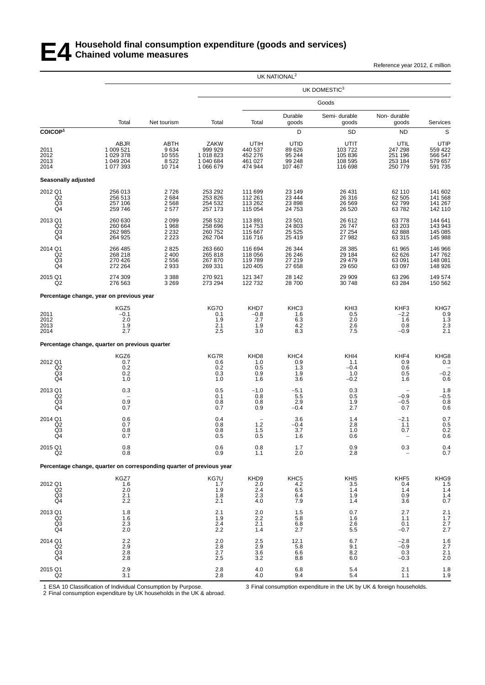### **E4 Household final consumption expenditure (goods and services) Chained volume measures**

Reference year 2012, £ million

|                                                               |                                                                      |                                         |                                                        |                                                  | UK NATIONAL <sup>2</sup>                      |                                                 |                                                  |                                                          |
|---------------------------------------------------------------|----------------------------------------------------------------------|-----------------------------------------|--------------------------------------------------------|--------------------------------------------------|-----------------------------------------------|-------------------------------------------------|--------------------------------------------------|----------------------------------------------------------|
|                                                               |                                                                      |                                         |                                                        |                                                  |                                               | UK DOMESTIC3                                    |                                                  |                                                          |
|                                                               |                                                                      |                                         |                                                        |                                                  |                                               | Goods                                           |                                                  |                                                          |
|                                                               | Total                                                                | Net tourism                             | Total                                                  | Total                                            | Durable<br>goods                              | Semi-durable<br>goods                           | Non-durable<br>goods                             | Services                                                 |
| COICOP <sup>1</sup>                                           |                                                                      |                                         |                                                        |                                                  | D                                             | SD                                              | <b>ND</b>                                        | $\mathsf S$                                              |
| 2011<br>2012<br>2013<br>2014                                  | ABJR<br>1 009 521<br>1 029 378<br>1 049 204<br>1 077 393             | ABTH<br>9634<br>10 555<br>8522<br>10714 | ZAKW<br>999 929<br>1 018 823<br>1 040 684<br>1 066 679 | UTIH<br>440 537<br>452 276<br>461 027<br>474 944 | UTID<br>89 626<br>95 244<br>99 248<br>107 467 | UTIT<br>103722<br>105 836<br>108 595<br>116 698 | UTIL<br>247 298<br>251 196<br>253 184<br>250 779 | UTIP<br>559 422<br>566 547<br>579 657<br>591 735         |
| Seasonally adjusted                                           |                                                                      |                                         |                                                        |                                                  |                                               |                                                 |                                                  |                                                          |
| 2012 Q1<br>Q <sub>2</sub><br>$\overline{Q3}$ <sub>Q4</sub>    | 256 013<br>256 513<br>257 106<br>259 746                             | 2726<br>2 6 8 4<br>2568<br>2577         | 253 292<br>253 826<br>254 532<br>257 173               | 111 699<br>112 261<br>113 262<br>115 054         | 23 149<br>23 4 4 4<br>23 8 98<br>24 7 5 3     | 26 431<br>26 316<br>26 5 69<br>26 5 20          | 62 110<br>62 505<br>62799<br>63782               | 141 602<br>141 568<br>141 267<br>142 110                 |
| 2013 Q1<br>Q2<br>Q <sub>3</sub><br>Q4                         | 260 630<br>260 664<br>262 985<br>264 925                             | 2 0 9 9<br>1968<br>2 2 3 2<br>2 2 2 3   | 258 532<br>258 696<br>260 752<br>262 704               | 113891<br>114 753<br>115 667<br>116 716          | 23 501<br>24 803<br>25 5 25<br>25 4 19        | 26 612<br>26 747<br>27 254<br>27 982            | 63778<br>63 203<br>62 888<br>63 315              | 144 641<br>143 943<br>145 085<br>145 988                 |
| 2014 Q1<br>Q <sub>2</sub><br>$\frac{Q3}{Q4}$                  | 266 485<br>268 218<br>270 426<br>272 264                             | 2825<br>2 4 0 0<br>2556<br>2933         | 263 660<br>265 818<br>267 870<br>269 331               | 116 694<br>118 056<br>119789<br>120 405          | 26 344<br>26 246<br>27 219<br>27 658          | 28 3 8 5<br>29 184<br>29 479<br>29 650          | 61 965<br>62 626<br>63 091<br>63 097             | 146 966<br>147 762<br>148 081<br>148 926                 |
| 2015 Q1<br>Q <sub>2</sub>                                     | 274 309<br>276 563                                                   | 3 3 8 8<br>3 2 6 9                      | 270 921<br>273 294                                     | 121 347<br>122 732                               | 28 142<br>28700                               | 29 909<br>30 748                                | 63 296<br>63 284                                 | 149 574<br>150 562                                       |
|                                                               | Percentage change, year on previous year                             |                                         |                                                        |                                                  |                                               |                                                 |                                                  |                                                          |
| 2011<br>2012<br>2013<br>2014                                  | KGZ5<br>$-0.1$<br>2.0<br>$\frac{1.9}{2.7}$                           |                                         | KG7O<br>0.1<br>1.9<br>2.1<br>2.5                       | KHD7<br>$-0.8$<br>2.7<br>1.9<br>3.0              | KHC3<br>1.6<br>6.3<br>4.2<br>8.3              | KH <sub>I3</sub><br>0.5<br>2.0<br>2.6<br>7.5    | KHF3<br>$-2.2$<br>1.6<br>0.8<br>$-0.9$           | KHG7<br>0.9<br>1.3<br>2.3<br>2.1                         |
|                                                               | Percentage change, quarter on previous quarter                       |                                         |                                                        |                                                  |                                               |                                                 |                                                  |                                                          |
| 2012 Q1<br>Q2<br>Q <sub>3</sub><br>Q <sub>4</sub>             | KGZ6<br>0.7<br>0.2<br>0.2<br>1.0                                     |                                         | <b>KG7R</b><br>0.6<br>0.2<br>0.3<br>1.0                | KHD8<br>1.0<br>0.5<br>0.9<br>1.6                 | KHC4<br>0.9<br>1.3<br>1.9<br>3.6              | KHI4<br>1.1<br>$-0.4$<br>1.0<br>$-0.2$          | KHF4<br>0.9<br>0.6<br>0.5<br>1.6                 | KHG8<br>0.3<br>$-0.2$<br>0.6                             |
| 2013 Q1<br>Q <sub>2</sub><br>Q3<br>Q4                         | 0.3<br>0.9<br>0.7                                                    |                                         | 0.5<br>0.1<br>0.8<br>0.7                               | $-1.0$<br>0.8<br>0.8<br>0.9                      | $-5.1$<br>5.5<br>2.9<br>$-0.4$                | 0.3<br>0.5<br>1.9<br>2.7                        | $-0.9$<br>$-0.5$<br>0.7                          | $\begin{array}{c} 1.8 \\ -0.5 \\ 0.8 \\ 0.6 \end{array}$ |
| 2014 Q1<br>Q <sub>2</sub><br>Q <sub>3</sub><br>Q <sub>4</sub> | $0.6 \\ 0.7$<br>0.8<br>0.7                                           |                                         | 0.4<br>0.8<br>0.8<br>0.5                               | $1.2$<br>1.5<br>0.5                              | 3.6<br>$-0.4$<br>3.7<br>1.6                   | 1.4<br>2.8<br>1.0<br>0.6                        | $-2.1$<br>1.1<br>0.7                             | $\begin{array}{c} 0.7 \\ 0.5 \end{array}$<br>0.2<br>0.6  |
| 2015 Q1<br>Q2                                                 | 0.8<br>0.8                                                           |                                         | 0.6<br>0.9                                             | 0.8<br>1.1                                       | 1.7<br>2.0                                    | 0.9<br>2.8                                      | 0.3                                              | $0.4$<br>$0.7$                                           |
|                                                               | Percentage change, quarter on corresponding quarter of previous year |                                         |                                                        |                                                  |                                               |                                                 |                                                  |                                                          |
| 2012 Q1<br>$^{Q2}_{Q3}$<br>Q4                                 | KGZ7<br>1.6<br>2.0<br>2.1<br>2.2                                     |                                         | KG7U<br>1.7<br>1.9<br>1.8<br>2.1                       | KHD9<br>$2.0\,$<br>2.4<br>2.3<br>4.0             | KHC <sub>5</sub><br>4.2<br>6.5<br>6.4<br>7.9  | KHI5<br>3.5<br>1.4<br>1.9<br>1.4                | KHF5<br>0.4<br>1.4<br>0.9<br>3.6                 | KHG9<br>1.5<br>1.4<br>$^{1.4}_{0.7}$                     |
| 2013 Q1<br>Q2<br>Q <sub>3</sub><br>Q4                         | 1.8<br>1.6<br>2.3<br>2.0                                             |                                         | 2.1<br>1.9<br>2.4<br>2.2                               | $^{2.0}_{2.2}$<br>2.1<br>1.4                     | 1.5<br>5.8<br>6.8<br>2.7                      | 0.7<br>1.6<br>2.6<br>5.5                        | 2.7<br>1.1<br>0.1<br>$-0.7$                      | $2.1$<br>$1.7$<br>$2.7$<br>$2.7$                         |
| 2014 Q1<br>Q <sub>2</sub><br>Q <sub>3</sub><br>Q4             | $^{2.2}_{2.9}$<br>2.8<br>2.8                                         |                                         | 2.0<br>2.8<br>2.7<br>2.5                               | $^{2.5}_{2.9}$<br>3.6<br>3.2                     | 12.1<br>5.8<br>6.6<br>8.8                     | 6.7<br>9.1<br>8.2<br>6.0                        | $-2.8$<br>$-0.9$<br>0.3<br>$-0.3$                | $\frac{1.6}{2.7}$<br>2.1<br>2.0                          |
| 2015 Q1<br>Q2                                                 | 2.9<br>3.1                                                           |                                         | 2.8<br>$2.8\,$                                         | 4.0<br>$4.0\,$                                   | 6.8<br>9.4                                    | 5.4<br>5.4                                      | 2.1<br>1.1                                       | $\frac{1.8}{1.9}$                                        |

1 ESA 10 Classification of Individual Consumption by Purpose.

3 Final consumption expenditure in the UK by UK & foreign households.

2 Final consumption expenditure by UK households in the UK & abroad.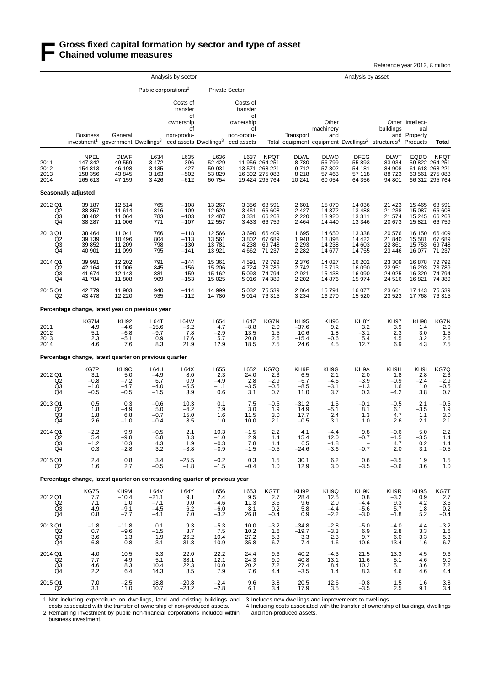### **F Gross fixed capital formation by sector and type of asset Chained volume measures**

Reference year 2012, £ million

|                                                   |                                                                             |                                                            | Analysis by sector                               |                                                                                                  |                                           |                                                                           | Analysis by asset                                                 |                                                   |                                                 |                                           |                                                                                                |                                                |                                                                   |
|---------------------------------------------------|-----------------------------------------------------------------------------|------------------------------------------------------------|--------------------------------------------------|--------------------------------------------------------------------------------------------------|-------------------------------------------|---------------------------------------------------------------------------|-------------------------------------------------------------------|---------------------------------------------------|-------------------------------------------------|-------------------------------------------|------------------------------------------------------------------------------------------------|------------------------------------------------|-------------------------------------------------------------------|
|                                                   |                                                                             |                                                            |                                                  | Public corporations <sup>2</sup>                                                                 |                                           | <b>Private Sector</b>                                                     |                                                                   |                                                   |                                                 |                                           |                                                                                                |                                                |                                                                   |
|                                                   | <b>Business</b><br>investment <sup>1</sup>                                  | General<br>government Dwellings <sup>3</sup>               |                                                  | Costs of<br>transfer<br>of<br>ownership<br>οf<br>non-produ-<br>ced assets Dwellings <sup>3</sup> |                                           | Costs of<br>transfer<br>οf<br>ownership<br>οf<br>non-produ-<br>ced assets |                                                                   | Transport                                         | Other<br>machinery<br>and                       |                                           | buildings<br>Total equipment equipment Dwellings <sup>3</sup> structures <sup>4</sup> Products | Other Intellect-<br>ual<br>and Property        | Total                                                             |
| 2011<br>2012<br>2013                              | <b>NPEL</b><br>147 342<br>154 813<br>158 356                                | <b>DLWF</b><br>49 559<br>46 198<br>43 845                  | $\frac{L634}{3472}$<br>3 1 3 5<br>3 1 6 3        | L635<br>$-396$<br>$-427$<br>$-502$                                                               | L636<br>52 429<br>50 931<br>53 829        | L637                                                                      | <b>NPQT</b><br>11 956 264 251<br>13 571 268 221<br>16 392 275 083 | <b>DLWL</b><br>8780<br>9712<br>8 2 1 8            | <b>DLWO</b><br>56799<br>57802<br>57 463         | <b>DFEG</b><br>55 893<br>54 181<br>57 118 | <b>DLWT</b><br>83 0 34<br>84 908<br>88723                                                      | <b>EQDO</b>                                    | <b>NPQT</b><br>59 822 264 251<br>61 618 268 221<br>63 561 275 083 |
| 2014                                              | 165 613                                                                     | 47 159                                                     | 3426                                             | $-612$                                                                                           | 60 754                                    |                                                                           | 19 424 295 764                                                    | 10 241                                            | 60 054                                          | 64 356                                    | 94 801                                                                                         |                                                | 66 312 295 764                                                    |
|                                                   | Seasonally adjusted                                                         |                                                            |                                                  |                                                                                                  |                                           |                                                                           |                                                                   |                                                   |                                                 |                                           |                                                                                                |                                                |                                                                   |
| 2012 Q1<br>Q2<br>Q3<br>Q4                         | 39 187<br>38 857<br>38 482<br>38 287                                        | 12 514<br>11 614<br>11 064<br>11 006                       | 765<br>816<br>783<br>771                         | $-108$<br>$-109$<br>$-103$<br>$-107$                                                             | 13 267<br>12 6 20<br>12 487<br>12 557     | 3 3 5 6<br>3 4 5 1<br>3 3 3 1<br>3 4 3 3                                  | 68 591<br>66 608<br>66 263<br>66 759                              | 2601<br>2 4 2 7<br>2 2 2 0<br>2 4 6 4             | 15 0 70<br>14 372<br>13 9 20<br>14 440          | 14 036<br>13 4 8 8<br>13 311<br>13 346    | 21 423<br>21 238<br>21 574<br>20 673                                                           | 15 4 65<br>15 087<br>15 245<br>15 821          | 68 591<br>66 608<br>66 263<br>66759                               |
| 2013 Q1<br>Q <sub>2</sub><br>$\frac{Q3}{Q4}$      | 38 4 64<br>39 139<br>39 852<br>40 901                                       | 11 041<br>10 4 9 6<br>11 209<br>11 099                     | 766<br>804<br>798<br>795                         | $-118$<br>$-113$<br>$-130$<br>$-141$                                                             | 12 5 6 6<br>13 5 61<br>13781<br>13 921    | 3690<br>3802<br>4 2 3 8<br>4 6 6 2                                        | 66 409<br>67 689<br>69 748<br>71 237                              | 1695<br>1948<br>2 2 9 3<br>2 2 8 2                | 14 650<br>13898<br>14 2 38<br>14 677            | 13 3 38<br>14 4 22<br>14 603<br>14 755    | 20 576<br>21 840<br>22 861<br>23 4 46                                                          | 16 150<br>15 5 81<br>15 753<br>16 077          | 66 409<br>67 689<br>69748<br>71 237                               |
| 2014 Q1<br>Q <sub>2</sub><br>Q3<br>Q4             | 39 991<br>42 164<br>41 674<br>41 784                                        | 12 202<br>11 006<br>12 143<br>11 808                       | 791<br>845<br>881<br>909                         | $-144$<br>$-156$<br>$-159$<br>$-153$                                                             | 15 361<br>15 206<br>15 162<br>15 0 25     | 4 5 9 1<br>4724<br>5 0 9 3<br>5016                                        | 72 792<br>73 789<br>74 794<br>74 389                              | 2 3 7 6<br>2742<br>2921<br>2 2 0 2                | 14 0 27<br>15713<br>15 4 38<br>14 876           | 16 202<br>16 090<br>16 090<br>15 974      | 23 309<br>22 951<br>24 0 25<br>24 5 16                                                         | 16878<br>16 293<br>16 3 20<br>16821            | 72 792<br>73 789<br>74 794<br>74 389                              |
| 2015 Q1<br>Q <sub>2</sub>                         | 42779<br>43 478                                                             | 11 903<br>12 2 2 0                                         | 940<br>935                                       | $-114$<br>$-112$                                                                                 | 14 999<br>14780                           | 5 0 3 2<br>5014                                                           | 75 539<br>76 315                                                  | 2864<br>3 2 3 4                                   | 15794<br>16 270                                 | 16 077<br>15 5 20                         | 23 661<br>23 5 23                                                                              | 17 143<br>17768                                | 75 539<br>76 315                                                  |
|                                                   | Percentage change, latest year on previous year                             |                                                            |                                                  |                                                                                                  |                                           |                                                                           |                                                                   |                                                   |                                                 |                                           |                                                                                                |                                                |                                                                   |
| 2011<br>2012<br>2013<br>2014                      | KG7M<br>4.9<br>5.1<br>2.3<br>4.6                                            | KH92<br>$-4.6$<br>$-6.8$<br>$-5.1$<br>7.6                  | L64T<br>$-15.6$<br>$-9.7$<br>0.9<br>8.3          | <b>L64W</b><br>$-6.2$<br>7.8<br>17.6<br>21.9                                                     | L654<br>4.7<br>$-2.9$<br>5.7<br>12.9      | L64Z<br>$-8.8$<br>13.5<br>20.8<br>18.5                                    | KG7N<br>2.0<br>1.5<br>2.6<br>7.5                                  | <b>KH95</b><br>$-37.6$<br>10.6<br>$-15.4$<br>24.6 | KH <sub>96</sub><br>9.2<br>1.8<br>$-0.6$<br>4.5 | KH8Y<br>3.2<br>$-3.1$<br>5.4<br>12.7      | <b>KH97</b><br>3.9<br>$2.3\,$<br>4.5<br>6.9                                                    | <b>KH98</b><br>1.4<br>$3.0\,$<br>3.2<br>4.3    | KG7N<br>$2.0$<br>$1.5$<br>$2.6$<br>$7.5$                          |
|                                                   | Percentage change, latest quarter on previous quarter                       |                                                            |                                                  |                                                                                                  |                                           |                                                                           |                                                                   |                                                   |                                                 |                                           |                                                                                                |                                                |                                                                   |
| 2012 Q1<br>Q <sub>2</sub><br>Q3<br>Q4             | KG7P<br>3.1<br>$-0.8$<br>$-1.0$<br>$-0.5$                                   | KH <sub>9</sub> C<br>$5.0\,$<br>$-7.2$<br>$-4.7$<br>$-0.5$ | <b>L64U</b><br>$-4.9$<br>6.7<br>$-4.0$<br>$-1.5$ | L64X<br>8.0<br>0.9<br>$-5.5$<br>3.9                                                              | L655<br>2.3<br>$-4.9$<br>$-1.1$<br>0.6    | L652<br>24.0<br>2.8<br>$-3.5$<br>3.1                                      | KG7Q<br>2.3<br>$-2.9$<br>$-0.5$<br>0.7                            | KH9F<br>6.5<br>$-6.7$<br>$-8.5$<br>11.0           | KH9G<br>2.1<br>$-4.6$<br>$-3.1$<br>3.7          | KH9A<br>2.0<br>$-3.9$<br>$-1.3$<br>0.3    | KH <sub>9</sub> H<br>1.8<br>$-0.9$<br>1.6<br>$-4.2$                                            | KH <sub>9</sub><br>2.8<br>$-2.4$<br>1.0<br>3.8 | $KG7Q2.3-2.9-0.5-2.7$<br>0.7                                      |
| 2013 Q1<br>Q2<br>Q <sub>3</sub><br>Q4             | 0.5<br>1.8<br>1.8<br>2.6                                                    | 0.3<br>$-4.9$<br>6.8<br>$-1.0$                             | $-0.6$<br>5.0<br>$-0.7$<br>$-0.4$                | 10.3<br>$-4.2$<br>15.0<br>8.5                                                                    | 0.1<br>7.9<br>1.6<br>1.0                  | 7.5<br>3.0<br>11.5<br>10.0                                                | $-0.5$<br>1.9<br>3.0<br>2.1                                       | $-31.2$<br>14.9<br>17.7<br>$-0.5$                 | 1.5<br>$-5.1$<br>2.4<br>3.1                     | $-0.1$<br>8.1<br>1.3<br>1.0               | $-0.5$<br>6.1<br>4.7<br>2.6                                                                    | 2.1<br>$-3.5$<br>1.1<br>2.1                    | $-0.5$<br>$\frac{1.9}{3.0}$<br>2.1                                |
| 2014 Q1<br>Q2<br>Q3<br>Q4                         | $-2.2$<br>5.4<br>$-1.2$<br>0.3                                              | 9.9<br>$-9.8$<br>10.3<br>$-2.8$                            | $-0.5$<br>6.8<br>4.3<br>3.2                      | 2.1<br>8.3<br>1.9<br>$-3.8$                                                                      | 10.3<br>$-1.0$<br>$-0.3$<br>$-0.9$        | $-1.5$<br>2.9<br>7.8<br>$-1.5$                                            | 2.2<br>1.4<br>1.4<br>$-0.5$                                       | 4.1<br>15.4<br>6.5<br>$-24.6$                     | $-4.4$<br>12.0<br>$-1.8$<br>$-3.6$              | 9.8<br>$-0.7$<br>$-0.7$                   | $-0.6$<br>-1.5<br>4.7<br>2.0                                                                   | 5.0<br>-3.5<br>0.2<br>3.1                      | 2.2<br>1.4<br>$1.4 - 0.5$                                         |
| 2015 Q1<br>Q <sub>2</sub>                         | 2.4<br>1.6                                                                  | 0.8<br>2.7                                                 | 3.4<br>$-0.5$                                    | $-25.5$<br>$-1.8$                                                                                | $-0.2$<br>$-1.5$                          | 0.3<br>$-0.4$                                                             | 1.5<br>1.0                                                        | 30.1<br>12.9                                      | 6.2<br>3.0                                      | 0.6<br>$-3.5$                             | $-3.5$<br>$-0.6$                                                                               | 1.9<br>3.6                                     | $1.5$<br>$1.0$                                                    |
|                                                   | Percentage change, latest quarter on corresponding quarter of previous year |                                                            |                                                  |                                                                                                  |                                           |                                                                           |                                                                   |                                                   |                                                 |                                           |                                                                                                |                                                |                                                                   |
| 2012 Q1<br>Q <sub>2</sub><br>Q3<br>Q <sub>4</sub> | KG7S<br>7.7<br>7.1<br>4.9<br>0.8                                            | KH9M<br>$-10.4$<br>1.0<br>$-9.1$<br>$-7.7$                 | L64V<br>$-21.1$<br>$-7.1$<br>$-4.5$<br>$-4.1$    | L64Y<br>9.1<br>9.0<br>6.2<br>7.0                                                                 | L656<br>2.4<br>$-4.6$<br>$-6.0$<br>$-3.2$ | L653<br>9.5<br>11.3<br>8.1<br>26.8                                        | KG7T<br>2.7<br>3.6<br>0.2<br>$-0.4$                               | KH9P<br>28.4<br>9.6<br>5.8<br>0.9                 | KH9Q<br>12.5<br>2.0<br>$-4.4$<br>$-2.2$         | KH9K<br>0.8<br>$-4.4$<br>$-5.6$<br>$-3.0$ | KH9R<br>$-3.2$<br>9.3<br>5.7<br>$-1.8$                                                         | KH9S<br>$0.9$<br>4.2<br>1.8<br>5.2             | $KG7T$<br>2.7<br>3.6<br>0.2<br>$-0.4$                             |
| 2013 Q1<br>Q2<br>Q3<br>Q <sub>4</sub>             | $-1.8$<br>0.7<br>3.6<br>6.8                                                 | $-11.8$<br>$-9.6$<br>1.3<br>0.8                            | 0.1<br>$-1.5$<br>1.9<br>3.1                      | 9.3<br>3.7<br>26.2<br>31.8                                                                       | $-5.3$<br>7.5<br>10.4<br>10.9             | 10.0<br>10.2<br>27.2<br>35.8                                              | $-3.2$<br>1.6<br>5.3<br>6.7                                       | $-34.8$<br>$-19.7$<br>3.3<br>$-7.4$               | $-2.8$<br>$-3.3$<br>2.3<br>1.6                  | $-5.0$<br>6.9<br>9.7<br>10.6              | $-4.0$<br>2.8<br>6.0<br>13.4                                                                   | 4.4<br>3.3<br>3.3<br>1.6                       | $-3.2$<br>1.6<br>5.3<br>6.7                                       |
| 2014 Q1<br>Q <sub>2</sub><br>$^{Q3}_{Q4}$         | 4.0<br>7.7<br>4.6<br>2.2                                                    | 10.5<br>4.9<br>8.3<br>6.4                                  | 3.3<br>5.1<br>10.4<br>14.3                       | 22.0<br>38.1<br>22.3<br>8.5                                                                      | 22.2<br>12.1<br>10.0<br>7.9               | 24.4<br>24.3<br>20.2<br>7.6                                               | 9.6<br>9.0<br>7.2<br>4.4                                          | 40.2<br>40.8<br>27.4<br>$-3.5$                    | $-4.3$<br>13.1<br>8.4<br>1.4                    | 21.5<br>11.6<br>10.2<br>8.3               | 13.3<br>5.1<br>5.1<br>4.6                                                                      | 4.5<br>4.6<br>3.6<br>4.6                       | $\frac{9.6}{9.0}$<br>$7.2$<br>4.4                                 |
| 2015 Q1<br>Q <sub>2</sub>                         | 7.0<br>3.1                                                                  | $-2.5$<br>11.0                                             | 18.8<br>10.7                                     | $-20.8$<br>$-28.2$                                                                               | $-2.4$<br>$-2.8$                          | 9.6<br>6.1                                                                | 3.8<br>3.4                                                        | 20.5<br>17.9                                      | 12.6<br>3.5                                     | $-0.8$<br>$-3.5$                          | 1.5<br>2.5                                                                                     | 1.6<br>9.1                                     | $\frac{3.8}{3.4}$                                                 |

1 Not including expenditure on dwellings, land and existing buildings and costs associated with the transfer of ownership of non-produced assets.

3 Includes new dwellings and improvements to dwellings.

2 Remaining investment by public non-financial corporations included within business investment.

4 Including costs associated with the transfer of ownership of buildings, dwellings and non-produced assets.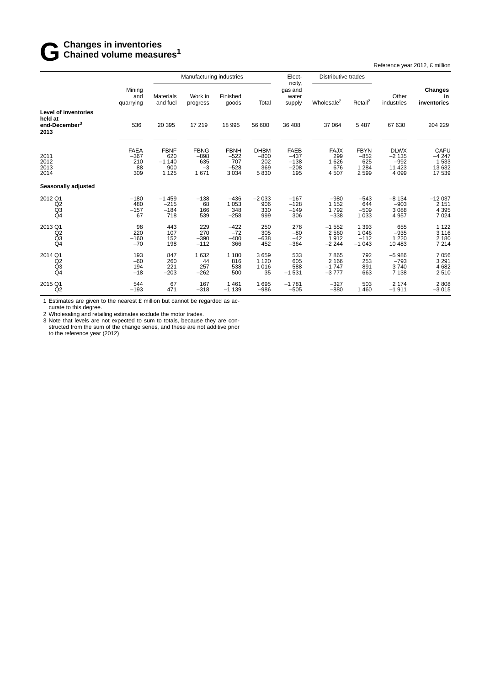## **G** Changes in inventories<br> **G** Chained volume measu **Chained volume measures<sup>1</sup>**

Reference year 2012, £ million

|                                                                      |                                           | Manufacturing industries                        |                                              |                                                   | Elect-<br>ricity,                           | Distributive trades                              |                                           |                                                 |                                                        |                                              |
|----------------------------------------------------------------------|-------------------------------------------|-------------------------------------------------|----------------------------------------------|---------------------------------------------------|---------------------------------------------|--------------------------------------------------|-------------------------------------------|-------------------------------------------------|--------------------------------------------------------|----------------------------------------------|
|                                                                      | Mining<br>and<br>quarrying                | <b>Materials</b><br>and fuel                    | Work in<br>progress                          | Finished<br>goods                                 | Total                                       | gas and<br>water<br>supply                       | Wholesale <sup>2</sup>                    | Retail <sup>2</sup>                             | Other<br>industries                                    | Changes<br>in<br>inventories                 |
| Level of inventories<br>held at<br>end-December <sup>3</sup><br>2013 | 536                                       | 20 395                                          | 17 219                                       | 18 995                                            | 56 600                                      | 36 408                                           | 37 064                                    | 5 4 8 7                                         | 67 630                                                 | 204 229                                      |
| 2011<br>2012<br>2013<br>2014                                         | <b>FAEA</b><br>$-367$<br>210<br>88<br>309 | <b>FBNF</b><br>620<br>$-1140$<br>900<br>1 1 2 5 | <b>FBNG</b><br>$-898$<br>635<br>$-3$<br>1671 | <b>FBNH</b><br>$-522$<br>707<br>$-528$<br>3 0 3 4 | <b>DHBM</b><br>$-800$<br>202<br>369<br>5830 | <b>FAEB</b><br>$-437$<br>$-138$<br>$-208$<br>195 | <b>FAJX</b><br>299<br>1626<br>676<br>4507 | <b>FBYN</b><br>$-852$<br>625<br>1 2 8 4<br>2599 | <b>DLWX</b><br>$-2135$<br>$-992$<br>11 4 23<br>4 0 9 9 | CAFU<br>$-4247$<br>1 533<br>13 632<br>17 539 |
| <b>Seasonally adjusted</b>                                           |                                           |                                                 |                                              |                                                   |                                             |                                                  |                                           |                                                 |                                                        |                                              |
| 2012 Q1<br>Q <sub>2</sub><br>Q <sub>3</sub><br>Q <sub>4</sub>        | $-180$<br>480<br>$-157$<br>67             | $-1459$<br>$-215$<br>$-184$<br>718              | $-138$<br>68<br>166<br>539                   | $-436$<br>1 0 5 3<br>348<br>$-258$                | $-2033$<br>906<br>330<br>999                | $-167$<br>$-128$<br>$-149$<br>306                | $-980$<br>1 1 5 2<br>1792<br>$-338$       | $-543$<br>644<br>$-509$<br>1 0 3 3              | $-8134$<br>$-903$<br>3 0 8 8<br>4 9 5 7                | $-12037$<br>2 1 5 1<br>4 3 9 5<br>7 0 24     |
| 2013 Q1<br>Q2<br>Q3<br>Q <sub>4</sub>                                | 98<br>220<br>$-160$<br>$-70$              | 443<br>107<br>152<br>198                        | 229<br>270<br>$-390$<br>$-112$               | $-422$<br>$-72$<br>$-400$<br>366                  | 250<br>305<br>$-638$<br>452                 | 278<br>$-80$<br>$-42$<br>$-364$                  | $-1552$<br>2560<br>1912<br>$-2244$        | 1 3 9 3<br>1 0 4 6<br>$-112$<br>$-1043$         | 655<br>$-935$<br>1 2 2 0<br>10 483                     | 1 1 2 2<br>3 1 1 6<br>2 180<br>7 2 1 4       |
| 2014 Q1<br>Q <sub>2</sub><br>$^{Q3}_{Q4}$                            | 193<br>$-60$<br>194<br>$-18$              | 847<br>260<br>221<br>$-203$                     | 1 6 3 2<br>44<br>257<br>$-262$               | 1 1 8 0<br>816<br>538<br>500                      | 3659<br>1 1 2 0<br>1016<br>35               | 533<br>605<br>588<br>$-1531$                     | 7865<br>2 1 6 6<br>$-1747$<br>$-3777$     | 792<br>253<br>891<br>663                        | $-5986$<br>$-793$<br>3740<br>7 1 3 8                   | 7 0 5 6<br>3 2 9 1<br>4 6 8 2<br>2510        |
| 2015 Q1<br>Q <sub>2</sub>                                            | 544<br>$-193$                             | 67<br>471                                       | 167<br>$-318$                                | 1 4 6 1<br>$-1139$                                | 1695<br>$-986$                              | $-1781$<br>$-505$                                | $-327$<br>$-880$                          | 503<br>1 4 6 0                                  | 2 1 7 4<br>$-1911$                                     | 2808<br>$-3015$                              |

1 Estimates are given to the nearest £ million but cannot be regarded as accurate to this degree.

2 Wholesaling and retailing estimates exclude the motor trades.

3 Note that levels are not expected to sum to totals, because they are constructed from the sum of the change series, and these are not additive prior to the reference year (2012)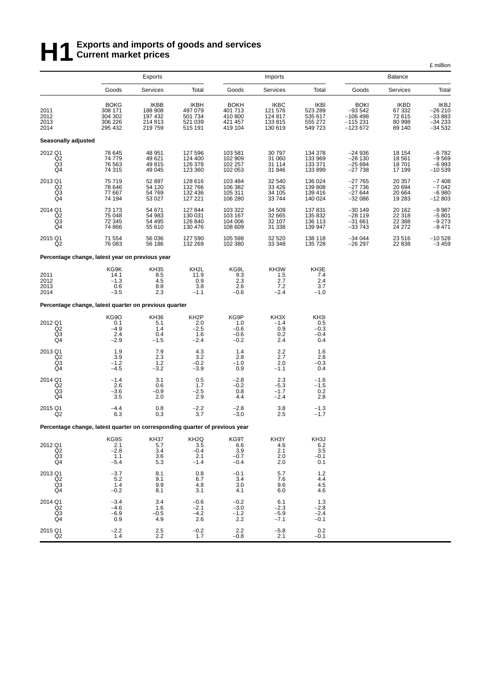# **H**1<sup>2</sup> Exports and imports of goods and services<br> **H**1<sup>2</sup> Current market prices **Current market prices**

|                                                                                                                                        |                                                                             |                                                         |                                                         |                                                         |                                                        |                                                         |                                                                |                                                     | £ million                                        |
|----------------------------------------------------------------------------------------------------------------------------------------|-----------------------------------------------------------------------------|---------------------------------------------------------|---------------------------------------------------------|---------------------------------------------------------|--------------------------------------------------------|---------------------------------------------------------|----------------------------------------------------------------|-----------------------------------------------------|--------------------------------------------------|
|                                                                                                                                        |                                                                             | Exports                                                 |                                                         |                                                         | Imports                                                |                                                         |                                                                | <b>Balance</b>                                      |                                                  |
|                                                                                                                                        | Goods                                                                       | Services                                                | Total                                                   | Goods                                                   | Services                                               | Total                                                   | Goods                                                          | Services                                            | Total                                            |
| 2011<br>2012<br>2013<br>2014                                                                                                           | <b>BOKG</b><br>308 171<br>304 302<br>306 226<br>295 432                     | <b>IKBB</b><br>188 908<br>197 432<br>214 813<br>219 759 | <b>IKBH</b><br>497 079<br>501 734<br>521 039<br>515 191 | <b>BOKH</b><br>401 713<br>410 800<br>421 457<br>419 104 | <b>IKBC</b><br>121 576<br>124 817<br>133815<br>130 619 | <b>IKBI</b><br>523 289<br>535 617<br>555 272<br>549 723 | <b>BOKI</b><br>$-93542$<br>$-106498$<br>$-115231$<br>$-123672$ | <b>IKBD</b><br>67 332<br>72 615<br>80 998<br>89 140 | IKBJ<br>26 210<br>$-33883$<br>-34 233<br>-34 532 |
| Seasonally adjusted                                                                                                                    |                                                                             |                                                         |                                                         |                                                         |                                                        |                                                         |                                                                |                                                     |                                                  |
| 2012 Q1<br>$\frac{Q2}{Q3}$                                                                                                             | 78 645<br>74 779<br>76 563<br>74 315                                        | 48 951<br>49 621<br>49815<br>49 045                     | 127 596<br>124 400<br>126 378<br>123 360                | 103 581<br>102 909<br>102 257<br>102 053                | 30 797<br>31 060<br>31 114<br>31 846                   | 134 378<br>133 969<br>133 371<br>133 899                | $-24936$<br>$-28130$<br>$-25694$<br>$-27738$                   | 18 154<br>18 5 61<br>18701<br>17 199                | $-6782$<br>$-9569$<br>$-6993$<br>$-10539$        |
| 2013 Q1<br>Q2<br>$_{\mathsf{Q4}}^{\mathsf{Q3}}$                                                                                        | 75 719<br>78 646<br>77 667<br>74 194                                        | 52 897<br>54 120<br>54 769<br>53 027                    | 128 616<br>132 766<br>132 436<br>127 221                | 103 484<br>106 382<br>105 311<br>106 280                | 32 540<br>33 4 26<br>34 105<br>33744                   | 136 024<br>139 808<br>139 416<br>140 024                | $-27765$<br>$-27736$<br>$-27644$<br>$-32086$                   | 20 357<br>20 694<br>20 664<br>19 283                | $-7408$<br>$-7042$<br>$-6980$<br>$-12803$        |
| 2014 Q1<br>Q2<br>$\frac{Q3}{Q4}$                                                                                                       | 73 173<br>75 048<br>72 345<br>74 866                                        | 54 671<br>54 983<br>54 495<br>55 610                    | 127 844<br>130 031<br>126 840<br>130 476                | 103 322<br>103 167<br>104 006<br>108 609                | 34 509<br>32 665<br>32 107<br>31 338                   | 137 831<br>135 832<br>136 113<br>139 947                | $-30149$<br>$-28119$<br>$-31661$<br>$-33743$                   | 20 162<br>22 318<br>22 388<br>24 27 2               | $-9987$<br>$-5801$<br>$-9273$<br>$-9471$         |
| 2015 Q1<br>Q2                                                                                                                          | 71 554<br>76 083                                                            | 56 036<br>56 186                                        | 127 590<br>132 269                                      | 105 598<br>102 380                                      | 32 5 20<br>33 348                                      | 138 118<br>135 728                                      | $-34044$<br>$-26297$                                           | 23 516<br>22 838                                    | $-10528$<br>$-3459$                              |
|                                                                                                                                        | Percentage change, latest year on previous year                             |                                                         |                                                         |                                                         |                                                        |                                                         |                                                                |                                                     |                                                  |
| 2011<br>2012<br>2013<br>2014                                                                                                           | KG9K<br>14.1<br>$-1.3$<br>0.6<br>$-3.5$                                     | <b>KH35</b><br>8.5<br>4.5<br>8.8<br>2.3                 | KH <sub>2</sub> L<br>11.9<br>0.9<br>3.8<br>$-1.1$       | KG9L<br>9.3<br>2.3<br>2.6<br>$-0.6$                     | KH3W<br>1.5<br>2.7<br>7.2<br>$-2.\overline{4}$         | KH3E<br>7.4<br>2.4<br>3.7<br>$-1.0$                     |                                                                |                                                     |                                                  |
|                                                                                                                                        | Percentage change, latest quarter on previous quarter                       |                                                         |                                                         |                                                         |                                                        |                                                         |                                                                |                                                     |                                                  |
| 2012 Q1<br>Q2<br>$^{Q3}_{Q4}$                                                                                                          | KG9O<br>0.1<br>$-4.9$<br>2.4<br>$-2.9$                                      | <b>KH36</b><br>5.1<br>1.4<br>0.4<br>$-1.5$              | KH <sub>2</sub> P<br>2.0<br>$-2.5$<br>1.6<br>$-2.4$     | KG9P<br>1.0<br>$-0.6$<br>$-0.6$<br>$-0.2$               | KH3X<br>$-1.4$<br>0.9<br>0.2<br>2.4                    | KH3I<br>0.5<br>$-0.3$<br>$-0.4$<br>0.4                  |                                                                |                                                     |                                                  |
| 2013 Q1<br>Q2<br>$\frac{Q3}{Q4}$                                                                                                       | 1.9<br>$3.9 - 1.2$<br>$-4.5$                                                | 7.9<br>2.3<br>$1.\overline{2}$<br>$-3.2$                | 4.3<br>3.2<br>$-0.2$<br>$-3.9$                          | 1.4<br>2.8<br>$-1.0$<br>0.9                             | 2.2<br>2.7<br>2.0<br>$-1.1$                            | 1.6<br>2.8<br>$-0.\overline{3}$<br>0.4                  |                                                                |                                                     |                                                  |
| 2014 Q1<br>Q2<br>Q3<br>Q <sub>4</sub>                                                                                                  | $-1.4$<br>2.6<br>$-3.6$<br>3.5                                              | 3.1<br>0.6<br>$-0.9$<br>2.0                             | 0.5<br>1.7<br>$-2.5$<br>2.9                             | $-2.8$<br>$-0.2$<br>0.8<br>4.4                          | 2.3<br>$-5.3$<br>$-1.7$<br>$-2.4$                      | $-1.6$<br>$-1.5$<br>0.2<br>2.8                          |                                                                |                                                     |                                                  |
| 2015 Q1<br>Q <sub>2</sub>                                                                                                              | $-4.4$<br>6.3                                                               | 0.8<br>0.3                                              | $-2.2$<br>3.7                                           | $-2.8$<br>$-3.0$                                        | 3.8<br>2.5                                             | $-1.3$<br>$-1.7$                                        |                                                                |                                                     |                                                  |
|                                                                                                                                        | Percentage change, latest quarter on corresponding quarter of previous year |                                                         |                                                         |                                                         |                                                        |                                                         |                                                                |                                                     |                                                  |
| 2012 Q1<br>$\begin{array}{c} \stackrel{\frown}{\text{Q2}} \\ \stackrel{\frown}{\text{Q3}} \\ \stackrel{\frown}{\text{Q4}} \end{array}$ | KG9S<br>2.1<br>$-2.8$<br>1.1<br>$-5.4$                                      | KH37<br>5.7<br>3.4<br>3.6<br>5.3                        | KH <sub>2</sub> Q<br>3.5<br>$-0.4$<br>2.1<br>$-1.4$     | KG9T<br>6.6<br>3.9<br>$-0.7$<br>$-0.4$                  | KH3Y<br>4.6<br>2.1<br>2.0<br>2.0                       | KH3J<br>6.2<br>3.5<br>$-0.1$<br>0.1                     |                                                                |                                                     |                                                  |
| 2013 Q1<br>Q <sub>2</sub><br>$\frac{Q3}{Q4}$                                                                                           | $-3.7$<br>5.2<br>1.4<br>$-0.2$                                              | 8.1<br>9.1<br>9.9<br>8.1                                | 0.8<br>6.7<br>4.8<br>3.1                                | $-0.1$<br>3.4<br>3.0<br>4.1                             | 5.7<br>7.6<br>9.6<br>6.0                               | 1.2<br>4.4<br>4.5<br>4.6                                |                                                                |                                                     |                                                  |
| 2014 Q1<br>Q2<br>Q3<br>Q <sub>4</sub>                                                                                                  | $-3.4$<br>$-4.6$<br>$-6.9$<br>0.9                                           | 3.4<br>1.6<br>$-0.5$<br>4.9                             | $-0.6$<br>$-2.1$<br>$-4.2$<br>2.6                       | $-0.2$<br>$-3.0$<br>$-1.2$<br>2.2                       | 6.1<br>$-2.3$<br>$-5.9$<br>$-7.1$                      | 1.3<br>$-2.8$<br>$-2.4$<br>$-0.1$                       |                                                                |                                                     |                                                  |
| 2015 Q1<br>Q2                                                                                                                          | $^{-2.2}_{1.4}$                                                             | $^{2.5}_{2.2}$                                          | $-0.2$<br>1.7                                           | 2.2<br>$-0.8$                                           | $-5.8$<br>2.1                                          | 0.2<br>$-0.1$                                           |                                                                |                                                     |                                                  |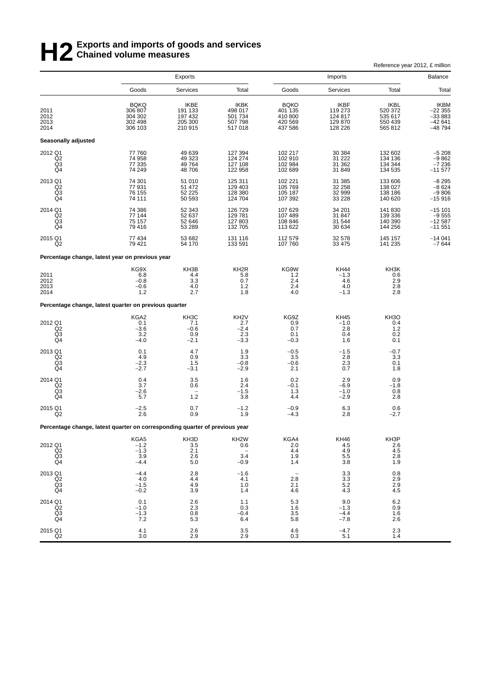# **H2** Exports and imports of goods and services<br> **H2** Chained volume measures **Chained volume measures**

|                                                                             |                                                         |                                                  |                                                            |                                                         |                                                  | Reference year 2012, £ million                                  |                                                           |
|-----------------------------------------------------------------------------|---------------------------------------------------------|--------------------------------------------------|------------------------------------------------------------|---------------------------------------------------------|--------------------------------------------------|-----------------------------------------------------------------|-----------------------------------------------------------|
|                                                                             |                                                         | <b>Exports</b>                                   |                                                            |                                                         | Imports                                          |                                                                 | Balance                                                   |
|                                                                             | Goods                                                   | Services                                         | Total                                                      | Goods                                                   | Services                                         | Total                                                           | Total                                                     |
| 2011<br>2012<br>2013<br>2014                                                | <b>BQKQ</b><br>306 807<br>304 302<br>302 498<br>306 103 | IKBE<br>191 133<br>197 432<br>205 300<br>210 915 | IKBK<br>498 017<br>501 734<br>507 798<br>517018            | <b>BOKO</b><br>401 135<br>410 800<br>420 569<br>437 586 | IKBF<br>119 273<br>124 817<br>129 870<br>128 226 | <b>IKBL</b><br>520 372<br>535 617<br>550 439<br>565 812         | <b>IKBM</b><br>–22 355<br>–33 883<br>$-42641$<br>$-48794$ |
| Seasonally adjusted                                                         |                                                         |                                                  |                                                            |                                                         |                                                  |                                                                 |                                                           |
| 2012 Q1<br>Q2<br>$^{Q3}_{Q4}$                                               | 77 760<br>74 958<br>77 335<br>74 249                    | 49 639<br>49 323<br>49 764<br>48706              | 127 394<br>124 274<br>127 108<br>122 958                   | 102 217<br>102 910<br>102 984<br>102 689                | 30 384<br>31 2 22<br>31 362<br>31 849            | 132 602<br>134 136<br>134 344<br>134 535                        | $-5208$<br>$-9862$<br>$-7236$<br>$-11577$                 |
| 2013 Q1<br>Q <sub>2</sub><br>Q3<br>Q <sub>4</sub>                           | 74 301<br>77 931<br>76 155<br>74 111                    | 51 010<br>51 472<br>52 225<br>50 593             | 125 311<br>129 403<br>128 380<br>124 704                   | 102 221<br>105 769<br>105 187<br>107 392                | 31 385<br>32 258<br>32 999<br>33 2 28            | 133 606<br>138 027<br>138 186<br>140 620                        | $-8295$<br>$-8624$<br>$-9806$<br>$-15916$                 |
| 2014 Q1<br>Q2<br>Q3<br>Q <sub>4</sub>                                       | 74 386<br>77 144<br>75 157<br>79 416                    | 52 343<br>52 637<br>52 646<br>53 289             | 126 729<br>129 781<br>127 803<br>132 705                   | 107 629<br>107 489<br>108 846<br>113 622                | 34 201<br>31 847<br>31 544<br>30 634             | 141 830<br>139 336<br>140 390<br>144 256                        | $-15101$<br>$-9555$<br>$-12587$<br>$-11551$               |
| 2015 Q1<br>Q <sub>2</sub>                                                   | 77 434<br>79 421                                        | 53 682<br>54 170                                 | 131 116<br>133 591                                         | 112 579<br>107 760                                      | 32 578<br>33 4 75                                | 145 157<br>141 235                                              | $-14041$<br>$-7644$                                       |
| Percentage change, latest year on previous year                             |                                                         |                                                  |                                                            |                                                         |                                                  |                                                                 |                                                           |
| 2011<br>2012<br>2013<br>2014                                                | KG9X<br>6.8<br>$-0.8$<br>$-0.6$<br>1.2                  | KH3B<br>4.4<br>3.3<br>4.0<br>2.7                 | KH <sub>2R</sub><br>5.8<br>0.7<br>1.2<br>1.8               | KG9W<br>1.2<br>2.4<br>2.4<br>4.0                        | <b>KH44</b><br>$-1.3$<br>4.6<br>4.0<br>$-1.3$    | KH3K<br>0.6<br>2.9<br>2.8<br>2.8                                |                                                           |
| Percentage change, latest quarter on previous quarter                       |                                                         |                                                  |                                                            |                                                         |                                                  |                                                                 |                                                           |
| 2012 Q1<br>Q <sub>2</sub><br>$\frac{Q}{Q}$                                  | KGA2<br>0.1<br>$-3.6$<br>3.2<br>$-4.0$                  | KH3C<br>7.1<br>$-0.6$<br>$0.9\,$<br>$-2.1$       | KH <sub>2</sub> V<br>2.7<br>$-2.4$<br>2.3<br>$-3.3$        | KG9Z<br>0.9<br>0.7<br>0.1<br>$-0.3$                     | <b>KH45</b><br>$-1.0$<br>2.8<br>0.4<br>1.6       | KH <sub>3</sub> O<br>0.4<br>$1.2$<br>0.2<br>0.1                 |                                                           |
| 2013 Q1<br>Q2<br>Q3<br>Q <sub>4</sub>                                       | 0.1<br>4.9<br>$-2.3$<br>$-2.7$                          | 4.7<br>0.9<br>1.5<br>$-3.1$                      | 1.9<br>3.3<br>$-0.8$<br>$-2.9$                             | $-0.5$<br>3.5<br>$-0.6$<br>2.1                          | $-1.5$<br>2.8<br>2.3<br>0.7                      | $-0.7$<br>3.3<br>0.1<br>1.8                                     |                                                           |
| 2014 Q1<br>Q2<br>Q <sub>3</sub><br>Q4                                       | $\frac{0.4}{3.7}$<br>$-2.6$<br>5.7                      | $\begin{array}{c} 3.5 \\ 0.6 \end{array}$<br>1.2 | 1.6<br>2.4<br>$-1.5$<br>3.8                                | $0.2 - 0.1$<br>1.3<br>4.4                               | $^{2.9}_{-6.9}$<br>$-1.0$<br>$-2.9$              | 0.9<br>$-1.8$<br>0.8<br>2.8                                     |                                                           |
| 2015 Q1<br>Q <sub>2</sub>                                                   | $-2.5$<br>2.6                                           | 0.7<br>0.9                                       | $-1.2$<br>1.9                                              | $-0.9$<br>$-4.3$                                        | 6.3<br>2.8                                       | 0.6<br>$-2.7$                                                   |                                                           |
| Percentage change, latest quarter on corresponding quarter of previous year |                                                         |                                                  |                                                            |                                                         |                                                  |                                                                 |                                                           |
| 2012 Q1<br>Q2<br>Q3<br>Q4                                                   | KGA5<br>$-1.2$<br>$-1.3$<br>3.9<br>$-4.4$               | KH3D<br>3.5<br>2.1<br>2.6<br>5.0                 | KH <sub>2</sub> W<br>0.6<br>$3.\bar{4}$<br>$-0.9$          | KGA4<br>2.0<br>4.4<br>1.9<br>1.4                        | KH46<br>4.5<br>$\frac{4.9}{5.5}$<br>3.8          | KH3P<br>2.6<br>$\begin{array}{c} 4.5 \\ 2.8 \end{array}$<br>1.9 |                                                           |
| 2013 Q1<br>Q2<br>$_{\mathsf{Q4}}^{\mathsf{Q3}}$                             | $-4.4$<br>4.0<br>$-1.5$<br>$-0.2$                       | 2.8<br>4.4<br>4.9<br>3.9                         | $-1.6$<br>4.1<br>1.0<br>1.4                                | 2.8<br>2.1<br>4.6                                       | 3.3<br>3.3<br>$\frac{5.2}{4.3}$                  | 0.8<br>2.9<br>$^{2.9}_{4.5}$                                    |                                                           |
| 2014 Q1<br>Q2<br>Q <sub>3</sub><br>Q4                                       | $0.1 - 1.0$<br>$-1.3$<br>7.2                            | $^{2.6}_{2.3}$<br>0.8<br>5.3                     | $\begin{array}{c} 1.1 \\ 0.3 \end{array}$<br>$-0.4$<br>6.4 | $\frac{5.3}{1.6}$<br>3.5<br>5.8                         | $^{9.0}_{-1.3}$<br>$-4.4$<br>$-7.8$              | $6.2 \\ 0.9$<br>1.6<br>2.6                                      |                                                           |
| 2015 Q1<br>Q2                                                               | 4.1<br>3.0                                              | 2.6<br>2.9                                       | 3.5<br>2.9                                                 | 4.6<br>0.3                                              | $-4.7$<br>5.1                                    | 2.3<br>1.4                                                      |                                                           |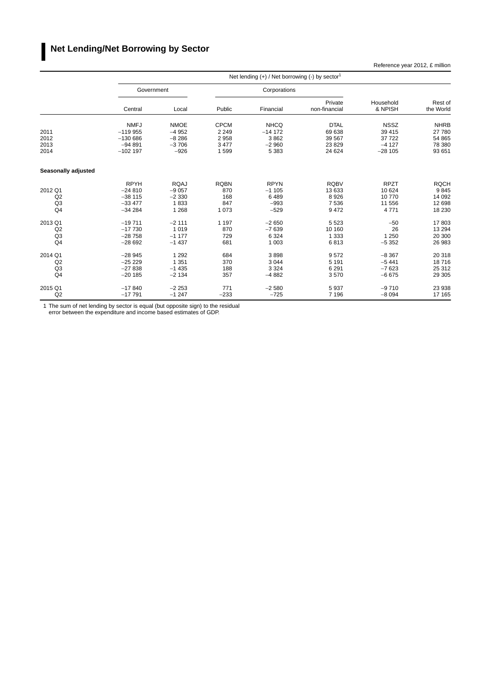### **I Net Lending/Net Borrowing by Sector**

Reference year 2012, £ million

|                     |             |             |             | Net lending $(+)$ / Net borrowing $(-)$ by sector <sup>1</sup> |                          |                      |                      |
|---------------------|-------------|-------------|-------------|----------------------------------------------------------------|--------------------------|----------------------|----------------------|
|                     | Government  |             |             | Corporations                                                   |                          |                      |                      |
|                     | Central     | Local       | Public      | Financial                                                      | Private<br>non-financial | Household<br>& NPISH | Rest of<br>the World |
|                     | <b>NMFJ</b> | <b>NMOE</b> | <b>CPCM</b> | <b>NHCQ</b>                                                    | <b>DTAL</b>              | <b>NSSZ</b>          | <b>NHRB</b>          |
| 2011                | $-119955$   | $-4952$     | 2 2 4 9     | $-14172$                                                       | 69 638                   | 39 415               | 27 780               |
| 2012                | $-130686$   | $-8286$     | 2958        | 3862                                                           | 39 567                   | 37 722               | 54 865               |
| 2013                | $-94891$    | $-3706$     | 3 4 7 7     | $-2960$                                                        | 23 8 29                  | $-4127$              | 78 380               |
| 2014                | $-102$ 197  | $-926$      | 1599        | 5 3 8 3                                                        | 24 624                   | $-28105$             | 93 651               |
| Seasonally adjusted |             |             |             |                                                                |                          |                      |                      |
|                     | <b>RPYH</b> | <b>RQAJ</b> | <b>RQBN</b> | <b>RPYN</b>                                                    | <b>RQBV</b>              | <b>RPZT</b>          | <b>RQCH</b>          |
| 2012 Q1             | $-24810$    | $-9057$     | 870         | $-1105$                                                        | 13 633                   | 10 624               | 9845                 |
| Q2                  | $-38$ 115   | $-2330$     | 168         | 6489                                                           | 8926                     | 10 770               | 14 092               |
| Q <sub>3</sub>      | $-33477$    | 1833        | 847         | $-993$                                                         | 7536                     | 11 556               | 12 698               |
| Q <sub>4</sub>      | $-34284$    | 1 2 6 8     | 1 0 7 3     | $-529$                                                         | 9472                     | 4 7 7 1              | 18 230               |
| 2013 Q1             | $-19711$    | $-2111$     | 1 1 9 7     | $-2650$                                                        | 5 5 2 3                  | $-50$                | 17803                |
| Q2                  | $-17730$    | 1019        | 870         | $-7639$                                                        | 10 160                   | 26                   | 13 2 94              |
| Q <sub>3</sub>      | $-28758$    | $-1177$     | 729         | 6 3 2 4                                                        | 1 3 3 3                  | 1 2 5 0              | 20 300               |
| Q4                  | $-28692$    | $-1437$     | 681         | 1 0 0 3                                                        | 6813                     | $-5352$              | 26 983               |
| 2014 Q1             | $-28945$    | 1 2 9 2     | 684         | 3898                                                           | 9572                     | $-8,367$             | 20 318               |
| Q2                  | $-25229$    | 1 3 5 1     | 370         | 3 0 4 4                                                        | 5 1 9 1                  | $-5441$              | 18716                |
| Q <sub>3</sub>      | $-27838$    | $-1435$     | 188         | 3 3 2 4                                                        | 6 2 9 1                  | $-7623$              | 25 312               |
| Q <sub>4</sub>      | $-20185$    | $-2134$     | 357         | $-4882$                                                        | 3570                     | $-6675$              | 29 30 5              |
| 2015 Q1             | $-17840$    | $-2253$     | 771         | $-2580$                                                        | 5937                     | $-9710$              | 23 938               |
| Q2                  | $-17791$    | $-1247$     | $-233$      | $-725$                                                         | 7 1 9 6                  | $-8094$              | 17 165               |

1 The sum of net lending by sector is equal (but opposite sign) to the residual error between the expenditure and income based estimates of GDP.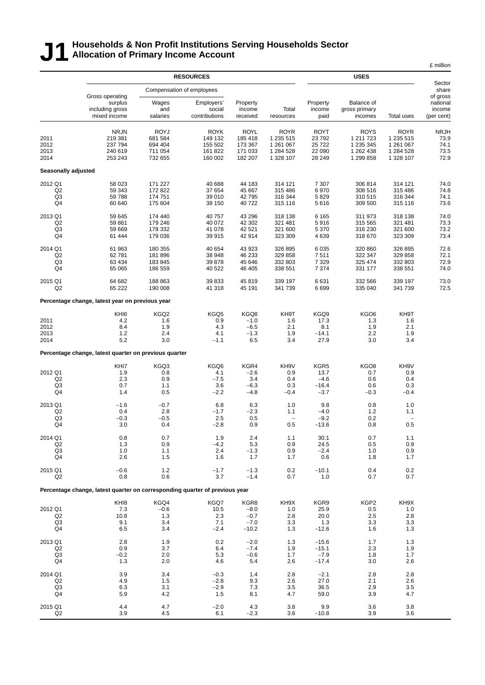### **J1 Households & Non Profit Institutions Serving Households Sector Allocation of Primary Income Account**

|                                                   |                                                                             |                                                         |                                                                    |                                                         |                                                                 |                                                      |                                                                 |                                                                 | £ million                                             |
|---------------------------------------------------|-----------------------------------------------------------------------------|---------------------------------------------------------|--------------------------------------------------------------------|---------------------------------------------------------|-----------------------------------------------------------------|------------------------------------------------------|-----------------------------------------------------------------|-----------------------------------------------------------------|-------------------------------------------------------|
|                                                   |                                                                             |                                                         | <b>RESOURCES</b>                                                   |                                                         |                                                                 |                                                      | <b>USES</b>                                                     |                                                                 | Sector                                                |
|                                                   | Gross operating<br>surplus<br>including gross<br>mixed income               | Wages<br>and<br>salaries                                | Compensation of employees<br>Employers'<br>social<br>contributions | Property<br>income<br>received                          | Total<br>resources                                              | Property<br>income<br>paid                           | Balance of<br>gross primary<br>incomes                          | <b>Total uses</b>                                               | share<br>of gross<br>national<br>income<br>(per cent) |
| 2011<br>2012<br>2013<br>2014                      | <b>NRJN</b><br>219 381<br>237 794<br>240 619<br>253 243                     | <b>ROYJ</b><br>681 584<br>694 404<br>711 054<br>732 655 | <b>ROYK</b><br>149 132<br>155 502<br>161 822<br>160 002            | <b>ROYL</b><br>185 418<br>173 367<br>171 033<br>182 207 | <b>ROYR</b><br>1 235 515<br>1 261 067<br>1 284 528<br>1 328 107 | <b>ROYT</b><br>23792<br>25 7 22<br>22 090<br>28 24 9 | <b>ROYS</b><br>1 211 723<br>1 235 345<br>1 262 438<br>1 299 858 | <b>ROYR</b><br>1 235 515<br>1 261 067<br>1 284 528<br>1 328 107 | <b>NRJH</b><br>73.9<br>74.1<br>73.5<br>72.9           |
| Seasonally adjusted                               |                                                                             |                                                         |                                                                    |                                                         |                                                                 |                                                      |                                                                 |                                                                 |                                                       |
| 2012 Q1<br>Q <sub>2</sub><br>Q3<br>Q4             | 58 023<br>59 343<br>59 788<br>60 640                                        | 171 227<br>172 822<br>174 751<br>175 604                | 40 688<br>37 654<br>39 010<br>38 150                               | 44 183<br>45 667<br>42795<br>40722                      | 314 121<br>315 486<br>316 344<br>315 116                        | 7 3 0 7<br>6970<br>5829<br>5616                      | 306 814<br>308 516<br>310 515<br>309 500                        | 314 121<br>315 486<br>316 344<br>315 116                        | 74.0<br>74.8<br>74.1<br>73.6                          |
| 2013 Q1<br>Q2<br>Q3<br>Q4                         | 59 645<br>59 861<br>59 669<br>61 444                                        | 174 440<br>179 246<br>178 332<br>179 036                | 40 757<br>40 072<br>41 078<br>39 915                               | 43 296<br>42 302<br>42 5 21<br>42 914                   | 318 138<br>321 481<br>321 600<br>323 309                        | 6 1 6 5<br>5916<br>5 3 7 0<br>4639                   | 311 973<br>315 565<br>316 230<br>318 670                        | 318 138<br>321 481<br>321 600<br>323 309                        | 74.0<br>73.3<br>73.2<br>73.4                          |
| 2014 Q1<br>Q <sub>2</sub><br>Q3<br>Q4             | 61 963<br>62781<br>63 4 34<br>65 065                                        | 180 355<br>181 896<br>183 845<br>186 559                | 40 654<br>38 948<br>39 878<br>40 522                               | 43 923<br>46 233<br>45 646<br>46 40 5                   | 326 895<br>329 858<br>332 803<br>338 551                        | 6 0 35<br>7511<br>7 3 2 9<br>7 3 7 4                 | 320 860<br>322 347<br>325 474<br>331 177                        | 326 895<br>329 858<br>332 803<br>338 551                        | 72.6<br>72.1<br>72.9<br>74.0                          |
| 2015 Q1<br>Q <sub>2</sub>                         | 64 682<br>65 222                                                            | 188 863<br>190 008                                      | 39 833<br>41 318                                                   | 45 819<br>45 191                                        | 339 197<br>341 739                                              | 6631<br>6699                                         | 332 566<br>335 040                                              | 339 197<br>341 739                                              | 73.0<br>72.5                                          |
|                                                   | Percentage change, latest year on previous year                             |                                                         |                                                                    |                                                         |                                                                 |                                                      |                                                                 |                                                                 |                                                       |
| 2011<br>2012<br>2013<br>2014                      | KHI6<br>4.2<br>8.4<br>1.2<br>5.2                                            | KGQ2<br>1.6<br>1.9<br>2.4<br>3.0                        | KGQ5<br>0.9<br>4.3<br>4.1<br>$-1.1$                                | KGQ8<br>$-1.0$<br>$-6.5$<br>$-1.3$<br>6.5               | KH9T<br>1.6<br>2.1<br>1.9<br>3.4                                | KGQ9<br>17.3<br>8.1<br>$-14.1$<br>27.9               | KGO <sub>6</sub><br>1.3<br>1.9<br>2.2<br>3.0                    | KH9T<br>1.6<br>2.1<br>1.9<br>3.4                                |                                                       |
|                                                   | Percentage change, latest quarter on previous quarter                       |                                                         |                                                                    |                                                         |                                                                 |                                                      |                                                                 |                                                                 |                                                       |
| 2012 Q1<br>Q2<br>Q3<br>Q4                         | KHI7<br>1.9<br>2.3<br>0.7<br>1.4                                            | KGQ3<br>0.8<br>0.9<br>1.1<br>0.5                        | KGQ6<br>4.1<br>$-7.5$<br>3.6<br>$-2.2$                             | KGR4<br>$-2.6$<br>3.4<br>$-6.3$<br>$-4.8$               | KH <sub>9</sub> V<br>0.9<br>0.4<br>0.3<br>$-0.4$                | KGR5<br>13.7<br>$-4.6$<br>$-16.4$<br>$-3.7$          | KGO8<br>0.7<br>0.6<br>0.6<br>$-0.3$                             | KH <sub>9</sub> V<br>0.9<br>0.4<br>0.3<br>$-0.4$                |                                                       |
| 2013 Q1<br>Q <sub>2</sub><br>Q3<br>Q4             | $-1.6$<br>0.4<br>$-0.3$<br>3.0                                              | $-0.7$<br>2.8<br>$-0.5$<br>0.4                          | 6.8<br>$-1.7$<br>2.5<br>$-2.8$                                     | 6.3<br>$-2.3$<br>0.5<br>0.9                             | 1.0<br>1.1<br>$\overline{\phantom{a}}$<br>0.5                   | 9.8<br>$-4.0$<br>$-9.2$<br>$-13.6$                   | 0.8<br>1.2<br>0.2<br>0.8                                        | 1.0<br>1.1<br>$\overline{\phantom{a}}$<br>0.5                   |                                                       |
| 2014 Q1<br>Q <sub>2</sub><br>Q3<br>Q4             | 0.8<br>1.3<br>1.0<br>2.6                                                    | 0.7<br>0.9<br>1.1<br>1.5                                | 1.9<br>$-4.2$<br>2.4<br>1.6                                        | 2.4<br>5.3<br>$-1.3$<br>1.7                             | 1.1<br>0.9<br>0.9<br>1.7                                        | 30.1<br>24.5<br>$-2.4$<br>0.6                        | 0.7<br>0.5<br>1.0<br>1.8                                        | 1.1<br>0.9<br>0.9<br>1.7                                        |                                                       |
| 2015 Q1<br>Q <sub>2</sub>                         | $-0.6$<br>0.8                                                               | 1.2<br>0.6                                              | $-1.7$<br>3.7                                                      | $-1.3$<br>$-1.4$                                        | 0.2<br>0.7                                                      | $-10.1$<br>1.0                                       | 0.4<br>0.7                                                      | 0.2<br>0.7                                                      |                                                       |
|                                                   | Percentage change, latest quarter on corresponding quarter of previous year |                                                         |                                                                    |                                                         |                                                                 |                                                      |                                                                 |                                                                 |                                                       |
| 2012 Q1<br>Q <sub>2</sub><br>Q <sub>3</sub><br>Q4 | KHI8<br>7.3<br>10.8<br>9.1<br>6.5                                           | KGQ4<br>$-0.6$<br>1.3<br>3.4<br>3.4                     | KGQ7<br>10.5<br>2.3<br>7.1<br>$-2.4$                               | KGR8<br>$-8.0$<br>$-0.7$<br>$-7.0$<br>$-10.2$           | KH9X<br>1.0<br>2.8<br>3.3<br>1.3                                | KGR9<br>25.9<br>20.0<br>1.3<br>$-12.6$               | KGP2<br>0.5<br>2.5<br>3.3<br>1.6                                | KH9X<br>1.0<br>2.8<br>3.3<br>1.3                                |                                                       |
| 2013 Q1<br>Q <sub>2</sub><br>Q <sub>3</sub><br>Q4 | 2.8<br>0.9<br>$-0.2$<br>1.3                                                 | 1.9<br>3.7<br>2.0<br>2.0                                | 0.2<br>6.4<br>5.3<br>4.6                                           | $-2.0$<br>$-7.4$<br>$-0.6$<br>5.4                       | 1.3<br>1.9<br>1.7<br>2.6                                        | $-15.6$<br>$-15.1$<br>$-7.9$<br>$-17.4$              | 1.7<br>2.3<br>1.8<br>3.0                                        | 1.3<br>1.9<br>1.7<br>2.6                                        |                                                       |
| 2014 Q1<br>Q <sub>2</sub><br>Q3<br>Q4             | 3.9<br>4.9<br>6.3<br>5.9                                                    | 3.4<br>1.5<br>3.1<br>4.2                                | $-0.3$<br>$-2.8$<br>$-2.9$<br>1.5                                  | 1.4<br>9.3<br>7.3<br>8.1                                | 2.8<br>2.6<br>3.5<br>4.7                                        | $-2.1$<br>27.0<br>36.5<br>59.0                       | 2.8<br>2.1<br>2.9<br>3.9                                        | 2.8<br>2.6<br>3.5<br>4.7                                        |                                                       |
| 2015 Q1<br>Q <sub>2</sub>                         | 4.4<br>3.9                                                                  | 4.7<br>4.5                                              | $-2.0$<br>6.1                                                      | 4.3<br>$-2.3$                                           | $3.8\,$<br>3.6                                                  | 9.9<br>$-10.8$                                       | 3.6<br>3.9                                                      | 3.8<br>3.6                                                      |                                                       |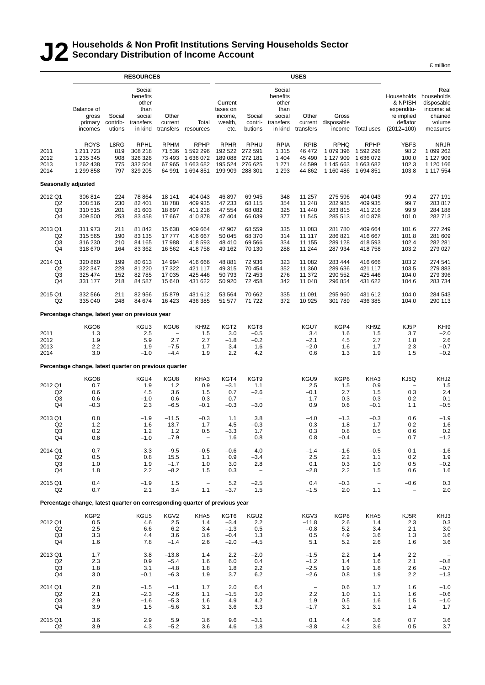### **J2 Households & Non Profit Institutions Serving Households Sector Secondary Distribution of Income Account**

£ million

|                                                   | <b>RESOURCES</b>                                                            |                                  |                                                                       |                                                             |                                                               | <b>USES</b>                                             |                                                         |                                                                       |                                                     |                                                                 |                                                             |                                                                               |                                                                                 |
|---------------------------------------------------|-----------------------------------------------------------------------------|----------------------------------|-----------------------------------------------------------------------|-------------------------------------------------------------|---------------------------------------------------------------|---------------------------------------------------------|---------------------------------------------------------|-----------------------------------------------------------------------|-----------------------------------------------------|-----------------------------------------------------------------|-------------------------------------------------------------|-------------------------------------------------------------------------------|---------------------------------------------------------------------------------|
|                                                   | Balance of<br>gross<br>primary<br>incomes                                   | Social<br>contrib-<br>utions     | Social<br>benefits<br>other<br>than<br>social<br>transfers<br>in kind | Other<br>current<br>transfers                               | Total<br>resources                                            | Current<br>taxes on<br>income,<br>wealth,<br>etc.       | Social<br>contri-<br>butions                            | Social<br>benefits<br>other<br>than<br>social<br>transfers<br>in kind | Other<br>transfers                                  | Gross<br>current disposable<br>income                           | Total uses                                                  | Households<br>& NPISH<br>expenditu-<br>re implied<br>deflator<br>$(2012=100)$ | Real<br>households<br>disposable<br>income: at<br>chained<br>volume<br>measures |
| 2011<br>2012<br>2013<br>2014                      | <b>ROYS</b><br>1 211 723<br>1 235 345<br>1 262 438<br>1 299 858             | L8RG<br>819<br>908<br>775<br>797 | <b>RPHL</b><br>308 218<br>326 326<br>332 504<br>329 205               | <b>RPHM</b><br>71 536<br>73 493<br>67 965<br>64 991         | <b>RPHP</b><br>1 592 296<br>1 636 072<br>1 663 682<br>1694851 | <b>RPHR</b><br>192 522<br>189 088<br>195 524<br>199 909 | <b>RPHU</b><br>272 591<br>272 181<br>276 625<br>288 301 | <b>RPIA</b><br>1 3 1 5<br>1 4 0 4<br>1 2 7 1<br>1 2 9 3               | <b>RPIB</b><br>46 472<br>45 490<br>44 599<br>44 862 | <b>RPHQ</b><br>1 079 396<br>1 127 909<br>1 145 663<br>1 160 486 | <b>RPHP</b><br>1 592 296<br>1636072<br>1663682<br>1 694 851 | <b>YBFS</b><br>98.2<br>100.0<br>102.3<br>103.8                                | <b>NRJR</b><br>1 099 262<br>1 127 909<br>1 120 166<br>1 117 554                 |
| Seasonally adjusted                               |                                                                             |                                  |                                                                       |                                                             |                                                               |                                                         |                                                         |                                                                       |                                                     |                                                                 |                                                             |                                                                               |                                                                                 |
| 2012 Q1<br>Q <sub>2</sub><br>Q3<br>Q4             | 306 814<br>308 516<br>310 515<br>309 500                                    | 224<br>230<br>201<br>253         | 78 8 64<br>82 401<br>81 603<br>83 458                                 | 18 141<br>18788<br>18897<br>17 667                          | 404 043<br>409 935<br>411 216<br>410 878                      | 46 897<br>47 233<br>47 554<br>47 404                    | 69 945<br>68 115<br>68 082<br>66 039                    | 348<br>354<br>325<br>377                                              | 11 257<br>11 248<br>11 440<br>11 545                | 275 596<br>282 985<br>283 815<br>285 513                        | 404 043<br>409 935<br>411 216<br>410878                     | 99.4<br>99.7<br>99.9<br>101.0                                                 | 277 191<br>283817<br>284 188<br>282713                                          |
| 2013 Q1<br>Q <sub>2</sub><br>Q3<br>Q4             | 311 973<br>315 565<br>316 230<br>318 670                                    | 211<br>190<br>210<br>164         | 81 842<br>83 135<br>84 165<br>83 362                                  | 15 638<br>17777<br>17 988<br>16 562                         | 409 664<br>416 667<br>418 593<br>418758                       | 47 907<br>50 045<br>48 410<br>49 162                    | 68 559<br>68 370<br>69 566<br>70 130                    | 335<br>314<br>334<br>288                                              | 11 083<br>11 117<br>11 155<br>11 244                | 281 780<br>286 821<br>289 128<br>287 934                        | 409 664<br>416 667<br>418 593<br>418758                     | 101.6<br>101.8<br>102.4<br>103.2                                              | 277 249<br>281 609<br>282 281<br>279 027                                        |
| 2014 Q1<br>Q <sub>2</sub><br>Q3<br>Q <sub>4</sub> | 320 860<br>322 347<br>325 474<br>331 177                                    | 199<br>228<br>152<br>218         | 80 613<br>81 2 20<br>82785<br>84 587                                  | 14 994<br>17 322<br>17 035<br>15 640                        | 416 666<br>421 117<br>425 446<br>431 622                      | 48 881<br>49 315<br>50 793<br>50 920                    | 72 936<br>70 454<br>72 453<br>72 458                    | 323<br>352<br>276<br>342                                              | 11 082<br>11 360<br>11 372<br>11 048                | 283 444<br>289 636<br>290 552<br>296 854                        | 416 666<br>421 117<br>425 446<br>431 622                    | 103.2<br>103.5<br>104.0<br>104.6                                              | 274 541<br>279 883<br>279 396<br>283734                                         |
| 2015 Q1<br>Q <sub>2</sub>                         | 332 566<br>335 040                                                          | 211<br>248                       | 82 956<br>84 674                                                      | 15879<br>16 423                                             | 431 612<br>436 385                                            | 53 564<br>51 577                                        | 70 662<br>71 722                                        | 335<br>372                                                            | 11 091<br>10 925                                    | 295 960<br>301 789                                              | 431 612<br>436 385                                          | 104.0<br>104.0                                                                | 284 543<br>290 113                                                              |
|                                                   | Percentage change, latest year on previous year                             |                                  |                                                                       |                                                             |                                                               |                                                         |                                                         |                                                                       |                                                     |                                                                 |                                                             |                                                                               |                                                                                 |
| 2011<br>2012<br>2013<br>2014                      | KGO6<br>1.3<br>1.9<br>2.2<br>3.0                                            |                                  | KGU3<br>2.5<br>5.9<br>1.9<br>$-1.0$                                   | KGU6<br>$\overline{\phantom{a}}$<br>2.7<br>$-7.5$<br>$-4.4$ | KH9Z<br>1.5<br>2.7<br>1.7<br>1.9                              | KGT <sub>2</sub><br>3.0<br>$-1.8$<br>3.4<br>2.2         | KGT8<br>$-0.5$<br>$-0.2$<br>1.6<br>4.2                  |                                                                       | KGU7<br>3.4<br>$-2.1$<br>$-2.0$<br>0.6              | KGP4<br>1.6<br>4.5<br>1.6<br>1.3                                | KH9Z<br>1.5<br>2.7<br>1.7<br>1.9                            | KJ5P<br>3.7<br>1.8<br>2.3<br>1.5                                              | KHI9<br>$-2.0$<br>2.6<br>$-0.7$<br>$-0.2$                                       |
|                                                   | Percentage change, latest quarter on previous quarter                       |                                  |                                                                       |                                                             |                                                               |                                                         |                                                         |                                                                       |                                                     |                                                                 |                                                             |                                                                               |                                                                                 |
| 2012 Q1<br>Q <sub>2</sub><br>Q3<br>Q4             | KGO8<br>0.7<br>0.6<br>0.6<br>$-0.3$                                         |                                  | KGU4<br>1.9<br>4.5<br>$-1.0$<br>2.3                                   | KGU8<br>$1.2$<br>3.6<br>0.6<br>$-6.5$                       | KHA3<br>0.9<br>1.5<br>0.3<br>$-0.1$                           | KGT4<br>$-3.1$<br>0.7<br>0.7<br>$-0.3$                  | KGT9<br>1.1<br>$-2.6$<br>$-3.0$                         |                                                                       | KGU9<br>2.5<br>$-0.1$<br>1.7<br>0.9                 | KGP6<br>1.5<br>2.7<br>0.3<br>0.6                                | KHA3<br>0.9<br>1.5<br>0.3<br>$-0.1$                         | KJ5Q<br>0.3<br>0.2<br>1.1                                                     | KHJ2<br>1.5<br>2.4<br>0.1<br>$-0.5$                                             |
| 2013 Q1<br>Q <sub>2</sub><br>Q3<br>Q4             | 0.8<br>1.2<br>0.2<br>0.8                                                    |                                  | $-1.9$<br>1.6<br>$1.2$<br>$-1.0$                                      | $-11.5$<br>13.7<br>$1.2$<br>$-7.9$                          | $-0.3$<br>1.7<br>0.5<br>$\qquad \qquad -$                     | 1.1<br>4.5<br>$-3.3$<br>1.6                             | 3.8<br>$-0.3$<br>1.7<br>0.8                             |                                                                       | $-4.0$<br>0.3<br>0.3<br>0.8                         | $-1.3$<br>1.8<br>0.8<br>$-0.4$                                  | $-0.3$<br>1.7<br>0.5<br>$\overline{\phantom{a}}$            | 0.6<br>0.2<br>0.6<br>0.7                                                      | $-1.9$<br>1.6<br>0.2<br>$-1.2$                                                  |
| 2014 Q1<br>Q <sub>2</sub><br>Q3<br>Q4             | 0.7<br>0.5<br>1.0<br>1.8                                                    |                                  | $-3.3$<br>0.8<br>1.9<br>2.2                                           | $-9.5$<br>15.5<br>$-1.7$<br>$-8.2$                          | $-0.5$<br>1.1<br>1.0<br>1.5                                   | $-0.6$<br>0.9<br>3.0<br>0.3                             | 4.0<br>$-3.4$<br>2.8<br>$\overline{\phantom{m}}$        |                                                                       | $-1.4$<br>2.5<br>0.1<br>$-2.8$                      | $-1.6$<br>2.2<br>0.3<br>2.2                                     | $-0.5$<br>1.1<br>1.0<br>1.5                                 | 0.1<br>0.2<br>0.5<br>0.6                                                      | $-1.6$<br>1.9<br>$-0.2$<br>1.6                                                  |
| 2015 Q1<br>Q <sub>2</sub>                         | 0.4<br>0.7                                                                  |                                  | $-1.9$<br>2.1                                                         | 1.5<br>3.4                                                  | $\overline{\phantom{a}}$<br>1.1                               | $5.2\,$<br>$-3.7$                                       | $-2.5$<br>1.5                                           |                                                                       | 0.4<br>$-1.5$                                       | $-0.3$<br>2.0                                                   | $\overline{\phantom{a}}$<br>1.1                             | $-0.6$<br>$\overline{\phantom{0}}$                                            | 0.3<br>2.0                                                                      |
|                                                   | Percentage change, latest quarter on corresponding quarter of previous year |                                  |                                                                       |                                                             |                                                               |                                                         |                                                         |                                                                       |                                                     |                                                                 |                                                             |                                                                               |                                                                                 |
| 2012 Q1<br>Q <sub>2</sub><br>Q <sub>3</sub><br>Q4 | KGP2<br>0.5<br>2.5<br>3.3<br>1.6                                            |                                  | KGU5<br>4.6<br>6.6<br>4.4<br>7.8                                      | KGV2<br>2.5<br>6.2<br>3.6<br>$-1.4$                         | KHA5<br>1.4<br>3.4<br>3.6<br>2.6                              | KGT6<br>$-3.4$<br>$-1.3$<br>$-0.4$<br>$-2.0$            | KGU2<br>2.2<br>0.5<br>1.3<br>$-4.5$                     |                                                                       | KGV3<br>$-11.8$<br>$-0.8$<br>0.5<br>5.1             | KGP8<br>2.6<br>5.2<br>4.9<br>5.2                                | KHA5<br>1.4<br>3.4<br>3.6<br>2.6                            | KJ5R<br>2.3<br>2.1<br>1.3<br>1.6                                              | KHJ3<br>0.3<br>3.0<br>3.6<br>3.6                                                |
| 2013 Q1<br>Q <sub>2</sub><br>Q3<br>Q4             | 1.7<br>2.3<br>1.8<br>3.0                                                    |                                  | 3.8<br>0.9<br>3.1<br>$-0.1$                                           | $-13.8$<br>$-5.4$<br>$-4.8$<br>$-6.3$                       | 1.4<br>1.6<br>1.8<br>1.9                                      | 2.2<br>6.0<br>1.8<br>3.7                                | $-2.0$<br>0.4<br>2.2<br>6.2                             |                                                                       | $-1.5$<br>$-1.2$<br>$-2.5$<br>$-2.6$                | 2.2<br>1.4<br>1.9<br>0.8                                        | 1.4<br>1.6<br>1.8<br>1.9                                    | 2.2<br>2.1<br>2.6<br>2.2                                                      | $-0.8$<br>$-0.7$<br>$-1.3$                                                      |
| 2014 Q1<br>Q <sub>2</sub><br>Q3<br>Q4             | 2.8<br>2.1<br>2.9<br>3.9                                                    |                                  | $-1.5$<br>$-2.3$<br>$-1.6$<br>1.5                                     | $-4.1$<br>$-2.6$<br>$-5.3$<br>$-5.6$                        | 1.7<br>1.1<br>1.6<br>3.1                                      | 2.0<br>$-1.5$<br>4.9<br>3.6                             | 6.4<br>3.0<br>4.2<br>3.3                                |                                                                       | $\overline{\phantom{a}}$<br>2.2<br>1.9<br>$-1.7$    | 0.6<br>1.0<br>0.5<br>3.1                                        | 1.7<br>1.1<br>1.6<br>3.1                                    | 1.6<br>1.6<br>1.5<br>1.4                                                      | $-1.0$<br>$-0.6$<br>$-1.0$<br>1.7                                               |
| 2015 Q1<br>Q2                                     | 3.6<br>3.9                                                                  |                                  | 2.9<br>4.3                                                            | 5.9<br>$-5.2$                                               | 3.6<br>3.6                                                    | 9.6<br>4.6                                              | $-3.1$<br>1.8                                           |                                                                       | 0.1<br>$-3.8$                                       | 4.4<br>4.2                                                      | 3.6<br>3.6                                                  | 0.7<br>0.5                                                                    | 3.6<br>3.7                                                                      |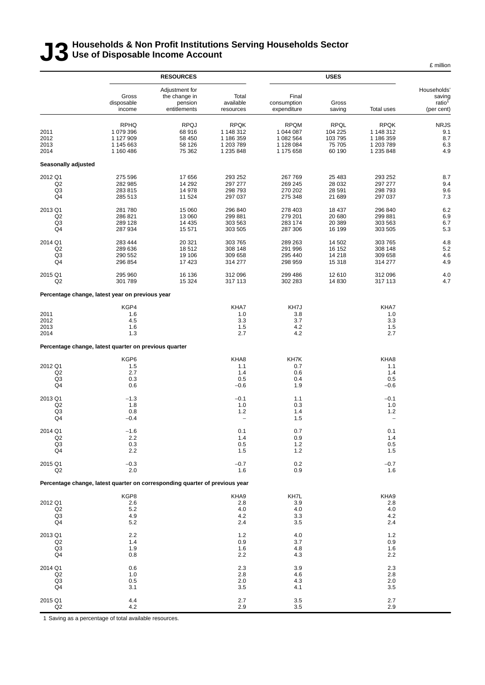### **J3 Households & Non Profit Institutions Serving Households Sector Use of Disposable Income Account**

|                                                   |                                                                             |                                                            |                                                                 |                                                                 |                                                       |                                                                 | £ million                                                 |
|---------------------------------------------------|-----------------------------------------------------------------------------|------------------------------------------------------------|-----------------------------------------------------------------|-----------------------------------------------------------------|-------------------------------------------------------|-----------------------------------------------------------------|-----------------------------------------------------------|
|                                                   |                                                                             | <b>RESOURCES</b>                                           |                                                                 |                                                                 | <b>USES</b>                                           |                                                                 |                                                           |
|                                                   | Gross<br>disposable<br>income                                               | Adjustment for<br>the change in<br>pension<br>entitlements | Total<br>available<br>resources                                 | Final<br>consumption<br>expenditure                             | Gross<br>saving                                       | Total uses                                                      | Households'<br>saving<br>ratio <sup>1</sup><br>(per cent) |
| 2011<br>2012<br>2013<br>2014                      | <b>RPHQ</b><br>1 079 396<br>1 127 909<br>1 145 663<br>1 160 486             | <b>RPQJ</b><br>68916<br>58 450<br>58 126<br>75 362         | <b>RPQK</b><br>1 148 312<br>1 186 359<br>1 203 789<br>1 235 848 | <b>RPQM</b><br>1 044 087<br>1 082 564<br>1 128 084<br>1 175 658 | <b>RPQL</b><br>104 225<br>103 795<br>75 705<br>60 190 | <b>RPQK</b><br>1 148 312<br>1 186 359<br>1 203 789<br>1 235 848 | <b>NRJS</b><br>9.1<br>8.7<br>6.3<br>4.9                   |
| Seasonally adjusted                               |                                                                             |                                                            |                                                                 |                                                                 |                                                       |                                                                 |                                                           |
| 2012 Q1<br>Q2<br>Q3<br>Q4                         | 275 596<br>282 985<br>283 815<br>285 513                                    | 17656<br>14 29 2<br>14 978<br>11 524                       | 293 252<br>297 277<br>298 793<br>297 037                        | 267 769<br>269 245<br>270 202<br>275 348                        | 25 483<br>28 0 32<br>28 591<br>21 689                 | 293 252<br>297 277<br>298 793<br>297 037                        | 8.7<br>9.4<br>9.6<br>7.3                                  |
| 2013 Q1<br>Q <sub>2</sub><br>Q3<br>Q4             | 281 780<br>286 821<br>289 128<br>287 934                                    | 15 060<br>13 060<br>14 4 35<br>15 571                      | 296 840<br>299 881<br>303 563<br>303 505                        | 278 403<br>279 201<br>283 174<br>287 306                        | 18 437<br>20 680<br>20 389<br>16 199                  | 296 840<br>299 881<br>303 563<br>303 505                        | 6.2<br>6.9<br>6.7<br>5.3                                  |
| 2014 Q1<br>Q <sub>2</sub><br>Q3<br>Q4             | 283 444<br>289 636<br>290 552<br>296 854                                    | 20 321<br>18512<br>19 106<br>17423                         | 303 765<br>308 148<br>309 658<br>314 277                        | 289 263<br>291 996<br>295 440<br>298 959                        | 14 502<br>16 152<br>14 218<br>15 318                  | 303 765<br>308 148<br>309 658<br>314 277                        | 4.8<br>5.2<br>4.6<br>4.9                                  |
| 2015 Q1<br>Q2                                     | 295 960<br>301 789                                                          | 16 136<br>15 3 24                                          | 312 096<br>317 113                                              | 299 486<br>302 283                                              | 12 610<br>14 8 30                                     | 312 096<br>317 113                                              | 4.0<br>4.7                                                |
|                                                   | Percentage change, latest year on previous year                             |                                                            |                                                                 |                                                                 |                                                       |                                                                 |                                                           |
| 2011<br>2012<br>2013<br>2014                      | KGP4<br>1.6<br>4.5<br>1.6<br>1.3                                            |                                                            | KHA7<br>1.0<br>3.3<br>1.5<br>2.7                                | KH7J<br>3.8<br>3.7<br>4.2<br>4.2                                |                                                       | KHA7<br>1.0<br>3.3<br>1.5<br>2.7                                |                                                           |
|                                                   | Percentage change, latest quarter on previous quarter                       |                                                            |                                                                 |                                                                 |                                                       |                                                                 |                                                           |
| 2012 Q1<br>Q2<br>Q3<br>Q4                         | KGP6<br>1.5<br>2.7<br>0.3<br>0.6                                            |                                                            | KHA8<br>1.1<br>1.4<br>0.5<br>$-0.6$                             | KH7K<br>0.7<br>0.6<br>0.4<br>1.9                                |                                                       | KHA8<br>1.1<br>1.4<br>0.5<br>$-0.6$                             |                                                           |
| 2013 Q1<br>Q2<br>Q <sub>3</sub><br>Q4             | $-1.3$<br>1.8<br>0.8<br>$-0.4$                                              |                                                            | $-0.1$<br>1.0<br>1.2<br>$\overline{\phantom{0}}$                | 1.1<br>0.3<br>1.4<br>1.5                                        |                                                       | $-0.1$<br>1.0<br>1.2<br>$\overline{\phantom{0}}$                |                                                           |
| 2014 Q1<br>Q2<br>Q <sub>3</sub><br>Q4             | $-1.6$<br>2.2<br>0.3<br>2.2                                                 |                                                            | 0.1<br>1.4<br>0.5<br>1.5                                        | 0.7<br>0.9<br>1.2<br>$1.2$                                      |                                                       | 0.1<br>1.4<br>0.5<br>1.5                                        |                                                           |
| 2015 Q1<br>Q2                                     | $-0.3$<br>2.0                                                               |                                                            | $-0.7$<br>1.6                                                   | 0.2<br>0.9                                                      |                                                       | $-0.7$<br>1.6                                                   |                                                           |
|                                                   | Percentage change, latest quarter on corresponding quarter of previous year |                                                            |                                                                 |                                                                 |                                                       |                                                                 |                                                           |
| 2012 Q1<br>Q <sub>2</sub><br>Q <sub>3</sub><br>Q4 | KGP8<br>2.6<br>5.2<br>4.9<br>5.2                                            |                                                            | KHA9<br>2.8<br>4.0<br>4.2<br>2.4                                | KH7L<br>3.9<br>4.0<br>3.3<br>3.5                                |                                                       | KHA9<br>2.8<br>4.0<br>4.2<br>2.4                                |                                                           |
| 2013 Q1<br>Q2<br>Q3<br>Q4                         | 2.2<br>1.4<br>1.9<br>0.8                                                    |                                                            | 1.2<br>0.9<br>1.6<br>2.2                                        | 4.0<br>3.7<br>4.8<br>4.3                                        |                                                       | 1.2<br>0.9<br>1.6<br>2.2                                        |                                                           |
| 2014 Q1<br>Q2<br>Q <sub>3</sub><br>Q4             | 0.6<br>1.0<br>0.5<br>3.1                                                    |                                                            | 2.3<br>2.8<br>2.0<br>3.5                                        | 3.9<br>4.6<br>4.3<br>4.1                                        |                                                       | 2.3<br>2.8<br>2.0<br>3.5                                        |                                                           |
| 2015 Q1<br>Q2                                     | 4.4<br>4.2                                                                  |                                                            | 2.7<br>2.9                                                      | 3.5<br>3.5                                                      |                                                       | 2.7<br>2.9                                                      |                                                           |

1 Saving as a percentage of total available resources.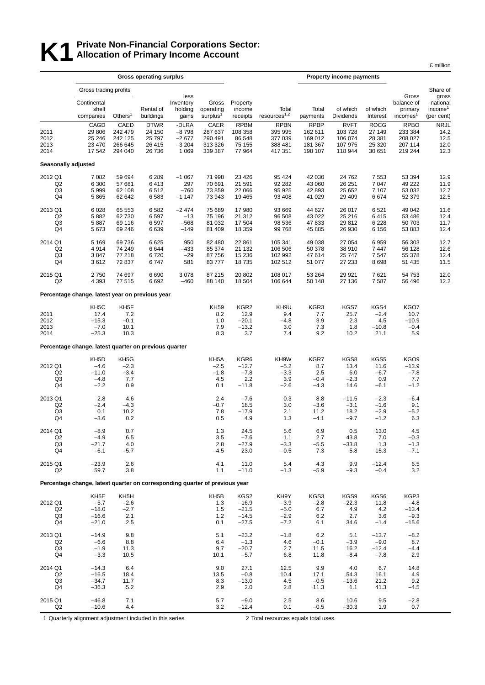### **K1** Private Non-Financial Corporations Sector:<br>**K1** Allocation of Primary Income Account **Allocation of Primary Income Account**

|                                                   |                                                                             |                                                     | <b>Gross operating surplus</b>                        |                                                   |                                                  |                                                       |                                                         | <b>Property income payments</b>                         |                                                        |                                                     |                                                         |                                                       |
|---------------------------------------------------|-----------------------------------------------------------------------------|-----------------------------------------------------|-------------------------------------------------------|---------------------------------------------------|--------------------------------------------------|-------------------------------------------------------|---------------------------------------------------------|---------------------------------------------------------|--------------------------------------------------------|-----------------------------------------------------|---------------------------------------------------------|-------------------------------------------------------|
|                                                   | Gross trading profits                                                       |                                                     |                                                       |                                                   |                                                  |                                                       |                                                         |                                                         |                                                        |                                                     |                                                         | Share of                                              |
|                                                   | Continental<br>shelf<br>companies                                           | Others $1$                                          | Rental of<br>buildings                                | less<br>Inventory<br>holding<br>gains             | Gross<br>operating<br>surplus <sup>1</sup>       | Property<br>income<br>receipts                        | Total<br>resources <sup>1,2</sup>                       | Total<br>payments                                       | of which<br>Dividends                                  | of which<br>Interest                                | Gross<br>balance of<br>primary<br>incomes <sup>1</sup>  | gross<br>nationa<br>income <sup>1</sup><br>(per cent) |
| 2011<br>2012<br>2013<br>2014                      | CAGD<br>29 806<br>25 24 6<br>23 470<br>17 542                               | CAED<br>242 479<br>242 125<br>266 645<br>294 040    | <b>DTWR</b><br>24 150<br>25 7 9 7<br>26 415<br>26 736 | -DLRA<br>$-8798$<br>$-2677$<br>$-3204$<br>1 0 6 9 | CAER<br>287 637<br>290 491<br>313 326<br>339 387 | <b>RPBM</b><br>108 358<br>86 548<br>75 155<br>77964   | <b>RPBN</b><br>395 995<br>377 039<br>388 481<br>417 351 | <b>RPBP</b><br>162 611<br>169 012<br>181 367<br>198 107 | <b>RVFT</b><br>103728<br>106 074<br>107 975<br>118 944 | <b>ROCG</b><br>27 149<br>28 381<br>25 320<br>30 651 | <b>RPBO</b><br>233 384<br>208 027<br>207 114<br>219 244 | <b>NRJL</b><br>14.2<br>12.5<br>12.0<br>12.3           |
| Seasonally adjusted                               |                                                                             |                                                     |                                                       |                                                   |                                                  |                                                       |                                                         |                                                         |                                                        |                                                     |                                                         |                                                       |
| 2012 Q1                                           | 7 0 8 2                                                                     | 59 694                                              | 6 2 8 9                                               | $-1067$                                           | 71 998                                           | 23 4 26                                               | 95 4 24                                                 | 42 030                                                  | 24 762                                                 | 7553                                                | 53 394                                                  | 12.9                                                  |
| Q <sub>2</sub><br>Q <sub>3</sub><br>Q4            | 6 300<br>5999<br>5865                                                       | 57 681<br>62 108<br>62 642                          | 6413<br>6512<br>6583                                  | 297<br>$-760$<br>$-1147$                          | 70 691<br>73 859<br>73 943                       | 21 591<br>22 066<br>19 4 65                           | 92 282<br>95 925<br>93 408                              | 43 060<br>42 893<br>41 0 29                             | 26 251<br>25 652<br>29 409                             | 7047<br>7 107<br>6674                               | 49 222<br>53 032<br>52 379                              | 11.9<br>12.7<br>12.5                                  |
| 2013 Q1                                           | 6 0 28                                                                      | 65 553                                              | 6582                                                  | $-2474$                                           | 75 689                                           | 17980                                                 | 93 669                                                  | 44 627                                                  | 26 017                                                 | 6521                                                | 49 042                                                  | 11.6                                                  |
| Q2<br>Q3<br>Q4                                    | 5882<br>5887<br>5673                                                        | 62 730<br>69 116<br>69 24 6                         | 6597<br>6597<br>6639                                  | -13<br>$-568$<br>$-149$                           | 75 196<br>81 032<br>81 409                       | 21 312<br>17 504<br>18 3 5 9                          | 96 508<br>98 536<br>99 768                              | 43 0 22<br>47 833<br>45 885                             | 25 216<br>29 812<br>26 930                             | 6415<br>6 2 2 8<br>6 1 5 6                          | 53 486<br>50 703<br>53 883                              | 12.4<br>11.7<br>12.4                                  |
| 2014 Q1<br>Q <sub>2</sub>                         | 5 1 6 9<br>4914                                                             | 69 736<br>74 249                                    | 6625<br>6644                                          | 950<br>$-433$                                     | 82 480<br>85 374                                 | 22 861<br>21 132                                      | 105 341<br>106 506                                      | 49 038<br>50 378                                        | 27 054<br>38 910                                       | 6959<br>7447                                        | 56 303<br>56 128                                        | 12.7<br>12.6                                          |
| Q3<br>Q4                                          | 3847<br>3612                                                                | 77 218<br>72 837                                    | 6720<br>6747                                          | $-29$<br>581                                      | 87 756<br>83777                                  | 15 2 36<br>18735                                      | 102 992<br>102 512                                      | 47 614<br>51 077                                        | 25 747<br>27 233                                       | 7547<br>8698                                        | 55 378<br>51 435                                        | 12.4<br>11.5                                          |
| 2015 Q1<br>Q2                                     | 2750<br>4 3 9 3                                                             | 74 697<br>77 515                                    | 6690<br>6692                                          | 3 0 7 8<br>$-460$                                 | 87 215<br>88 140                                 | 20 802<br>18 504                                      | 108 017<br>106 644                                      | 53 264<br>50 148                                        | 29 9 21<br>27 136                                      | 7621<br>7587                                        | 54 753<br>56 496                                        | 12.0<br>12.2                                          |
|                                                   | Percentage change, latest year on previous year                             |                                                     |                                                       |                                                   |                                                  |                                                       |                                                         |                                                         |                                                        |                                                     |                                                         |                                                       |
| 2011<br>2012<br>2013<br>2014                      | KH <sub>5</sub> C<br>17.4<br>$-15.3$<br>$-7.0$<br>$-25.3$                   | KH <sub>5</sub> F<br>7.2<br>$-0.1$<br>10.1<br>10.3  |                                                       |                                                   | <b>KH59</b><br>8.2<br>1.0<br>7.9<br>8.3          | KGR <sub>2</sub><br>12.9<br>$-20.1$<br>$-13.2$<br>3.7 | KH9U<br>9.4<br>$-4.8$<br>3.0<br>7.4                     | KGR3<br>7.7<br>3.9<br>7.3<br>9.2                        | KGS7<br>25.7<br>2.3<br>1.8<br>10.2                     | KGS4<br>$-2.4$<br>4.5<br>$-10.8$<br>21.1            | KGO7<br>10.7<br>$-10.9$<br>$-0.4$<br>5.9                |                                                       |
|                                                   | Percentage change, latest quarter on previous quarter                       |                                                     |                                                       |                                                   |                                                  |                                                       |                                                         |                                                         |                                                        |                                                     |                                                         |                                                       |
| 2012 Q1<br>Q <sub>2</sub><br>Q3<br>Q4             | KH <sub>5</sub> D<br>$-4.6$<br>$-11.0$<br>$-4.8$<br>$-2.2$                  | KH <sub>5</sub> G<br>$-2.3$<br>$-3.4$<br>7.7<br>0.9 |                                                       |                                                   | KH5A<br>$-2.5$<br>$-1.8$<br>4.5<br>0.1           | KGR6<br>$-12.7$<br>$-7.8$<br>2.2<br>$-11.8$           | KH9W<br>$-5.2$<br>$-3.3$<br>3.9<br>$-2.6$               | KGR7<br>8.7<br>2.5<br>$-0.4$<br>$-4.3$                  | KGS8<br>13.4<br>6.0<br>$-2.3$<br>14.6                  | KGS5<br>11.6<br>$-6.7$<br>0.9<br>$-6.1$             | KGO9<br>$-13.9$<br>$-7.8$<br>7.7<br>$-1.2$              |                                                       |
| 2013 Q1<br>Q <sub>2</sub><br>Q3<br>Q4             | 2.8<br>$-2.4$<br>0.1<br>$-3.6$                                              | 4.6<br>$-4.3$<br>10.2<br>0.2                        |                                                       |                                                   | 2.4<br>$-0.7$<br>7.8<br>0.5                      | $-7.6$<br>18.5<br>$-17.9$<br>4.9                      | 0.3<br>3.0<br>2.1<br>1.3                                | 8.8<br>$-3.6$<br>11.2<br>$-4.1$                         | $-11.5$<br>$-3.1$<br>18.2<br>$-9.7$                    | $-2.3$<br>$-1.6$<br>$-2.9$<br>$-1.2$                | $-6.4$<br>9.1<br>$-5.2$<br>6.3                          |                                                       |
| 2014 Q1<br>Q2<br>Q3<br>Q4                         | $-8.9$<br>$-4.9$<br>$-21.7$<br>$-6.1$                                       | 0.7<br>6.5<br>4.0<br>$-5.7$                         |                                                       |                                                   | 1.3<br>3.5<br>2.8<br>$-4.5$                      | 24.5<br>$-7.6$<br>$-27.9$<br>23.0                     | 5.6<br>1.1<br>$-3.3$<br>$-0.5$                          | 6.9<br>2.7<br>$-5.5$<br>7.3                             | 0.5<br>43.8<br>$-33.8$<br>5.8                          | 13.0<br>7.0<br>1.3<br>15.3                          | 4.5<br>$-0.3$<br>$-1.3$<br>$-7.1$                       |                                                       |
| 2015 Q1<br>Q2                                     | $-23.9$<br>59.7                                                             | 2.6<br>3.8                                          |                                                       |                                                   | 4.1<br>1.1                                       | 11.0<br>$-11.0$                                       | 5.4<br>$-1.3$                                           | 4.3<br>$-5.9$                                           | 9.9<br>$-9.3$                                          | $-12.4$<br>$-0.4$                                   | 6.5<br>3.2                                              |                                                       |
|                                                   | Percentage change, latest quarter on corresponding quarter of previous year |                                                     |                                                       |                                                   |                                                  |                                                       |                                                         |                                                         |                                                        |                                                     |                                                         |                                                       |
| 2012 Q1<br>Q <sub>2</sub><br>Q <sub>3</sub><br>Q4 | KH <sub>5</sub> E<br>$-5.7$<br>$-18.0$<br>$-16.6$<br>$-21.0$                | KH5H<br>$-2.6$<br>$-2.7$<br>2.1<br>2.5              |                                                       |                                                   | KH5B<br>1.3<br>1.5<br>1.2<br>0.1                 | KGS2<br>$-16.9$<br>$-21.5$<br>$-14.5$<br>$-27.5$      | KH9Y<br>$-3.9$<br>$-5.0$<br>$-2.9$<br>$-7.2$            | KGS3<br>$-2.8$<br>6.7<br>6.2<br>6.1                     | KGS9<br>$-22.3$<br>4.9<br>2.7<br>34.6                  | KGS6<br>11.8<br>4.2<br>3.6<br>$-1.4$                | KGP3<br>$-4.8$<br>$-13.4$<br>$-9.3$<br>$-15.6$          |                                                       |
| 2013 Q1<br>Q <sub>2</sub><br>Q3<br>Q4             | $-14.9$<br>$-6.6$<br>$-1.9$<br>$-3.3$                                       | 9.8<br>8.8<br>11.3<br>10.5                          |                                                       |                                                   | 5.1<br>6.4<br>9.7<br>10.1                        | $-23.2$<br>$-1.3$<br>$-20.7$<br>$-5.7$                | $-1.8$<br>4.6<br>2.7<br>6.8                             | 6.2<br>$-0.1$<br>11.5<br>11.8                           | 5.1<br>$-3.9$<br>16.2<br>$-8.4$                        | $-13.7$<br>$-9.0$<br>$-12.4$<br>$-7.8$              | $-8.2$<br>8.7<br>$-4.4$<br>2.9                          |                                                       |
| 2014 Q1<br>Q <sub>2</sub><br>Q3<br>Q4             | $-14.3$<br>$-16.5$<br>$-34.7$<br>$-36.3$                                    | 6.4<br>18.4<br>11.7<br>5.2                          |                                                       |                                                   | 9.0<br>13.5<br>8.3<br>2.9                        | 27.1<br>$-0.8$<br>$-13.0$<br>2.0                      | 12.5<br>10.4<br>4.5<br>2.8                              | 9.9<br>17.1<br>$-0.5$<br>11.3                           | 4.0<br>54.3<br>$-13.6$<br>1.1                          | 6.7<br>16.1<br>21.2<br>41.3                         | 14.8<br>4.9<br>9.2<br>$-4.5$                            |                                                       |
| 2015 Q1<br>Q <sub>2</sub>                         | $-46.8$<br>$-10.6$                                                          | 7.1<br>4.4                                          |                                                       |                                                   | 5.7<br>3.2                                       | $-9.0$<br>$-12.4$                                     | 2.5<br>0.1                                              | 8.6<br>$-0.5$                                           | 10.6<br>$-30.3$                                        | 9.5<br>1.9                                          | $-2.8$<br>0.7                                           |                                                       |

£ million

1 Quarterly alignment adjustment included in this series. 2 Total resources equals total uses.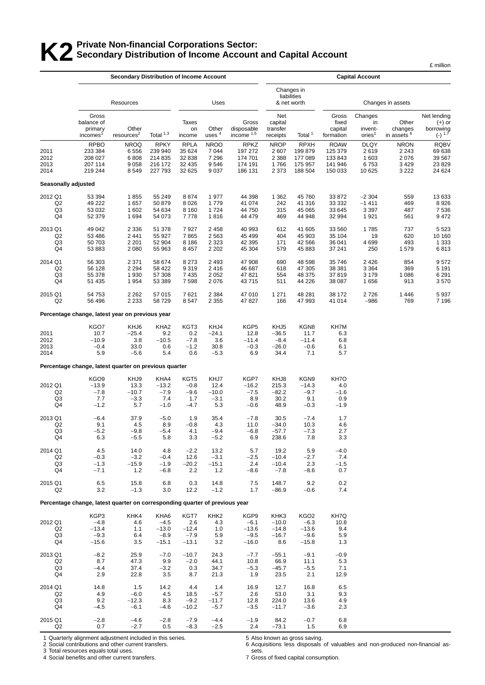# **K2** Private Non-financial Corporations Sector:<br>**K2** Secondary Distribution of Income Account **Secondary Distribution of Income Account and Capital Account**

|                                                   |                                                                             |                                                 |                                                  |                                             |                                              |                                                |                                              |                                                            |                                              |                                                |                                            | £ million                                         |  |
|---------------------------------------------------|-----------------------------------------------------------------------------|-------------------------------------------------|--------------------------------------------------|---------------------------------------------|----------------------------------------------|------------------------------------------------|----------------------------------------------|------------------------------------------------------------|----------------------------------------------|------------------------------------------------|--------------------------------------------|---------------------------------------------------|--|
|                                                   |                                                                             | <b>Secondary Distribution of Income Account</b> |                                                  |                                             |                                              |                                                | <b>Capital Account</b><br>Changes in         |                                                            |                                              |                                                |                                            |                                                   |  |
|                                                   |                                                                             | Resources                                       |                                                  |                                             | Uses                                         |                                                |                                              | liabilities<br>& net worth                                 |                                              |                                                | Changes in assets                          |                                                   |  |
|                                                   | Gross<br>balance of<br>primary<br>incomes <sup>1</sup>                      | Other<br>resources <sup>2</sup>                 | Total $1,3$                                      | Taxes<br>on<br>income                       | Other<br>uses <sup>4</sup>                   | Gross<br>disposable<br>income $1,5$            | Net<br>capital<br>transfer<br>receipts       | Total <sup>1</sup>                                         | Gross<br>fixed<br>capital<br>formation       | Changes<br>in<br>invent-<br>ories <sup>1</sup> | Other<br>changes<br>in assets <sup>6</sup> | Net lending<br>(+) or<br>borrowing<br>$(-)^{1,7}$ |  |
| 2011<br>2012<br>2013                              | <b>RPBO</b><br>233 384<br>208 027<br>207 114                                | <b>NROQ</b><br>6556<br>6808<br>9 0 5 8          | <b>RPKY</b><br>239 940<br>214 835<br>216 172     | <b>RPLA</b><br>35 624<br>32 838<br>32 4 35  | <b>NROO</b><br>7044<br>7 2 9 6<br>9546       | <b>RPKZ</b><br>197 272<br>174 701<br>174 191   | <b>NROP</b><br>2 607<br>2 3 8 8<br>1766      | <b>RPXH</b><br>199879<br>177 089<br>175 957                | <b>ROAW</b><br>125 379<br>133 843<br>141 946 | <b>DLQY</b><br>2619<br>1 603<br>6753           | <b>NRON</b><br>2 2 4 3<br>2076<br>3 4 2 9  | <b>RQBV</b><br>69 638<br>39 567<br>23 8 29        |  |
| 2014                                              | 219 244                                                                     | 8549                                            | 227 793                                          | 32 625                                      | 9037                                         | 186 131                                        | 2 3 7 3                                      | 188 504                                                    | 150 033                                      | 10 625                                         | 3 2 2 2                                    | 24 624                                            |  |
| Seasonally adjusted                               |                                                                             |                                                 |                                                  |                                             |                                              |                                                |                                              |                                                            |                                              |                                                |                                            |                                                   |  |
| 2012 Q1<br>Q <sub>2</sub><br>Q3<br>Q4             | 53 394<br>49 222<br>53 032<br>52 379                                        | 1855<br>1657<br>1 602<br>1 6 9 4                | 55 249<br>50 879<br>54 634<br>54 073             | 8874<br>8 0 2 6<br>8 1 6 0<br>7778          | 1977<br>1779<br>1724<br>1816                 | 44 398<br>41 074<br>44 750<br>44 479           | 1 3 6 2<br>242<br>315<br>469                 | 45760<br>41 316<br>45 065<br>44 948                        | 33 872<br>33 332<br>33 645<br>32 994         | $-2304$<br>$-1411$<br>3 3 9 7<br>1921          | 559<br>469<br>487<br>561                   | 13 633<br>8926<br>7536<br>9472                    |  |
| 2013 Q1<br>Q <sub>2</sub><br>Q3<br>Q4             | 49 042<br>53 486<br>50 703<br>53 883                                        | 2 3 3 6<br>2 4 4 1<br>2 2 0 1<br>2 0 8 0        | 51 378<br>55 927<br>52 904<br>55 963             | 7927<br>7865<br>8 1 8 6<br>8 4 5 7          | 2 4 5 8<br>2563<br>2 3 2 3<br>2 2 0 2        | 40 993<br>45 4 99<br>42 3 9 5<br>45 304        | 612<br>404<br>171<br>579                     | 41 605<br>45 903<br>42 566<br>45 883                       | 33 560<br>35 104<br>36 041<br>37 241         | 1785<br>19<br>4699<br>250                      | 737<br>620<br>493<br>1579                  | 5 5 2 3<br>10 160<br>1 3 3 3<br>6813              |  |
| 2014 Q1<br>Q <sub>2</sub><br>Q <sub>3</sub><br>Q4 | 56 303<br>56 128<br>55 378<br>51 435                                        | 2 3 7 1<br>2 2 9 4<br>1930<br>1954              | 58 674<br>58 422<br>57 308<br>53 389             | 8 2 7 3<br>9 3 1 9<br>7 4 3 5<br>7598       | 2 4 9 3<br>2416<br>2052<br>2076              | 47 908<br>46 687<br>47821<br>43715             | 690<br>618<br>554<br>511                     | 48 598<br>47 305<br>48 375<br>44 226                       | 35 746<br>38 381<br>37819<br>38 087          | 2 4 2 6<br>3 3 6 4<br>3 1 7 9<br>1656          | 854<br>369<br>1 0 8 6<br>913               | 9572<br>5 1 9 1<br>6 2 9 1<br>3570                |  |
| 2015 Q1<br>Q <sub>2</sub>                         | 54 753<br>56 496                                                            | 2 2 6 2<br>2 2 3 3                              | 57 015<br>58 729                                 | 7621<br>8547                                | 2 3 8 4<br>2 3 5 5                           | 47 010<br>47827                                | 1 2 7 1<br>166                               | 48 281<br>47 993                                           | 38 172<br>41 014                             | 2726<br>$-986$                                 | 1446<br>769                                | 5937<br>7 1 9 6                                   |  |
|                                                   | Percentage change, latest year on previous year                             |                                                 |                                                  |                                             |                                              |                                                |                                              |                                                            |                                              |                                                |                                            |                                                   |  |
| 2011<br>2012<br>2013<br>2014                      | KGO7<br>10.7<br>$-10.9$<br>$-0.4$<br>5.9                                    | KHJ6<br>$-25.4$<br>3.8<br>33.0<br>$-5.6$        | KHA <sub>2</sub><br>9.2<br>$-10.5$<br>0.6<br>5.4 | KGT3<br>0.2<br>$-7.8$<br>$-1.2$<br>0.6      | KHJ4<br>$-24.1$<br>3.6<br>30.8<br>$-5.3$     | KGP5<br>12.8<br>$-11.4$<br>$-0.3$<br>6.9       | KHJ5<br>$-36.5$<br>$-8.4$<br>$-26.0$<br>34.4 | KGN8<br>11.7<br>$-11.4$<br>$-0.6$<br>7.1                   | KH7M<br>6.3<br>6.8<br>6.1<br>5.7             |                                                |                                            |                                                   |  |
|                                                   | Percentage change, latest quarter on previous quarter                       |                                                 |                                                  |                                             |                                              |                                                |                                              |                                                            |                                              |                                                |                                            |                                                   |  |
| 2012 Q1<br>Q <sub>2</sub><br>Q <sub>3</sub><br>Q4 | KGO9<br>$-13.9$<br>$-7.8$<br>7.7<br>$-1.2$                                  | KHJ9<br>13.3<br>$-10.7$<br>$-3.3$<br>5.7        | KHA4<br>$-13.2$<br>$-7.9$<br>7.4<br>$-1.0$       | KGT5<br>$-0.8$<br>$-9.6$<br>1.7<br>$-4.7$   | KHJ7<br>12.4<br>$-10.0$<br>$-3.1$<br>5.3     | KGP7<br>$-16.2$<br>$-7.5$<br>8.9<br>$-0.6$     | KHJ8<br>215.3<br>$-82.2$<br>30.2<br>48.9     | KGN9<br>$-14.3$<br>$-9.7$<br>9.1<br>$-0.3$                 | KH7O<br>4.0<br>$-1.6$<br>0.9<br>$-1.9$       |                                                |                                            |                                                   |  |
| 2013 Q1<br>Q2<br>Q3<br>Q4                         | $-6.4$<br>9.1<br>$-5.2$<br>6.3                                              | 37.9<br>4.5<br>$-9.8$<br>$-5.5$                 | $-5.0$<br>8.9<br>$-5.4$<br>5.8                   | 1.9<br>$-0.8$<br>4.1<br>3.3                 | 35.4<br>4.3<br>$-9.4$<br>$-5.2$              | $-7.8$<br>11.0<br>$-6.8$<br>6.9                | 30.5<br>$-34.0$<br>$-57.7$<br>238.6          | $-7.4$<br>10.3<br>$-7.3$<br>7.8                            | 1.7<br>4.6<br>2.7<br>3.3                     |                                                |                                            |                                                   |  |
| 2014 Q1<br>Q <sub>2</sub><br>Q3<br>Q4             | 4.5<br>$-0.3$<br>$-1.3$<br>$-7.1$                                           | 14.0<br>$-3.2$<br>$-15.9$<br>1.2                | 4.8<br>$-0.4$<br>$-1.9$<br>$-6.8$                | $-2.2$<br>12.6<br>$-20.2$<br>2.2            | 13.2<br>$-3.1$<br>$-15.1$<br>1.2             | 5.7<br>$-2.5$<br>2.4<br>$-8.6$                 | 19.2<br>$-10.4$<br>$-10.4$<br>$-7.8$         | 5.9<br>$-2.7$<br>2.3<br>$-8.6$                             | $-4.0$<br>7.4<br>$-1.5$<br>0.7               |                                                |                                            |                                                   |  |
| 2015 Q1<br>Q <sub>2</sub>                         | 6.5<br>3.2                                                                  | 15.8<br>$-1.3$                                  | 6.8<br>3.0                                       | 0.3<br>12.2                                 | 14.8<br>$-1.2$                               | 7.5<br>1.7                                     | 148.7<br>$-86.9$                             | 9.2<br>$-0.6$                                              | 0.2<br>7.4                                   |                                                |                                            |                                                   |  |
|                                                   | Percentage change, latest quarter on corresponding quarter of previous year |                                                 |                                                  |                                             |                                              |                                                |                                              |                                                            |                                              |                                                |                                            |                                                   |  |
| 2012 Q1<br>Q <sub>2</sub><br>Q3<br>Q4             | KGP3<br>$-4.8$<br>$-13.4$<br>$-9.3$<br>$-15.6$                              | KHK4<br>4.6<br>1.1<br>6.4<br>3.5                | KHA6<br>$-4.5$<br>$-13.0$<br>$-8.9$<br>$-15.1$   | KGT7<br>2.6<br>$-12.4$<br>$-7.9$<br>$-13.1$ | KHK <sub>2</sub><br>4.3<br>1.0<br>5.9<br>3.2 | KGP9<br>$-6.1$<br>$-13.6$<br>$-9.5$<br>$-16.0$ | KHK3<br>$-10.0$<br>$-14.8$<br>$-16.7$<br>8.6 | KGO <sub>2</sub><br>$-6.3$<br>$-13.6$<br>$-9.6$<br>$-15.8$ | KH7Q<br>10.8<br>9.4<br>5.9<br>1.3            |                                                |                                            |                                                   |  |
| 2013 Q1<br>Q <sub>2</sub><br>Q3<br>Q4             | $-8.2$<br>8.7<br>$-4.4$<br>2.9                                              | 25.9<br>47.3<br>37.4<br>22.8                    | $-7.0$<br>9.9<br>$-3.2$<br>3.5                   | $-10.7$<br>$-2.0$<br>0.3<br>8.7             | 24.3<br>44.1<br>34.7<br>21.3                 | $-7.7$<br>10.8<br>$-5.3$<br>1.9                | $-55.1$<br>66.9<br>$-45.7$<br>23.5           | $-9.1$<br>11.1<br>$-5.5$<br>2.1                            | $-0.9$<br>5.3<br>7.1<br>12.9                 |                                                |                                            |                                                   |  |
| 2014 Q1<br>Q <sub>2</sub><br>Q3<br>Q4             | 14.8<br>4.9<br>9.2<br>$-4.5$                                                | 1.5<br>$-6.0$<br>$-12.3$<br>$-6.1$              | 14.2<br>4.5<br>8.3<br>-4.6                       | 4.4<br>18.5<br>$-9.2$<br>$-10.2$            | 1.4<br>$-5.7$<br>$-11.7$<br>$-5.7$           | 16.9<br>2.6<br>12.8<br>$-3.5$                  | 12.7<br>53.0<br>224.0<br>$-11.7$             | 16.8<br>3.1<br>13.6<br>$-3.6$                              | 6.5<br>9.3<br>4.9<br>2.3                     |                                                |                                            |                                                   |  |
| 2015 Q1<br>Q <sub>2</sub>                         | $-2.8$<br>0.7                                                               | $-4.6$<br>$-2.7$                                | $-2.8$<br>0.5                                    | $-7.9$<br>$-8.3$                            | $-4.4$<br>$-2.5$                             | $-1.9$<br>2.4                                  | 84.2<br>$-73.1$                              | $-0.7$<br>1.5                                              | 6.8<br>6.9                                   |                                                |                                            |                                                   |  |

1 Quarterly alignment adjustment included in this series.

2 Social contributions and other current transfers.

3 Total resources equals total uses.

4 Social benefits and other current transfers.

5 Also known as gross saving.

6 Acquisitions less disposals of valuables and non-produced non-financial assets.

7 Gross of fixed capital consumption.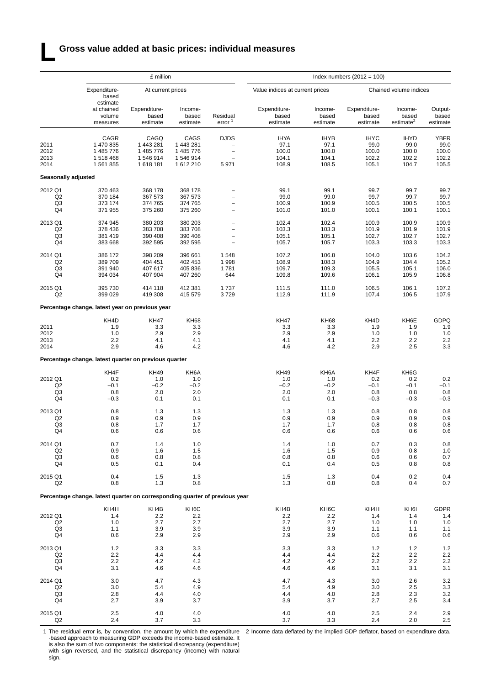### **L Gross value added at basic prices: individual measures**

|                                       |                                                                                                                                                                                                                                                                                                                                                                                                                                                                                                                                                                                                                                                                                                                                                            | £ million                                  |                                                          |                                                                                                         |                                                |                                                | Index numbers $(2012 = 100)$                   |                                                |                                                |  |  |  |  |
|---------------------------------------|------------------------------------------------------------------------------------------------------------------------------------------------------------------------------------------------------------------------------------------------------------------------------------------------------------------------------------------------------------------------------------------------------------------------------------------------------------------------------------------------------------------------------------------------------------------------------------------------------------------------------------------------------------------------------------------------------------------------------------------------------------|--------------------------------------------|----------------------------------------------------------|---------------------------------------------------------------------------------------------------------|------------------------------------------------|------------------------------------------------|------------------------------------------------|------------------------------------------------|------------------------------------------------|--|--|--|--|
|                                       | Expenditure-<br>based<br>estimate<br>at chained<br>volume<br>measures<br>CAGR<br>1 470 835<br>1 443 281<br>1 485 776<br>1518468<br>1 561 855<br>1 618 181<br>370 463<br>370 184<br>373 174<br>371 955<br>374 945<br>378 436<br>381 419<br>383 668<br>386 172<br>389709<br>404 451<br>391 940<br>394 034<br>395 730<br>399 029<br>Percentage change, latest year on previous year<br>KH4D<br>1.9<br>1.0<br>2.2<br>4.1<br>2.9<br>Percentage change, latest quarter on previous quarter<br>KH4F<br>0.2<br>$-0.1$<br>0.8<br>$-0.3$<br>0.8<br>0.9<br>0.8<br>0.6<br>0.7<br>0.9<br>0.6<br>0.5<br>0.4<br>0.8<br>Percentage change, latest quarter on corresponding quarter of previous year<br>KH4H<br>1.4<br>1.0<br>1.1<br>0.6<br>1.2<br>2.2<br>2.2<br>3.1<br>3.0 | At current prices                          |                                                          |                                                                                                         | Value indices at current prices                |                                                |                                                | Chained volume indices                         |                                                |  |  |  |  |
|                                       |                                                                                                                                                                                                                                                                                                                                                                                                                                                                                                                                                                                                                                                                                                                                                            | Expenditure-<br>based<br>estimate          | Income-<br>based<br>estimate                             | Residual<br>error <sup>1</sup>                                                                          | Expenditure-<br>based<br>estimate              | Income-<br>based<br>estimate                   | Expenditure-<br>based<br>estimate              | Income-<br>based<br>estimate <sup>2</sup>      | Output-<br>based<br>estimate                   |  |  |  |  |
| 2011<br>2012<br>2013<br>2014          |                                                                                                                                                                                                                                                                                                                                                                                                                                                                                                                                                                                                                                                                                                                                                            | CAGQ<br>1 485 776<br>1 546 914             | CAGS<br>1 443 281<br>1 485 776<br>1 546 914<br>1 612 210 | <b>DJDS</b><br>$\overline{\phantom{a}}$<br>$\overline{\phantom{0}}$<br>$\overline{\phantom{0}}$<br>5971 | <b>IHYA</b><br>97.1<br>100.0<br>104.1<br>108.9 | <b>IHYB</b><br>97.1<br>100.0<br>104.1<br>108.5 | <b>IHYC</b><br>99.0<br>100.0<br>102.2<br>105.1 | <b>IHYD</b><br>99.0<br>100.0<br>102.2<br>104.7 | <b>YBFR</b><br>99.0<br>100.0<br>102.2<br>105.5 |  |  |  |  |
| Seasonally adjusted                   |                                                                                                                                                                                                                                                                                                                                                                                                                                                                                                                                                                                                                                                                                                                                                            |                                            |                                                          |                                                                                                         |                                                |                                                |                                                |                                                |                                                |  |  |  |  |
| 2012 Q1<br>Q <sub>2</sub><br>Q3<br>Q4 |                                                                                                                                                                                                                                                                                                                                                                                                                                                                                                                                                                                                                                                                                                                                                            | 368 178<br>367 573<br>374 765<br>375 260   | 368 178<br>367 573<br>374 765<br>375 260                 | $\overline{\phantom{0}}$<br>$\overline{\phantom{0}}$                                                    | 99.1<br>99.0<br>100.9<br>101.0                 | 99.1<br>99.0<br>100.9<br>101.0                 | 99.7<br>99.7<br>100.5<br>100.1                 | 99.7<br>99.7<br>100.5<br>100.1                 | 99.7<br>99.7<br>100.5<br>100.1                 |  |  |  |  |
| 2013 Q1<br>Q2<br>Q3<br>Q <sub>4</sub> |                                                                                                                                                                                                                                                                                                                                                                                                                                                                                                                                                                                                                                                                                                                                                            | 380 203<br>383 708<br>390 408<br>392 595   | 380 203<br>383 708<br>390 408<br>392 595                 | $\overline{a}$<br>$\overline{\phantom{a}}$<br>$\overline{\phantom{a}}$                                  | 102.4<br>103.3<br>105.1<br>105.7               | 102.4<br>103.3<br>105.1<br>105.7               | 100.9<br>101.9<br>102.7<br>103.3               | 100.9<br>101.9<br>102.7<br>103.3               | 100.9<br>101.9<br>102.7<br>103.3               |  |  |  |  |
| 2014 Q1<br>Q2<br>Q3<br>Q4             |                                                                                                                                                                                                                                                                                                                                                                                                                                                                                                                                                                                                                                                                                                                                                            | 398 209<br>407 617<br>407 904              | 396 661<br>402 453<br>405 836<br>407 260                 | 1548<br>1998<br>1781<br>644                                                                             | 107.2<br>108.9<br>109.7<br>109.8               | 106.8<br>108.3<br>109.3<br>109.6               | 104.0<br>104.9<br>105.5<br>106.1               | 103.6<br>104.4<br>105.1<br>105.9               | 104.2<br>105.2<br>106.0<br>106.8               |  |  |  |  |
| 2015 Q1<br>Q <sub>2</sub>             |                                                                                                                                                                                                                                                                                                                                                                                                                                                                                                                                                                                                                                                                                                                                                            | 414 118<br>419 308                         | 412 381<br>415 579                                       | 1737<br>3729                                                                                            | 111.5<br>112.9                                 | 111.0<br>111.9                                 | 106.5<br>107.4                                 | 106.1<br>106.5                                 | 107.2<br>107.9                                 |  |  |  |  |
|                                       |                                                                                                                                                                                                                                                                                                                                                                                                                                                                                                                                                                                                                                                                                                                                                            |                                            |                                                          |                                                                                                         |                                                |                                                |                                                |                                                |                                                |  |  |  |  |
| 2011<br>2012<br>2013<br>2014          |                                                                                                                                                                                                                                                                                                                                                                                                                                                                                                                                                                                                                                                                                                                                                            | <b>KH47</b><br>3.3<br>2.9<br>4.6           | <b>KH68</b><br>3.3<br>2.9<br>4.1<br>4.2                  |                                                                                                         | <b>KH47</b><br>3.3<br>2.9<br>4.1<br>4.6        | <b>KH68</b><br>3.3<br>2.9<br>4.1<br>4.2        | KH4D<br>1.9<br>1.0<br>2.2<br>2.9               | KH6E<br>1.9<br>1.0<br>2.2<br>2.5               | <b>GDPQ</b><br>1.9<br>1.0<br>2.2<br>3.3        |  |  |  |  |
|                                       |                                                                                                                                                                                                                                                                                                                                                                                                                                                                                                                                                                                                                                                                                                                                                            |                                            |                                                          |                                                                                                         |                                                |                                                |                                                |                                                |                                                |  |  |  |  |
| 2012 Q1<br>Q2<br>Q3<br>Q4             |                                                                                                                                                                                                                                                                                                                                                                                                                                                                                                                                                                                                                                                                                                                                                            | <b>KH49</b><br>1.0<br>$-0.2$<br>2.0<br>0.1 | KH6A<br>1.0<br>$-0.2$<br>2.0<br>0.1                      |                                                                                                         | <b>KH49</b><br>1.0<br>$-0.2$<br>2.0<br>0.1     | KH6A<br>1.0<br>$-0.2$<br>2.0<br>0.1            | KH4F<br>0.2<br>$-0.1$<br>0.8<br>$-0.3$         | KH6G<br>0.2<br>$-0.1$<br>0.8<br>$-0.3$         | 0.2<br>$-0.1$<br>0.8<br>$-0.3$                 |  |  |  |  |
| 2013 Q1<br>Q2<br>Q3<br>Q4             |                                                                                                                                                                                                                                                                                                                                                                                                                                                                                                                                                                                                                                                                                                                                                            | 1.3<br>0.9<br>1.7<br>0.6                   | 1.3<br>0.9<br>1.7<br>0.6                                 |                                                                                                         | 1.3<br>0.9<br>1.7<br>0.6                       | 1.3<br>0.9<br>1.7<br>0.6                       | 0.8<br>0.9<br>0.8<br>0.6                       | 0.8<br>0.9<br>0.8<br>0.6                       | 0.8<br>0.9<br>0.8<br>0.6                       |  |  |  |  |
| 2014 Q1<br>Q <sub>2</sub><br>Q3<br>Q4 |                                                                                                                                                                                                                                                                                                                                                                                                                                                                                                                                                                                                                                                                                                                                                            | 1.4<br>1.6<br>0.8<br>0.1                   | 1.0<br>1.5<br>0.8<br>0.4                                 |                                                                                                         | 1.4<br>1.6<br>0.8<br>0.1                       | 1.0<br>$1.5$<br>0.8<br>0.4                     | 0.7<br>0.9<br>0.6<br>0.5                       | 0.3<br>0.8<br>0.6<br>0.8                       | 0.8<br>$1.0$<br>0.7<br>0.8                     |  |  |  |  |
| 2015 Q1<br>Q2                         |                                                                                                                                                                                                                                                                                                                                                                                                                                                                                                                                                                                                                                                                                                                                                            | 1.5<br>1.3                                 | 1.3<br>0.8                                               |                                                                                                         | 1.5<br>1.3                                     | 1.3<br>0.8                                     | 0.4<br>0.8                                     | 0.2<br>0.4                                     | 0.4<br>0.7                                     |  |  |  |  |
|                                       |                                                                                                                                                                                                                                                                                                                                                                                                                                                                                                                                                                                                                                                                                                                                                            |                                            |                                                          |                                                                                                         |                                                |                                                |                                                |                                                |                                                |  |  |  |  |
| 2012 Q1<br>Q <sub>2</sub><br>Q3<br>Q4 |                                                                                                                                                                                                                                                                                                                                                                                                                                                                                                                                                                                                                                                                                                                                                            | KH4B<br>2.2<br>2.7<br>3.9<br>2.9           | KH6C<br>2.2<br>2.7<br>3.9<br>2.9                         |                                                                                                         | KH4B<br>2.2<br>2.7<br>3.9<br>2.9               | KH <sub>6</sub> C<br>2.2<br>2.7<br>3.9<br>2.9  | KH4H<br>1.4<br>1.0<br>1.1<br>0.6               | KH6I<br>1.4<br>1.0<br>1.1<br>0.6               | <b>GDPR</b><br>1.4<br>1.0<br>1.1<br>0.6        |  |  |  |  |
| 2013 Q1<br>Q2<br>Q <sub>3</sub><br>Q4 |                                                                                                                                                                                                                                                                                                                                                                                                                                                                                                                                                                                                                                                                                                                                                            | 3.3<br>4.4<br>4.2<br>4.6                   | 3.3<br>4.4<br>4.2<br>4.6                                 |                                                                                                         | 3.3<br>4.4<br>4.2<br>4.6                       | 3.3<br>4.4<br>4.2<br>4.6                       | 1.2<br>2.2<br>2.2<br>3.1                       | $1.2$<br>2.2<br>2.2<br>3.1                     | $1.2$<br>2.2<br>2.2<br>3.1                     |  |  |  |  |
| 2014 Q1<br>Q <sub>2</sub><br>Q3<br>Q4 | 3.0<br>2.8<br>2.7                                                                                                                                                                                                                                                                                                                                                                                                                                                                                                                                                                                                                                                                                                                                          | 4.7<br>5.4<br>4.4<br>3.9                   | 4.3<br>4.9<br>4.0<br>3.7                                 |                                                                                                         | 4.7<br>5.4<br>4.4<br>3.9                       | 4.3<br>4.9<br>4.0<br>3.7                       | 3.0<br>3.0<br>2.8<br>2.7                       | 2.6<br>2.5<br>2.3<br>2.5                       | 3.2<br>3.3<br>3.2<br>3.4                       |  |  |  |  |
| 2015 Q1<br>Q2                         | 2.5<br>2.4                                                                                                                                                                                                                                                                                                                                                                                                                                                                                                                                                                                                                                                                                                                                                 | 4.0<br>3.7                                 | 4.0<br>3.3                                               |                                                                                                         | 4.0<br>3.7                                     | 4.0<br>3.3                                     | 2.5<br>2.4                                     | 2.4<br>2.0                                     | 2.9<br>2.5                                     |  |  |  |  |

1 The residual error is, by convention, the amount by which the expenditure -based approach to measuring GDP exceeds the income-based estimate. It is also the sum of two components: the statistical discrepancy (expenditure) with sign reversed, and the statistical discrepancy (income) with natural sign.

2 Income data deflated by the implied GDP deflator, based on expenditure data.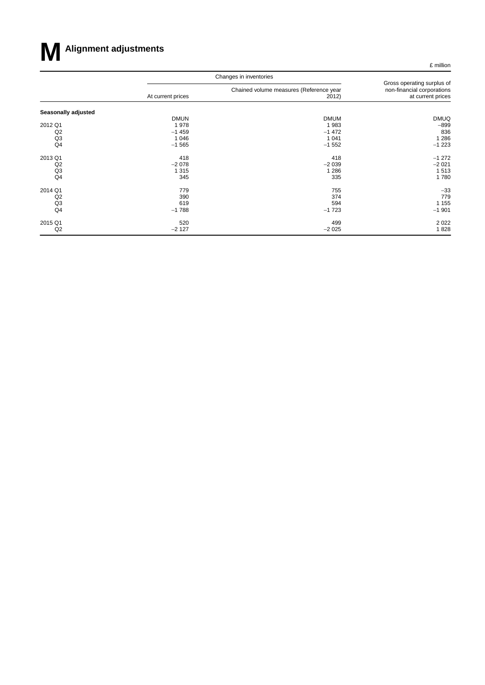

£ million

|                     |                                                                                                                                                                                                                                                                 | Changes in inventories                           |                                                                               |  |  |
|---------------------|-----------------------------------------------------------------------------------------------------------------------------------------------------------------------------------------------------------------------------------------------------------------|--------------------------------------------------|-------------------------------------------------------------------------------|--|--|
|                     | At current prices<br><b>DMUN</b><br>1978<br>Q2<br>$-1459$<br>Q <sub>3</sub><br>1 0 4 6<br>Q4<br>$-1565$<br>418<br>Q2<br>$-2078$<br>Q <sub>3</sub><br>1 3 1 5<br>Q4<br>345<br>779<br>Q2<br>390<br>Q <sub>3</sub><br>619<br>Q4<br>$-1788$<br>520<br>Q2<br>$-2127$ | Chained volume measures (Reference year<br>2012) | Gross operating surplus of<br>non-financial corporations<br>at current prices |  |  |
| Seasonally adjusted |                                                                                                                                                                                                                                                                 |                                                  |                                                                               |  |  |
|                     |                                                                                                                                                                                                                                                                 | <b>DMUM</b>                                      | <b>DMUQ</b>                                                                   |  |  |
| 2012 Q1             |                                                                                                                                                                                                                                                                 | 1983                                             | $-899$                                                                        |  |  |
|                     |                                                                                                                                                                                                                                                                 | $-1472$                                          | 836                                                                           |  |  |
|                     |                                                                                                                                                                                                                                                                 | 1 0 4 1                                          | 1 2 8 6                                                                       |  |  |
|                     |                                                                                                                                                                                                                                                                 | $-1552$                                          | $-1223$                                                                       |  |  |
| 2013 Q1             |                                                                                                                                                                                                                                                                 | 418                                              | $-1272$                                                                       |  |  |
|                     |                                                                                                                                                                                                                                                                 | $-2039$                                          | $-2021$                                                                       |  |  |
|                     |                                                                                                                                                                                                                                                                 | 1 2 8 6                                          | 1513                                                                          |  |  |
|                     |                                                                                                                                                                                                                                                                 | 335                                              | 1780                                                                          |  |  |
| 2014 Q1             |                                                                                                                                                                                                                                                                 | 755                                              | $-33$                                                                         |  |  |
|                     |                                                                                                                                                                                                                                                                 | 374                                              | 779                                                                           |  |  |
|                     |                                                                                                                                                                                                                                                                 | 594                                              | 1 1 5 5                                                                       |  |  |
|                     |                                                                                                                                                                                                                                                                 | $-1723$                                          | $-1901$                                                                       |  |  |
| 2015 Q1             |                                                                                                                                                                                                                                                                 | 499                                              | 2 0 2 2                                                                       |  |  |
|                     |                                                                                                                                                                                                                                                                 | $-2025$                                          | 1828                                                                          |  |  |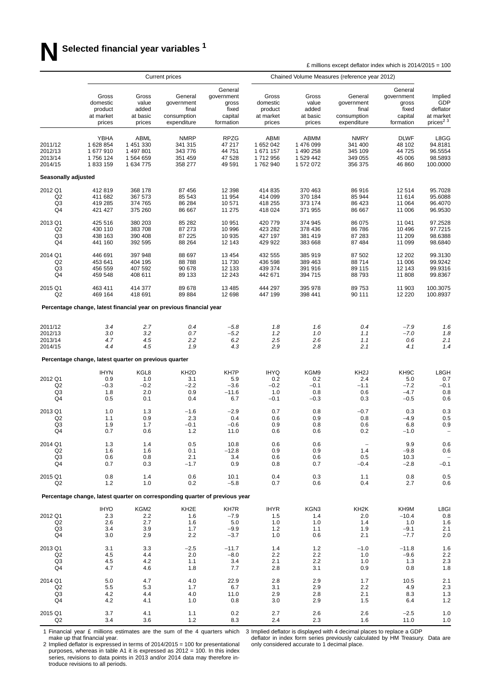|                                                   |                                                       |                                                        | <b>Current prices</b>                                                       |                                                                 |                                                      | Chained Volume Measures (reference year 2012)            |                                                              |                                                                 |                                                                             |
|---------------------------------------------------|-------------------------------------------------------|--------------------------------------------------------|-----------------------------------------------------------------------------|-----------------------------------------------------------------|------------------------------------------------------|----------------------------------------------------------|--------------------------------------------------------------|-----------------------------------------------------------------|-----------------------------------------------------------------------------|
|                                                   | Gross<br>domestic<br>product<br>at market<br>prices   | Gross<br>value<br>added<br>at basic<br>prices          | General<br>government<br>final<br>consumption<br>expenditure                | General<br>government<br>gross<br>fixed<br>capital<br>formation | Gross<br>domestic<br>product<br>at market<br>prices  | Gross<br>value<br>added<br>at basic<br>prices            | General<br>government<br>final<br>consumption<br>expenditure | General<br>government<br>gross<br>fixed<br>capital<br>formation | Implied<br>GDP<br>deflator<br>at market<br>prices <sup>2</sup> <sup>3</sup> |
| 2011/12<br>2012/13<br>2013/14<br>2014/15          | YBHA<br>1628854<br>1677910<br>1756124<br>1833159      | ABML<br>1 451 330<br>1 497 801<br>1564659<br>1 634 775 | <b>NMRP</b><br>341 315<br>343 776<br>351 459<br>358 277                     | <b>RPZG</b><br>47 217<br>44 751<br>47 528<br>49 591             | ABMI<br>1 652 042<br>1 671 157<br>1712956<br>1762940 | ABMM<br>1 476 099<br>1 490 258<br>1 529 442<br>1 572 072 | <b>NMRY</b><br>341 400<br>345 109<br>349 055<br>356 375      | <b>DLWF</b><br>48 102<br>44 725<br>45 006<br>46 860             | L8GG<br>94.8181<br>96.5554<br>98.5893<br>100.0000                           |
| Seasonally adjusted                               |                                                       |                                                        |                                                                             |                                                                 |                                                      |                                                          |                                                              |                                                                 |                                                                             |
| 2012 Q1                                           | 412819                                                | 368 178                                                | 87 456                                                                      | 12 3 98                                                         | 414 835                                              | 370 463                                                  | 86916                                                        | 12514                                                           | 95.7028                                                                     |
| Q <sub>2</sub>                                    | 411 682                                               | 367 573                                                | 85 543                                                                      | 11 954                                                          | 414 099                                              | 370 184                                                  | 85 944                                                       | 11 614                                                          | 95.6088                                                                     |
| Q <sub>3</sub>                                    | 419 285                                               | 374 765                                                | 86 284                                                                      | 10 571                                                          | 418 255                                              | 373 174                                                  | 86 423                                                       | 11 064                                                          | 96.4070                                                                     |
| Q4                                                | 421 427                                               | 375 260                                                | 86 667                                                                      | 11 275                                                          | 418 024                                              | 371 955                                                  | 86 667                                                       | 11 006                                                          | 96.9530                                                                     |
| 2013 Q1                                           | 425 516                                               | 380 203                                                | 85 282                                                                      | 10 951                                                          | 420 779                                              | 374 945                                                  | 86 075                                                       | 11 041                                                          | 97.2528                                                                     |
| Q <sub>2</sub>                                    | 430 110                                               | 383708                                                 | 87 273                                                                      | 10 996                                                          | 423 282                                              | 378 436                                                  | 86786                                                        | 10 4 96                                                         | 97.7215                                                                     |
| Q <sub>3</sub>                                    | 438 163                                               | 390 408                                                | 87 225                                                                      | 10 935                                                          | 427 197                                              | 381 419                                                  | 87 283                                                       | 11 209                                                          | 98.6388                                                                     |
| Q4                                                | 441 160                                               | 392 595                                                | 88 264                                                                      | 12 143                                                          | 429 922                                              | 383 668                                                  | 87 484                                                       | 11 099                                                          | 98.6840                                                                     |
| 2014 Q1                                           | 446 691                                               | 397 948                                                | 88 697                                                                      | 13 4 54                                                         | 432 555                                              | 385 919                                                  | 87 502                                                       | 12 202                                                          | 99.3130                                                                     |
| Q <sub>2</sub>                                    | 453 641                                               | 404 195                                                | 88788                                                                       | 11 730                                                          | 436 598                                              | 389 463                                                  | 88714                                                        | 11 006                                                          | 99.9242                                                                     |
| Q <sub>3</sub>                                    | 456 559                                               | 407 592                                                | 90 678                                                                      | 12 133                                                          | 439 374                                              | 391 916                                                  | 89 115                                                       | 12 143                                                          | 99.9316                                                                     |
| Q4                                                | 459 548                                               | 408 611                                                | 89 133                                                                      | 12 243                                                          | 442 671                                              | 394 715                                                  | 88793                                                        | 11 808                                                          | 99.8367                                                                     |
| 2015 Q1                                           | 463 411                                               | 414 377                                                | 89 678                                                                      | 13 4 8 5                                                        | 444 297                                              | 395 978                                                  | 89 753                                                       | 11 903                                                          | 100.3075                                                                    |
| Q <sub>2</sub>                                    | 469 164                                               | 418 691                                                | 89 884                                                                      | 12 698                                                          | 447 199                                              | 398 441                                                  | 90 111                                                       | 12 2 2 0                                                        | 100.8937                                                                    |
|                                                   |                                                       |                                                        | Percentage change, latest financial year on previous financial year         |                                                                 |                                                      |                                                          |                                                              |                                                                 |                                                                             |
| 2011/12                                           | 3.4                                                   | 2.7                                                    | 0.4                                                                         | $-5.8$                                                          | 1.8                                                  | 1.6                                                      | 0.4                                                          | $-7.9$                                                          | 1.6                                                                         |
| 2012/13                                           | 3.0                                                   | 3.2                                                    | 0.7                                                                         | $-5.2$                                                          | 1.2                                                  | 1.0                                                      | 1.1                                                          | $-7.0$                                                          | 1.8                                                                         |
| 2013/14                                           | 4.7                                                   | 4.5                                                    | 2.2                                                                         | 6.2                                                             | 2.5                                                  | 2.6                                                      | 1.1                                                          | 0.6                                                             | 2.1                                                                         |
| 2014/15                                           | 4.4                                                   | 4.5                                                    | 1.9                                                                         | 4.3                                                             | 2.9                                                  | 2.8                                                      | 2.1                                                          | 4.1                                                             | 1.4                                                                         |
|                                                   | Percentage change, latest quarter on previous quarter |                                                        |                                                                             |                                                                 |                                                      |                                                          |                                                              |                                                                 |                                                                             |
| 2012 Q1<br>Q <sub>2</sub><br>Q <sub>3</sub><br>Q4 | <b>IHYN</b><br>0.9<br>$-0.3$<br>1.8<br>0.5            | KGL8<br>1.0<br>$-0.2$<br>2.0<br>0.1                    | KH <sub>2</sub> D<br>3.1<br>$-2.2$<br>0.9<br>0.4                            | KH7P<br>5.9<br>$-3.6$<br>$-11.6$<br>6.7                         | <b>IHYQ</b><br>0.2<br>$-0.2$<br>1.0<br>$-0.1$        | KGM9<br>0.2<br>$-0.1$<br>0.8<br>$-0.3$                   | KH <sub>2</sub> J<br>2.4<br>$-1.1$<br>0.6<br>0.3             | KH <sub>9</sub> C<br>5.0<br>$-7.2$<br>$-4.7$<br>$-0.5$          | L8GH<br>0.7<br>$-0.1$<br>0.8<br>0.6                                         |
| 2013 Q1                                           | 1.0                                                   | 1.3                                                    | $-1.6$                                                                      | $-2.9$                                                          | 0.7                                                  | 0.8                                                      | $-0.7$                                                       | 0.3                                                             | 0.3                                                                         |
| Q <sub>2</sub>                                    | 1.1                                                   | 0.9                                                    | 2.3                                                                         | 0.4                                                             | 0.6                                                  | 0.9                                                      | 0.8                                                          | $-4.9$                                                          | 0.5                                                                         |
| Q3                                                | 1.9                                                   | 1.7                                                    | $-0.1$                                                                      | $-0.6$                                                          | 0.9                                                  | 0.8                                                      | 0.6                                                          | 6.8                                                             | 0.9                                                                         |
| Q4                                                | 0.7                                                   | 0.6                                                    | 1.2                                                                         | 11.0                                                            | 0.6                                                  | 0.6                                                      | 0.2                                                          | $-1.0$                                                          | $\overline{\phantom{0}}$                                                    |
| 2014 Q1<br>Q2<br>Q3<br>Q4                         | 1.3<br>1.6<br>0.6<br>0.7                              | 1.4<br>1.6<br>0.8<br>0.3                               | 0.5<br>0.1<br>2.1<br>$-1.7$                                                 | 10.8<br>$-12.8$<br>3.4<br>0.9                                   | 0.6<br>0.9<br>0.6<br>0.8                             | 0.6<br>0.9<br>0.6<br>0.7                                 | $\overline{\phantom{a}}$<br>1.4<br>0.5<br>$-0.4$             | 9.9<br>$-9.8$<br>10.3<br>$-2.8$                                 | 0.6<br>0.6<br>$-0.1$                                                        |
| 2015 Q1                                           | 0.8                                                   | 1.4                                                    | 0.6                                                                         | 10.1                                                            | 0.4                                                  | 0.3                                                      | 1.1                                                          | 0.8                                                             | 0.5                                                                         |
| Q <sub>2</sub>                                    | 1.2                                                   | 1.0                                                    | 0.2                                                                         | $-5.8$                                                          | 0.7                                                  | 0.6                                                      | 0.4                                                          | 2.7                                                             | 0.6                                                                         |
|                                                   |                                                       |                                                        | Percentage change, latest quarter on corresponding quarter of previous year |                                                                 |                                                      |                                                          |                                                              |                                                                 |                                                                             |
| 2012 Q1<br>Q <sub>2</sub><br>Q <sub>3</sub><br>Q4 | <b>IHYO</b><br>2.3<br>2.6<br>3.4<br>3.0               | KGM2<br>2.2<br>2.7<br>3.9<br>2.9                       | KH <sub>2</sub> E<br>1.6<br>1.6<br>1.7<br>2.2                               | KH7R<br>$-7.9$<br>5.0<br>$-9.9$<br>$-3.7$                       | <b>IHYR</b><br>1.5<br>1.0<br>$1.2$<br>1.0            | KGN <sub>3</sub><br>1.4<br>1.0<br>1.1<br>0.6             | KH <sub>2</sub> K<br>2.0<br>1.4<br>1.9<br>2.1                | KH9M<br>$-10.4$<br>1.0<br>$-9.1$<br>$-7.7$                      | L8GI<br>0.8<br>1.6<br>2.1<br>2.0                                            |
| 2013 Q1                                           | 3.1                                                   | 3.3                                                    | $-2.5$                                                                      | $-11.7$                                                         | 1.4                                                  | 1.2                                                      | $-1.0$                                                       | $-11.8$                                                         | 1.6                                                                         |
| Q2                                                | 4.5                                                   | 4.4                                                    | 2.0                                                                         | $-8.0$                                                          | 2.2                                                  | 2.2                                                      | 1.0                                                          | $-9.6$                                                          | 2.2                                                                         |
| Q3                                                | 4.5                                                   | 4.2                                                    | 1.1                                                                         | 3.4                                                             | 2.1                                                  | 2.2                                                      | 1.0                                                          | 1.3                                                             | 2.3                                                                         |
| Q4                                                | 4.7                                                   | 4.6                                                    | 1.8                                                                         | 7.7                                                             | 2.8                                                  | 3.1                                                      | 0.9                                                          | 0.8                                                             | 1.8                                                                         |
| 2014 Q1                                           | 5.0                                                   | 4.7                                                    | 4.0                                                                         | 22.9                                                            | 2.8                                                  | 2.9                                                      | 1.7                                                          | 10.5                                                            | 2.1                                                                         |
| Q <sub>2</sub>                                    | 5.5                                                   | 5.3                                                    | 1.7                                                                         | 6.7                                                             | 3.1                                                  | 2.9                                                      | 2.2                                                          | 4.9                                                             | 2.3                                                                         |
| Q3                                                | 4.2                                                   | 4.4                                                    | 4.0                                                                         | 11.0                                                            | 2.9                                                  | 2.8                                                      | 2.1                                                          | 8.3                                                             | 1.3                                                                         |
| Q4                                                | 4.2                                                   | 4.1                                                    | 1.0                                                                         | 0.8                                                             | 3.0                                                  | 2.9                                                      | 1.5                                                          | 6.4                                                             | $1.2$                                                                       |
| 2015 Q1                                           | 3.7                                                   | 4.1                                                    | 1.1                                                                         | 0.2                                                             | 2.7                                                  | 2.6                                                      | 2.6                                                          | $-2.5$                                                          | 1.0                                                                         |
| Q2                                                | 3.4                                                   | 3.6                                                    | 1.2                                                                         | 8.3                                                             | 2.4                                                  | 2.3                                                      | 1.6                                                          | 11.0                                                            | 1.0                                                                         |

1 Financial year £ millions estimates are the sum of the 4 quarters which make up that financial year.

2 Implied deflator is expressed in terms of 2014/2015 = 100 for presentational purposes, whereas in table A1 it is expressed as 2012 = 100. In this index series, revisions to data points in 2013 and/or 2014 data may therefore introduce revisions to all periods.

3 Implied deflator is displayed with 4 decimal places to replace a GDP deflator in index form series previously calculated by HM Treasury. Data are only considered accurate to 1 decimal place.

£ millions except deflator index which is 2014/2015 = 100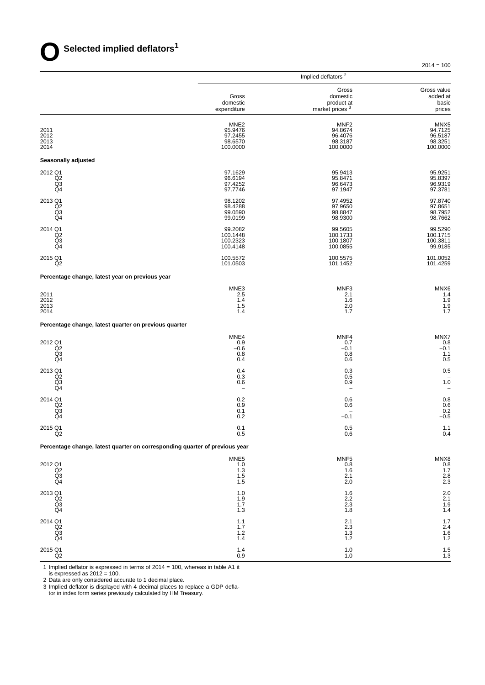$2014 = 100$ 

|                                                                             |                                                               | Implied deflators <sup>2</sup>                                |                                                               |
|-----------------------------------------------------------------------------|---------------------------------------------------------------|---------------------------------------------------------------|---------------------------------------------------------------|
|                                                                             | Gross<br>domestic<br>expenditure                              | Gross<br>domestic<br>product at<br>market prices <sup>3</sup> | Gross value<br>added at<br>basic<br>prices                    |
| 2011<br>2012<br>2013<br>2014                                                | MNE <sub>2</sub><br>95.9476<br>97.2455<br>98.6570<br>100.0000 | MNF <sub>2</sub><br>94.8674<br>96.4076<br>98.3187<br>100.0000 | MNX <sub>5</sub><br>94.7125<br>96.5187<br>98.3251<br>100.0000 |
| Seasonally adjusted                                                         |                                                               |                                                               |                                                               |
| 2012 Q1<br>Q <sub>2</sub><br>Q <sub>3</sub><br>Q <sub>4</sub>               | 97.1629<br>96.6194<br>97.4252<br>97.7746                      | 95.9413<br>95.8471<br>96.6473<br>97.1947                      | 95.9251<br>95.8397<br>96.9319<br>97.3781                      |
| 2013 Q1<br>Q2<br>Q3<br>Q4                                                   | 98.1202<br>98.4288<br>99.0590<br>99.0199                      | 97.4952<br>97.9650<br>98.8847<br>98.9300                      | 97.8740<br>97.8651<br>98.7952<br>98.7662                      |
| 2014 Q1<br>Q <sub>2</sub><br>Q3<br>Q4                                       | 99.2082<br>100.1448<br>100.2323<br>100.4148                   | 99.5605<br>100.1733<br>100.1807<br>100.0855                   | 99.5290<br>100.1715<br>100.3811<br>99.9185                    |
| 2015 Q1<br>Q <sub>2</sub>                                                   | 100.5572<br>101.0503                                          | 100.5575<br>101.1452                                          | 101.0052<br>101.4259                                          |
| Percentage change, latest year on previous year                             |                                                               |                                                               |                                                               |
| 2011<br>2012<br>2013<br>2014                                                | MNE3<br>2.5<br>1.4<br>1.5<br>1.4                              | MNF3<br>2.1<br>1.6<br>2.0<br>1.7                              | MNX6<br>1.4<br>1.9<br>1.9<br>1.7                              |
| Percentage change, latest quarter on previous quarter                       |                                                               |                                                               |                                                               |
| 2012 Q1<br>Q2<br>Q3<br>Q4                                                   | MNE4<br>0.9<br>$-0.6$<br>0.8<br>0.4                           | MNF4<br>0.7<br>$-0.1$<br>0.8<br>0.6                           | MNX7<br>0.8<br>$-0.1$<br>1.1<br>0.5                           |
| 2013 Q1<br>Q <sub>2</sub><br>Q <sub>3</sub><br>Q4                           | 0.4<br>0.3<br>0.6<br>$\overline{\phantom{a}}$                 | 0.3<br>0.5<br>0.9<br>$\overline{\phantom{0}}$                 | 0.5<br>1.0                                                    |
| 2014 Q1<br>Q <sub>2</sub><br>Q3<br>Q4                                       | 0.2<br>0.9<br>0.1<br>0.2                                      | 0.6<br>0.6<br>$\overline{\phantom{0}}$<br>$-0.1$              | 0.8<br>0.6<br>0.2<br>$-0.5$                                   |
| 2015 Q1<br>Q <sub>2</sub>                                                   | 0.1<br>0.5                                                    | 0.5<br>0.6                                                    | 1.1<br>0.4                                                    |
| Percentage change, latest quarter on corresponding quarter of previous year |                                                               |                                                               |                                                               |
| 2012 Q1<br>$\overline{Q}$ <sub>2</sub><br>Q4                                | MNE5<br>1.0<br>1.3<br>1.5<br>1.5                              | MNF <sub>5</sub><br>0.8<br>1.6<br>2.1<br>2.0                  | MNX8<br>0.8<br>0.7<br>1.7<br>2.8<br>2.3                       |
| 2013 Q1<br>$\overline{Q}2$<br>$\frac{Q3}{Q4}$                               | 1.0<br>1.9<br>1.7<br>1.3                                      | 1.6<br>$2.2\,$<br>$^{2.3}_{1.8}$                              | $^{2.0}_{2.1}$<br>$\frac{1.9}{1.4}$                           |
| 2014 Q1<br>Q2<br>Q3<br>Q4                                                   | $1.1$<br>1.7<br>$1.2$<br>1.4                                  | $^{2.1}_{2.3}$<br>$1.3$<br>1.2                                | $1.7$<br>$2.4$<br>$1.6$<br>1.2                                |
| 2015 Q1<br>$_{\mathsf{Q2}}$                                                 | 1.4<br>0.9                                                    | 1.0<br>$1.0$                                                  | $\frac{1.5}{1.3}$                                             |

1 Implied deflator is expressed in terms of 2014 = 100, whereas in table A1 it

is expressed as 2012 = 100.

2 Data are only considered accurate to 1 decimal place.

3 Implied deflator is displayed with 4 decimal places to replace a GDP defla-

tor in index form series previously calculated by HM Treasury.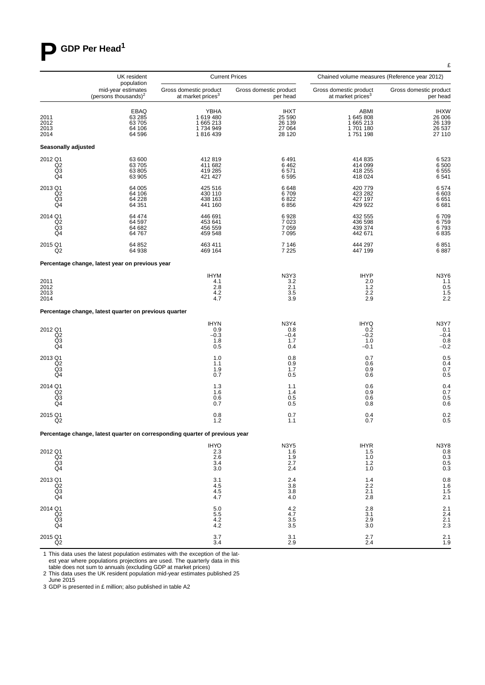# **P GDP Per Head<sup>1</sup>**

|                                                    | UK resident                                                                 |                                                         | <b>Current Prices</b>                               | Chained volume measures (Reference year 2012)           |                                                     |
|----------------------------------------------------|-----------------------------------------------------------------------------|---------------------------------------------------------|-----------------------------------------------------|---------------------------------------------------------|-----------------------------------------------------|
|                                                    | population<br>mid-year estimates<br>(persons thousands) <sup>2</sup>        | Gross domestic product<br>at market prices <sup>3</sup> | Gross domestic product<br>per head                  | Gross domestic product<br>at market prices <sup>3</sup> | Gross domestic product<br>per head                  |
| 2011<br>2012<br>2013<br>2014                       | EBAQ<br>63 285<br>63 705<br>64 106<br>64 596                                | YBHA<br>1619480<br>1 665 213<br>1734949<br>1816439      | <b>IHXT</b><br>25 590<br>26 139<br>27 064<br>28 120 | ABMI<br>1 645 808<br>1 665 213<br>1701180<br>1751198    | <b>IHXW</b><br>26 006<br>26 139<br>26 537<br>27 110 |
| Seasonally adjusted                                |                                                                             |                                                         |                                                     |                                                         |                                                     |
| 2012 Q1<br>Q2<br>Q <sub>3</sub><br>Q4              | 63 600<br>63 705<br>63 805<br>63 905                                        | 412819<br>411 682<br>419 285<br>421 427                 | 6491<br>6462<br>6571<br>6595                        | 414 835<br>414 099<br>418 255<br>418 024                | 6523<br>6500<br>6555<br>6541                        |
| 2013 Q1<br>$_{\mathsf{Q3}}^{\mathsf{Q2}}$<br>Q4    | 64 005<br>64 106<br>64 228<br>64 351                                        | 425 516<br>430 110<br>438 163<br>441 160                | 6648<br>6709<br>6822<br>6856                        | 420 779<br>423 282<br>427 197<br>429 922                | 6574<br>6 603<br>6651<br>6681                       |
| 2014 Q1<br>Q <sub>2</sub><br>Q3<br>Q <sub>4</sub>  | 64 474<br>64 597<br>64 682<br>64 767                                        | 446 691<br>453 641<br>456 559<br>459 548                | 6928<br>7 0 23<br>7 0 5 9<br>7 0 9 5                | 432 555<br>436 598<br>439 374<br>442 671                | 6709<br>6759<br>6793<br>6835                        |
| 2015 Q1<br>Q2                                      | 64 852<br>64 938                                                            | 463 411<br>469 164                                      | 7 1 4 6<br>7 2 2 5                                  | 444 297<br>447 199                                      | 6851<br>6887                                        |
|                                                    | Percentage change, latest year on previous year                             |                                                         |                                                     |                                                         |                                                     |
| 2011<br>2012<br>2013<br>2014                       |                                                                             | <b>IHYM</b><br>4.1<br>2.8<br>4.2<br>4.7                 | N3Y3<br>3.2<br>2.1<br>3.5<br>3.9                    | <b>IHYP</b><br>2.0<br>1.2<br>2.2<br>2.9                 | N3Y6<br>1.1<br>0.5<br>1.5<br>2.2                    |
|                                                    | Percentage change, latest quarter on previous quarter                       |                                                         |                                                     |                                                         |                                                     |
| 2012 Q1<br>$^{Q2}_{Q3}$<br>Q4                      |                                                                             | <b>IHYN</b><br>0.9<br>$-0.3$<br>1.8<br>0.5              | <b>N3Y4</b><br>0.8<br>$-0.4$<br>1.7<br>0.4          | <b>IHYQ</b><br>0.2<br>$-0.2$<br>1.0<br>$-0.1$           | <b>N3Y7</b><br>0.1<br>$-0.4$<br>0.8<br>$-0.2$       |
| 2013 Q1<br>Q <sub>2</sub><br>Q3<br>Q4              |                                                                             | 1.0<br>1.1<br>1.9<br>0.7                                | 0.8<br>0.9<br>1.7<br>0.5                            | 0.7<br>0.6<br>0.9<br>0.6                                | 0.5<br>0.4<br>0.7<br>0.5                            |
| 2014 Q1<br>Q <sub>2</sub><br>Q <sub>3</sub><br>Q4  |                                                                             | 1.3<br>1.6<br>0.6<br>0.7                                | 1.1<br>1.4<br>0.5<br>0.5                            | 0.6<br>0.9<br>0.6<br>0.8                                | 0.4<br>0.7<br>0.5<br>0.6                            |
| 2015 Q1<br>Q <sub>2</sub>                          |                                                                             | 0.8<br>1.2                                              | 0.7<br>1.1                                          | 0.4<br>0.7                                              | 0.2<br>0.5                                          |
|                                                    | Percentage change, latest quarter on corresponding quarter of previous year |                                                         |                                                     |                                                         |                                                     |
| 2012 Q1<br>$^{Q2}_{Q3}$<br>Q <sub>4</sub>          |                                                                             | $HYO$<br>2.3<br>2.6<br>3.4<br>3.0                       | N3Y5<br>1.6<br>$\frac{1.9}{2.7}$<br>2.4             | IHYR<br>1.5<br>1.0<br>1.2<br>1.0                        | N3Y8<br>0.8<br>0.3<br>0.5<br>0.3                    |
| 2013 Q1<br>Q2<br>Q3<br>Q4                          |                                                                             | 3.1<br>4.5<br>4.5<br>4.7                                | 2.4<br>3.8<br>3.8<br>4.0                            | 1.4<br>2.2<br>2.1<br>2.8                                | 0.8<br>1.6<br>1.5<br>2.1                            |
| 2014 Q1<br>Q <sub>2</sub><br>$\overline{Q3}$<br>Q4 |                                                                             | 5.0<br>5.5<br>4.2<br>4.2                                | 4.2<br>4.7<br>$3.5\,$<br>3.5                        | $\frac{2.8}{3.1}$<br>2.9<br>3.0                         | $2.1$<br>$2.4$<br>$2.1$<br>2.3                      |
| 2015 Q1<br>Q2                                      |                                                                             | 3.7<br>3.4                                              | 3.1<br>2.9                                          | 2.7<br>2.4                                              | 2.1<br>1.9                                          |

1 This data uses the latest population estimates with the exception of the latest year where populations projections are used. The quarterly data in this table does not sum to annuals (excluding GDP at market prices)

2 This data uses the UK resident population mid-year estimates published 25

June 2015 3 GDP is presented in £ million; also published in table A2 £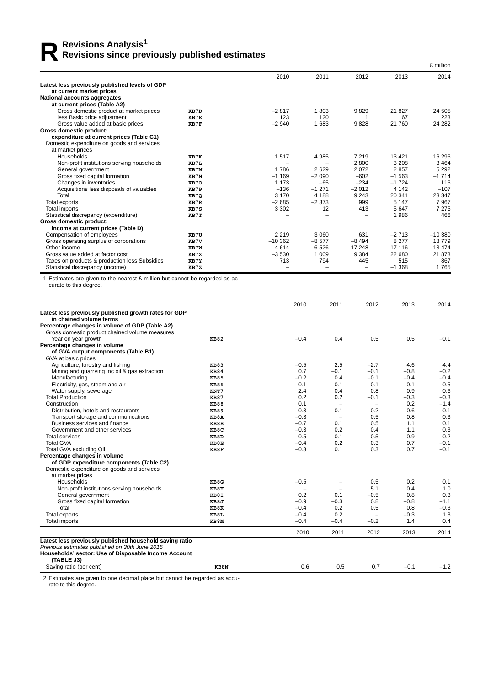# **R** Revisions Analysis<sup>1</sup><br>Revisions since preview **Revisions since previously published estimates**

|                                                |      |           |         |         |          | £ million |
|------------------------------------------------|------|-----------|---------|---------|----------|-----------|
|                                                |      | 2010      | 2011    | 2012    | 2013     | 2014      |
| Latest less previously published levels of GDP |      |           |         |         |          |           |
| at current market prices                       |      |           |         |         |          |           |
| National accounts aggregates                   |      |           |         |         |          |           |
| at current prices (Table A2)                   |      |           |         |         |          |           |
| Gross domestic product at market prices        | KB7D | $-2817$   | 1803    | 9829    | 21827    | 24 505    |
| less Basic price adjustment                    | KB7E | 123       | 120     |         | 67       | 223       |
| Gross value added at basic prices              | KB7F | $-2940$   | 1683    | 9828    | 21 760   | 24 28 2   |
| Gross domestic product:                        |      |           |         |         |          |           |
| expenditure at current prices (Table C1)       |      |           |         |         |          |           |
| Domestic expenditure on goods and services     |      |           |         |         |          |           |
| at market prices                               |      |           |         |         |          |           |
| Households                                     | KB7K | 1517      | 4985    | 7 2 1 9 | 13421    | 16 29 6   |
| Non-profit institutions serving households     | KB7L |           |         | 2800    | 3 2 0 8  | 3464      |
| General government                             | KB7M | 1786      | 2629    | 2072    | 2857     | 5 2 9 2   |
| Gross fixed capital formation                  | KB7N | $-1169$   | $-2090$ | $-602$  | $-1563$  | $-1714$   |
| Changes in inventories                         | KB70 | 1 1 7 3   | $-65$   | $-234$  | $-1724$  | 116       |
| Acquisitions less disposals of valuables       | KB7P | $-136$    | $-1271$ | $-2012$ | 4 1 4 2  | $-107$    |
| Total                                          | KB7Q | 3 1 7 0   | 4 1 8 8 | 9 2 4 3 | 20 341   | 23 347    |
| Total exports                                  | KB7R | $-2685$   | $-2373$ | 999     | 5 1 4 7  | 7967      |
| Total imports                                  | KB7S | 3 3 0 2   | 12      | 413     | 5647     | 7 2 7 5   |
| Statistical discrepancy (expenditure)          | KB7T |           |         |         | 1986     | 466       |
| Gross domestic product:                        |      |           |         |         |          |           |
| income at current prices (Table D)             |      |           |         |         |          |           |
| Compensation of employees                      | KB7U | 2 2 1 9   | 3 0 6 0 | 631     | $-2713$  | $-10380$  |
| Gross operating surplus of corporations        | KB7V | $-10.362$ | $-8577$ | $-8494$ | 8 2 7 7  | 18779     |
| Other income                                   | KB7W | 4614      | 6526    | 17 248  | 17 116   | 13 4 74   |
| Gross value added at factor cost               | KB7X | $-3530$   | 1 0 0 9 | 9 3 8 4 | 22 680   | 21 873    |
| Taxes on products & production less Subsidies  | KB7Y | 713       | 794     | 445     | 515      | 867       |
| Statistical discrepancy (income)               | KB7Z |           |         |         | $-1.368$ | 1765      |

1 Estimates are given to the nearest £ million but cannot be regarded as accurate to this degree.

|                                                         |             | 2010                     | 2011                     | 2012                     | 2013   | 2014   |
|---------------------------------------------------------|-------------|--------------------------|--------------------------|--------------------------|--------|--------|
| Latest less previously published growth rates for GDP   |             |                          |                          |                          |        |        |
| in chained volume terms                                 |             |                          |                          |                          |        |        |
| Percentage changes in volume of GDP (Table A2)          |             |                          |                          |                          |        |        |
| Gross domestic product chained volume measures          |             |                          |                          |                          |        |        |
| Year on year growth                                     | <b>KB82</b> | $-0.4$                   | 0.4                      | 0.5                      | 0.5    | $-0.1$ |
| Percentage changes in volume                            |             |                          |                          |                          |        |        |
| of GVA output components (Table B1)                     |             |                          |                          |                          |        |        |
| GVA at basic prices                                     |             |                          |                          |                          |        |        |
| Agriculture, forestry and fishing                       | <b>KB83</b> | $-0.5$                   | 2.5                      | $-2.7$                   | 4.6    | 4.4    |
| Mining and quarrying inc oil & gas extraction           | <b>KB84</b> | 0.7                      | $-0.1$                   | $-0.1$                   | $-0.8$ | $-0.2$ |
| Manufacturing                                           | <b>KB85</b> | $-0.2$                   | 0.4                      | $-0.1$                   | $-0.4$ | $-0.4$ |
| Electricity, gas, steam and air                         | <b>KB86</b> | 0.1                      | 0.1                      | $-0.1$                   | 0.1    | 0.5    |
| Water supply, sewerage                                  | KNT7        | 2.4                      | 0.4                      | 0.8                      | 0.9    | 0.6    |
| <b>Total Production</b>                                 | <b>KB87</b> | 0.2                      | 0.2                      | $-0.1$                   | $-0.3$ | $-0.3$ |
| Construction                                            | <b>KB88</b> | 0.1                      | $\overline{\phantom{m}}$ | $\overline{\phantom{m}}$ | 0.2    | $-1.4$ |
| Distribution, hotels and restaurants                    | <b>KB89</b> | $-0.3$                   | $-0.1$                   | 0.2                      | 0.6    | $-0.1$ |
| Transport storage and communications                    | KB8A        | $-0.3$                   | $\overline{\phantom{m}}$ | 0.5                      | 0.8    | 0.3    |
| Business services and finance                           | KB8B        | $-0.7$                   | 0.1                      | 0.5                      | 1.1    | 0.1    |
| Government and other services                           | KB8C        | $-0.3$                   | 0.2                      | 0.4                      | 1.1    | 0.3    |
| Total services                                          | KB8D        | $-0.5$                   | 0.1                      | 0.5                      | 0.9    | 0.2    |
| <b>Total GVA</b>                                        | KB8E        | $-0.4$                   | 0.2                      | 0.3                      | 0.7    | $-0.1$ |
| Total GVA excluding Oil                                 | KB8F        | $-0.3$                   | 0.1                      | 0.3                      | 0.7    | $-0.1$ |
| Percentage changes in volume                            |             |                          |                          |                          |        |        |
| of GDP expenditure components (Table C2)                |             |                          |                          |                          |        |        |
| Domestic expenditure on goods and services              |             |                          |                          |                          |        |        |
| at market prices                                        |             |                          |                          |                          |        |        |
| Households                                              | KB8G        | $-0.5$                   | $\overline{\phantom{0}}$ | 0.5                      | 0.2    | 0.1    |
| Non-profit institutions serving households              | KB8H        | $\overline{\phantom{0}}$ | $\overline{\phantom{m}}$ | 5.1                      | 0.4    | 1.0    |
| General government                                      | KB8I        | 0.2                      | 0.1                      | $-0.5$                   | 0.8    | 0.3    |
| Gross fixed capital formation                           | KB8J        | $-0.9$                   | $-0.3$                   | 0.8                      | $-0.8$ | $-1.1$ |
| Total                                                   | KB8K        | $-0.4$                   | 0.2                      | 0.5                      | 0.8    | $-0.3$ |
| Total exports                                           | KB8L        | $-0.4$                   | 0.2                      | $\overline{\phantom{m}}$ | $-0.3$ | 1.3    |
| Total imports                                           | KB8M        | $-0.4$                   | $-0.4$                   | $-0.2$                   | 1.4    | 0.4    |
|                                                         |             |                          |                          |                          |        |        |
|                                                         |             | 2010                     | 2011                     | 2012                     | 2013   | 2014   |
| Latest less previously published household saving ratio |             |                          |                          |                          |        |        |
| Previous estimates published on 30th June 2015          |             |                          |                          |                          |        |        |
| Households' sector: Use of Disposable Income Account    |             |                          |                          |                          |        |        |
| (TABLE J3)                                              |             |                          |                          |                          |        |        |
| Saving ratio (per cent)                                 | KB8N        | 0.6                      | 0.5                      | 0.7                      | $-0.1$ | $-1.2$ |

2 Estimates are given to one decimal place but cannot be regarded as accurate to this degree.